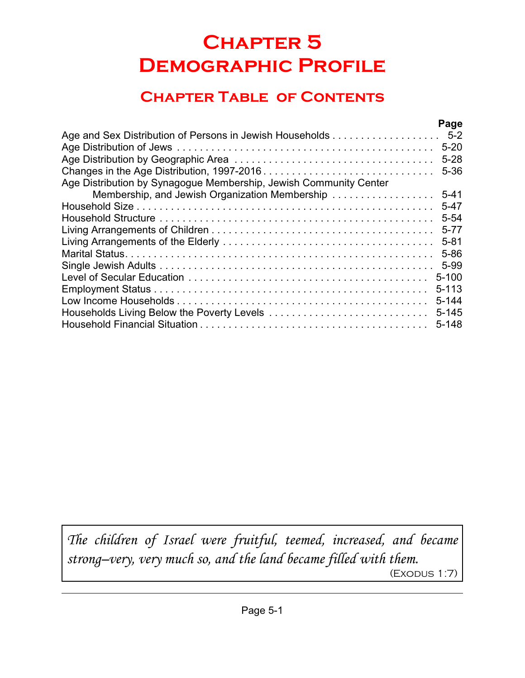# **Chapter 5 Demographic Profile**

# **Chapter Table of Contents**

|                                                                   | Page      |
|-------------------------------------------------------------------|-----------|
| Age and Sex Distribution of Persons in Jewish Households 5-2      |           |
|                                                                   | $5 - 20$  |
|                                                                   | $5 - 28$  |
|                                                                   | $5 - 36$  |
| Age Distribution by Synagogue Membership, Jewish Community Center |           |
| Membership, and Jewish Organization Membership                    | $5 - 41$  |
|                                                                   | $5 - 47$  |
|                                                                   | $5 - 54$  |
|                                                                   | $5 - 77$  |
|                                                                   | $5 - 81$  |
|                                                                   | $5 - 86$  |
|                                                                   | 5-99      |
|                                                                   | $5 - 100$ |
|                                                                   | $5 - 113$ |
|                                                                   | $5 - 144$ |
|                                                                   | $5 - 145$ |
|                                                                   | $5 - 148$ |
|                                                                   |           |

*The children of Israel were fruitful, teemed, increased, and became strong–very, very much so, and the land became filled with them.* (Exodus 1:7)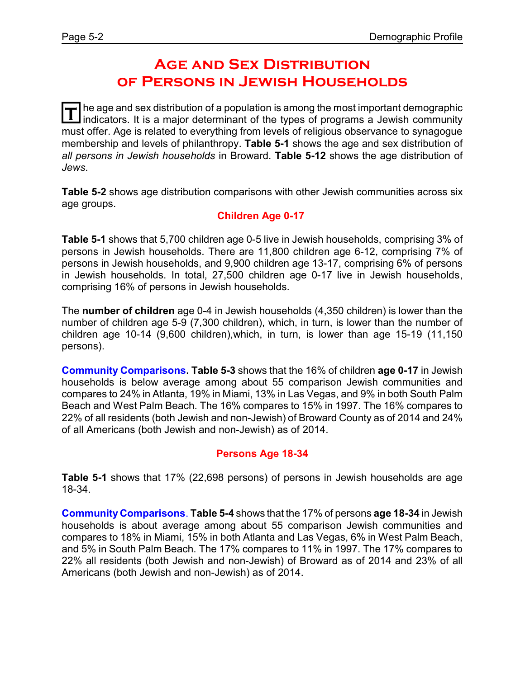# **Age and Sex Distribution of Persons in Jewish Households**

The age and sex distribution of a population is among the most important demographic<br>I indicators. It is a major determinant of the types of programs a Jewish community he age and sex distribution of a population is among the most important demographic must offer. Age is related to everything from levels of religious observance to synagogue membership and levels of philanthropy. **Table 5-1** shows the age and sex distribution of *all persons in Jewish households* in Broward. **Table 5-12** shows the age distribution of *Jews*.

**Table 5-2** shows age distribution comparisons with other Jewish communities across six age groups.

#### **Children Age 0-17**

**Table 5-1** shows that 5,700 children age 0-5 live in Jewish households, comprising 3% of persons in Jewish households. There are 11,800 children age 6-12, comprising 7% of persons in Jewish households, and 9,900 children age 13-17, comprising 6% of persons in Jewish households. In total, 27,500 children age 0-17 live in Jewish households, comprising 16% of persons in Jewish households.

The **number of children** age 0-4 in Jewish households (4,350 children) is lower than the number of children age 5-9 (7,300 children), which, in turn, is lower than the number of children age 10-14 (9,600 children),which, in turn, is lower than age 15-19 (11,150 persons).

**Community Comparisons. Table 5-3** shows that the 16% of children **age 0-17** in Jewish households is below average among about 55 comparison Jewish communities and compares to 24% in Atlanta, 19% in Miami, 13% in Las Vegas, and 9% in both South Palm Beach and West Palm Beach. The 16% compares to 15% in 1997. The 16% compares to 22% of all residents (both Jewish and non-Jewish) of Broward County as of 2014 and 24% of all Americans (both Jewish and non-Jewish) as of 2014.

#### **Persons Age 18-34**

**Table 5-1** shows that 17% (22,698 persons) of persons in Jewish households are age 18-34.

**Community Comparisons**. **Table 5-4** shows that the 17% of persons **age 18-34** in Jewish households is about average among about 55 comparison Jewish communities and compares to 18% in Miami, 15% in both Atlanta and Las Vegas, 6% in West Palm Beach, and 5% in South Palm Beach. The 17% compares to 11% in 1997. The 17% compares to 22% all residents (both Jewish and non-Jewish) of Broward as of 2014 and 23% of all Americans (both Jewish and non-Jewish) as of 2014.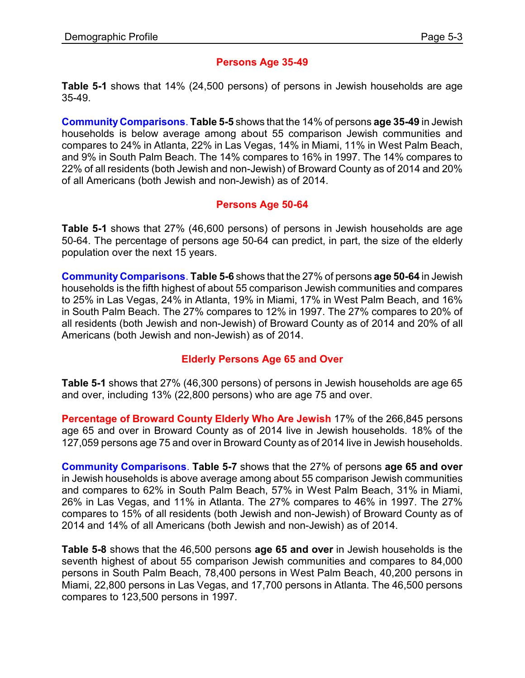#### **Persons Age 35-49**

**Table 5-1** shows that 14% (24,500 persons) of persons in Jewish households are age 35-49.

**CommunityComparisons**. **Table 5-5** shows that the 14% of persons **age 35-49** in Jewish households is below average among about 55 comparison Jewish communities and compares to 24% in Atlanta, 22% in Las Vegas, 14% in Miami, 11% in West Palm Beach, and 9% in South Palm Beach. The 14% compares to 16% in 1997. The 14% compares to 22% of all residents (both Jewish and non-Jewish) of Broward County as of 2014 and 20% of all Americans (both Jewish and non-Jewish) as of 2014.

#### **Persons Age 50-64**

**Table 5-1** shows that 27% (46,600 persons) of persons in Jewish households are age 50-64. The percentage of persons age 50-64 can predict, in part, the size of the elderly population over the next 15 years.

**Community Comparisons**. **Table 5-6** shows that the 27% of persons **age 50-64** in Jewish households is the fifth highest of about 55 comparison Jewish communities and compares to 25% in Las Vegas, 24% in Atlanta, 19% in Miami, 17% in West Palm Beach, and 16% in South Palm Beach. The 27% compares to 12% in 1997. The 27% compares to 20% of all residents (both Jewish and non-Jewish) of Broward County as of 2014 and 20% of all Americans (both Jewish and non-Jewish) as of 2014.

#### **Elderly Persons Age 65 and Over**

**Table 5-1** shows that 27% (46,300 persons) of persons in Jewish households are age 65 and over, including 13% (22,800 persons) who are age 75 and over.

**Percentage of Broward County Elderly Who Are Jewish** 17% of the 266,845 persons age 65 and over in Broward County as of 2014 live in Jewish households. 18% of the 127,059 persons age 75 and over in Broward County as of 2014 live in Jewish households.

**Community Comparisons**. **Table 5-7** shows that the 27% of persons **age 65 and over** in Jewish households is above average among about 55 comparison Jewish communities and compares to 62% in South Palm Beach, 57% in West Palm Beach, 31% in Miami, 26% in Las Vegas, and 11% in Atlanta. The 27% compares to 46% in 1997. The 27% compares to 15% of all residents (both Jewish and non-Jewish) of Broward County as of 2014 and 14% of all Americans (both Jewish and non-Jewish) as of 2014.

**Table 5-8** shows that the 46,500 persons **age 65 and over** in Jewish households is the seventh highest of about 55 comparison Jewish communities and compares to 84,000 persons in South Palm Beach, 78,400 persons in West Palm Beach, 40,200 persons in Miami, 22,800 persons in Las Vegas, and 17,700 persons in Atlanta. The 46,500 persons compares to 123,500 persons in 1997.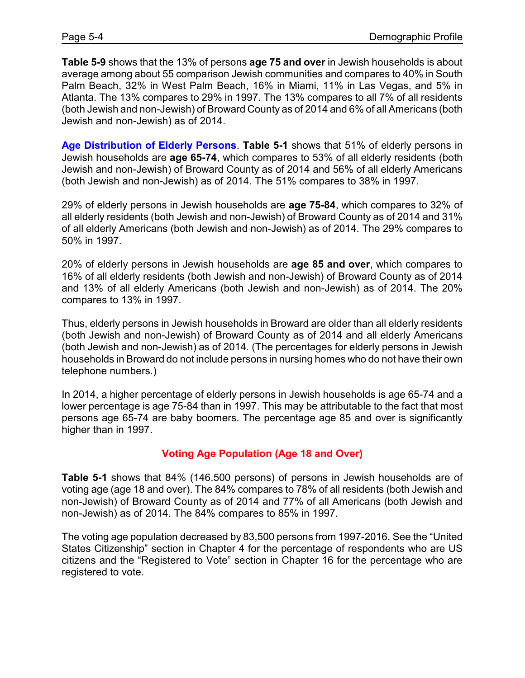**Table 5-9** shows that the 13% of persons **age 75 and over** in Jewish households is about average among about 55 comparison Jewish communities and compares to 40% in South Palm Beach, 32% in West Palm Beach, 16% in Miami, 11% in Las Vegas, and 5% in Atlanta. The 13% compares to 29% in 1997. The 13% compares to all 7% of all residents (both Jewish and non-Jewish) of Broward County as of 2014 and 6% of all Americans (both Jewish and non-Jewish) as of 2014.

**Age Distribution of Elderly Persons**. **Table 5-1** shows that 51% of elderly persons in Jewish households are **age 65-74**, which compares to 53% of all elderly residents (both Jewish and non-Jewish) of Broward County as of 2014 and 56% of all elderly Americans (both Jewish and non-Jewish) as of 2014. The 51% compares to 38% in 1997.

29% of elderly persons in Jewish households are **age 75-84**, which compares to 32% of all elderly residents (both Jewish and non-Jewish) of Broward County as of 2014 and 31% of all elderly Americans (both Jewish and non-Jewish) as of 2014. The 29% compares to 50% in 1997.

20% of elderly persons in Jewish households are **age 85 and over**, which compares to 16% of all elderly residents (both Jewish and non-Jewish) of Broward County as of 2014 and 13% of all elderly Americans (both Jewish and non-Jewish) as of 2014. The 20% compares to 13% in 1997.

Thus, elderly persons in Jewish households in Broward are older than all elderly residents (both Jewish and non-Jewish) of Broward County as of 2014 and all elderly Americans (both Jewish and non-Jewish) as of 2014. (The percentages for elderly persons in Jewish households in Broward do not include persons in nursing homes who do not have their own telephone numbers.)

In 2014, a higher percentage of elderly persons in Jewish households is age 65-74 and a lower percentage is age 75-84 than in 1997. This may be attributable to the fact that most persons age 65-74 are baby boomers. The percentage age 85 and over is significantly higher than in 1997.

#### **Voting Age Population (Age 18 and Over)**

**Table 5-1** shows that 84% (146.500 persons) of persons in Jewish households are of voting age (age 18 and over). The 84% compares to 78% of all residents (both Jewish and non-Jewish) of Broward County as of 2014 and 77% of all Americans (both Jewish and non-Jewish) as of 2014. The 84% compares to 85% in 1997.

The voting age population decreased by 83,500 persons from 1997-2016. See the "United States Citizenship" section in Chapter 4 for the percentage of respondents who are US citizens and the "Registered to Vote" section in Chapter 16 for the percentage who are registered to vote.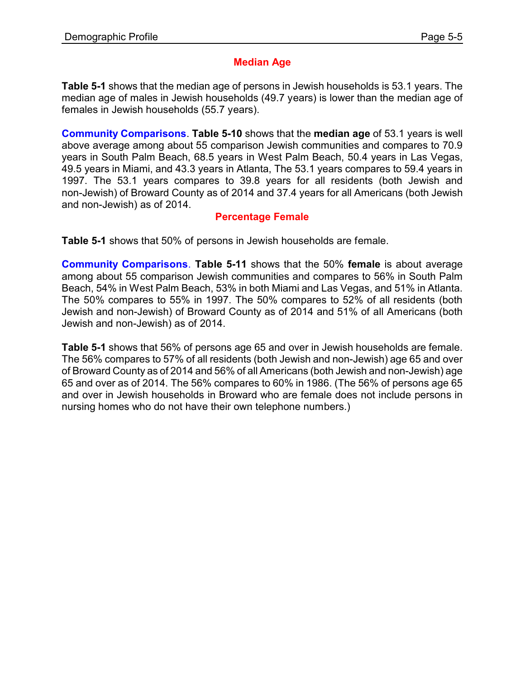#### **Median Age**

**Table 5-1** shows that the median age of persons in Jewish households is 53.1 years. The median age of males in Jewish households (49.7 years) is lower than the median age of females in Jewish households (55.7 years).

**Community Comparisons**. **Table 5-10** shows that the **median age** of 53.1 years is well above average among about 55 comparison Jewish communities and compares to 70.9 years in South Palm Beach, 68.5 years in West Palm Beach, 50.4 years in Las Vegas, 49.5 years in Miami, and 43.3 years in Atlanta, The 53.1 years compares to 59.4 years in 1997. The 53.1 years compares to 39.8 years for all residents (both Jewish and non-Jewish) of Broward County as of 2014 and 37.4 years for all Americans (both Jewish and non-Jewish) as of 2014.

#### **Percentage Female**

**Table 5-1** shows that 50% of persons in Jewish households are female.

**Community Comparisons**. **Table 5-11** shows that the 50% **female** is about average among about 55 comparison Jewish communities and compares to 56% in South Palm Beach, 54% in West Palm Beach, 53% in both Miami and Las Vegas, and 51% in Atlanta. The 50% compares to 55% in 1997. The 50% compares to 52% of all residents (both Jewish and non-Jewish) of Broward County as of 2014 and 51% of all Americans (both Jewish and non-Jewish) as of 2014.

**Table 5-1** shows that 56% of persons age 65 and over in Jewish households are female. The 56% compares to 57% of all residents (both Jewish and non-Jewish) age 65 and over of Broward County as of 2014 and 56% of all Americans (both Jewish and non-Jewish) age 65 and over as of 2014. The 56% compares to 60% in 1986. (The 56% of persons age 65 and over in Jewish households in Broward who are female does not include persons in nursing homes who do not have their own telephone numbers.)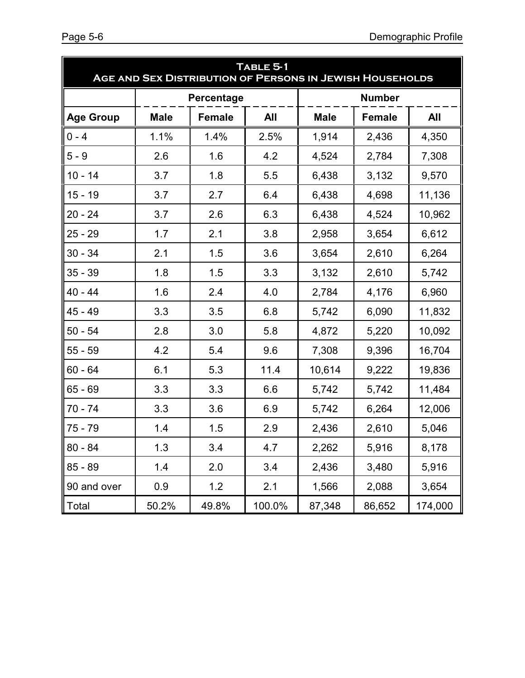| TABLE 5-1<br>AGE AND SEX DISTRIBUTION OF PERSONS IN JEWISH HOUSEHOLDS |             |               |        |               |               |            |  |  |  |
|-----------------------------------------------------------------------|-------------|---------------|--------|---------------|---------------|------------|--|--|--|
|                                                                       |             | Percentage    |        | <b>Number</b> |               |            |  |  |  |
| <b>Age Group</b>                                                      | <b>Male</b> | <b>Female</b> | All    | <b>Male</b>   | <b>Female</b> | <b>All</b> |  |  |  |
| $0 - 4$                                                               | 1.1%        | 1.4%          | 2.5%   | 1,914         | 2,436         | 4,350      |  |  |  |
| $5 - 9$                                                               | 2.6         | 1.6           | 4.2    | 4,524         | 2,784         | 7,308      |  |  |  |
| $10 - 14$                                                             | 3.7         | 1.8           | 5.5    | 6,438         | 3,132         | 9,570      |  |  |  |
| $15 - 19$                                                             | 3.7         | 2.7           | 6.4    | 6,438         | 4,698         | 11,136     |  |  |  |
| $20 - 24$                                                             | 3.7         | 2.6           | 6.3    | 6,438         | 4,524         | 10,962     |  |  |  |
| $25 - 29$                                                             | 1.7         | 2.1           | 3.8    | 2,958         | 3,654         | 6,612      |  |  |  |
| $30 - 34$                                                             | 2.1         | 1.5           | 3.6    | 3,654         | 2,610         | 6,264      |  |  |  |
| $35 - 39$                                                             | 1.8         | 1.5           | 3.3    | 3,132         | 2,610         | 5,742      |  |  |  |
| $40 - 44$                                                             | 1.6         | 2.4           | 4.0    | 2,784         | 4,176         | 6,960      |  |  |  |
| 45 - 49                                                               | 3.3         | 3.5           | 6.8    | 5,742         | 6,090         | 11,832     |  |  |  |
| $50 - 54$                                                             | 2.8         | 3.0           | 5.8    | 4,872         | 5,220         | 10,092     |  |  |  |
| $55 - 59$                                                             | 4.2         | 5.4           | 9.6    | 7,308         | 9,396         | 16,704     |  |  |  |
| $60 - 64$                                                             | 6.1         | 5.3           | 11.4   | 10,614        | 9,222         | 19,836     |  |  |  |
| $65 - 69$                                                             | 3.3         | 3.3           | 6.6    | 5,742         | 5,742         | 11,484     |  |  |  |
| $70 - 74$                                                             | 3.3         | 3.6           | 6.9    | 5,742         | 6,264         | 12,006     |  |  |  |
| 75 - 79                                                               | 1.4         | 1.5           | 2.9    | 2,436         | 2,610         | 5,046      |  |  |  |
| $80 - 84$                                                             | 1.3         | 3.4           | 4.7    | 2,262         | 5,916         | 8,178      |  |  |  |
| $85 - 89$                                                             | 1.4         | 2.0           | 3.4    | 2,436         | 3,480         | 5,916      |  |  |  |
| 90 and over                                                           | 0.9         | 1.2           | 2.1    | 1,566         | 2,088         | 3,654      |  |  |  |
| Total                                                                 | 50.2%       | 49.8%         | 100.0% | 87,348        | 86,652        | 174,000    |  |  |  |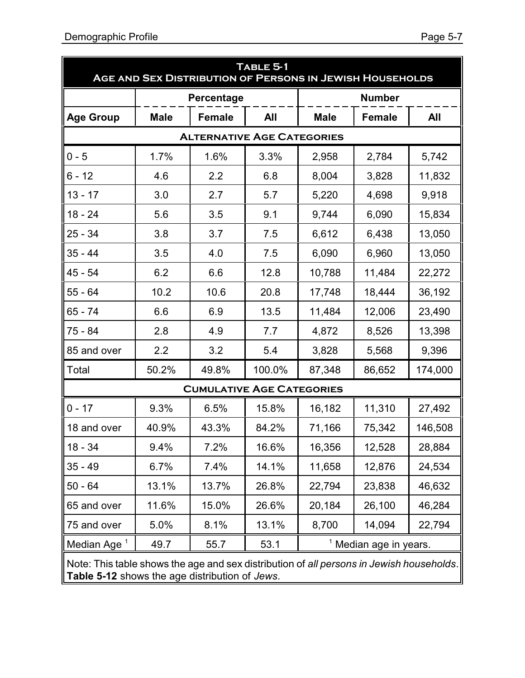| TABLE 5-1<br>AGE AND SEX DISTRIBUTION OF PERSONS IN JEWISH HOUSEHOLDS                    |             |                                  |            |             |                                   |         |  |  |  |
|------------------------------------------------------------------------------------------|-------------|----------------------------------|------------|-------------|-----------------------------------|---------|--|--|--|
|                                                                                          |             | <b>Percentage</b>                |            |             |                                   |         |  |  |  |
| <b>Age Group</b>                                                                         | <b>Male</b> | <b>Female</b>                    | <b>All</b> | <b>Male</b> | <b>Female</b>                     | All     |  |  |  |
| <b>ALTERNATIVE AGE CATEGORIES</b>                                                        |             |                                  |            |             |                                   |         |  |  |  |
| $0 - 5$                                                                                  | 1.7%        | 1.6%                             | 3.3%       | 2,958       | 2,784                             | 5,742   |  |  |  |
| $6 - 12$                                                                                 | 4.6         | 2.2                              | 6.8        | 8,004       | 3,828                             | 11,832  |  |  |  |
| $13 - 17$                                                                                | 3.0         | 2.7                              | 5.7        | 5,220       | 4,698                             | 9,918   |  |  |  |
| $18 - 24$                                                                                | 5.6         | 3.5                              | 9.1        | 9,744       | 6,090                             | 15,834  |  |  |  |
| $25 - 34$                                                                                | 3.8         | 3.7                              | 7.5        | 6,612       | 6,438                             | 13,050  |  |  |  |
| $35 - 44$                                                                                | 3.5         | 4.0                              | 7.5        | 6,090       | 6,960                             | 13,050  |  |  |  |
| $45 - 54$                                                                                | 6.2         | 6.6                              | 12.8       | 10,788      | 11,484                            | 22,272  |  |  |  |
| $55 - 64$                                                                                | 10.2        | 10.6                             | 20.8       | 17,748      | 18,444                            | 36,192  |  |  |  |
| 65 - 74                                                                                  | 6.6         | 6.9                              | 13.5       | 11,484      | 12,006                            | 23,490  |  |  |  |
| 75 - 84                                                                                  | 2.8         | 4.9                              | 7.7        | 4,872       | 8,526                             | 13,398  |  |  |  |
| 85 and over                                                                              | 2.2         | 3.2                              | 5.4        | 3,828       | 5,568                             | 9,396   |  |  |  |
| Total                                                                                    | 50.2%       | 49.8%                            | 100.0%     | 87,348      | 86,652                            | 174,000 |  |  |  |
|                                                                                          |             | <b>CUMULATIVE AGE CATEGORIES</b> |            |             |                                   |         |  |  |  |
| $0 - 17$                                                                                 | 9.3%        | 6.5%                             | 15.8%      | 16,182      | 11,310                            | 27,492  |  |  |  |
| 18 and over                                                                              | 40.9%       | 43.3%                            | 84.2%      | 71,166      | 75,342                            | 146,508 |  |  |  |
| $18 - 34$                                                                                | 9.4%        | 7.2%                             | 16.6%      | 16,356      | 12,528                            | 28,884  |  |  |  |
| $35 - 49$                                                                                | 6.7%        | 7.4%                             | 14.1%      | 11,658      | 12,876                            | 24,534  |  |  |  |
| $50 - 64$                                                                                | 13.1%       | 13.7%                            | 26.8%      | 22,794      | 23,838                            | 46,632  |  |  |  |
| 65 and over                                                                              | 11.6%       | 15.0%                            | 26.6%      | 20,184      | 26,100                            | 46,284  |  |  |  |
| 75 and over                                                                              | 5.0%        | 8.1%                             | 13.1%      | 8,700       | 14,094                            | 22,794  |  |  |  |
| Median Age <sup>1</sup>                                                                  | 49.7        | 55.7                             | 53.1       |             | <sup>1</sup> Median age in years. |         |  |  |  |
| Note: This table shows the age and sex distribution of all persons in Jewish households. |             |                                  |            |             |                                   |         |  |  |  |

**Table 5-12** shows the age distribution of *Jews*.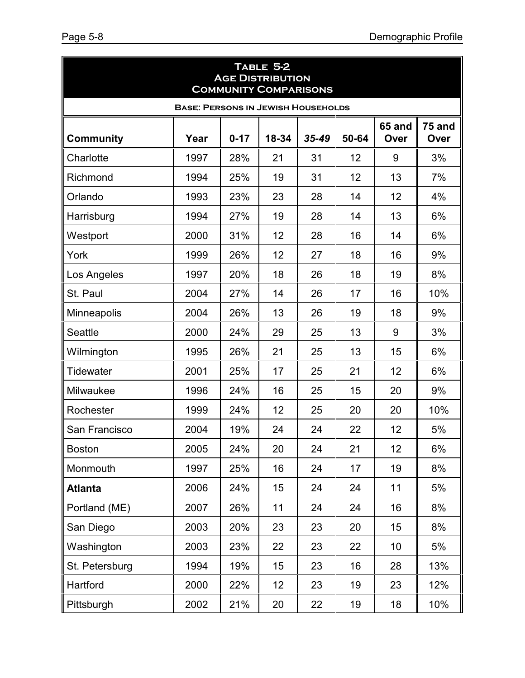| TABLE 5-2<br><b>AGE DISTRIBUTION</b><br><b>COMMUNITY COMPARISONS</b> |      |          |       |       |       |                |                |  |  |
|----------------------------------------------------------------------|------|----------|-------|-------|-------|----------------|----------------|--|--|
| <b>BASE: PERSONS IN JEWISH HOUSEHOLDS</b>                            |      |          |       |       |       |                |                |  |  |
| <b>Community</b>                                                     | Year | $0 - 17$ | 18-34 | 35-49 | 50-64 | 65 and<br>Over | 75 and<br>Over |  |  |
| Charlotte                                                            | 1997 | 28%      | 21    | 31    | 12    | 9              | 3%             |  |  |
| Richmond                                                             | 1994 | 25%      | 19    | 31    | 12    | 13             | 7%             |  |  |
| Orlando                                                              | 1993 | 23%      | 23    | 28    | 14    | 12             | 4%             |  |  |
| Harrisburg                                                           | 1994 | 27%      | 19    | 28    | 14    | 13             | 6%             |  |  |
| Westport                                                             | 2000 | 31%      | 12    | 28    | 16    | 14             | 6%             |  |  |
| York                                                                 | 1999 | 26%      | 12    | 27    | 18    | 16             | 9%             |  |  |
| Los Angeles                                                          | 1997 | 20%      | 18    | 26    | 18    | 19             | 8%             |  |  |
| St. Paul                                                             | 2004 | 27%      | 14    | 26    | 17    | 16             | 10%            |  |  |
| <b>Minneapolis</b>                                                   | 2004 | 26%      | 13    | 26    | 19    | 18             | 9%             |  |  |
| <b>Seattle</b>                                                       | 2000 | 24%      | 29    | 25    | 13    | 9              | 3%             |  |  |
| Wilmington                                                           | 1995 | 26%      | 21    | 25    | 13    | 15             | 6%             |  |  |
| <b>Tidewater</b>                                                     | 2001 | 25%      | 17    | 25    | 21    | 12             | 6%             |  |  |
| Milwaukee                                                            | 1996 | 24%      | 16    | 25    | 15    | 20             | 9%             |  |  |
| Rochester                                                            | 1999 | 24%      | 12    | 25    | 20    | 20             | 10%            |  |  |
| San Francisco                                                        | 2004 | 19%      | 24    | 24    | 22    | 12             | 5%             |  |  |
| <b>Boston</b>                                                        | 2005 | 24%      | 20    | 24    | 21    | 12             | 6%             |  |  |
| Monmouth                                                             | 1997 | 25%      | 16    | 24    | 17    | 19             | 8%             |  |  |
| <b>Atlanta</b>                                                       | 2006 | 24%      | 15    | 24    | 24    | 11             | 5%             |  |  |
| Portland (ME)                                                        | 2007 | 26%      | 11    | 24    | 24    | 16             | 8%             |  |  |
| San Diego                                                            | 2003 | 20%      | 23    | 23    | 20    | 15             | 8%             |  |  |
| Washington                                                           | 2003 | 23%      | 22    | 23    | 22    | 10             | 5%             |  |  |
| St. Petersburg                                                       | 1994 | 19%      | 15    | 23    | 16    | 28             | 13%            |  |  |
| Hartford                                                             | 2000 | 22%      | 12    | 23    | 19    | 23             | 12%            |  |  |
| Pittsburgh                                                           | 2002 | 21%      | 20    | 22    | 19    | 18             | 10%            |  |  |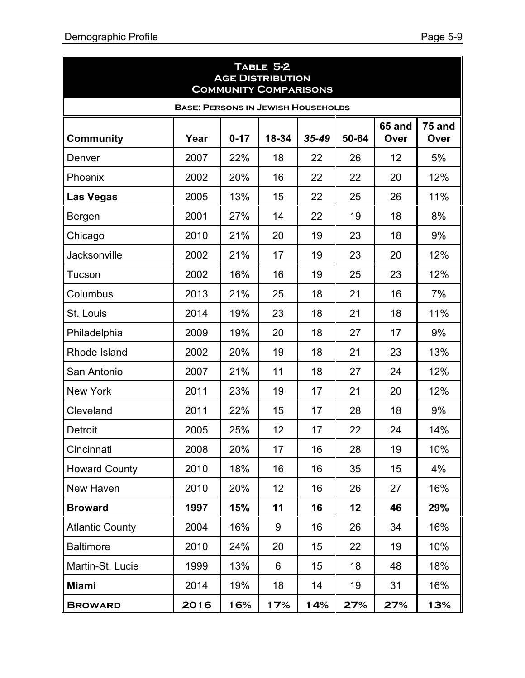| TABLE 5-2<br><b>AGE DISTRIBUTION</b><br><b>COMMUNITY COMPARISONS</b> |      |          |       |       |       |                |                |  |  |
|----------------------------------------------------------------------|------|----------|-------|-------|-------|----------------|----------------|--|--|
| <b>BASE: PERSONS IN JEWISH HOUSEHOLDS</b>                            |      |          |       |       |       |                |                |  |  |
| <b>Community</b>                                                     | Year | $0 - 17$ | 18-34 | 35-49 | 50-64 | 65 and<br>Over | 75 and<br>Over |  |  |
| Denver                                                               | 2007 | 22%      | 18    | 22    | 26    | 12             | 5%             |  |  |
| Phoenix                                                              | 2002 | 20%      | 16    | 22    | 22    | 20             | 12%            |  |  |
| <b>Las Vegas</b>                                                     | 2005 | 13%      | 15    | 22    | 25    | 26             | 11%            |  |  |
| Bergen                                                               | 2001 | 27%      | 14    | 22    | 19    | 18             | 8%             |  |  |
| Chicago                                                              | 2010 | 21%      | 20    | 19    | 23    | 18             | 9%             |  |  |
| Jacksonville                                                         | 2002 | 21%      | 17    | 19    | 23    | 20             | 12%            |  |  |
| Tucson                                                               | 2002 | 16%      | 16    | 19    | 25    | 23             | 12%            |  |  |
| Columbus                                                             | 2013 | 21%      | 25    | 18    | 21    | 16             | 7%             |  |  |
| St. Louis                                                            | 2014 | 19%      | 23    | 18    | 21    | 18             | 11%            |  |  |
| Philadelphia                                                         | 2009 | 19%      | 20    | 18    | 27    | 17             | 9%             |  |  |
| Rhode Island                                                         | 2002 | 20%      | 19    | 18    | 21    | 23             | 13%            |  |  |
| San Antonio                                                          | 2007 | 21%      | 11    | 18    | 27    | 24             | 12%            |  |  |
| <b>New York</b>                                                      | 2011 | 23%      | 19    | 17    | 21    | 20             | 12%            |  |  |
| Cleveland                                                            | 2011 | 22%      | 15    | 17    | 28    | 18             | 9%             |  |  |
| Detroit                                                              | 2005 | 25%      | 12    | 17    | 22    | 24             | 14%            |  |  |
| Cincinnati                                                           | 2008 | 20%      | 17    | 16    | 28    | 19             | 10%            |  |  |
| <b>Howard County</b>                                                 | 2010 | 18%      | 16    | 16    | 35    | 15             | 4%             |  |  |
| New Haven                                                            | 2010 | 20%      | 12    | 16    | 26    | 27             | 16%            |  |  |
| <b>Broward</b>                                                       | 1997 | 15%      | 11    | 16    | 12    | 46             | 29%            |  |  |
| <b>Atlantic County</b>                                               | 2004 | 16%      | 9     | 16    | 26    | 34             | 16%            |  |  |
| <b>Baltimore</b>                                                     | 2010 | 24%      | 20    | 15    | 22    | 19             | 10%            |  |  |
| Martin-St. Lucie                                                     | 1999 | 13%      | 6     | 15    | 18    | 48             | 18%            |  |  |
| <b>Miami</b>                                                         | 2014 | 19%      | 18    | 14    | 19    | 31             | 16%            |  |  |
| <b>BROWARD</b>                                                       | 2016 | 16%      | 17%   | 14%   | 27%   | 27%            | 13%            |  |  |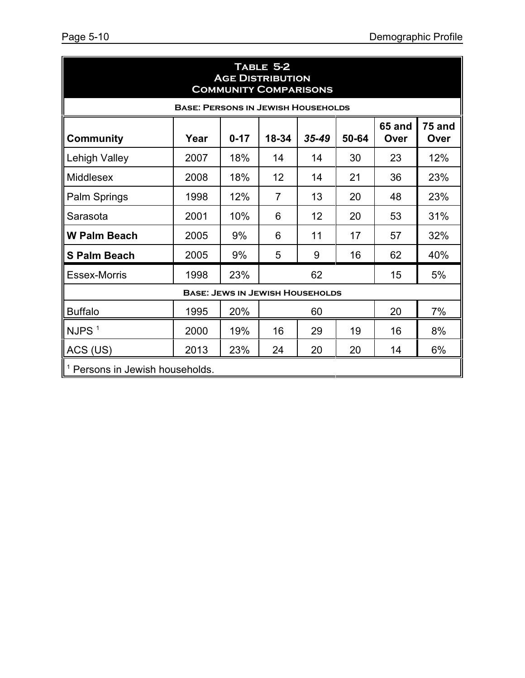| TABLE 5-2<br><b>AGE DISTRIBUTION</b><br><b>COMMUNITY COMPARISONS</b>                                    |      |     |                                        |    |    |    |     |  |  |
|---------------------------------------------------------------------------------------------------------|------|-----|----------------------------------------|----|----|----|-----|--|--|
| <b>BASE: PERSONS IN JEWISH HOUSEHOLDS</b>                                                               |      |     |                                        |    |    |    |     |  |  |
| 65 and<br>75 and<br>$0 - 17$<br>18-34<br>$35 - 49$<br>50-64<br><b>Community</b><br>Year<br>Over<br>Over |      |     |                                        |    |    |    |     |  |  |
| Lehigh Valley                                                                                           | 2007 | 18% | 14                                     | 14 | 30 | 23 | 12% |  |  |
| <b>Middlesex</b>                                                                                        | 2008 | 18% | 12                                     | 14 | 21 | 36 | 23% |  |  |
| Palm Springs                                                                                            | 1998 | 12% | $\overline{7}$                         | 13 | 20 | 48 | 23% |  |  |
| Sarasota                                                                                                | 2001 | 10% | 6                                      | 12 | 20 | 53 | 31% |  |  |
| <b>W Palm Beach</b>                                                                                     | 2005 | 9%  | 6                                      | 11 | 17 | 57 | 32% |  |  |
| <b>S Palm Beach</b>                                                                                     | 2005 | 9%  | 5                                      | 9  | 16 | 62 | 40% |  |  |
| <b>Essex-Morris</b>                                                                                     | 1998 | 23% |                                        | 62 |    | 15 | 5%  |  |  |
|                                                                                                         |      |     | <b>BASE: JEWS IN JEWISH HOUSEHOLDS</b> |    |    |    |     |  |  |
| <b>Buffalo</b>                                                                                          | 1995 | 20% |                                        | 60 |    | 20 | 7%  |  |  |
| $NJPS$ <sup>1</sup>                                                                                     | 2000 | 19% | 16                                     | 29 | 19 | 16 | 8%  |  |  |
| ACS (US)                                                                                                | 2013 | 23% | 24                                     | 20 | 20 | 14 | 6%  |  |  |
| <sup>1</sup> Persons in Jewish households.                                                              |      |     |                                        |    |    |    |     |  |  |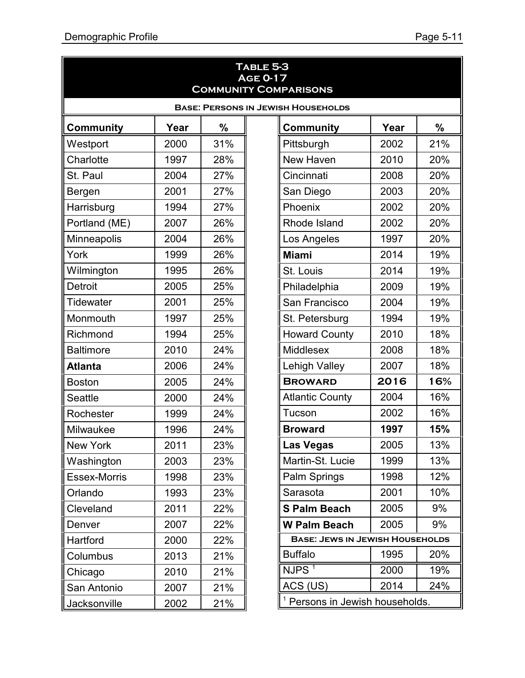| TABLE 5-3<br><b>AGE 0-17</b><br><b>COMMUNITY COMPARISONS</b> |      |     |  |                                            |      |               |  |  |
|--------------------------------------------------------------|------|-----|--|--------------------------------------------|------|---------------|--|--|
| <b>BASE: PERSONS IN JEWISH HOUSEHOLDS</b>                    |      |     |  |                                            |      |               |  |  |
| <b>Community</b>                                             | Year | %   |  | <b>Community</b>                           | Year | $\frac{0}{0}$ |  |  |
| Westport                                                     | 2000 | 31% |  | Pittsburgh                                 | 2002 | 21%           |  |  |
| Charlotte                                                    | 1997 | 28% |  | New Haven                                  | 2010 | 20%           |  |  |
| St. Paul                                                     | 2004 | 27% |  | Cincinnati                                 | 2008 | 20%           |  |  |
| Bergen                                                       | 2001 | 27% |  | San Diego                                  | 2003 | 20%           |  |  |
| Harrisburg                                                   | 1994 | 27% |  | Phoenix                                    | 2002 | 20%           |  |  |
| Portland (ME)                                                | 2007 | 26% |  | Rhode Island                               | 2002 | 20%           |  |  |
| Minneapolis                                                  | 2004 | 26% |  | Los Angeles                                | 1997 | 20%           |  |  |
| York                                                         | 1999 | 26% |  | <b>Miami</b>                               | 2014 | 19%           |  |  |
| Wilmington                                                   | 1995 | 26% |  | St. Louis                                  | 2014 | 19%           |  |  |
| <b>Detroit</b>                                               | 2005 | 25% |  | Philadelphia                               | 2009 | 19%           |  |  |
| Tidewater                                                    | 2001 | 25% |  | San Francisco                              | 2004 | 19%           |  |  |
| Monmouth                                                     | 1997 | 25% |  | St. Petersburg                             | 1994 | 19%           |  |  |
| Richmond                                                     | 1994 | 25% |  | <b>Howard County</b>                       | 2010 | 18%           |  |  |
| <b>Baltimore</b>                                             | 2010 | 24% |  | Middlesex                                  | 2008 | 18%           |  |  |
| <b>Atlanta</b>                                               | 2006 | 24% |  | <b>Lehigh Valley</b>                       | 2007 | 18%           |  |  |
| <b>Boston</b>                                                | 2005 | 24% |  | <b>BROWARD</b>                             | 2016 | 16%           |  |  |
| <b>Seattle</b>                                               | 2000 | 24% |  | <b>Atlantic County</b>                     | 2004 | 16%           |  |  |
| Rochester                                                    | 1999 | 24% |  | Tucson                                     | 2002 | 16%           |  |  |
| Milwaukee                                                    | 1996 | 24% |  | <b>Broward</b>                             | 1997 | 15%           |  |  |
| New York                                                     | 2011 | 23% |  | Las Vegas                                  | 2005 | 13%           |  |  |
| Washington                                                   | 2003 | 23% |  | Martin-St. Lucie                           | 1999 | 13%           |  |  |
| Essex-Morris                                                 | 1998 | 23% |  | Palm Springs                               | 1998 | 12%           |  |  |
| Orlando                                                      | 1993 | 23% |  | Sarasota                                   | 2001 | 10%           |  |  |
| Cleveland                                                    | 2011 | 22% |  | <b>S Palm Beach</b>                        | 2005 | 9%            |  |  |
| Denver                                                       | 2007 | 22% |  | <b>W Palm Beach</b>                        | 2005 | 9%            |  |  |
| Hartford                                                     | 2000 | 22% |  | <b>BASE: JEWS IN JEWISH HOUSEHOLDS</b>     |      |               |  |  |
| Columbus                                                     | 2013 | 21% |  | <b>Buffalo</b>                             | 1995 | 20%           |  |  |
| Chicago                                                      | 2010 | 21% |  | $NJPS$ <sup>1</sup>                        | 2000 | 19%           |  |  |
| San Antonio                                                  | 2007 | 21% |  | ACS (US)                                   | 2014 | 24%           |  |  |
| Jacksonville                                                 | 2002 | 21% |  | <sup>1</sup> Persons in Jewish households. |      |               |  |  |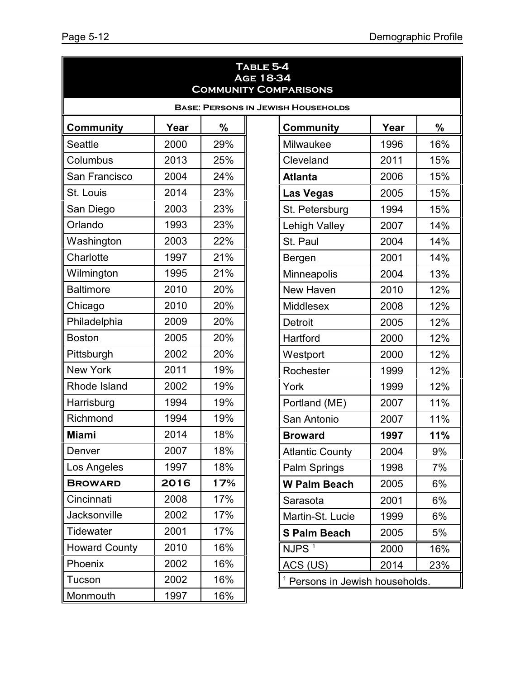| TABLE 5-4<br><b>AGE 18-34</b><br><b>COMMUNITY COMPARISONS</b> |      |     |  |                               |      |     |  |  |
|---------------------------------------------------------------|------|-----|--|-------------------------------|------|-----|--|--|
| <b>BASE: PERSONS IN JEWISH HOUSEHOLDS</b>                     |      |     |  |                               |      |     |  |  |
| <b>Community</b>                                              | Year | %   |  | <b>Community</b>              | Year | %   |  |  |
| <b>Seattle</b>                                                | 2000 | 29% |  | Milwaukee                     | 1996 | 16% |  |  |
| Columbus                                                      | 2013 | 25% |  | Cleveland                     | 2011 | 15% |  |  |
| San Francisco                                                 | 2004 | 24% |  | <b>Atlanta</b>                | 2006 | 15% |  |  |
| St. Louis                                                     | 2014 | 23% |  | <b>Las Vegas</b>              | 2005 | 15% |  |  |
| San Diego                                                     | 2003 | 23% |  | St. Petersburg                | 1994 | 15% |  |  |
| Orlando                                                       | 1993 | 23% |  | <b>Lehigh Valley</b>          | 2007 | 14% |  |  |
| Washington                                                    | 2003 | 22% |  | St. Paul                      | 2004 | 14% |  |  |
| Charlotte                                                     | 1997 | 21% |  | Bergen                        | 2001 | 14% |  |  |
| Wilmington                                                    | 1995 | 21% |  | Minneapolis                   | 2004 | 13% |  |  |
| <b>Baltimore</b>                                              | 2010 | 20% |  | New Haven                     | 2010 | 12% |  |  |
| Chicago                                                       | 2010 | 20% |  | Middlesex                     | 2008 | 12% |  |  |
| Philadelphia                                                  | 2009 | 20% |  | <b>Detroit</b>                | 2005 | 12% |  |  |
| <b>Boston</b>                                                 | 2005 | 20% |  | Hartford                      | 2000 | 12% |  |  |
| Pittsburgh                                                    | 2002 | 20% |  | Westport                      | 2000 | 12% |  |  |
| New York                                                      | 2011 | 19% |  | Rochester                     | 1999 | 12% |  |  |
| Rhode Island                                                  | 2002 | 19% |  | York                          | 1999 | 12% |  |  |
| Harrisburg                                                    | 1994 | 19% |  | Portland (ME)                 | 2007 | 11% |  |  |
| Richmond                                                      | 1994 | 19% |  | San Antonio                   | 2007 | 11% |  |  |
| <b>Miami</b>                                                  | 2014 | 18% |  | <b>Broward</b>                | 1997 | 11% |  |  |
| Denver                                                        | 2007 | 18% |  | <b>Atlantic County</b>        | 2004 | 9%  |  |  |
| Los Angeles                                                   | 1997 | 18% |  | Palm Springs                  | 1998 | 7%  |  |  |
| <b>BROWARD</b>                                                | 2016 | 17% |  | <b>W Palm Beach</b>           | 2005 | 6%  |  |  |
| Cincinnati                                                    | 2008 | 17% |  | Sarasota                      | 2001 | 6%  |  |  |
| Jacksonville                                                  | 2002 | 17% |  | Martin-St. Lucie              | 1999 | 6%  |  |  |
| Tidewater                                                     | 2001 | 17% |  | <b>S Palm Beach</b>           | 2005 | 5%  |  |  |
| <b>Howard County</b>                                          | 2010 | 16% |  | NJPS <sup>1</sup>             | 2000 | 16% |  |  |
| Phoenix                                                       | 2002 | 16% |  | ACS (US)                      | 2014 | 23% |  |  |
| Tucson                                                        | 2002 | 16% |  | Persons in Jewish households. |      |     |  |  |
| Monmouth                                                      | 1997 | 16% |  |                               |      |     |  |  |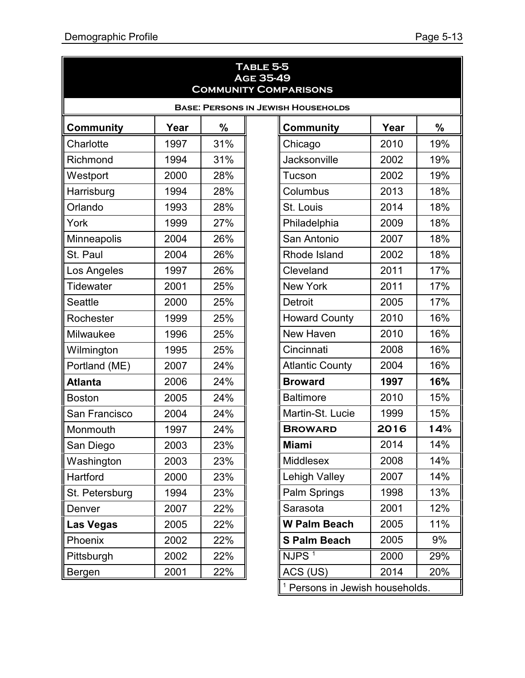|                  | TABLE 5-5<br>AGE 35-49<br><b>COMMUNITY COMPARISONS</b> |               |  |                        |      |     |  |  |  |
|------------------|--------------------------------------------------------|---------------|--|------------------------|------|-----|--|--|--|
|                  | <b>BASE: PERSONS IN JEWISH HOUSEHOLDS</b>              |               |  |                        |      |     |  |  |  |
| Community        | Year                                                   | $\frac{9}{6}$ |  | <b>Community</b>       | Year | %   |  |  |  |
| Charlotte        | 1997                                                   | 31%           |  | Chicago                | 2010 | 19% |  |  |  |
| Richmond         | 1994                                                   | 31%           |  | Jacksonville           | 2002 | 19% |  |  |  |
| Westport         | 2000                                                   | 28%           |  | Tucson                 | 2002 | 19% |  |  |  |
| Harrisburg       | 1994                                                   | 28%           |  | Columbus               | 2013 | 18% |  |  |  |
| Orlando          | 1993                                                   | 28%           |  | St. Louis              | 2014 | 18% |  |  |  |
| York             | 1999                                                   | 27%           |  | Philadelphia           | 2009 | 18% |  |  |  |
| Minneapolis      | 2004                                                   | 26%           |  | San Antonio            | 2007 | 18% |  |  |  |
| St. Paul         | 2004                                                   | 26%           |  | Rhode Island           | 2002 | 18% |  |  |  |
| Los Angeles      | 1997                                                   | 26%           |  | Cleveland              | 2011 | 17% |  |  |  |
| <b>Tidewater</b> | 2001                                                   | 25%           |  | <b>New York</b>        | 2011 | 17% |  |  |  |
| <b>Seattle</b>   | 2000                                                   | 25%           |  | <b>Detroit</b>         | 2005 | 17% |  |  |  |
| Rochester        | 1999                                                   | 25%           |  | <b>Howard County</b>   | 2010 | 16% |  |  |  |
| Milwaukee        | 1996                                                   | 25%           |  | New Haven              | 2010 | 16% |  |  |  |
| Wilmington       | 1995                                                   | 25%           |  | Cincinnati             | 2008 | 16% |  |  |  |
| Portland (ME)    | 2007                                                   | 24%           |  | <b>Atlantic County</b> | 2004 | 16% |  |  |  |
| <b>Atlanta</b>   | 2006                                                   | 24%           |  | <b>Broward</b>         | 1997 | 16% |  |  |  |
| <b>Boston</b>    | 2005                                                   | 24%           |  | <b>Baltimore</b>       | 2010 | 15% |  |  |  |
| San Francisco    | 2004                                                   | 24%           |  | Martin-St. Lucie       | 1999 | 15% |  |  |  |
| Monmouth         | 1997                                                   | 24%           |  | <b>BROWARD</b>         | 2016 | 14% |  |  |  |
| San Diego        | 2003                                                   | 23%           |  | <b>Miami</b>           | 2014 | 14% |  |  |  |
| Washington       | 2003                                                   | 23%           |  | Middlesex              | 2008 | 14% |  |  |  |
| Hartford         | 2000                                                   | 23%           |  | Lehigh Valley          | 2007 | 14% |  |  |  |
| St. Petersburg   | 1994                                                   | 23%           |  | Palm Springs           | 1998 | 13% |  |  |  |
| Denver           | 2007                                                   | 22%           |  | Sarasota               | 2001 | 12% |  |  |  |
| Las Vegas        | 2005                                                   | 22%           |  | <b>W Palm Beach</b>    | 2005 | 11% |  |  |  |
| Phoenix          | 2002                                                   | 22%           |  | <b>S Palm Beach</b>    | 2005 | 9%  |  |  |  |
| Pittsburgh       | 2002                                                   | 22%           |  | NJPS <sup>1</sup>      | 2000 | 29% |  |  |  |
| Bergen           | 2001                                                   | 22%           |  | ACS (US)               | 2014 | 20% |  |  |  |

<sup>1</sup> Persons in Jewish households.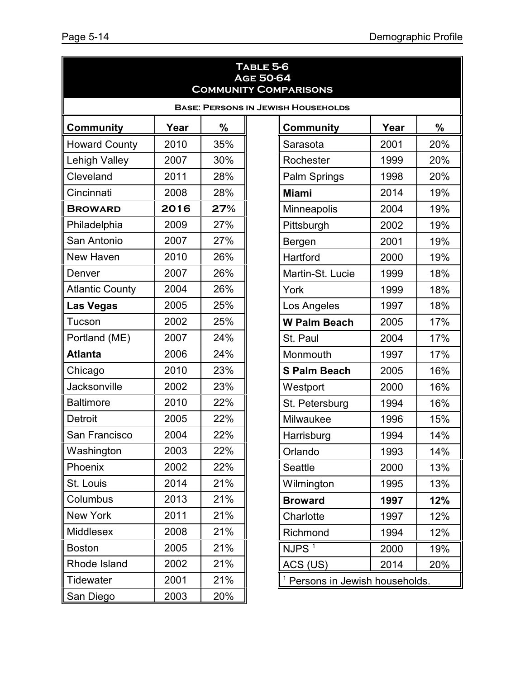| TABLE 5-6<br><b>AGE 50-64</b><br><b>COMMUNITY COMPARISONS</b> |      |     |                                            |      |     |  |  |  |  |
|---------------------------------------------------------------|------|-----|--------------------------------------------|------|-----|--|--|--|--|
| <b>BASE: PERSONS IN JEWISH HOUSEHOLDS</b>                     |      |     |                                            |      |     |  |  |  |  |
| <b>Community</b>                                              | Year | %   | <b>Community</b>                           | Year | %   |  |  |  |  |
| <b>Howard County</b>                                          | 2010 | 35% | Sarasota                                   | 2001 | 20% |  |  |  |  |
| <b>Lehigh Valley</b>                                          | 2007 | 30% | Rochester                                  | 1999 | 20% |  |  |  |  |
| Cleveland                                                     | 2011 | 28% | Palm Springs                               | 1998 | 20% |  |  |  |  |
| Cincinnati                                                    | 2008 | 28% | <b>Miami</b>                               | 2014 | 19% |  |  |  |  |
| <b>BROWARD</b>                                                | 2016 | 27% | Minneapolis                                | 2004 | 19% |  |  |  |  |
| Philadelphia                                                  | 2009 | 27% | Pittsburgh                                 | 2002 | 19% |  |  |  |  |
| San Antonio                                                   | 2007 | 27% | Bergen                                     | 2001 | 19% |  |  |  |  |
| New Haven                                                     | 2010 | 26% | Hartford                                   | 2000 | 19% |  |  |  |  |
| Denver                                                        | 2007 | 26% | Martin-St. Lucie                           | 1999 | 18% |  |  |  |  |
| <b>Atlantic County</b>                                        | 2004 | 26% | York                                       | 1999 | 18% |  |  |  |  |
| <b>Las Vegas</b>                                              | 2005 | 25% | Los Angeles                                | 1997 | 18% |  |  |  |  |
| Tucson                                                        | 2002 | 25% | <b>W Palm Beach</b>                        | 2005 | 17% |  |  |  |  |
| Portland (ME)                                                 | 2007 | 24% | St. Paul                                   | 2004 | 17% |  |  |  |  |
| <b>Atlanta</b>                                                | 2006 | 24% | Monmouth                                   | 1997 | 17% |  |  |  |  |
| Chicago                                                       | 2010 | 23% | <b>S Palm Beach</b>                        | 2005 | 16% |  |  |  |  |
| Jacksonville                                                  | 2002 | 23% | Westport                                   | 2000 | 16% |  |  |  |  |
| <b>Baltimore</b>                                              | 2010 | 22% | St. Petersburg                             | 1994 | 16% |  |  |  |  |
| <b>Detroit</b>                                                | 2005 | 22% | Milwaukee                                  | 1996 | 15% |  |  |  |  |
| San Francisco                                                 | 2004 | 22% | Harrisburg                                 | 1994 | 14% |  |  |  |  |
| Washington                                                    | 2003 | 22% | Orlando                                    | 1993 | 14% |  |  |  |  |
| Phoenix                                                       | 2002 | 22% | <b>Seattle</b>                             | 2000 | 13% |  |  |  |  |
| St. Louis                                                     | 2014 | 21% | Wilmington                                 | 1995 | 13% |  |  |  |  |
| Columbus                                                      | 2013 | 21% | <b>Broward</b>                             | 1997 | 12% |  |  |  |  |
| New York                                                      | 2011 | 21% | Charlotte                                  | 1997 | 12% |  |  |  |  |
| <b>Middlesex</b>                                              | 2008 | 21% | Richmond                                   | 1994 | 12% |  |  |  |  |
| <b>Boston</b>                                                 | 2005 | 21% | NJPS <sup>1</sup>                          | 2000 | 19% |  |  |  |  |
| Rhode Island                                                  | 2002 | 21% | ACS (US)                                   | 2014 | 20% |  |  |  |  |
| <b>Tidewater</b>                                              | 2001 | 21% | <sup>1</sup> Persons in Jewish households. |      |     |  |  |  |  |
| San Diego                                                     | 2003 | 20% |                                            |      |     |  |  |  |  |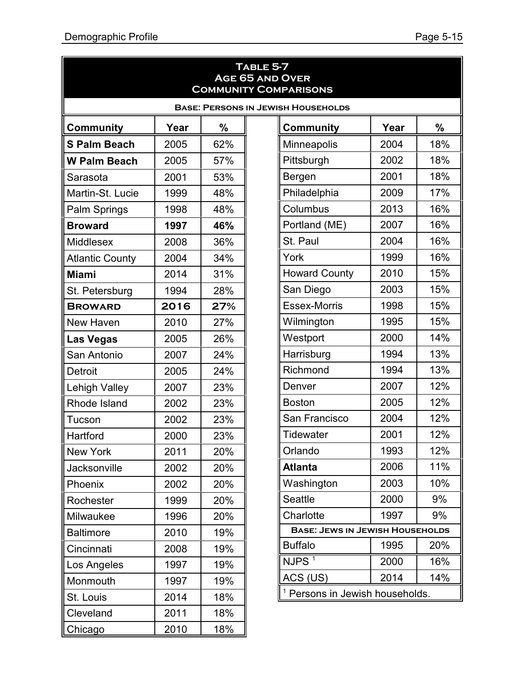| TABLE 5-7<br><b>AGE 65 AND OVER</b><br><b>COMMUNITY COMPARISONS</b> |      |     |  |                                            |      |               |  |  |
|---------------------------------------------------------------------|------|-----|--|--------------------------------------------|------|---------------|--|--|
| <b>BASE: PERSONS IN JEWISH HOUSEHOLDS</b>                           |      |     |  |                                            |      |               |  |  |
| <b>Community</b>                                                    | Year | %   |  | <b>Community</b>                           | Year | $\frac{0}{0}$ |  |  |
| <b>S Palm Beach</b>                                                 | 2005 | 62% |  | Minneapolis                                | 2004 | 18%           |  |  |
| <b>W Palm Beach</b>                                                 | 2005 | 57% |  | Pittsburgh                                 | 2002 | 18%           |  |  |
| Sarasota                                                            | 2001 | 53% |  | Bergen                                     | 2001 | 18%           |  |  |
| Martin-St. Lucie                                                    | 1999 | 48% |  | Philadelphia                               | 2009 | 17%           |  |  |
| Palm Springs                                                        | 1998 | 48% |  | Columbus                                   | 2013 | 16%           |  |  |
| <b>Broward</b>                                                      | 1997 | 46% |  | Portland (ME)                              | 2007 | 16%           |  |  |
| <b>Middlesex</b>                                                    | 2008 | 36% |  | St. Paul                                   | 2004 | 16%           |  |  |
| <b>Atlantic County</b>                                              | 2004 | 34% |  | York                                       | 1999 | 16%           |  |  |
| <b>Miami</b>                                                        | 2014 | 31% |  | <b>Howard County</b>                       | 2010 | 15%           |  |  |
| St. Petersburg                                                      | 1994 | 28% |  | San Diego                                  | 2003 | 15%           |  |  |
| <b>BROWARD</b>                                                      | 2016 | 27% |  | <b>Essex-Morris</b>                        | 1998 | 15%           |  |  |
| New Haven                                                           | 2010 | 27% |  | Wilmington                                 | 1995 | 15%           |  |  |
| <b>Las Vegas</b>                                                    | 2005 | 26% |  | Westport                                   | 2000 | 14%           |  |  |
| San Antonio                                                         | 2007 | 24% |  | Harrisburg                                 | 1994 | 13%           |  |  |
| <b>Detroit</b>                                                      | 2005 | 24% |  | Richmond                                   | 1994 | 13%           |  |  |
| <b>Lehigh Valley</b>                                                | 2007 | 23% |  | Denver                                     | 2007 | 12%           |  |  |
| Rhode Island                                                        | 2002 | 23% |  | <b>Boston</b>                              | 2005 | 12%           |  |  |
| Tucson                                                              | 2002 | 23% |  | San Francisco                              | 2004 | 12%           |  |  |
| Hartford                                                            | 2000 | 23% |  | Tidewater                                  | 2001 | 12%           |  |  |
| New York                                                            | 2011 | 20% |  | Orlando                                    | 1993 | 12%           |  |  |
| Jacksonville                                                        | 2002 | 20% |  | <b>Atlanta</b>                             | 2006 | 11%           |  |  |
| Phoenix                                                             | 2002 | 20% |  | Washington                                 | 2003 | 10%           |  |  |
| Rochester                                                           | 1999 | 20% |  | <b>Seattle</b>                             | 2000 | 9%            |  |  |
| Milwaukee                                                           | 1996 | 20% |  | Charlotte                                  | 1997 | 9%            |  |  |
| <b>Baltimore</b>                                                    | 2010 | 19% |  | <b>BASE: JEWS IN JEWISH HOUSEHOLDS</b>     |      |               |  |  |
| Cincinnati                                                          | 2008 | 19% |  | <b>Buffalo</b>                             | 1995 | 20%           |  |  |
| Los Angeles                                                         | 1997 | 19% |  | NJPS $1$                                   | 2000 | 16%           |  |  |
| Monmouth                                                            | 1997 | 19% |  | ACS (US)                                   | 2014 | 14%           |  |  |
| St. Louis                                                           | 2014 | 18% |  | <sup>1</sup> Persons in Jewish households. |      |               |  |  |
| Cleveland                                                           | 2011 | 18% |  |                                            |      |               |  |  |
| Chicago                                                             | 2010 | 18% |  |                                            |      |               |  |  |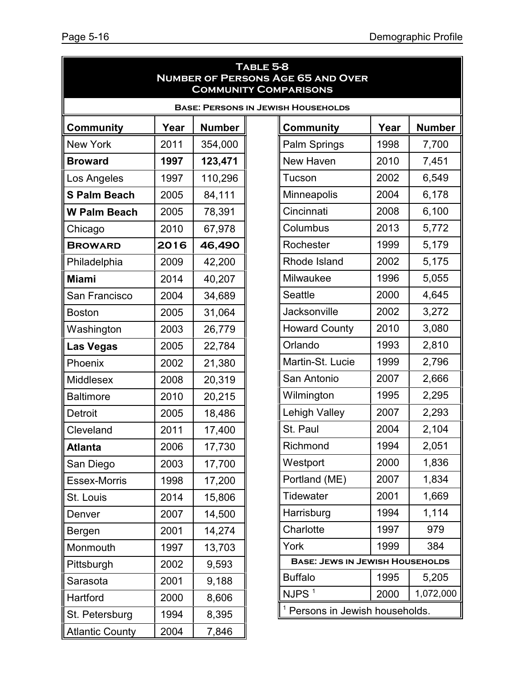|                        | TABLE 5-8<br><b>NUMBER OF PERSONS AGE 65 AND OVER</b><br><b>COMMUNITY COMPARISONS</b> |               |  |                                            |      |               |  |  |  |  |
|------------------------|---------------------------------------------------------------------------------------|---------------|--|--------------------------------------------|------|---------------|--|--|--|--|
|                        |                                                                                       |               |  | <b>BASE: PERSONS IN JEWISH HOUSEHOLDS</b>  |      |               |  |  |  |  |
| <b>Community</b>       | Year                                                                                  | <b>Number</b> |  | <b>Community</b>                           | Year | <b>Number</b> |  |  |  |  |
| <b>New York</b>        | 2011                                                                                  | 354,000       |  | Palm Springs                               | 1998 | 7,700         |  |  |  |  |
| <b>Broward</b>         | 1997                                                                                  | 123,471       |  | New Haven                                  | 2010 | 7,451         |  |  |  |  |
| Los Angeles            | 1997                                                                                  | 110,296       |  | Tucson                                     | 2002 | 6,549         |  |  |  |  |
| <b>S Palm Beach</b>    | 2005                                                                                  | 84,111        |  | Minneapolis                                | 2004 | 6,178         |  |  |  |  |
| <b>W Palm Beach</b>    | 2005                                                                                  | 78,391        |  | Cincinnati                                 | 2008 | 6,100         |  |  |  |  |
| Chicago                | 2010                                                                                  | 67,978        |  | Columbus                                   | 2013 | 5,772         |  |  |  |  |
| <b>BROWARD</b>         | 2016                                                                                  | 46,490        |  | Rochester                                  | 1999 | 5,179         |  |  |  |  |
| Philadelphia           | 2009                                                                                  | 42,200        |  | Rhode Island                               | 2002 | 5,175         |  |  |  |  |
| <b>Miami</b>           | 2014                                                                                  | 40,207        |  | Milwaukee                                  | 1996 | 5,055         |  |  |  |  |
| San Francisco          | 2004                                                                                  | 34,689        |  | Seattle                                    | 2000 | 4,645         |  |  |  |  |
| <b>Boston</b>          | 2005                                                                                  | 31,064        |  | Jacksonville                               | 2002 | 3,272         |  |  |  |  |
| Washington             | 2003                                                                                  | 26,779        |  | <b>Howard County</b>                       | 2010 | 3,080         |  |  |  |  |
| <b>Las Vegas</b>       | 2005                                                                                  | 22,784        |  | Orlando                                    | 1993 | 2,810         |  |  |  |  |
| Phoenix                | 2002                                                                                  | 21,380        |  | Martin-St. Lucie                           | 1999 | 2,796         |  |  |  |  |
| <b>Middlesex</b>       | 2008                                                                                  | 20,319        |  | San Antonio                                | 2007 | 2,666         |  |  |  |  |
| <b>Baltimore</b>       | 2010                                                                                  | 20,215        |  | Wilmington                                 | 1995 | 2,295         |  |  |  |  |
| Detroit                | 2005                                                                                  | 18,486        |  | <b>Lehigh Valley</b>                       | 2007 | 2,293         |  |  |  |  |
| Cleveland              | 2011                                                                                  | 17,400        |  | St. Paul                                   | 2004 | 2,104         |  |  |  |  |
| <b>Atlanta</b>         | 2006                                                                                  | 17,730        |  | Richmond                                   | 1994 | 2,051         |  |  |  |  |
| San Diego              | 2003                                                                                  | 17,700        |  | Westport                                   | 2000 | 1,836         |  |  |  |  |
| <b>Essex-Morris</b>    | 1998                                                                                  | 17,200        |  | Portland (ME)                              | 2007 | 1,834         |  |  |  |  |
| St. Louis              | 2014                                                                                  | 15,806        |  | <b>Tidewater</b>                           | 2001 | 1,669         |  |  |  |  |
| Denver                 | 2007                                                                                  | 14,500        |  | Harrisburg                                 | 1994 | 1,114         |  |  |  |  |
| Bergen                 | 2001                                                                                  | 14,274        |  | Charlotte                                  | 1997 | 979           |  |  |  |  |
| Monmouth               | 1997                                                                                  | 13,703        |  | York                                       | 1999 | 384           |  |  |  |  |
| Pittsburgh             | 2002                                                                                  | 9,593         |  | <b>BASE: JEWS IN JEWISH HOUSEHOLDS</b>     |      |               |  |  |  |  |
| Sarasota               | 2001                                                                                  | 9,188         |  | <b>Buffalo</b>                             | 1995 | 5,205         |  |  |  |  |
| Hartford               | 2000                                                                                  | 8,606         |  | NJPS <sup>1</sup>                          | 2000 | 1,072,000     |  |  |  |  |
| St. Petersburg         | 1994                                                                                  | 8,395         |  | <sup>1</sup> Persons in Jewish households. |      |               |  |  |  |  |
| <b>Atlantic County</b> | 2004                                                                                  | 7,846         |  |                                            |      |               |  |  |  |  |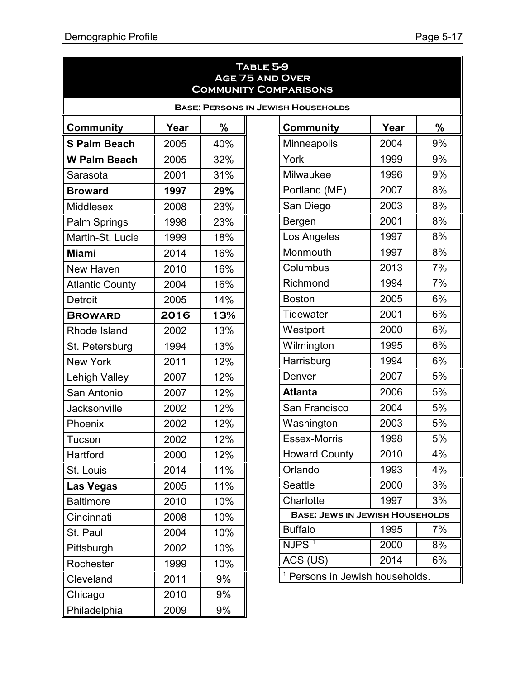| TABLE 5-9<br><b>AGE 75 AND OVER</b><br><b>COMMUNITY COMPARISONS</b> |      |     |  |                                            |      |               |  |  |
|---------------------------------------------------------------------|------|-----|--|--------------------------------------------|------|---------------|--|--|
| <b>BASE: PERSONS IN JEWISH HOUSEHOLDS</b>                           |      |     |  |                                            |      |               |  |  |
| <b>Community</b>                                                    | Year | %   |  | <b>Community</b>                           | Year | $\frac{0}{0}$ |  |  |
| <b>S Palm Beach</b>                                                 | 2005 | 40% |  | 2004<br>9%<br>Minneapolis                  |      |               |  |  |
| <b>W Palm Beach</b>                                                 | 2005 | 32% |  | York                                       | 1999 | 9%            |  |  |
| Sarasota                                                            | 2001 | 31% |  | Milwaukee                                  | 1996 | 9%            |  |  |
| <b>Broward</b>                                                      | 1997 | 29% |  | Portland (ME)                              | 2007 | 8%            |  |  |
| <b>Middlesex</b>                                                    | 2008 | 23% |  | San Diego                                  | 2003 | 8%            |  |  |
| Palm Springs                                                        | 1998 | 23% |  | Bergen                                     | 2001 | 8%            |  |  |
| Martin-St. Lucie                                                    | 1999 | 18% |  | Los Angeles                                | 1997 | 8%            |  |  |
| <b>Miami</b>                                                        | 2014 | 16% |  | Monmouth                                   | 1997 | 8%            |  |  |
| New Haven                                                           | 2010 | 16% |  | Columbus                                   | 2013 | 7%            |  |  |
| <b>Atlantic County</b>                                              | 2004 | 16% |  | 7%<br>Richmond<br>1994                     |      |               |  |  |
| <b>Detroit</b>                                                      | 2005 | 14% |  | 6%<br><b>Boston</b><br>2005                |      |               |  |  |
| <b>BROWARD</b>                                                      | 2016 | 13% |  | 6%<br><b>Tidewater</b><br>2001             |      |               |  |  |
| Rhode Island                                                        | 2002 | 13% |  | Westport<br>2000                           |      | 6%            |  |  |
| St. Petersburg                                                      | 1994 | 13% |  | Wilmington<br>1995                         |      | 6%            |  |  |
| <b>New York</b>                                                     | 2011 | 12% |  | Harrisburg                                 | 1994 | 6%            |  |  |
| Lehigh Valley                                                       | 2007 | 12% |  | Denver                                     | 2007 | 5%            |  |  |
| San Antonio                                                         | 2007 | 12% |  | <b>Atlanta</b>                             | 2006 | 5%            |  |  |
| Jacksonville                                                        | 2002 | 12% |  | San Francisco                              | 2004 | 5%            |  |  |
| Phoenix                                                             | 2002 | 12% |  | Washington                                 | 2003 | 5%            |  |  |
| Tucson                                                              | 2002 | 12% |  | <b>Essex-Morris</b>                        | 1998 | 5%            |  |  |
| Hartford                                                            | 2000 | 12% |  | <b>Howard County</b>                       | 2010 | 4%            |  |  |
| St. Louis                                                           | 2014 | 11% |  | Orlando                                    | 1993 | 4%            |  |  |
| <b>Las Vegas</b>                                                    | 2005 | 11% |  | <b>Seattle</b>                             | 2000 | 3%            |  |  |
| <b>Baltimore</b>                                                    | 2010 | 10% |  | Charlotte                                  | 1997 | 3%            |  |  |
| Cincinnati                                                          | 2008 | 10% |  | <b>BASE: JEWS IN JEWISH HOUSEHOLDS</b>     |      |               |  |  |
| St. Paul                                                            | 2004 | 10% |  | <b>Buffalo</b>                             | 1995 | 7%            |  |  |
| Pittsburgh                                                          | 2002 | 10% |  | NJPS <sup>1</sup>                          | 2000 | 8%            |  |  |
| Rochester                                                           | 1999 | 10% |  | ACS (US)                                   | 2014 | 6%            |  |  |
| Cleveland                                                           | 2011 | 9%  |  | <sup>1</sup> Persons in Jewish households. |      |               |  |  |
| Chicago                                                             | 2010 | 9%  |  |                                            |      |               |  |  |
| Philadelphia                                                        | 2009 | 9%  |  |                                            |      |               |  |  |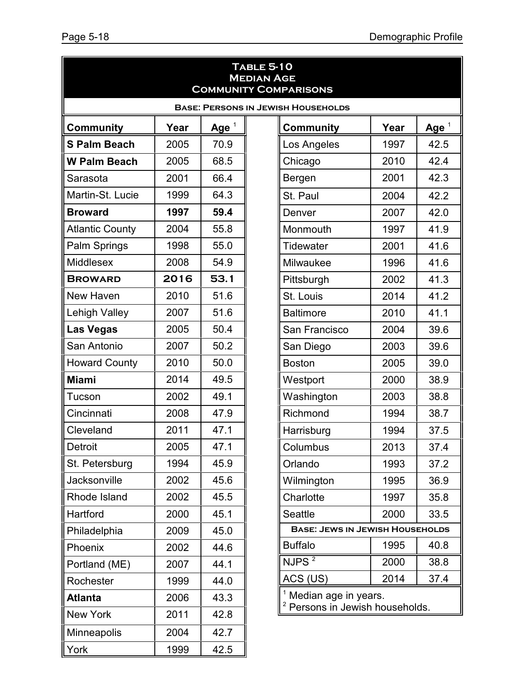| <b>TABLE 5-10</b><br><b>MEDIAN AGE</b><br><b>COMMUNITY COMPARISONS</b> |      |         |                                           |      |         |  |  |
|------------------------------------------------------------------------|------|---------|-------------------------------------------|------|---------|--|--|
|                                                                        |      |         | <b>BASE: PERSONS IN JEWISH HOUSEHOLDS</b> |      |         |  |  |
| <b>Community</b>                                                       | Year | Age $1$ | <b>Community</b>                          | Year | Age $1$ |  |  |
| <b>S Palm Beach</b>                                                    | 2005 | 70.9    | Los Angeles                               | 1997 | 42.5    |  |  |
| <b>W Palm Beach</b>                                                    | 2005 | 68.5    | Chicago                                   | 2010 | 42.4    |  |  |
| Sarasota                                                               | 2001 | 66.4    | Bergen                                    | 2001 | 42.3    |  |  |
| Martin-St. Lucie                                                       | 1999 | 64.3    | St. Paul                                  | 2004 | 42.2    |  |  |
| <b>Broward</b>                                                         | 1997 | 59.4    | Denver                                    | 2007 | 42.0    |  |  |
| <b>Atlantic County</b>                                                 | 2004 | 55.8    | Monmouth                                  | 1997 | 41.9    |  |  |
| Palm Springs                                                           | 1998 | 55.0    | Tidewater                                 | 2001 | 41.6    |  |  |
| <b>Middlesex</b>                                                       | 2008 | 54.9    | Milwaukee                                 | 1996 | 41.6    |  |  |
| <b>BROWARD</b>                                                         | 2016 | 53.1    | Pittsburgh                                | 2002 | 41.3    |  |  |
| New Haven                                                              | 2010 | 51.6    | St. Louis                                 | 2014 | 41.2    |  |  |
| Lehigh Valley                                                          | 2007 | 51.6    | <b>Baltimore</b>                          | 2010 | 41.1    |  |  |
| <b>Las Vegas</b>                                                       | 2005 | 50.4    | San Francisco                             | 2004 | 39.6    |  |  |
| San Antonio                                                            | 2007 | 50.2    | San Diego                                 | 2003 | 39.6    |  |  |
| <b>Howard County</b>                                                   | 2010 | 50.0    | <b>Boston</b>                             | 2005 | 39.0    |  |  |
| <b>Miami</b>                                                           | 2014 | 49.5    | Westport                                  | 2000 | 38.9    |  |  |
| Tucson                                                                 | 2002 | 49.1    | Washington                                | 2003 | 38.8    |  |  |
| Cincinnati                                                             | 2008 | 47.9    | Richmond                                  | 1994 | 38.7    |  |  |
| Cleveland                                                              | 2011 | 47.1    | Harrisburg                                | 1994 | 37.5    |  |  |
| Detroit                                                                | 2005 | 47.1    | Columbus                                  | 2013 | 37.4    |  |  |
| St. Petersburg                                                         | 1994 | 45.9    | Orlando                                   | 1993 | 37.2    |  |  |
| Jacksonville                                                           | 2002 | 45.6    | Wilmington                                | 1995 | 36.9    |  |  |
| Rhode Island                                                           | 2002 | 45.5    | Charlotte                                 | 1997 | 35.8    |  |  |
| Hartford                                                               | 2000 | 45.1    | Seattle                                   | 2000 | 33.5    |  |  |
| Philadelphia                                                           | 2009 | 45.0    | <b>BASE: JEWS IN JEWISH HOUSEHOLDS</b>    |      |         |  |  |
| Phoenix                                                                | 2002 | 44.6    | <b>Buffalo</b>                            | 1995 | 40.8    |  |  |
| Portland (ME)                                                          | 2007 | 44.1    | NJPS <sup>2</sup>                         | 2000 | 38.8    |  |  |
| Rochester                                                              | 1999 | 44.0    | ACS (US)                                  | 2014 | 37.4    |  |  |
| <b>Atlanta</b>                                                         | 2006 | 43.3    | Median age in years.                      |      |         |  |  |
| <b>New York</b>                                                        | 2011 | 42.8    | Persons in Jewish households.             |      |         |  |  |
| Minneapolis                                                            | 2004 | 42.7    |                                           |      |         |  |  |
| York                                                                   | 1999 | 42.5    |                                           |      |         |  |  |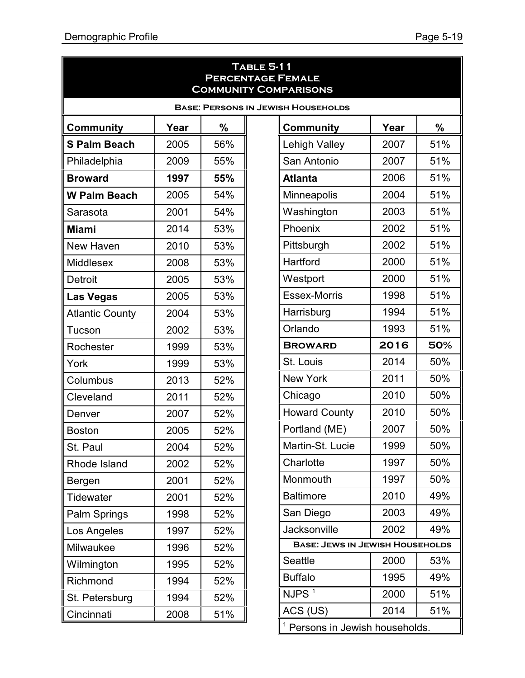| <b>TABLE 5-11</b><br><b>PERCENTAGE FEMALE</b><br><b>COMMUNITY COMPARISONS</b> |      |               |                      |                                        |      |               |  |
|-------------------------------------------------------------------------------|------|---------------|----------------------|----------------------------------------|------|---------------|--|
| <b>BASE: PERSONS IN JEWISH HOUSEHOLDS</b>                                     |      |               |                      |                                        |      |               |  |
| <b>Community</b>                                                              | Year | $\frac{0}{0}$ | <b>Community</b>     |                                        | Year | $\frac{0}{0}$ |  |
| <b>S Palm Beach</b>                                                           | 2005 | 56%           | <b>Lehigh Valley</b> |                                        | 2007 | 51%           |  |
| Philadelphia                                                                  | 2009 | 55%           | San Antonio          |                                        | 2007 | 51%           |  |
| <b>Broward</b>                                                                | 1997 | 55%           | <b>Atlanta</b>       |                                        | 2006 | 51%           |  |
| <b>W Palm Beach</b>                                                           | 2005 | 54%           | Minneapolis          |                                        | 2004 | 51%           |  |
| Sarasota                                                                      | 2001 | 54%           | Washington           |                                        | 2003 | 51%           |  |
| <b>Miami</b>                                                                  | 2014 | 53%           | Phoenix              |                                        | 2002 | 51%           |  |
| New Haven                                                                     | 2010 | 53%           | Pittsburgh           |                                        | 2002 | 51%           |  |
| <b>Middlesex</b>                                                              | 2008 | 53%           | Hartford             |                                        | 2000 | 51%           |  |
| <b>Detroit</b>                                                                | 2005 | 53%           | Westport             |                                        | 2000 | 51%           |  |
| <b>Las Vegas</b>                                                              | 2005 | 53%           | <b>Essex-Morris</b>  |                                        | 1998 | 51%           |  |
| <b>Atlantic County</b>                                                        | 2004 | 53%           | Harrisburg           |                                        | 1994 | 51%           |  |
| Tucson                                                                        | 2002 | 53%           | Orlando              | 1993                                   |      | 51%           |  |
| Rochester                                                                     | 1999 | 53%           |                      | 2016<br><b>BROWARD</b>                 |      | 50%           |  |
| York                                                                          | 1999 | 53%           | St. Louis            |                                        | 2014 | 50%           |  |
| Columbus                                                                      | 2013 | 52%           | <b>New York</b>      |                                        | 2011 | 50%           |  |
| Cleveland                                                                     | 2011 | 52%           | Chicago              |                                        | 2010 | 50%           |  |
| Denver                                                                        | 2007 | 52%           | <b>Howard County</b> |                                        | 2010 | 50%           |  |
| <b>Boston</b>                                                                 | 2005 | 52%           | Portland (ME)        |                                        | 2007 | 50%           |  |
| St. Paul                                                                      | 2004 | 52%           | Martin-St. Lucie     |                                        | 1999 | 50%           |  |
| Rhode Island                                                                  | 2002 | 52%           | Charlotte            |                                        | 1997 | 50%           |  |
| Bergen                                                                        | 2001 | 52%           | Monmouth             |                                        | 1997 | 50%           |  |
| Tidewater                                                                     | 2001 | 52%           | <b>Baltimore</b>     |                                        | 2010 | 49%           |  |
| Palm Springs                                                                  | 1998 | 52%           | San Diego            |                                        | 2003 | 49%           |  |
| Los Angeles                                                                   | 1997 | 52%           | Jacksonville         |                                        | 2002 | 49%           |  |
| Milwaukee                                                                     | 1996 | 52%           |                      | <b>BASE: JEWS IN JEWISH HOUSEHOLDS</b> |      |               |  |
| Wilmington                                                                    | 1995 | 52%           | Seattle              |                                        | 2000 | 53%           |  |
| Richmond                                                                      | 1994 | 52%           | <b>Buffalo</b>       |                                        | 1995 | 49%           |  |
| St. Petersburg                                                                | 1994 | 52%           | NJPS <sup>1</sup>    |                                        | 2000 | 51%           |  |
| Cincinnati                                                                    | 2008 | 51%           | ACS (US)             |                                        | 2014 | 51%           |  |

<sup>1</sup> Persons in Jewish households.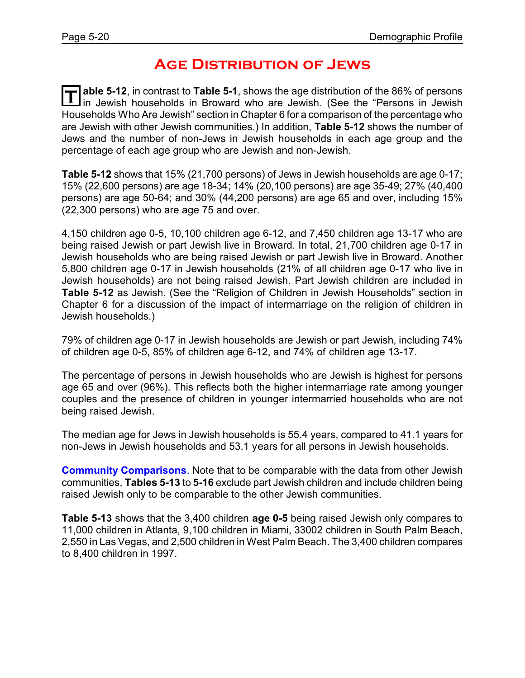# **Age Distribution of Jews**

T able 5-12, in contrast to Table 5-1, shows the age distribution of the 86% of persons<br>In Jewish households in Broward who are Jewish. (See the "Persons in Jewish **able 5-12**, in contrast to Table 5-1, shows the age distribution of the 86% of persons Households Who Are Jewish" section in Chapter 6 for a comparison of the percentage who are Jewish with other Jewish communities.) In addition, **Table 5-12** shows the number of Jews and the number of non-Jews in Jewish households in each age group and the percentage of each age group who are Jewish and non-Jewish.

**Table 5-12** shows that 15% (21,700 persons) of Jews in Jewish households are age 0-17; 15% (22,600 persons) are age 18-34; 14% (20,100 persons) are age 35-49; 27% (40,400 persons) are age 50-64; and 30% (44,200 persons) are age 65 and over, including 15% (22,300 persons) who are age 75 and over.

4,150 children age 0-5, 10,100 children age 6-12, and 7,450 children age 13-17 who are being raised Jewish or part Jewish live in Broward. In total, 21,700 children age 0-17 in Jewish households who are being raised Jewish or part Jewish live in Broward. Another 5,800 children age 0-17 in Jewish households (21% of all children age 0-17 who live in Jewish households) are not being raised Jewish. Part Jewish children are included in **Table 5-12** as Jewish. (See the "Religion of Children in Jewish Households" section in Chapter 6 for a discussion of the impact of intermarriage on the religion of children in Jewish households.)

79% of children age 0-17 in Jewish households are Jewish or part Jewish, including 74% of children age 0-5, 85% of children age 6-12, and 74% of children age 13-17.

The percentage of persons in Jewish households who are Jewish is highest for persons age 65 and over (96%). This reflects both the higher intermarriage rate among younger couples and the presence of children in younger intermarried households who are not being raised Jewish.

The median age for Jews in Jewish households is 55.4 years, compared to 41.1 years for non-Jews in Jewish households and 53.1 years for all persons in Jewish households.

**Community Comparisons**. Note that to be comparable with the data from other Jewish communities, **Tables 5-13** to **5-16** exclude part Jewish children and include children being raised Jewish only to be comparable to the other Jewish communities.

**Table 5-13** shows that the 3,400 children **age 0-5** being raised Jewish only compares to 11,000 children in Atlanta, 9,100 children in Miami, 33002 children in South Palm Beach, 2,550 in Las Vegas, and 2,500 children in West Palm Beach. The 3,400 children compares to 8,400 children in 1997.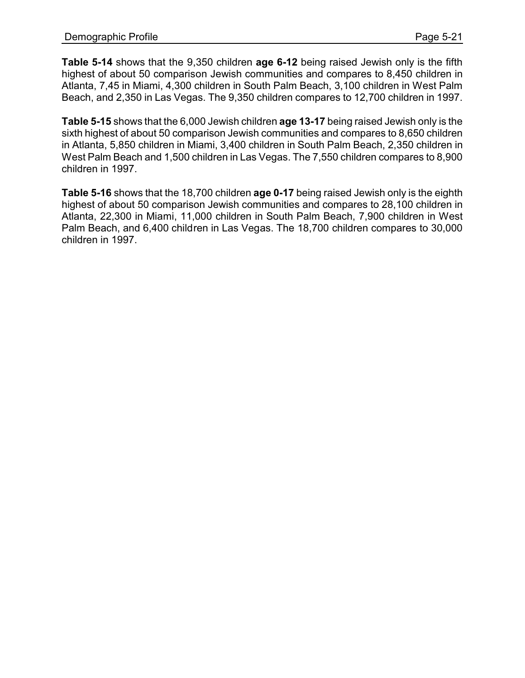**Table 5-14** shows that the 9,350 children **age 6-12** being raised Jewish only is the fifth highest of about 50 comparison Jewish communities and compares to 8,450 children in Atlanta, 7,45 in Miami, 4,300 children in South Palm Beach, 3,100 children in West Palm Beach, and 2,350 in Las Vegas. The 9,350 children compares to 12,700 children in 1997.

**Table 5-15** shows that the 6,000 Jewish children **age 13-17** being raised Jewish only is the sixth highest of about 50 comparison Jewish communities and compares to 8,650 children in Atlanta, 5,850 children in Miami, 3,400 children in South Palm Beach, 2,350 children in West Palm Beach and 1,500 children in Las Vegas. The 7,550 children compares to 8,900 children in 1997.

**Table 5-16** shows that the 18,700 children **age 0-17** being raised Jewish only is the eighth highest of about 50 comparison Jewish communities and compares to 28,100 children in Atlanta, 22,300 in Miami, 11,000 children in South Palm Beach, 7,900 children in West Palm Beach, and 6,400 children in Las Vegas. The 18,700 children compares to 30,000 children in 1997.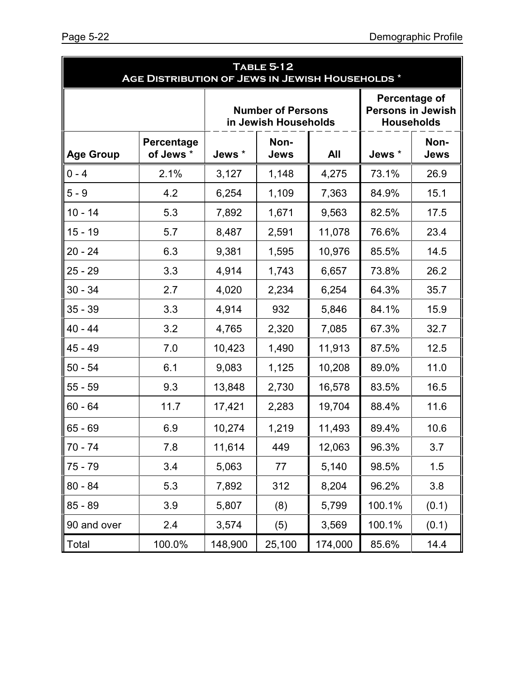| <b>TABLE 5-12</b><br>AGE DISTRIBUTION OF JEWS IN JEWISH HOUSEHOLDS <sup>*</sup> |                         |         |                                                  |         |                                                                |                     |  |  |
|---------------------------------------------------------------------------------|-------------------------|---------|--------------------------------------------------|---------|----------------------------------------------------------------|---------------------|--|--|
|                                                                                 |                         |         | <b>Number of Persons</b><br>in Jewish Households |         | Percentage of<br><b>Persons in Jewish</b><br><b>Households</b> |                     |  |  |
| <b>Age Group</b>                                                                | Percentage<br>of Jews * | Jews *  | Non-<br>All<br>Jews                              |         |                                                                | Non-<br><b>Jews</b> |  |  |
| $0 - 4$                                                                         | 2.1%                    | 3,127   | 1,148                                            | 4,275   | 73.1%                                                          | 26.9                |  |  |
| $5 - 9$                                                                         | 4.2                     | 6,254   | 1,109                                            | 7,363   | 84.9%                                                          | 15.1                |  |  |
| $10 - 14$                                                                       | 5.3                     | 7,892   | 1,671                                            | 9,563   | 82.5%                                                          | 17.5                |  |  |
| $15 - 19$                                                                       | 5.7                     | 8,487   | 2,591                                            | 11,078  | 76.6%                                                          | 23.4                |  |  |
| $20 - 24$                                                                       | 6.3                     | 9,381   | 1,595                                            | 10,976  | 85.5%                                                          | 14.5                |  |  |
| $25 - 29$                                                                       | 3.3                     | 4,914   | 1,743                                            | 6,657   | 73.8%                                                          | 26.2                |  |  |
| $30 - 34$                                                                       | 2.7                     | 4,020   | 2,234                                            | 6,254   | 64.3%                                                          | 35.7                |  |  |
| $35 - 39$                                                                       | 3.3                     | 4,914   | 932                                              | 5,846   | 84.1%                                                          | 15.9                |  |  |
| $40 - 44$                                                                       | 3.2                     | 4,765   | 2,320                                            | 7,085   | 67.3%                                                          | 32.7                |  |  |
| $45 - 49$                                                                       | 7.0                     | 10,423  | 1,490                                            | 11,913  | 87.5%                                                          | 12.5                |  |  |
| $50 - 54$                                                                       | 6.1                     | 9,083   | 1,125                                            | 10,208  | 89.0%                                                          | 11.0                |  |  |
| $55 - 59$                                                                       | 9.3                     | 13,848  | 2,730                                            | 16,578  | 83.5%                                                          | 16.5                |  |  |
| $60 - 64$                                                                       | 11.7                    | 17,421  | 2,283                                            | 19,704  | 88.4%                                                          | 11.6                |  |  |
| $65 - 69$                                                                       | 6.9                     | 10,274  | 1,219                                            | 11,493  | 89.4%                                                          | 10.6                |  |  |
| ∥70 - 74                                                                        | 7.8                     | 11,614  | 449                                              | 12,063  | 96.3%                                                          | 3.7                 |  |  |
| $75 - 79$                                                                       | 3.4                     | 5,063   | 77                                               | 5,140   | 98.5%                                                          | 1.5                 |  |  |
| $80 - 84$                                                                       | 5.3                     | 7,892   | 312                                              | 8,204   | 96.2%                                                          | 3.8                 |  |  |
| $85 - 89$                                                                       | 3.9                     | 5,807   | (8)                                              | 5,799   | 100.1%                                                         | (0.1)               |  |  |
| 90 and over                                                                     | 2.4                     | 3,574   | (5)                                              | 3,569   | 100.1%                                                         | (0.1)               |  |  |
| Total                                                                           | 100.0%                  | 148,900 | 25,100                                           | 174,000 | 85.6%                                                          | 14.4                |  |  |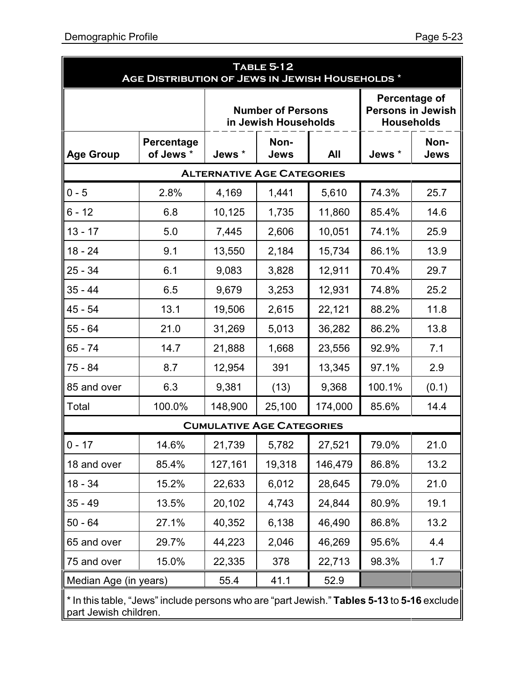| <b>TABLE 5-12</b><br>AGE DISTRIBUTION OF JEWS IN JEWISH HOUSEHOLDS <sup>*</sup>                                     |                                    |                                             |                                                  |         |        |                                                                |  |
|---------------------------------------------------------------------------------------------------------------------|------------------------------------|---------------------------------------------|--------------------------------------------------|---------|--------|----------------------------------------------------------------|--|
|                                                                                                                     |                                    |                                             | <b>Number of Persons</b><br>in Jewish Households |         |        | Percentage of<br><b>Persons in Jewish</b><br><b>Households</b> |  |
| <b>Age Group</b>                                                                                                    | Percentage<br>of Jews <sup>*</sup> | Non-<br>Jews *<br><b>Jews</b><br><b>All</b> |                                                  |         | Jews * | Non-<br><b>Jews</b>                                            |  |
|                                                                                                                     |                                    |                                             | <b>ALTERNATIVE AGE CATEGORIES</b>                |         |        |                                                                |  |
| $0 - 5$                                                                                                             | 2.8%                               | 4,169                                       | 1,441                                            | 5,610   | 74.3%  | 25.7                                                           |  |
| $6 - 12$                                                                                                            | 6.8                                | 10,125                                      | 1,735                                            | 11,860  | 85.4%  | 14.6                                                           |  |
| $13 - 17$                                                                                                           | 5.0                                | 7,445                                       | 2,606                                            | 10,051  | 74.1%  | 25.9                                                           |  |
| $18 - 24$                                                                                                           | 9.1                                | 13,550                                      | 2,184                                            | 15,734  | 86.1%  | 13.9                                                           |  |
| $25 - 34$                                                                                                           | 6.1                                | 9,083                                       | 3,828                                            | 12,911  | 70.4%  | 29.7                                                           |  |
| 35 - 44                                                                                                             | 6.5                                | 9,679                                       | 3,253                                            | 12,931  | 74.8%  | 25.2                                                           |  |
| 45 - 54                                                                                                             | 13.1                               | 19,506                                      | 2,615                                            | 22,121  | 88.2%  | 11.8                                                           |  |
| $55 - 64$                                                                                                           | 21.0                               | 31,269                                      | 5,013                                            | 36,282  | 86.2%  | 13.8                                                           |  |
| 65 - 74                                                                                                             | 14.7                               | 21,888                                      | 1,668                                            | 23,556  | 92.9%  | 7.1                                                            |  |
| 75 - 84                                                                                                             | 8.7                                | 12,954                                      | 391                                              | 13,345  | 97.1%  | 2.9                                                            |  |
| 85 and over                                                                                                         | 6.3                                | 9,381                                       | (13)                                             | 9,368   | 100.1% | (0.1)                                                          |  |
| Total                                                                                                               | 100.0%                             | 148,900                                     | 25,100                                           | 174,000 | 85.6%  | 14.4                                                           |  |
|                                                                                                                     |                                    |                                             | <b>CUMULATIVE AGE CATEGORIES</b>                 |         |        |                                                                |  |
| $0 - 17$                                                                                                            | 14.6%                              | 21,739                                      | 5,782                                            | 27,521  | 79.0%  | 21.0                                                           |  |
| 18 and over                                                                                                         | 85.4%                              | 127,161                                     | 19,318                                           | 146,479 | 86.8%  | 13.2                                                           |  |
| $18 - 34$                                                                                                           | 15.2%                              | 22,633                                      | 6,012                                            | 28,645  | 79.0%  | 21.0                                                           |  |
| $35 - 49$                                                                                                           | 13.5%                              | 20,102                                      | 4,743                                            | 24,844  | 80.9%  | 19.1                                                           |  |
| $50 - 64$                                                                                                           | 27.1%                              | 40,352                                      | 6,138                                            | 46,490  | 86.8%  | 13.2                                                           |  |
| 65 and over                                                                                                         | 29.7%                              | 44,223                                      | 2,046                                            | 46,269  | 95.6%  | 4.4                                                            |  |
| 75 and over                                                                                                         | 15.0%                              | 22,335                                      | 378                                              | 22,713  | 98.3%  | 1.7                                                            |  |
| Median Age (in years)                                                                                               |                                    | 55.4                                        | 41.1                                             | 52.9    |        |                                                                |  |
| * In this table, "Jews" include persons who are "part Jewish." Tables 5-13 to 5-16 exclude<br>part Jewish children. |                                    |                                             |                                                  |         |        |                                                                |  |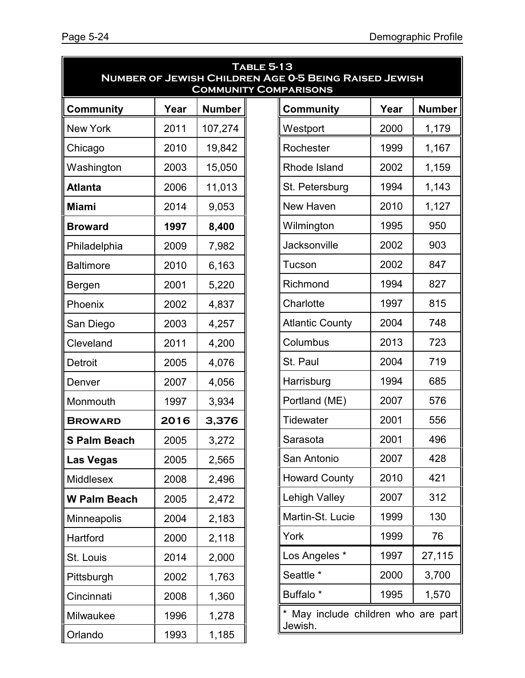| <b>TABLE 5-13</b><br><b>NUMBER OF JEWISH CHILDREN AGE 0-5 BEING RAISED JEWISH</b><br><b>COMMUNITY COMPARISONS</b> |      |               |  |                                     |      |               |  |  |
|-------------------------------------------------------------------------------------------------------------------|------|---------------|--|-------------------------------------|------|---------------|--|--|
| Community                                                                                                         | Year | <b>Number</b> |  | <b>Community</b>                    | Year | <b>Number</b> |  |  |
| <b>New York</b>                                                                                                   | 2011 | 107,274       |  | Westport                            | 2000 | 1,179         |  |  |
| Chicago                                                                                                           | 2010 | 19,842        |  | Rochester                           | 1999 | 1,167         |  |  |
| Washington                                                                                                        | 2003 | 15,050        |  | Rhode Island                        | 2002 | 1,159         |  |  |
| Atlanta                                                                                                           | 2006 | 11,013        |  | St. Petersburg                      | 1994 | 1,143         |  |  |
| Miami                                                                                                             | 2014 | 9,053         |  | New Haven                           | 2010 | 1,127         |  |  |
| <b>Broward</b>                                                                                                    | 1997 | 8,400         |  | Wilmington                          | 1995 | 950           |  |  |
| Philadelphia                                                                                                      | 2009 | 7,982         |  | Jacksonville                        | 2002 | 903           |  |  |
| <b>Baltimore</b>                                                                                                  | 2010 | 6,163         |  | Tucson                              | 2002 | 847           |  |  |
| Bergen                                                                                                            | 2001 | 5,220         |  | Richmond                            | 1994 | 827           |  |  |
| Phoenix                                                                                                           | 2002 | 4,837         |  | Charlotte                           | 1997 | 815           |  |  |
| San Diego                                                                                                         | 2003 | 4,257         |  | <b>Atlantic County</b>              | 2004 | 748           |  |  |
| Cleveland                                                                                                         | 2011 | 4,200         |  | Columbus                            | 2013 | 723           |  |  |
| Detroit                                                                                                           | 2005 | 4,076         |  | St. Paul                            | 2004 | 719           |  |  |
| Denver                                                                                                            | 2007 | 4,056         |  | Harrisburg                          | 1994 | 685           |  |  |
| Monmouth                                                                                                          | 1997 | 3,934         |  | Portland (ME)                       | 2007 | 576           |  |  |
| <b>BROWARD</b>                                                                                                    | 2016 | 3,376         |  | <b>Tidewater</b>                    | 2001 | 556           |  |  |
| <b>S Palm Beach</b>                                                                                               | 2005 | 3,272         |  | Sarasota                            | 2001 | 496           |  |  |
| <b>Las Vegas</b>                                                                                                  | 2005 | 2,565         |  | San Antonio                         | 2007 | 428           |  |  |
| Middlesex                                                                                                         | 2008 | 2,496         |  | <b>Howard County</b>                | 2010 | 421           |  |  |
| <b>W Palm Beach</b>                                                                                               | 2005 | 2,472         |  | Lehigh Valley                       | 2007 | 312           |  |  |
| Minneapolis                                                                                                       | 2004 | 2,183         |  | Martin-St. Lucie                    | 1999 | 130           |  |  |
| Hartford                                                                                                          | 2000 | 2,118         |  | York                                | 1999 | 76            |  |  |
| St. Louis                                                                                                         | 2014 | 2,000         |  | Los Angeles *                       | 1997 | 27,115        |  |  |
| Pittsburgh                                                                                                        | 2002 | 1,763         |  | Seattle *                           | 2000 | 3,700         |  |  |
| Cincinnati                                                                                                        | 2008 | 1,360         |  | Buffalo <sup>*</sup>                | 1995 | 1,570         |  |  |
| Milwaukee                                                                                                         | 1996 | 1,278         |  | * May include children who are part |      |               |  |  |
| Orlando                                                                                                           | 1993 | 1,185         |  | Jewish.                             |      |               |  |  |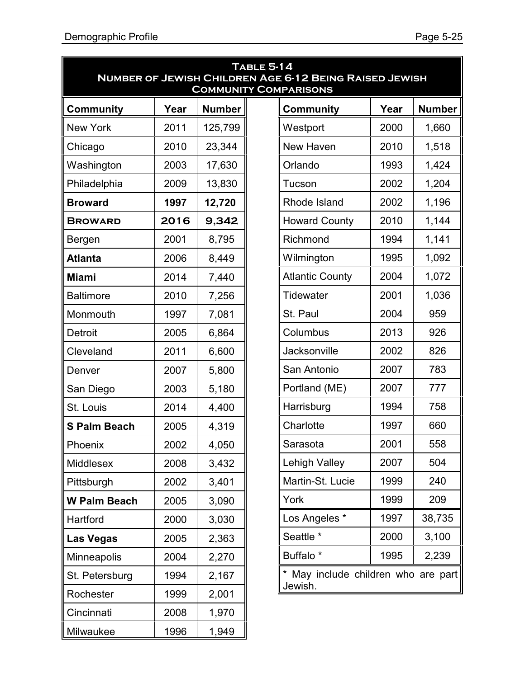| <b>TABLE 5-14</b><br>NUMBER OF JEWISH CHILDREN AGE 6-12 BEING RAISED JEWISH<br><b>COMMUNITY COMPARISONS</b> |      |               |  |                                     |      |               |  |
|-------------------------------------------------------------------------------------------------------------|------|---------------|--|-------------------------------------|------|---------------|--|
| <b>Community</b>                                                                                            | Year | <b>Number</b> |  | <b>Community</b>                    | Year | <b>Number</b> |  |
| <b>New York</b>                                                                                             | 2011 | 125,799       |  | Westport                            | 2000 | 1,660         |  |
| Chicago                                                                                                     | 2010 | 23,344        |  | New Haven                           | 2010 | 1,518         |  |
| Washington                                                                                                  | 2003 | 17,630        |  | Orlando                             | 1993 | 1,424         |  |
| Philadelphia                                                                                                | 2009 | 13,830        |  | Tucson                              | 2002 | 1,204         |  |
| <b>Broward</b>                                                                                              | 1997 | 12,720        |  | Rhode Island                        | 2002 | 1,196         |  |
| <b>BROWARD</b>                                                                                              | 2016 | 9,342         |  | <b>Howard County</b>                | 2010 | 1,144         |  |
| Bergen                                                                                                      | 2001 | 8,795         |  | Richmond                            | 1994 | 1,141         |  |
| <b>Atlanta</b>                                                                                              | 2006 | 8,449         |  | Wilmington                          | 1995 | 1,092         |  |
| <b>Miami</b>                                                                                                | 2014 | 7,440         |  | <b>Atlantic County</b>              | 2004 | 1,072         |  |
| <b>Baltimore</b>                                                                                            | 2010 | 7,256         |  | Tidewater                           | 2001 | 1,036         |  |
| Monmouth                                                                                                    | 1997 | 7,081         |  | St. Paul                            | 2004 | 959           |  |
| Detroit                                                                                                     | 2005 | 6,864         |  | Columbus                            | 2013 | 926           |  |
| Cleveland                                                                                                   | 2011 | 6,600         |  | Jacksonville                        | 2002 | 826           |  |
| Denver                                                                                                      | 2007 | 5,800         |  | San Antonio                         | 2007 | 783           |  |
| San Diego                                                                                                   | 2003 | 5,180         |  | Portland (ME)                       | 2007 | 777           |  |
| St. Louis                                                                                                   | 2014 | 4,400         |  | Harrisburg                          | 1994 | 758           |  |
| <b>S Palm Beach</b>                                                                                         | 2005 | 4,319         |  | Charlotte                           | 1997 | 660           |  |
| Phoenix                                                                                                     | 2002 | 4,050         |  | Sarasota                            | 2001 | 558           |  |
| <b>Middlesex</b>                                                                                            | 2008 | 3,432         |  | <b>Lehigh Valley</b>                | 2007 | 504           |  |
| Pittsburgh                                                                                                  | 2002 | 3,401         |  | Martin-St. Lucie                    | 1999 | 240           |  |
| W Palm Beach                                                                                                | 2005 | 3,090         |  | York                                | 1999 | 209           |  |
| Hartford                                                                                                    | 2000 | 3,030         |  | Los Angeles *                       | 1997 | 38,735        |  |
| Las Vegas                                                                                                   | 2005 | 2,363         |  | Seattle *                           | 2000 | 3,100         |  |
| <b>Minneapolis</b>                                                                                          | 2004 | 2,270         |  | Buffalo <sup>*</sup>                | 1995 | 2,239         |  |
| St. Petersburg                                                                                              | 1994 | 2,167         |  | * May include children who are part |      |               |  |
| Rochester                                                                                                   | 1999 | 2,001         |  | Jewish.                             |      |               |  |
| Cincinnati                                                                                                  | 2008 | 1,970         |  |                                     |      |               |  |
| Milwaukee                                                                                                   | 1996 | 1,949         |  |                                     |      |               |  |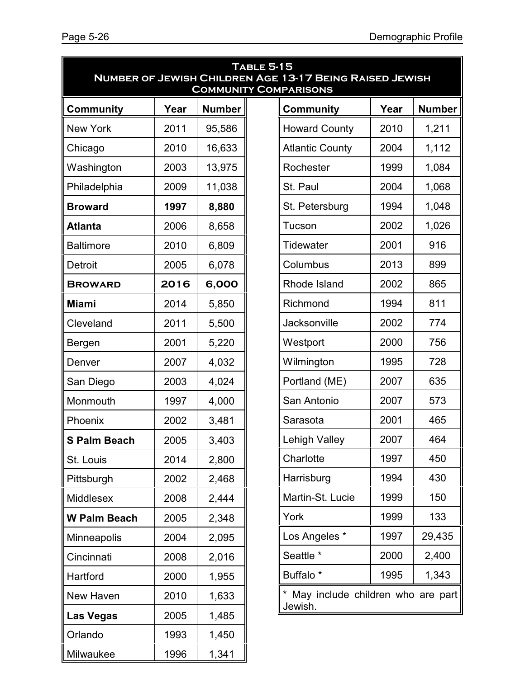| <b>TABLE 5-15</b><br>NUMBER OF JEWISH CHILDREN AGE 13-17 BEING RAISED JEWISH<br><b>COMMUNITY COMPARISONS</b> |      |               |                                     |      |               |  |  |
|--------------------------------------------------------------------------------------------------------------|------|---------------|-------------------------------------|------|---------------|--|--|
| <b>Community</b>                                                                                             | Year | <b>Number</b> | <b>Community</b>                    | Year | <b>Number</b> |  |  |
| <b>New York</b>                                                                                              | 2011 | 95,586        | <b>Howard County</b>                | 2010 | 1,211         |  |  |
| Chicago                                                                                                      | 2010 | 16,633        | <b>Atlantic County</b>              | 2004 | 1,112         |  |  |
| Washington                                                                                                   | 2003 | 13,975        | Rochester                           | 1999 | 1,084         |  |  |
| Philadelphia                                                                                                 | 2009 | 11,038        | St. Paul                            | 2004 | 1,068         |  |  |
| <b>Broward</b>                                                                                               | 1997 | 8,880         | St. Petersburg                      | 1994 | 1,048         |  |  |
| <b>Atlanta</b>                                                                                               | 2006 | 8,658         | Tucson                              | 2002 | 1,026         |  |  |
| <b>Baltimore</b>                                                                                             | 2010 | 6,809         | Tidewater                           | 2001 | 916           |  |  |
| Detroit                                                                                                      | 2005 | 6,078         | Columbus                            | 2013 | 899           |  |  |
| <b>BROWARD</b>                                                                                               | 2016 | 6,000         | Rhode Island                        | 2002 | 865           |  |  |
| <b>Miami</b>                                                                                                 | 2014 | 5,850         | Richmond                            | 1994 | 811           |  |  |
| Cleveland                                                                                                    | 2011 | 5,500         | Jacksonville                        | 2002 | 774           |  |  |
| Bergen                                                                                                       | 2001 | 5,220         | Westport                            | 2000 | 756           |  |  |
| Denver                                                                                                       | 2007 | 4,032         | Wilmington                          | 1995 | 728           |  |  |
| San Diego                                                                                                    | 2003 | 4,024         | Portland (ME)                       | 2007 | 635           |  |  |
| Monmouth                                                                                                     | 1997 | 4,000         | San Antonio                         | 2007 | 573           |  |  |
| Phoenix                                                                                                      | 2002 | 3,481         | Sarasota                            | 2001 | 465           |  |  |
| <b>S Palm Beach</b>                                                                                          | 2005 | 3,403         | Lehigh Valley                       | 2007 | 464           |  |  |
| St. Louis                                                                                                    | 2014 | 2,800         | Charlotte                           | 1997 | 450           |  |  |
| Pittsburgh                                                                                                   | 2002 | 2,468         | Harrisburg                          | 1994 | 430           |  |  |
| Middlesex                                                                                                    | 2008 | 2,444         | Martin-St. Lucie                    | 1999 | 150           |  |  |
| <b>W Palm Beach</b>                                                                                          | 2005 | 2,348         | York                                | 1999 | 133           |  |  |
| Minneapolis                                                                                                  | 2004 | 2,095         | Los Angeles *                       | 1997 | 29,435        |  |  |
| Cincinnati                                                                                                   | 2008 | 2,016         | Seattle *                           | 2000 | 2,400         |  |  |
| Hartford                                                                                                     | 2000 | 1,955         | Buffalo <sup>*</sup>                | 1995 | 1,343         |  |  |
| New Haven                                                                                                    | 2010 | 1,633         | * May include children who are part |      |               |  |  |
| <b>Las Vegas</b>                                                                                             | 2005 | 1,485         | Jewish.                             |      |               |  |  |
| Orlando                                                                                                      | 1993 | 1,450         |                                     |      |               |  |  |
| Milwaukee                                                                                                    | 1996 | 1,341         |                                     |      |               |  |  |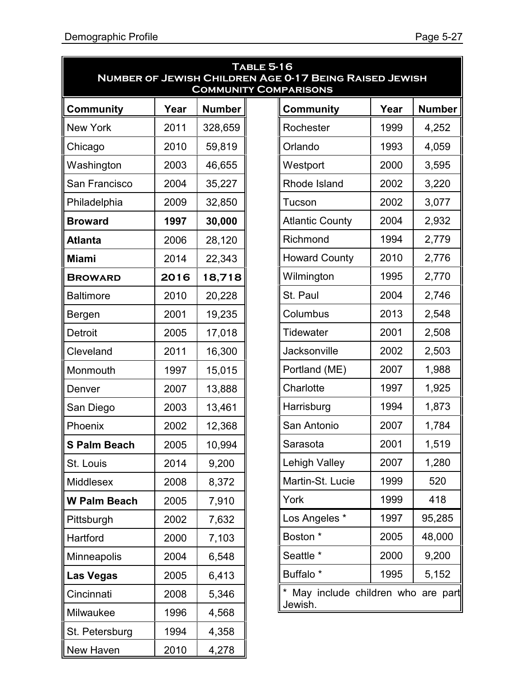| <b>TABLE 5-16</b><br>NUMBER OF JEWISH CHILDREN AGE 0-17 BEING RAISED JEWISH<br><b>COMMUNITY COMPARISONS</b> |      |               |                                   |      |               |  |  |
|-------------------------------------------------------------------------------------------------------------|------|---------------|-----------------------------------|------|---------------|--|--|
| <b>Community</b>                                                                                            | Year | <b>Number</b> | <b>Community</b>                  | Year | <b>Number</b> |  |  |
| <b>New York</b>                                                                                             | 2011 | 328,659       | Rochester                         | 1999 | 4,252         |  |  |
| Chicago                                                                                                     | 2010 | 59,819        | Orlando                           | 1993 | 4,059         |  |  |
| Washington                                                                                                  | 2003 | 46,655        | Westport                          | 2000 | 3,595         |  |  |
| San Francisco                                                                                               | 2004 | 35,227        | Rhode Island                      | 2002 | 3,220         |  |  |
| Philadelphia                                                                                                | 2009 | 32,850        | Tucson                            | 2002 | 3,077         |  |  |
| <b>Broward</b>                                                                                              | 1997 | 30,000        | <b>Atlantic County</b>            | 2004 | 2,932         |  |  |
| <b>Atlanta</b>                                                                                              | 2006 | 28,120        | Richmond                          | 1994 | 2,779         |  |  |
| <b>Miami</b>                                                                                                | 2014 | 22,343        | <b>Howard County</b>              | 2010 | 2,776         |  |  |
| <b>BROWARD</b>                                                                                              | 2016 | 18,718        | Wilmington                        | 1995 | 2,770         |  |  |
| <b>Baltimore</b>                                                                                            | 2010 | 20,228        | St. Paul                          | 2004 | 2,746         |  |  |
| Bergen                                                                                                      | 2001 | 19,235        | Columbus                          | 2013 | 2,548         |  |  |
| Detroit                                                                                                     | 2005 | 17,018        | <b>Tidewater</b>                  | 2001 | 2,508         |  |  |
| Cleveland                                                                                                   | 2011 | 16,300        | Jacksonville                      | 2002 | 2,503         |  |  |
| Monmouth                                                                                                    | 1997 | 15,015        | Portland (ME)                     | 2007 | 1,988         |  |  |
| Denver                                                                                                      | 2007 | 13,888        | Charlotte                         | 1997 | 1,925         |  |  |
| San Diego                                                                                                   | 2003 | 13,461        | Harrisburg                        | 1994 | 1,873         |  |  |
| Phoenix                                                                                                     | 2002 | 12,368        | San Antonio                       | 2007 | 1,784         |  |  |
| S Palm Beach                                                                                                | 2005 | 10,994        | Sarasota                          | 2001 | 1,519         |  |  |
| St. Louis                                                                                                   | 2014 | 9,200         | <b>Lehigh Valley</b>              | 2007 | 1,280         |  |  |
| Middlesex                                                                                                   | 2008 | 8,372         | Martin-St. Lucie                  | 1999 | 520           |  |  |
| W Palm Beach                                                                                                | 2005 | 7,910         | York                              | 1999 | 418           |  |  |
| Pittsburgh                                                                                                  | 2002 | 7,632         | Los Angeles *                     | 1997 | 95,285        |  |  |
| Hartford                                                                                                    | 2000 | 7,103         | Boston *                          | 2005 | 48,000        |  |  |
| <b>Minneapolis</b>                                                                                          | 2004 | 6,548         | Seattle *                         | 2000 | 9,200         |  |  |
| Las Vegas                                                                                                   | 2005 | 6,413         | Buffalo <sup>*</sup>              | 1995 | 5,152         |  |  |
| Cincinnati                                                                                                  | 2008 | 5,346         | May include children who are part |      |               |  |  |
| Milwaukee                                                                                                   | 1996 | 4,568         | Jewish.                           |      |               |  |  |
| St. Petersburg                                                                                              | 1994 | 4,358         |                                   |      |               |  |  |
| New Haven                                                                                                   | 2010 | 4,278         |                                   |      |               |  |  |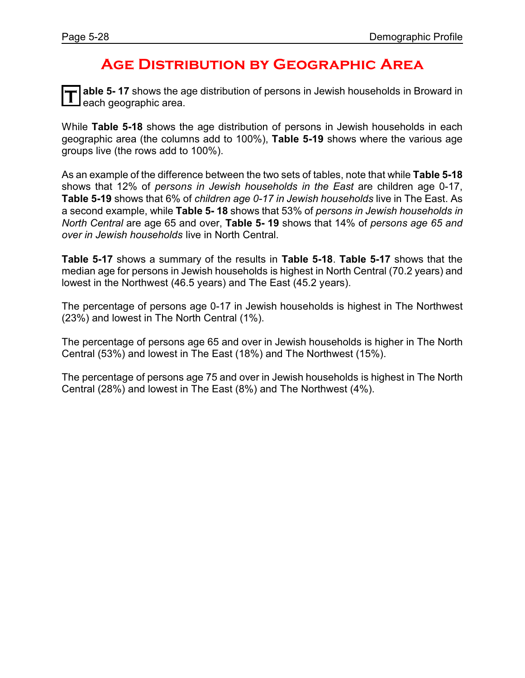## **Age Distribution by Geographic Area**

**T able 5- 17** shows the age distribution of persons in Jewish households in Broward in each geographic area.

While **Table 5-18** shows the age distribution of persons in Jewish households in each geographic area (the columns add to 100%), **Table 5-19** shows where the various age groups live (the rows add to 100%).

As an example of the difference between the two sets of tables, note that while **Table 5-18** shows that 12% of *persons in Jewish households in the East* are children age 0-17, **Table 5-19** shows that 6% of *children age 0-17 in Jewish households* live in The East. As a second example, while **Table 5- 18** shows that 53% of *persons in Jewish households in North Central* are age 65 and over, **Table 5- 19** shows that 14% of *persons age 65 and over in Jewish households* live in North Central.

**Table 5-17** shows a summary of the results in **Table 5-18**. **Table 5-17** shows that the median age for persons in Jewish households is highest in North Central (70.2 years) and lowest in the Northwest (46.5 years) and The East (45.2 years).

The percentage of persons age 0-17 in Jewish households is highest in The Northwest (23%) and lowest in The North Central (1%).

The percentage of persons age 65 and over in Jewish households is higher in The North Central (53%) and lowest in The East (18%) and The Northwest (15%).

The percentage of persons age 75 and over in Jewish households is highest in The North Central (28%) and lowest in The East (8%) and The Northwest (4%).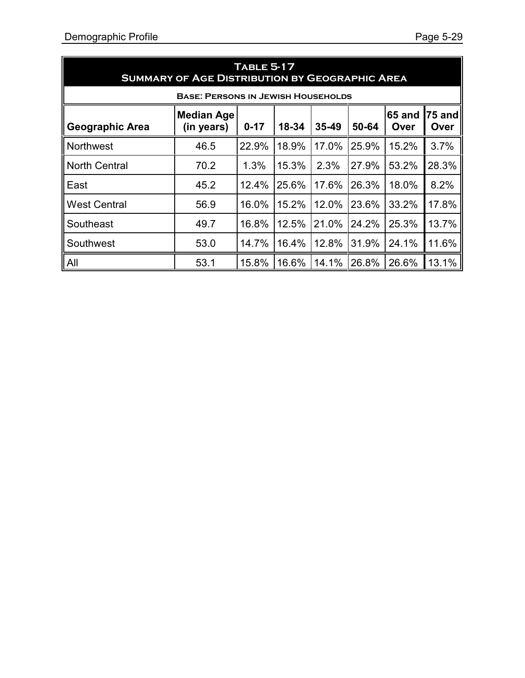| <b>TABLE 5-17</b><br><b>SUMMARY OF AGE DISTRIBUTION BY GEOGRAPHIC AREA</b>                                                                      |                                           |       |       |       |       |       |       |  |  |  |
|-------------------------------------------------------------------------------------------------------------------------------------------------|-------------------------------------------|-------|-------|-------|-------|-------|-------|--|--|--|
|                                                                                                                                                 | <b>BASE: PERSONS IN JEWISH HOUSEHOLDS</b> |       |       |       |       |       |       |  |  |  |
| 65 and<br>75 and<br><b>Median Age</b><br>(in years)<br>50-64<br><b>Geographic Area</b><br>$0 - 17$<br>18-34<br>$35 - 49$<br>Over<br><b>Over</b> |                                           |       |       |       |       |       |       |  |  |  |
| <b>Northwest</b>                                                                                                                                | 46.5                                      | 22.9% | 18.9% | 17.0% | 25.9% | 15.2% | 3.7%  |  |  |  |
| <b>North Central</b>                                                                                                                            | 70.2                                      | 1.3%  | 15.3% | 2.3%  | 27.9% | 53.2% | 28.3% |  |  |  |
| East                                                                                                                                            | 45.2                                      | 12.4% | 25.6% | 17.6% | 26.3% | 18.0% | 8.2%  |  |  |  |
| <b>West Central</b>                                                                                                                             | 56.9                                      | 16.0% | 15.2% | 12.0% | 23.6% | 33.2% | 17.8% |  |  |  |
| Southeast                                                                                                                                       | 49.7                                      | 16.8% | 12.5% | 21.0% | 24.2% | 25.3% | 13.7% |  |  |  |
| Southwest                                                                                                                                       | 53.0                                      | 14.7% | 16.4% | 12.8% | 31.9% | 24.1% | 11.6% |  |  |  |
| <b>All</b>                                                                                                                                      | 53.1                                      | 15.8% | 16.6% | 14.1% | 26.8% | 26.6% | 13.1% |  |  |  |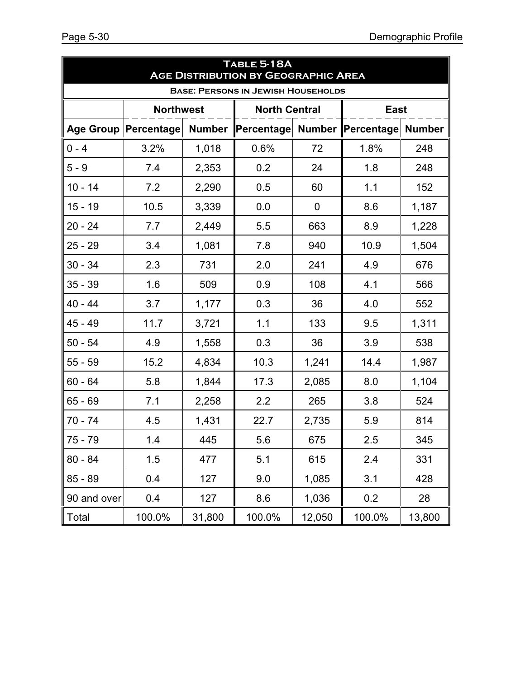| <b>TABLE 5-18A</b><br><b>AGE DISTRIBUTION BY GEOGRAPHIC AREA</b> |                                 |        |                                     |             |             |        |  |  |  |
|------------------------------------------------------------------|---------------------------------|--------|-------------------------------------|-------------|-------------|--------|--|--|--|
| <b>BASE: PERSONS IN JEWISH HOUSEHOLDS</b>                        |                                 |        |                                     |             |             |        |  |  |  |
|                                                                  | <b>Northwest</b>                |        | <b>North Central</b>                |             | <b>East</b> |        |  |  |  |
|                                                                  | Age Group   Percentage   Number |        | Percentage Number Percentage Number |             |             |        |  |  |  |
| $0 - 4$                                                          | 3.2%                            | 1,018  | 0.6%                                | 72          | 1.8%        | 248    |  |  |  |
| $5 - 9$                                                          | 7.4                             | 2,353  | 0.2                                 | 24          | 1.8         | 248    |  |  |  |
| $10 - 14$                                                        | 7.2                             | 2,290  | 0.5                                 | 60          | 1.1         | 152    |  |  |  |
| $15 - 19$                                                        | 10.5                            | 3,339  | 0.0                                 | $\mathbf 0$ | 8.6         | 1,187  |  |  |  |
| $20 - 24$                                                        | 7.7                             | 2,449  | 5.5                                 | 663         | 8.9         | 1,228  |  |  |  |
| $25 - 29$                                                        | 3.4                             | 1,081  | 7.8                                 | 940         | 10.9        | 1,504  |  |  |  |
| $30 - 34$                                                        | 2.3                             | 731    | 2.0                                 | 241         | 4.9         | 676    |  |  |  |
| $35 - 39$                                                        | 1.6                             | 509    | 0.9                                 | 108         | 4.1         | 566    |  |  |  |
| $40 - 44$                                                        | 3.7                             | 1,177  | 0.3                                 | 36          | 4.0         | 552    |  |  |  |
| 45 - 49                                                          | 11.7                            | 3,721  | 1.1                                 | 133         | 9.5         | 1,311  |  |  |  |
| $50 - 54$                                                        | 4.9                             | 1,558  | 0.3                                 | 36          | 3.9         | 538    |  |  |  |
| $55 - 59$                                                        | 15.2                            | 4,834  | 10.3                                | 1,241       | 14.4        | 1,987  |  |  |  |
| $60 - 64$                                                        | 5.8                             | 1,844  | 17.3                                | 2,085       | 8.0         | 1,104  |  |  |  |
| $65 - 69$                                                        | 7.1                             | 2,258  | 2.2                                 | 265         | 3.8         | 524    |  |  |  |
| $70 - 74$                                                        | 4.5                             | 1,431  | 22.7                                | 2,735       | 5.9         | 814    |  |  |  |
| $75 - 79$                                                        | 1.4                             | 445    | 5.6                                 | 675         | 2.5         | 345    |  |  |  |
| $80 - 84$                                                        | 1.5                             | 477    | 5.1                                 | 615         | 2.4         | 331    |  |  |  |
| $85 - 89$                                                        | 0.4                             | 127    | 9.0                                 | 1,085       | 3.1         | 428    |  |  |  |
| 90 and over                                                      | 0.4                             | 127    | 8.6                                 | 1,036       | 0.2         | 28     |  |  |  |
| Total                                                            | 100.0%                          | 31,800 | 100.0%                              | 12,050      | 100.0%      | 13,800 |  |  |  |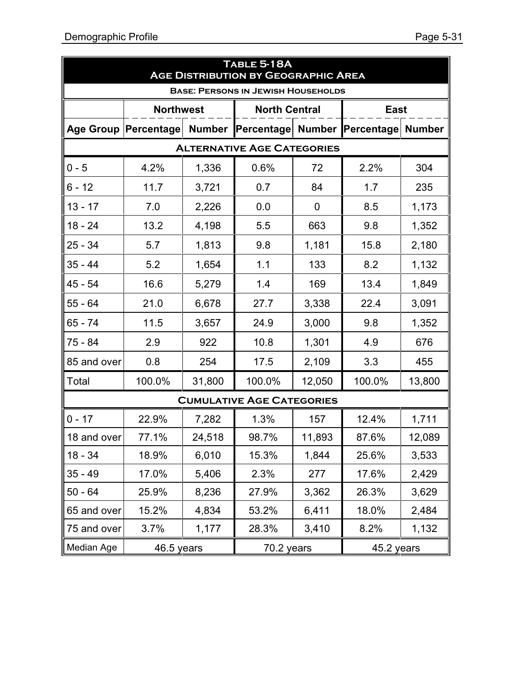| TABLE 5-18A<br><b>AGE DISTRIBUTION BY GEOGRAPHIC AREA</b> |                                                                             |        |                                  |        |             |        |  |  |  |
|-----------------------------------------------------------|-----------------------------------------------------------------------------|--------|----------------------------------|--------|-------------|--------|--|--|--|
| <b>BASE: PERSONS IN JEWISH HOUSEHOLDS</b>                 |                                                                             |        |                                  |        |             |        |  |  |  |
|                                                           | <b>Northwest</b>                                                            |        | <b>North Central</b>             |        | <b>East</b> |        |  |  |  |
|                                                           | Age Group   Percentage   Number   Percentage   Number   Percentage   Number |        |                                  |        |             |        |  |  |  |
| <b>ALTERNATIVE AGE CATEGORIES</b>                         |                                                                             |        |                                  |        |             |        |  |  |  |
| $0 - 5$                                                   | 4.2%                                                                        | 1,336  | 0.6%                             | 72     | 2.2%        | 304    |  |  |  |
| $6 - 12$                                                  | 11.7                                                                        | 3,721  | 0.7                              | 84     | 1.7         | 235    |  |  |  |
| $13 - 17$                                                 | 7.0                                                                         | 2,226  | 0.0                              | 0      | 8.5         | 1,173  |  |  |  |
| $18 - 24$                                                 | 13.2                                                                        | 4,198  | 5.5                              | 663    | 9.8         | 1,352  |  |  |  |
| $25 - 34$                                                 | 5.7                                                                         | 1,813  | 9.8                              | 1,181  | 15.8        | 2,180  |  |  |  |
| $35 - 44$                                                 | 5.2                                                                         | 1,654  | 1.1                              | 133    | 8.2         | 1,132  |  |  |  |
| 45 - 54                                                   | 16.6                                                                        | 5,279  | 1.4                              | 169    | 13.4        | 1,849  |  |  |  |
| $55 - 64$                                                 | 21.0                                                                        | 6,678  | 27.7                             | 3,338  | 22.4        | 3,091  |  |  |  |
| $65 - 74$                                                 | 11.5                                                                        | 3,657  | 24.9                             | 3,000  | 9.8         | 1,352  |  |  |  |
| 75 - 84                                                   | 2.9                                                                         | 922    | 10.8                             | 1,301  | 4.9         | 676    |  |  |  |
| 85 and over                                               | 0.8                                                                         | 254    | 17.5                             | 2,109  | 3.3         | 455    |  |  |  |
| Total                                                     | 100.0%                                                                      | 31,800 | 100.0%                           | 12,050 | 100.0%      | 13,800 |  |  |  |
|                                                           |                                                                             |        | <b>CUMULATIVE AGE CATEGORIES</b> |        |             |        |  |  |  |
| $0 - 17$                                                  | 22.9%                                                                       | 7,282  | 1.3%                             | 157    | 12.4%       | 1,711  |  |  |  |
| 18 and over                                               | 77.1%                                                                       | 24,518 | 98.7%                            | 11,893 | 87.6%       | 12,089 |  |  |  |
| $18 - 34$                                                 | 18.9%                                                                       | 6,010  | 15.3%                            | 1,844  | 25.6%       | 3,533  |  |  |  |
| $35 - 49$                                                 | 17.0%                                                                       | 5,406  | 2.3%                             | 277    | 17.6%       | 2,429  |  |  |  |
| $50 - 64$                                                 | 25.9%                                                                       | 8,236  | 27.9%                            | 3,362  | 26.3%       | 3,629  |  |  |  |
| 65 and over                                               | 15.2%                                                                       | 4,834  | 53.2%                            | 6,411  | 18.0%       | 2,484  |  |  |  |
| 75 and over                                               | 3.7%                                                                        | 1,177  | 28.3%                            | 3,410  | 8.2%        | 1,132  |  |  |  |
| Median Age                                                | 46.5 years                                                                  |        | 70.2 years                       |        | 45.2 years  |        |  |  |  |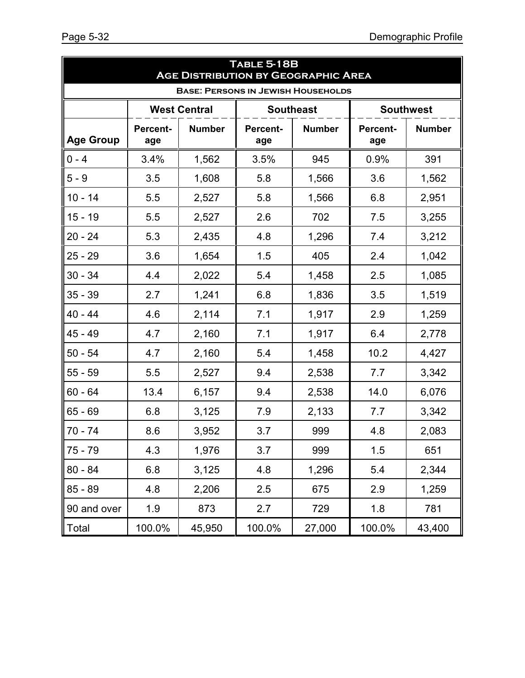| <b>TABLE 5-18B</b><br><b>AGE DISTRIBUTION BY GEOGRAPHIC AREA</b><br><b>BASE: PERSONS IN JEWISH HOUSEHOLDS</b> |                        |                     |                        |               |                        |                  |  |
|---------------------------------------------------------------------------------------------------------------|------------------------|---------------------|------------------------|---------------|------------------------|------------------|--|
|                                                                                                               |                        | <b>West Central</b> | <b>Southeast</b>       |               |                        | <b>Southwest</b> |  |
| <b>Age Group</b>                                                                                              | <b>Percent-</b><br>age | <b>Number</b>       | <b>Percent-</b><br>age | <b>Number</b> | <b>Percent-</b><br>age | <b>Number</b>    |  |
| $0 - 4$                                                                                                       | 3.4%                   | 1,562               | 3.5%                   | 945           | 0.9%                   | 391              |  |
| $5 - 9$                                                                                                       | 3.5                    | 1,608               | 5.8                    | 1,566         | 3.6                    | 1,562            |  |
| $10 - 14$                                                                                                     | 5.5                    | 2,527               | 5.8                    | 1,566         | 6.8                    | 2,951            |  |
| $15 - 19$                                                                                                     | 5.5                    | 2,527               | 2.6                    | 702           | 7.5                    | 3,255            |  |
| $20 - 24$                                                                                                     | 5.3                    | 2,435               | 4.8                    | 1,296         | 7.4                    | 3,212            |  |
| $25 - 29$                                                                                                     | 3.6                    | 1,654               | 1.5                    | 405           | 2.4                    | 1,042            |  |
| $30 - 34$                                                                                                     | 4.4                    | 2,022               | 5.4                    | 1,458         | 2.5                    | 1,085            |  |
| $35 - 39$                                                                                                     | 2.7                    | 1,241               | 6.8                    | 1,836         | 3.5                    | 1,519            |  |
| 40 - 44                                                                                                       | 4.6                    | 2,114               | 7.1                    | 1,917         | 2.9                    | 1,259            |  |
| $45 - 49$                                                                                                     | 4.7                    | 2,160               | 7.1                    | 1,917         | 6.4                    | 2,778            |  |
| $50 - 54$                                                                                                     | 4.7                    | 2,160               | 5.4                    | 1,458         | 10.2                   | 4,427            |  |
| $55 - 59$                                                                                                     | 5.5                    | 2,527               | 9.4                    | 2,538         | 7.7                    | 3,342            |  |
| $60 - 64$                                                                                                     | 13.4                   | 6,157               | 9.4                    | 2,538         | 14.0                   | 6,076            |  |
| $65 - 69$                                                                                                     | 6.8                    | 3,125               | 7.9                    | 2,133         | 7.7                    | 3,342            |  |
| $70 - 74$                                                                                                     | 8.6                    | 3,952               | 3.7                    | 999           | 4.8                    | 2,083            |  |
| $75 - 79$                                                                                                     | 4.3                    | 1,976               | 3.7                    | 999           | 1.5                    | 651              |  |
| $80 - 84$                                                                                                     | 6.8                    | 3,125               | 4.8                    | 1,296         | 5.4                    | 2,344            |  |
| $85 - 89$                                                                                                     | 4.8                    | 2,206               | 2.5                    | 675           | 2.9                    | 1,259            |  |
| 90 and over                                                                                                   | 1.9                    | 873                 | 2.7                    | 729           | 1.8                    | 781              |  |
| Total                                                                                                         | 100.0%                 | 45,950              | 100.0%                 | 27,000        | 100.0%                 | 43,400           |  |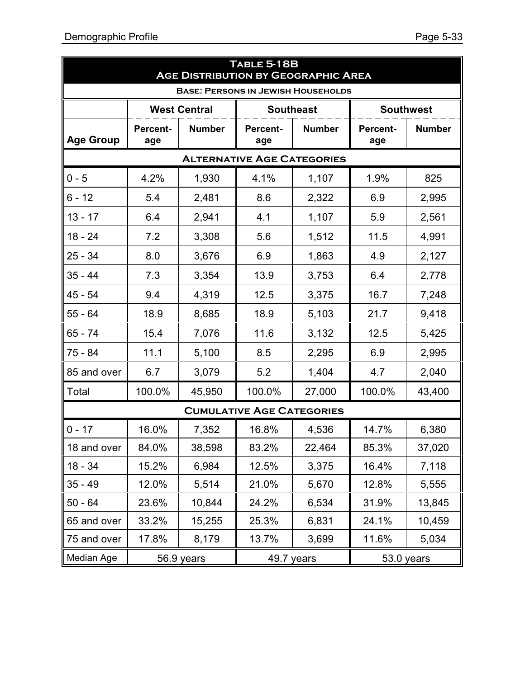| <b>TABLE 5-18B</b><br><b>AGE DISTRIBUTION BY GEOGRAPHIC AREA</b> |                        |                     |                 |                  |                        |                  |  |
|------------------------------------------------------------------|------------------------|---------------------|-----------------|------------------|------------------------|------------------|--|
| <b>BASE: PERSONS IN JEWISH HOUSEHOLDS</b>                        |                        |                     |                 |                  |                        |                  |  |
|                                                                  |                        | <b>West Central</b> |                 | <b>Southeast</b> |                        | <b>Southwest</b> |  |
| <b>Age Group</b>                                                 | <b>Percent-</b><br>age | <b>Number</b>       | Percent-<br>age | <b>Number</b>    | <b>Percent-</b><br>age | <b>Number</b>    |  |
| <b>ALTERNATIVE AGE CATEGORIES</b>                                |                        |                     |                 |                  |                        |                  |  |
| $0 - 5$                                                          | 4.2%                   | 1,930               | 4.1%            | 1,107            | 1.9%                   | 825              |  |
| $6 - 12$                                                         | 5.4                    | 2,481               | 8.6             | 2,322            | 6.9                    | 2,995            |  |
| $13 - 17$                                                        | 6.4                    | 2,941               | 4.1             | 1,107            | 5.9                    | 2,561            |  |
| $18 - 24$                                                        | 7.2                    | 3,308               | 5.6             | 1,512            | 11.5                   | 4,991            |  |
| $25 - 34$                                                        | 8.0                    | 3,676               | 6.9             | 1,863            | 4.9                    | 2,127            |  |
| $35 - 44$                                                        | 7.3                    | 3,354               | 13.9            | 3,753            | 6.4                    | 2,778            |  |
| $45 - 54$                                                        | 9.4                    | 4,319               | 12.5            | 3,375            | 16.7                   | 7,248            |  |
| $55 - 64$                                                        | 18.9                   | 8,685               | 18.9            | 5,103            | 21.7                   | 9,418            |  |
| 65 - 74                                                          | 15.4                   | 7,076               | 11.6            | 3,132            | 12.5                   | 5,425            |  |
| 75 - 84                                                          | 11.1                   | 5,100               | 8.5             | 2,295            | 6.9                    | 2,995            |  |
| 85 and over                                                      | 6.7                    | 3,079               | 5.2             | 1,404            | 4.7                    | 2,040            |  |
| Total                                                            | 100.0%                 | 45,950              | 100.0%          | 27,000           | 100.0%                 | 43,400           |  |
| <b>CUMULATIVE AGE CATEGORIES</b>                                 |                        |                     |                 |                  |                        |                  |  |
| $0 - 17$                                                         | 16.0%                  | 7,352               | 16.8%           | 4,536            | 14.7%                  | 6,380            |  |
| 18 and over                                                      | 84.0%                  | 38,598              | 83.2%           | 22,464           | 85.3%                  | 37,020           |  |
| $18 - 34$                                                        | 15.2%                  | 6,984               | 12.5%           | 3,375            | 16.4%                  | 7,118            |  |
| $35 - 49$                                                        | 12.0%                  | 5,514               | 21.0%           | 5,670            | 12.8%                  | 5,555            |  |
| $50 - 64$                                                        | 23.6%                  | 10,844              | 24.2%           | 6,534            | 31.9%                  | 13,845           |  |
| 65 and over                                                      | 33.2%                  | 15,255              | 25.3%           | 6,831            | 24.1%                  | 10,459           |  |
| 75 and over                                                      | 17.8%                  | 8,179               | 13.7%           | 3,699            | 11.6%                  | 5,034            |  |
| Median Age                                                       |                        | 56.9 years          | 49.7 years      |                  | 53.0 years             |                  |  |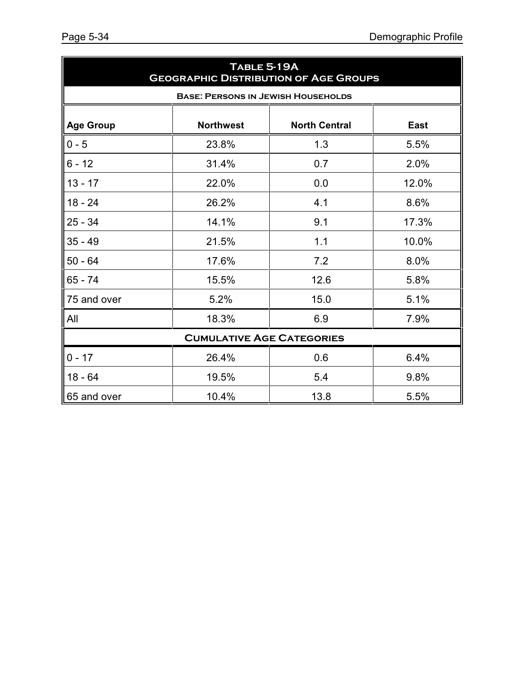| TABLE 5-19A<br><b>GEOGRAPHIC DISTRIBUTION OF AGE GROUPS</b> |                  |                      |             |  |  |  |
|-------------------------------------------------------------|------------------|----------------------|-------------|--|--|--|
| <b>BASE: PERSONS IN JEWISH HOUSEHOLDS</b>                   |                  |                      |             |  |  |  |
| <b>Age Group</b>                                            | <b>Northwest</b> | <b>North Central</b> | <b>East</b> |  |  |  |
| $0 - 5$                                                     | 23.8%            | 1.3                  | 5.5%        |  |  |  |
| $6 - 12$                                                    | 31.4%            | 0.7                  | 2.0%        |  |  |  |
| $13 - 17$                                                   | 22.0%            | 0.0                  | 12.0%       |  |  |  |
| $18 - 24$                                                   | 26.2%            | 4.1                  | 8.6%        |  |  |  |
| $25 - 34$                                                   | 14.1%            | 9.1                  | 17.3%       |  |  |  |
| $35 - 49$                                                   | 21.5%            | 1.1                  | 10.0%       |  |  |  |
| $50 - 64$                                                   | 17.6%            | 7.2                  | 8.0%        |  |  |  |
| $65 - 74$                                                   | 15.5%            | 12.6                 | 5.8%        |  |  |  |
| 75 and over                                                 | 5.2%             | 15.0                 | 5.1%        |  |  |  |
| All                                                         | 18.3%            | 6.9                  | 7.9%        |  |  |  |
| <b>CUMULATIVE AGE CATEGORIES</b>                            |                  |                      |             |  |  |  |
| $0 - 17$                                                    | 26.4%            | 0.6                  | 6.4%        |  |  |  |
| $18 - 64$                                                   | 19.5%            | 5.4                  | 9.8%        |  |  |  |
| 65 and over                                                 | 10.4%            | 13.8                 | 5.5%        |  |  |  |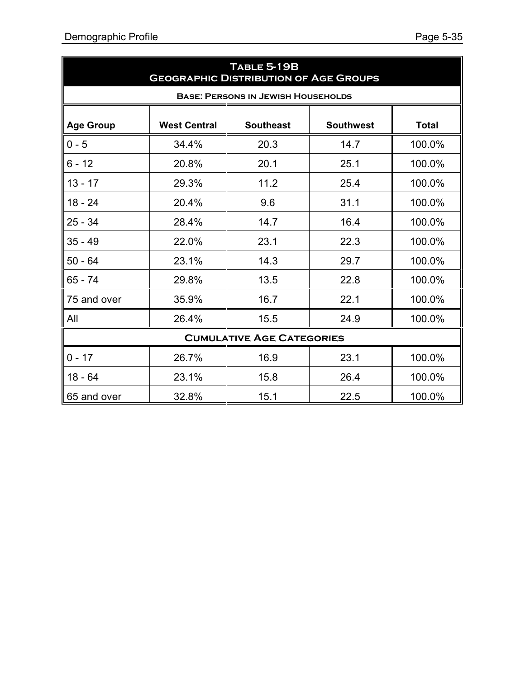| TABLE 5-19B<br><b>GEOGRAPHIC DISTRIBUTION OF AGE GROUPS</b> |                     |                  |                  |              |  |  |
|-------------------------------------------------------------|---------------------|------------------|------------------|--------------|--|--|
| <b>BASE: PERSONS IN JEWISH HOUSEHOLDS</b>                   |                     |                  |                  |              |  |  |
| <b>Age Group</b>                                            | <b>West Central</b> | <b>Southeast</b> | <b>Southwest</b> | <b>Total</b> |  |  |
| $0 - 5$                                                     | 34.4%               | 20.3             | 14.7             | 100.0%       |  |  |
| $6 - 12$                                                    | 20.8%               | 20.1             | 25.1             | 100.0%       |  |  |
| $13 - 17$                                                   | 29.3%               | 11.2             | 25.4             | 100.0%       |  |  |
| $18 - 24$                                                   | 20.4%               | 9.6              | 31.1             | 100.0%       |  |  |
| $25 - 34$                                                   | 28.4%               | 14.7             | 16.4             | 100.0%       |  |  |
| $35 - 49$                                                   | 22.0%               | 23.1             | 22.3             | 100.0%       |  |  |
| $50 - 64$                                                   | 23.1%               | 14.3             | 29.7             | 100.0%       |  |  |
| $65 - 74$                                                   | 29.8%               | 13.5             | 22.8             | 100.0%       |  |  |
| 75 and over                                                 | 35.9%               | 16.7             | 22.1             | 100.0%       |  |  |
| All                                                         | 26.4%               | 15.5             | 24.9             | 100.0%       |  |  |
| <b>CUMULATIVE AGE CATEGORIES</b>                            |                     |                  |                  |              |  |  |
| $0 - 17$                                                    | 26.7%               | 16.9             | 23.1             | 100.0%       |  |  |
| $18 - 64$                                                   | 23.1%               | 15.8             | 26.4             | 100.0%       |  |  |
| 65 and over                                                 | 32.8%               | 15.1             | 22.5             | 100.0%       |  |  |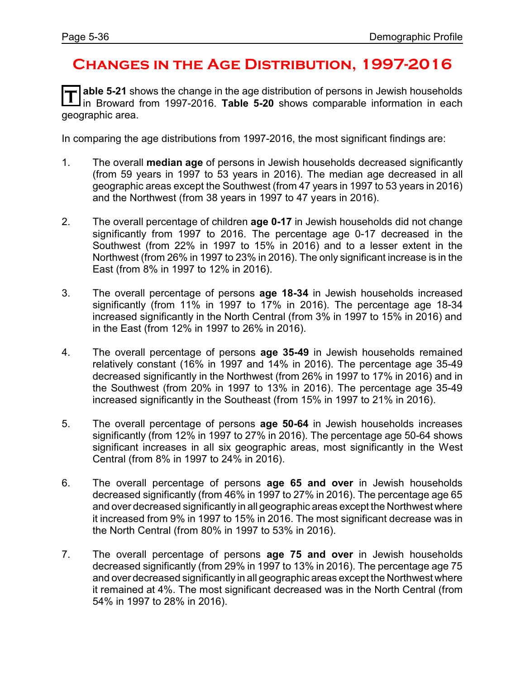## **Changes in the Age Distribution, 1997-2016**

**T able 5-21** shows the change in the age distribution of persons in Jewish households in Broward from 1997-2016. **Table 5-20** shows comparable information in each geographic area.

In comparing the age distributions from 1997-2016, the most significant findings are:

- 1. The overall **median age** of persons in Jewish households decreased significantly (from 59 years in 1997 to 53 years in 2016). The median age decreased in all geographic areas except the Southwest (from 47 years in 1997 to 53 years in 2016) and the Northwest (from 38 years in 1997 to 47 years in 2016).
- 2. The overall percentage of children **age 0-17** in Jewish households did not change significantly from 1997 to 2016. The percentage age 0-17 decreased in the Southwest (from 22% in 1997 to 15% in 2016) and to a lesser extent in the Northwest (from 26% in 1997 to 23% in 2016). The only significant increase is in the East (from 8% in 1997 to 12% in 2016).
- 3. The overall percentage of persons **age 18-34** in Jewish households increased significantly (from 11% in 1997 to 17% in 2016). The percentage age 18-34 increased significantly in the North Central (from 3% in 1997 to 15% in 2016) and in the East (from 12% in 1997 to 26% in 2016).
- 4. The overall percentage of persons **age 35-49** in Jewish households remained relatively constant (16% in 1997 and 14% in 2016). The percentage age 35-49 decreased significantly in the Northwest (from 26% in 1997 to 17% in 2016) and in the Southwest (from 20% in 1997 to 13% in 2016). The percentage age 35-49 increased significantly in the Southeast (from 15% in 1997 to 21% in 2016).
- 5. The overall percentage of persons **age 50-64** in Jewish households increases significantly (from 12% in 1997 to 27% in 2016). The percentage age 50-64 shows significant increases in all six geographic areas, most significantly in the West Central (from 8% in 1997 to 24% in 2016).
- 6. The overall percentage of persons **age 65 and over** in Jewish households decreased significantly (from 46% in 1997 to 27% in 2016). The percentage age 65 and over decreased significantly in all geographic areas except the Northwest where it increased from 9% in 1997 to 15% in 2016. The most significant decrease was in the North Central (from 80% in 1997 to 53% in 2016).
- 7. The overall percentage of persons **age 75 and over** in Jewish households decreased significantly (from 29% in 1997 to 13% in 2016). The percentage age 75 and over decreased significantly in all geographic areas except the Northwest where it remained at 4%. The most significant decreased was in the North Central (from 54% in 1997 to 28% in 2016).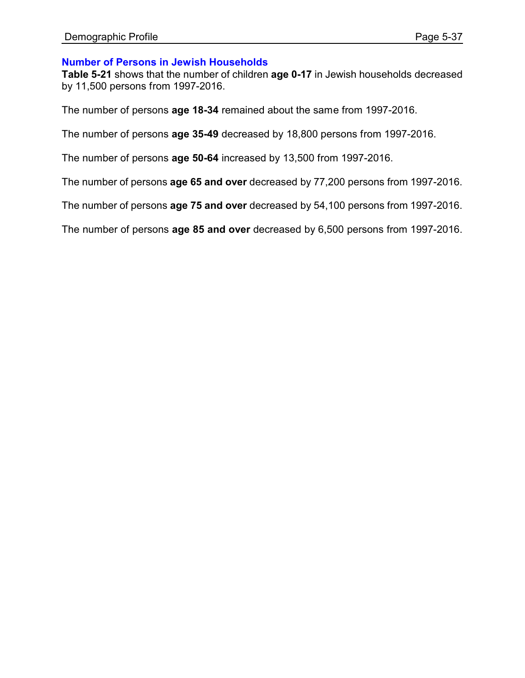#### **Number of Persons in Jewish Households**

**Table 5-21** shows that the number of children **age 0-17** in Jewish households decreased by 11,500 persons from 1997-2016.

The number of persons **age 18-34** remained about the same from 1997-2016.

The number of persons **age 35-49** decreased by 18,800 persons from 1997-2016.

The number of persons **age 50-64** increased by 13,500 from 1997-2016.

The number of persons **age 65 and over** decreased by 77,200 persons from 1997-2016.

The number of persons **age 75 and over** decreased by 54,100 persons from 1997-2016.

The number of persons **age 85 and over** decreased by 6,500 persons from 1997-2016.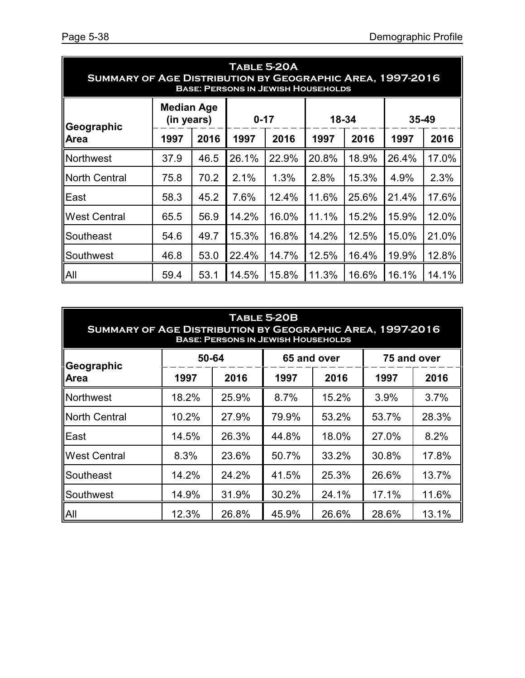| TABLE 5-20A<br><b>SUMMARY OF AGE DISTRIBUTION BY GEOGRAPHIC AREA, 1997-2016</b><br><b>BASE: PERSONS IN JEWISH HOUSEHOLDS</b> |                                 |      |          |       |       |                |       |       |  |  |
|------------------------------------------------------------------------------------------------------------------------------|---------------------------------|------|----------|-------|-------|----------------|-------|-------|--|--|
| Geographic                                                                                                                   | <b>Median Age</b><br>(in years) |      | $0 - 17$ |       |       | 18-34<br>35-49 |       |       |  |  |
| Area                                                                                                                         | 1997                            | 2016 | 1997     | 2016  | 1997  | 2016           | 1997  | 2016  |  |  |
| Northwest                                                                                                                    | 37.9                            | 46.5 | 26.1%    | 22.9% | 20.8% | 18.9%          | 26.4% | 17.0% |  |  |
| <b>North Central</b>                                                                                                         | 75.8                            | 70.2 | 2.1%     | 1.3%  | 2.8%  | 15.3%          | 4.9%  | 2.3%  |  |  |
| East                                                                                                                         | 58.3                            | 45.2 | 7.6%     | 12.4% | 11.6% | 25.6%          | 21.4% | 17.6% |  |  |
| <b>West Central</b>                                                                                                          | 65.5                            | 56.9 | 14.2%    | 16.0% | 11.1% | 15.2%          | 15.9% | 12.0% |  |  |
| Southeast                                                                                                                    | 54.6                            | 49.7 | 15.3%    | 16.8% | 14.2% | 12.5%          | 15.0% | 21.0% |  |  |
| Southwest                                                                                                                    | 46.8                            | 53.0 | 22.4%    | 14.7% | 12.5% | 16.4%          | 19.9% | 12.8% |  |  |
| All                                                                                                                          | 59.4                            | 53.1 | 14.5%    | 15.8% | 11.3% | 16.6%          | 16.1% | 14.1% |  |  |

| TABLE 5-20B<br><b>SUMMARY OF AGE DISTRIBUTION BY GEOGRAPHIC AREA, 1997-2016</b><br><b>BASE: PERSONS IN JEWISH HOUSEHOLDS</b> |       |       |             |       |             |       |  |  |  |
|------------------------------------------------------------------------------------------------------------------------------|-------|-------|-------------|-------|-------------|-------|--|--|--|
| Geographic                                                                                                                   | 50-64 |       | 65 and over |       | 75 and over |       |  |  |  |
| <b>Area</b>                                                                                                                  | 1997  | 2016  | 1997        | 2016  | 1997        | 2016  |  |  |  |
| Northwest                                                                                                                    | 18.2% | 25.9% | 8.7%        | 15.2% | 3.9%        | 3.7%  |  |  |  |
| <b>North Central</b>                                                                                                         | 10.2% | 27.9% | 79.9%       | 53.2% | 53.7%       | 28.3% |  |  |  |
| East                                                                                                                         | 14.5% | 26.3% | 44.8%       | 18.0% | 27.0%       | 8.2%  |  |  |  |
| <b>West Central</b>                                                                                                          | 8.3%  | 23.6% | 50.7%       | 33.2% | 30.8%       | 17.8% |  |  |  |
| Southeast                                                                                                                    | 14.2% | 24.2% | 41.5%       | 25.3% | 26.6%       | 13.7% |  |  |  |
| Southwest                                                                                                                    | 14.9% | 31.9% | 30.2%       | 24.1% | 17.1%       | 11.6% |  |  |  |
| All                                                                                                                          | 12.3% | 26.8% | 45.9%       | 26.6% | 28.6%       | 13.1% |  |  |  |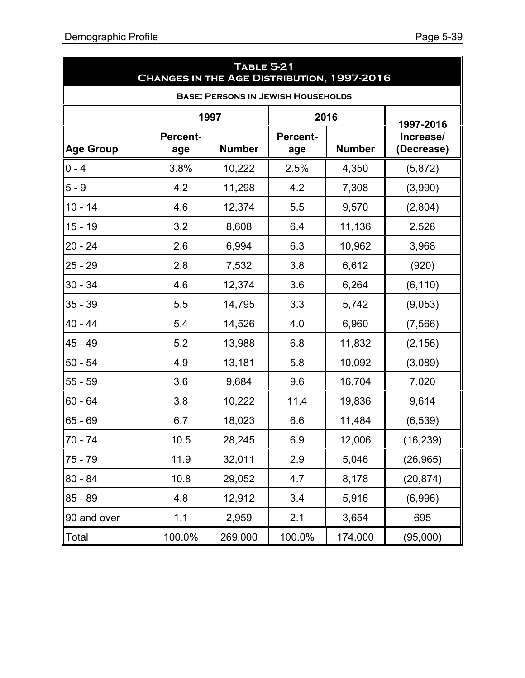|                  | <b>TABLE 5-21</b><br>CHANGES IN THE AGE DISTRIBUTION, 1997-2016 |                                           |                        |               |                         |  |  |  |  |  |
|------------------|-----------------------------------------------------------------|-------------------------------------------|------------------------|---------------|-------------------------|--|--|--|--|--|
|                  |                                                                 | <b>BASE: PERSONS IN JEWISH HOUSEHOLDS</b> |                        |               |                         |  |  |  |  |  |
|                  |                                                                 | 1997                                      |                        | 2016          | 1997-2016               |  |  |  |  |  |
| <b>Age Group</b> | <b>Percent-</b><br>age                                          | <b>Number</b>                             | <b>Percent-</b><br>age | <b>Number</b> | Increase/<br>(Decrease) |  |  |  |  |  |
| $0 - 4$          | 3.8%                                                            | 10,222                                    | 2.5%                   | 4,350         | (5, 872)                |  |  |  |  |  |
| $5 - 9$          | 4.2                                                             | 11,298                                    | 4.2                    | 7,308         | (3,990)                 |  |  |  |  |  |
| $10 - 14$        | 4.6                                                             | 12,374                                    | 5.5                    | 9,570         | (2,804)                 |  |  |  |  |  |
| $15 - 19$        | 3.2                                                             | 8,608                                     | 6.4                    | 11,136        | 2,528                   |  |  |  |  |  |
| $20 - 24$        | 2.6                                                             | 6,994                                     | 6.3                    | 10,962        | 3,968                   |  |  |  |  |  |
| $25 - 29$        | 2.8                                                             | 7,532                                     | 3.8                    | 6,612         | (920)                   |  |  |  |  |  |
| $30 - 34$        | 4.6                                                             | 12,374                                    | 3.6                    | 6,264         | (6, 110)                |  |  |  |  |  |
| $35 - 39$        | 5.5                                                             | 14,795                                    | 3.3                    | 5,742         | (9,053)                 |  |  |  |  |  |
| 40 - 44          | 5.4                                                             | 14,526                                    | 4.0                    | 6,960         | (7, 566)                |  |  |  |  |  |
| 45 - 49          | 5.2                                                             | 13,988                                    | 6.8                    | 11,832        | (2, 156)                |  |  |  |  |  |
| 50 - 54          | 4.9                                                             | 13,181                                    | 5.8                    | 10,092        | (3,089)                 |  |  |  |  |  |
| $55 - 59$        | 3.6                                                             | 9,684                                     | 9.6                    | 16,704        | 7,020                   |  |  |  |  |  |
| 60 - 64          | 3.8                                                             | 10,222                                    | 11.4                   | 19,836        | 9,614                   |  |  |  |  |  |
| 65 - 69          | 6.7                                                             | 18,023                                    | 6.6                    | 11,484        | (6, 539)                |  |  |  |  |  |
| 70 - 74          | 10.5                                                            | 28,245                                    | 6.9                    | 12,006        | (16, 239)               |  |  |  |  |  |
| $75 - 79$        | 11.9                                                            | 32,011                                    | 2.9                    | 5,046         | (26, 965)               |  |  |  |  |  |
| 80 - 84          | 10.8                                                            | 29,052                                    | 4.7                    | 8,178         | (20, 874)               |  |  |  |  |  |
| 85 - 89          | 4.8                                                             | 12,912                                    | 3.4                    | 5,916         | (6,996)                 |  |  |  |  |  |
| 90 and over      | 1.1                                                             | 2,959                                     | 2.1                    | 3,654         | 695                     |  |  |  |  |  |
| Total            | 100.0%                                                          | 269,000                                   | 100.0%                 | 174,000       | (95,000)                |  |  |  |  |  |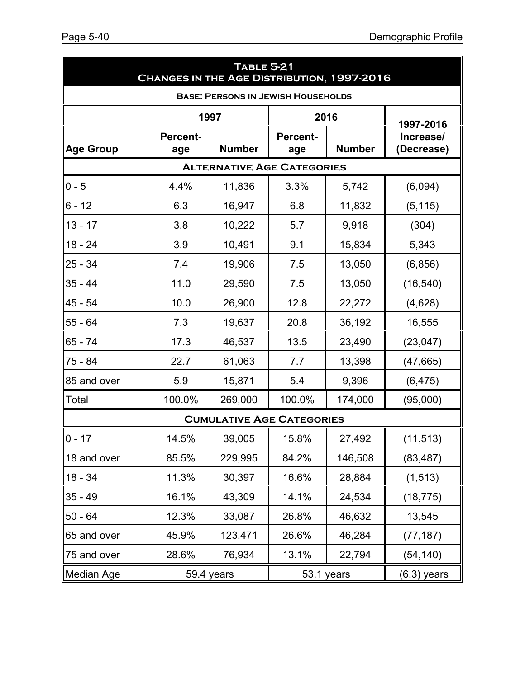| <b>TABLE 5-21</b><br>CHANGES IN THE AGE DISTRIBUTION, 1997-2016 |                        |                                  |                        |               |                         |  |  |  |  |
|-----------------------------------------------------------------|------------------------|----------------------------------|------------------------|---------------|-------------------------|--|--|--|--|
| <b>BASE: PERSONS IN JEWISH HOUSEHOLDS</b>                       |                        |                                  |                        |               |                         |  |  |  |  |
|                                                                 |                        | 1997                             |                        | 2016          | 1997-2016               |  |  |  |  |
| <b>Age Group</b>                                                | <b>Percent-</b><br>age | <b>Number</b>                    | <b>Percent-</b><br>age | <b>Number</b> | Increase/<br>(Decrease) |  |  |  |  |
| <b>ALTERNATIVE AGE CATEGORIES</b>                               |                        |                                  |                        |               |                         |  |  |  |  |
| $0 - 5$                                                         | 4.4%                   | 11,836                           | 3.3%                   | 5,742         | (6,094)                 |  |  |  |  |
| $6 - 12$                                                        | 6.3                    | 16,947                           | 6.8                    | 11,832        | (5, 115)                |  |  |  |  |
| $13 - 17$                                                       | 3.8                    | 10,222                           | 5.7                    | 9,918         | (304)                   |  |  |  |  |
| $18 - 24$                                                       | 3.9                    | 10,491                           | 9.1                    | 15,834        | 5,343                   |  |  |  |  |
| $25 - 34$                                                       | 7.4                    | 19,906                           | 7.5                    | 13,050        | (6, 856)                |  |  |  |  |
| $35 - 44$                                                       | 11.0                   | 29,590                           | 7.5                    | 13,050        | (16, 540)               |  |  |  |  |
| 45 - 54                                                         | 10.0                   | 26,900                           | 12.8                   | 22,272        | (4,628)                 |  |  |  |  |
| $55 - 64$                                                       | 7.3                    | 19,637                           | 20.8                   | 36,192        | 16,555                  |  |  |  |  |
| $65 - 74$                                                       | 17.3                   | 46,537                           | 13.5                   | 23,490        | (23, 047)               |  |  |  |  |
| 75 - 84                                                         | 22.7                   | 61,063                           | 7.7                    | 13,398        | (47, 665)               |  |  |  |  |
| 85 and over                                                     | 5.9                    | 15,871                           | 5.4                    | 9,396         | (6, 475)                |  |  |  |  |
| Total                                                           | 100.0%                 | 269,000                          | 100.0%                 | 174,000       | (95,000)                |  |  |  |  |
|                                                                 |                        | <b>CUMULATIVE AGE CATEGORIES</b> |                        |               |                         |  |  |  |  |
| $ 0 - 17 $                                                      | 14.5%                  | 39,005                           | 15.8%                  | 27,492        | (11, 513)               |  |  |  |  |
| 18 and over                                                     | 85.5%                  | 229,995                          | 84.2%                  | 146,508       | (83, 487)               |  |  |  |  |
| $18 - 34$                                                       | 11.3%                  | 30,397                           | 16.6%                  | 28,884        | (1, 513)                |  |  |  |  |
| $35 - 49$                                                       | 16.1%                  | 43,309                           | 14.1%                  | 24,534        | (18, 775)               |  |  |  |  |
| $50 - 64$                                                       | 12.3%                  | 33,087                           | 26.8%                  | 46,632        | 13,545                  |  |  |  |  |
| 65 and over                                                     | 45.9%                  | 123,471                          | 26.6%                  | 46,284        | (77, 187)               |  |  |  |  |
| 75 and over                                                     | 28.6%                  | 76,934                           | 13.1%                  | 22,794        | (54, 140)               |  |  |  |  |
| Median Age                                                      |                        | 59.4 years                       |                        | 53.1 years    | $(6.3)$ years           |  |  |  |  |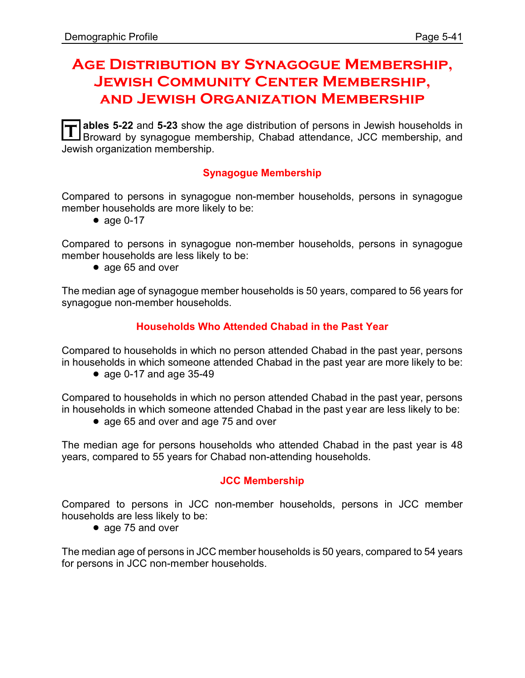## **Age Distribution by Synagogue Membership, Jewish Community Center Membership, and Jewish Organization Membership**

T ables 5-22 and 5-23 show the age distribution of persons in Jewish households in<br>Broward by synagogue membership, Chabad attendance, JCC membership, and **ables 5-22** and **5-23** show the age distribution of persons in Jewish households in Jewish organization membership.

## **Synagogue Membership**

Compared to persons in synagogue non-member households, persons in synagogue member households are more likely to be:

• age  $0-17$ 

Compared to persons in synagogue non-member households, persons in synagogue member households are less likely to be:

• age 65 and over

The median age of synagogue member households is 50 years, compared to 56 years for synagogue non-member households.

### **Households Who Attended Chabad in the Past Year**

Compared to households in which no person attended Chabad in the past year, persons in households in which someone attended Chabad in the past year are more likely to be:

• age 0-17 and age  $35-49$ 

Compared to households in which no person attended Chabad in the past year, persons in households in which someone attended Chabad in the past year are less likely to be:

• age 65 and over and age 75 and over

The median age for persons households who attended Chabad in the past year is 48 years, compared to 55 years for Chabad non-attending households.

#### **JCC Membership**

Compared to persons in JCC non-member households, persons in JCC member households are less likely to be:

• age 75 and over

The median age of persons in JCC member households is 50 years, compared to 54 years for persons in JCC non-member households.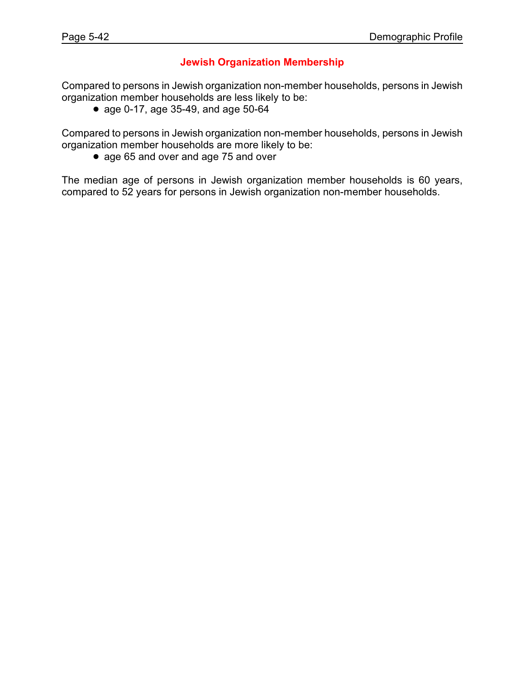### **Jewish Organization Membership**

Compared to persons in Jewish organization non-member households, persons in Jewish organization member households are less likely to be:

• age 0-17, age 35-49, and age 50-64

Compared to persons in Jewish organization non-member households, persons in Jewish organization member households are more likely to be:

• age 65 and over and age 75 and over

The median age of persons in Jewish organization member households is 60 years, compared to 52 years for persons in Jewish organization non-member households.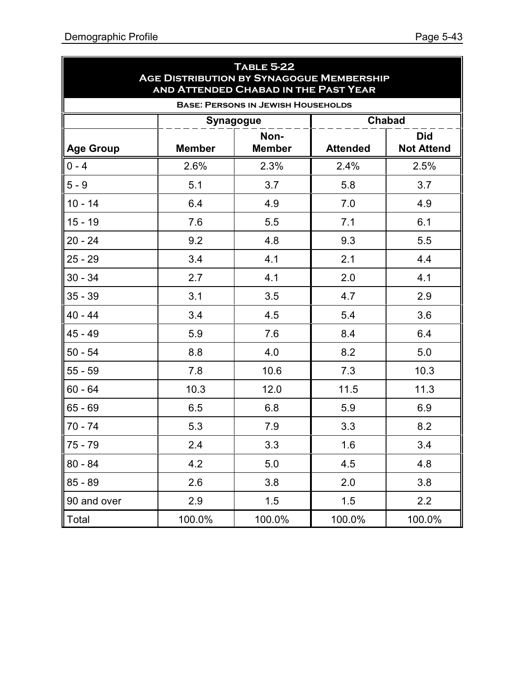|                  | <b>TABLE 5-22</b><br><b>AGE DISTRIBUTION BY SYNAGOGUE MEMBERSHIP</b><br>AND ATTENDED CHABAD IN THE PAST YEAR |                                           |                 |                                 |  |  |  |  |  |  |
|------------------|--------------------------------------------------------------------------------------------------------------|-------------------------------------------|-----------------|---------------------------------|--|--|--|--|--|--|
|                  |                                                                                                              | <b>BASE: PERSONS IN JEWISH HOUSEHOLDS</b> |                 |                                 |  |  |  |  |  |  |
|                  |                                                                                                              | Synagogue                                 |                 | <b>Chabad</b>                   |  |  |  |  |  |  |
| <b>Age Group</b> | <b>Member</b>                                                                                                | Non-<br><b>Member</b>                     | <b>Attended</b> | <b>Did</b><br><b>Not Attend</b> |  |  |  |  |  |  |
| $0 - 4$          | 2.6%                                                                                                         | 2.3%                                      | 2.4%            | 2.5%                            |  |  |  |  |  |  |
| $5 - 9$          | 5.1                                                                                                          | 3.7                                       | 5.8             | 3.7                             |  |  |  |  |  |  |
| $10 - 14$        | 6.4                                                                                                          | 4.9                                       | 7.0             | 4.9                             |  |  |  |  |  |  |
| $15 - 19$        | 7.6                                                                                                          | 5.5                                       | 7.1             | 6.1                             |  |  |  |  |  |  |
| $20 - 24$        | 9.2                                                                                                          | 4.8                                       | 9.3             | 5.5                             |  |  |  |  |  |  |
| $25 - 29$        | 3.4                                                                                                          | 4.1                                       | 2.1             | 4.4                             |  |  |  |  |  |  |
| $30 - 34$        | 2.7                                                                                                          | 4.1                                       | 2.0             | 4.1                             |  |  |  |  |  |  |
| $35 - 39$        | 3.1                                                                                                          | 3.5                                       | 4.7             | 2.9                             |  |  |  |  |  |  |
| $40 - 44$        | 3.4                                                                                                          | 4.5                                       | 5.4             | 3.6                             |  |  |  |  |  |  |
| $45 - 49$        | 5.9                                                                                                          | 7.6                                       | 8.4             | 6.4                             |  |  |  |  |  |  |
| $50 - 54$        | 8.8                                                                                                          | 4.0                                       | 8.2             | 5.0                             |  |  |  |  |  |  |
| $55 - 59$        | 7.8                                                                                                          | 10.6                                      | 7.3             | 10.3                            |  |  |  |  |  |  |
| $60 - 64$        | 10.3                                                                                                         | 12.0                                      | 11.5            | 11.3                            |  |  |  |  |  |  |
| $65 - 69$        | 6.5                                                                                                          | 6.8                                       | 5.9             | 6.9                             |  |  |  |  |  |  |
| 70 - 74          | 5.3                                                                                                          | 7.9                                       | 3.3             | 8.2                             |  |  |  |  |  |  |
| $175 - 79$       | 2.4                                                                                                          | 3.3                                       | 1.6             | 3.4                             |  |  |  |  |  |  |
| 80 - 84          | 4.2                                                                                                          | 5.0                                       | 4.5             | 4.8                             |  |  |  |  |  |  |
| 85 - 89          | 2.6                                                                                                          | 3.8                                       | 2.0             | 3.8                             |  |  |  |  |  |  |
| 90 and over      | 2.9                                                                                                          | 1.5                                       | 1.5             | 2.2                             |  |  |  |  |  |  |
| Total            | 100.0%                                                                                                       | 100.0%                                    | 100.0%          | 100.0%                          |  |  |  |  |  |  |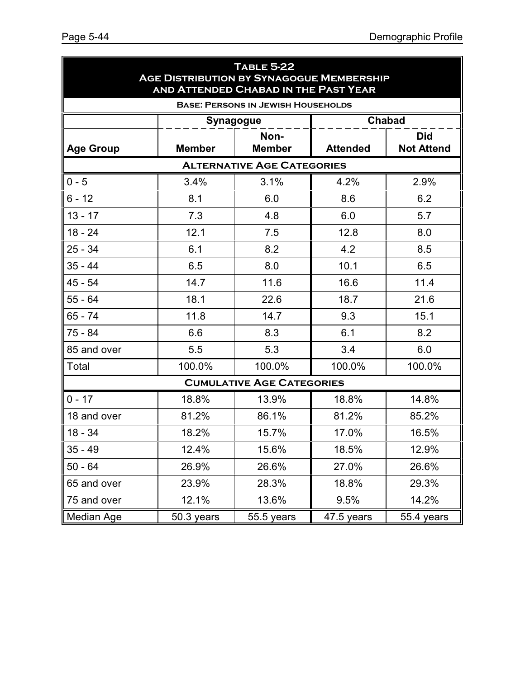|                  | <b>TABLE 5-22</b><br><b>AGE DISTRIBUTION BY SYNAGOGUE MEMBERSHIP</b><br>AND ATTENDED CHABAD IN THE PAST YEAR |                                           |                 |                                 |  |  |  |  |  |
|------------------|--------------------------------------------------------------------------------------------------------------|-------------------------------------------|-----------------|---------------------------------|--|--|--|--|--|
|                  |                                                                                                              | <b>BASE: PERSONS IN JEWISH HOUSEHOLDS</b> |                 |                                 |  |  |  |  |  |
|                  |                                                                                                              | <b>Synagogue</b>                          |                 | <b>Chabad</b>                   |  |  |  |  |  |
| <b>Age Group</b> | <b>Member</b>                                                                                                | Non-<br><b>Member</b>                     | <b>Attended</b> | <b>Did</b><br><b>Not Attend</b> |  |  |  |  |  |
|                  |                                                                                                              | <b>ALTERNATIVE AGE CATEGORIES</b>         |                 |                                 |  |  |  |  |  |
| $0 - 5$          | 3.4%                                                                                                         | 3.1%                                      | 4.2%            | 2.9%                            |  |  |  |  |  |
| $6 - 12$         | 8.1                                                                                                          | 6.0                                       | 8.6             | 6.2                             |  |  |  |  |  |
| $13 - 17$        | 7.3                                                                                                          | 4.8                                       | 6.0             | 5.7                             |  |  |  |  |  |
| $18 - 24$        | 12.1                                                                                                         | 7.5                                       | 12.8            | 8.0                             |  |  |  |  |  |
| $25 - 34$        | 6.1                                                                                                          | 8.2                                       | 4.2             | 8.5                             |  |  |  |  |  |
| $35 - 44$        | 6.5                                                                                                          | 8.0                                       | 10.1            | 6.5                             |  |  |  |  |  |
| $45 - 54$        | 14.7                                                                                                         | 11.6                                      | 16.6            | 11.4                            |  |  |  |  |  |
| $55 - 64$        | 18.1                                                                                                         | 22.6                                      | 18.7            | 21.6                            |  |  |  |  |  |
| $65 - 74$        | 11.8                                                                                                         | 14.7                                      | 9.3             | 15.1                            |  |  |  |  |  |
| $75 - 84$        | 6.6                                                                                                          | 8.3                                       | 6.1             | 8.2                             |  |  |  |  |  |
| 85 and over      | 5.5                                                                                                          | 5.3                                       | 3.4             | 6.0                             |  |  |  |  |  |
| Total            | 100.0%                                                                                                       | 100.0%                                    | 100.0%          | 100.0%                          |  |  |  |  |  |
|                  |                                                                                                              | <b>CUMULATIVE AGE CATEGORIES</b>          |                 |                                 |  |  |  |  |  |
| $0 - 17$         | 18.8%                                                                                                        | 13.9%                                     | 18.8%           | 14.8%                           |  |  |  |  |  |
| 18 and over      | 81.2%                                                                                                        | 86.1%                                     | 81.2%           | 85.2%                           |  |  |  |  |  |
| $18 - 34$        | 18.2%                                                                                                        | 15.7%                                     | 17.0%           | 16.5%                           |  |  |  |  |  |
| $35 - 49$        | 12.4%                                                                                                        | 15.6%                                     | 18.5%           | 12.9%                           |  |  |  |  |  |
| $50 - 64$        | 26.9%                                                                                                        | 26.6%                                     | 27.0%           | 26.6%                           |  |  |  |  |  |
| 65 and over      | 23.9%                                                                                                        | 28.3%                                     | 18.8%           | 29.3%                           |  |  |  |  |  |
| 75 and over      | 12.1%                                                                                                        | 13.6%                                     | 9.5%            | 14.2%                           |  |  |  |  |  |
| Median Age       | 50.3 years                                                                                                   | 55.5 years                                | 47.5 years      | 55.4 years                      |  |  |  |  |  |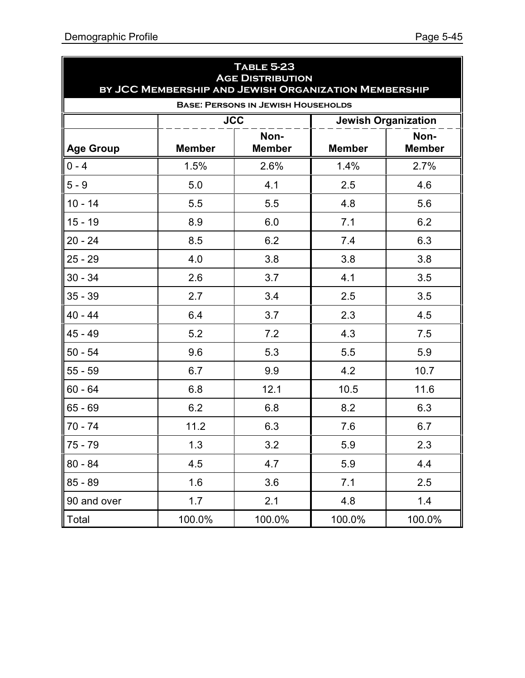|                  |                                           | <b>TABLE 5-23</b><br><b>AGE DISTRIBUTION</b><br>BY JCC MEMBERSHIP AND JEWISH ORGANIZATION MEMBERSHIP |               |                            |  |  |  |  |  |  |
|------------------|-------------------------------------------|------------------------------------------------------------------------------------------------------|---------------|----------------------------|--|--|--|--|--|--|
|                  | <b>BASE: PERSONS IN JEWISH HOUSEHOLDS</b> |                                                                                                      |               |                            |  |  |  |  |  |  |
|                  |                                           | <b>JCC</b>                                                                                           |               | <b>Jewish Organization</b> |  |  |  |  |  |  |
| <b>Age Group</b> | <b>Member</b>                             | Non-<br><b>Member</b>                                                                                | <b>Member</b> | Non-<br><b>Member</b>      |  |  |  |  |  |  |
| $0 - 4$          | 1.5%                                      | 2.6%                                                                                                 | 1.4%          | 2.7%                       |  |  |  |  |  |  |
| $5 - 9$          | 5.0                                       | 4.1                                                                                                  | 2.5           | 4.6                        |  |  |  |  |  |  |
| $10 - 14$        | 5.5                                       | 5.5                                                                                                  | 4.8           | 5.6                        |  |  |  |  |  |  |
| $15 - 19$        | 8.9                                       | 6.0                                                                                                  | 7.1           | 6.2                        |  |  |  |  |  |  |
| $20 - 24$        | 8.5                                       | 6.2                                                                                                  | 7.4           | 6.3                        |  |  |  |  |  |  |
| $25 - 29$        | 4.0                                       | 3.8                                                                                                  | 3.8           | 3.8                        |  |  |  |  |  |  |
| $30 - 34$        | 2.6                                       | 3.7                                                                                                  | 4.1           | 3.5                        |  |  |  |  |  |  |
| $35 - 39$        | 2.7                                       | 3.4                                                                                                  | 2.5           | 3.5                        |  |  |  |  |  |  |
| $40 - 44$        | 6.4                                       | 3.7                                                                                                  | 2.3           | 4.5                        |  |  |  |  |  |  |
| $45 - 49$        | 5.2                                       | 7.2                                                                                                  | 4.3           | 7.5                        |  |  |  |  |  |  |
| $50 - 54$        | 9.6                                       | 5.3                                                                                                  | 5.5           | 5.9                        |  |  |  |  |  |  |
| $55 - 59$        | 6.7                                       | 9.9                                                                                                  | 4.2           | 10.7                       |  |  |  |  |  |  |
| $60 - 64$        | 6.8                                       | 12.1                                                                                                 | 10.5          | 11.6                       |  |  |  |  |  |  |
| $65 - 69$        | 6.2                                       | 6.8                                                                                                  | 8.2           | 6.3                        |  |  |  |  |  |  |
| $70 - 74$        | 11.2                                      | 6.3                                                                                                  | 7.6           | 6.7                        |  |  |  |  |  |  |
| $75 - 79$        | 1.3                                       | 3.2                                                                                                  | 5.9           | 2.3                        |  |  |  |  |  |  |
| $80 - 84$        | 4.5                                       | 4.7                                                                                                  | 5.9           | 4.4                        |  |  |  |  |  |  |
| $85 - 89$        | 1.6                                       | 3.6                                                                                                  | 7.1           | 2.5                        |  |  |  |  |  |  |
| 90 and over      | 1.7                                       | 2.1                                                                                                  | 4.8           | 1.4                        |  |  |  |  |  |  |
| Total            | 100.0%                                    | 100.0%                                                                                               | 100.0%        | 100.0%                     |  |  |  |  |  |  |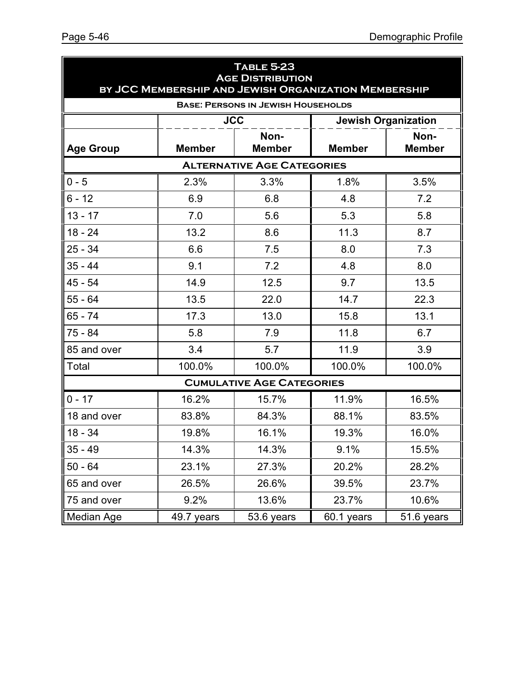|                                   | BY JCC MEMBERSHIP AND JEWISH ORGANIZATION MEMBERSHIP | <b>TABLE 5-23</b><br><b>AGE DISTRIBUTION</b> |               |                            |  |  |  |  |  |  |
|-----------------------------------|------------------------------------------------------|----------------------------------------------|---------------|----------------------------|--|--|--|--|--|--|
|                                   |                                                      | <b>BASE: PERSONS IN JEWISH HOUSEHOLDS</b>    |               |                            |  |  |  |  |  |  |
|                                   |                                                      | <b>JCC</b>                                   |               | <b>Jewish Organization</b> |  |  |  |  |  |  |
| <b>Age Group</b>                  | <b>Member</b>                                        | Non-<br><b>Member</b>                        | <b>Member</b> | Non-<br><b>Member</b>      |  |  |  |  |  |  |
| <b>ALTERNATIVE AGE CATEGORIES</b> |                                                      |                                              |               |                            |  |  |  |  |  |  |
| $0 - 5$                           | 2.3%                                                 | 3.3%                                         | 1.8%          | 3.5%                       |  |  |  |  |  |  |
| $6 - 12$                          | 6.9                                                  | 6.8                                          | 4.8           | 7.2                        |  |  |  |  |  |  |
| $13 - 17$                         | 7.0                                                  | 5.6                                          | 5.3           | 5.8                        |  |  |  |  |  |  |
| $18 - 24$                         | 13.2                                                 | 8.6                                          | 11.3          | 8.7                        |  |  |  |  |  |  |
| $25 - 34$                         | 6.6                                                  | 7.5                                          | 8.0           | 7.3                        |  |  |  |  |  |  |
| $35 - 44$                         | 9.1                                                  | 7.2                                          | 4.8           | 8.0                        |  |  |  |  |  |  |
| $45 - 54$                         | 14.9                                                 | 12.5                                         | 9.7           | 13.5                       |  |  |  |  |  |  |
| $55 - 64$                         | 13.5                                                 | 22.0                                         | 14.7          | 22.3                       |  |  |  |  |  |  |
| $65 - 74$                         | 17.3                                                 | 13.0                                         | 15.8          | 13.1                       |  |  |  |  |  |  |
| 75 - 84                           | 5.8                                                  | 7.9                                          | 11.8          | 6.7                        |  |  |  |  |  |  |
| 85 and over                       | 3.4                                                  | 5.7                                          | 11.9          | 3.9                        |  |  |  |  |  |  |
| Total                             | 100.0%                                               | 100.0%                                       | 100.0%        | 100.0%                     |  |  |  |  |  |  |
|                                   |                                                      | <b>CUMULATIVE AGE CATEGORIES</b>             |               |                            |  |  |  |  |  |  |
| $0 - 17$                          | 16.2%                                                | 15.7%                                        | 11.9%         | 16.5%                      |  |  |  |  |  |  |
| 18 and over                       | 83.8%                                                | 84.3%                                        | 88.1%         | 83.5%                      |  |  |  |  |  |  |
| $18 - 34$                         | 19.8%                                                | 16.1%                                        | 19.3%         | 16.0%                      |  |  |  |  |  |  |
| $35 - 49$                         | 14.3%                                                | 14.3%                                        | 9.1%          | 15.5%                      |  |  |  |  |  |  |
| $50 - 64$                         | 23.1%                                                | 27.3%                                        | 20.2%         | 28.2%                      |  |  |  |  |  |  |
| 65 and over                       | 26.5%                                                | 26.6%                                        | 39.5%         | 23.7%                      |  |  |  |  |  |  |
| 75 and over                       | 9.2%                                                 | 13.6%                                        | 23.7%         | 10.6%                      |  |  |  |  |  |  |
| Median Age                        | 49.7 years                                           | 53.6 years                                   | 60.1 years    | 51.6 years                 |  |  |  |  |  |  |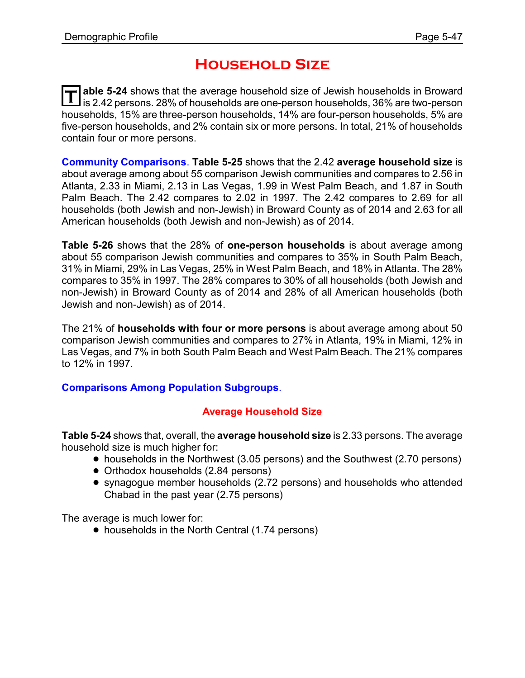# **Household Size**

**T able 5-24** shows that the average household size of Jewish households in Broward is 2.42 persons. 28% of households are one-person households, 36% are two-person households, 15% are three-person households, 14% are four-person households, 5% are five-person households, and 2% contain six or more persons. In total, 21% of households contain four or more persons.

**Community Comparisons**. **Table 5-25** shows that the 2.42 **average household size** is about average among about 55 comparison Jewish communities and compares to 2.56 in Atlanta, 2.33 in Miami, 2.13 in Las Vegas, 1.99 in West Palm Beach, and 1.87 in South Palm Beach. The 2.42 compares to 2.02 in 1997. The 2.42 compares to 2.69 for all households (both Jewish and non-Jewish) in Broward County as of 2014 and 2.63 for all American households (both Jewish and non-Jewish) as of 2014.

**Table 5-26** shows that the 28% of **one-person households** is about average among about 55 comparison Jewish communities and compares to 35% in South Palm Beach, 31% in Miami, 29% in Las Vegas, 25% in West Palm Beach, and 18% in Atlanta. The 28% compares to 35% in 1997. The 28% compares to 30% of all households (both Jewish and non-Jewish) in Broward County as of 2014 and 28% of all American households (both Jewish and non-Jewish) as of 2014.

The 21% of **households with four or more persons** is about average among about 50 comparison Jewish communities and compares to 27% in Atlanta, 19% in Miami, 12% in Las Vegas, and 7% in both South Palm Beach and West Palm Beach. The 21% compares to 12% in 1997.

## **Comparisons Among Population Subgroups**.

## **Average Household Size**

**Table 5-24** shows that, overall, the **average household size** is 2.33 persons. The average household size is much higher for:

- ! households in the Northwest (3.05 persons) and the Southwest (2.70 persons)
- Orthodox households (2.84 persons)
- ! synagogue member households (2.72 persons) and households who attended Chabad in the past year (2.75 persons)

The average is much lower for:

• households in the North Central (1.74 persons)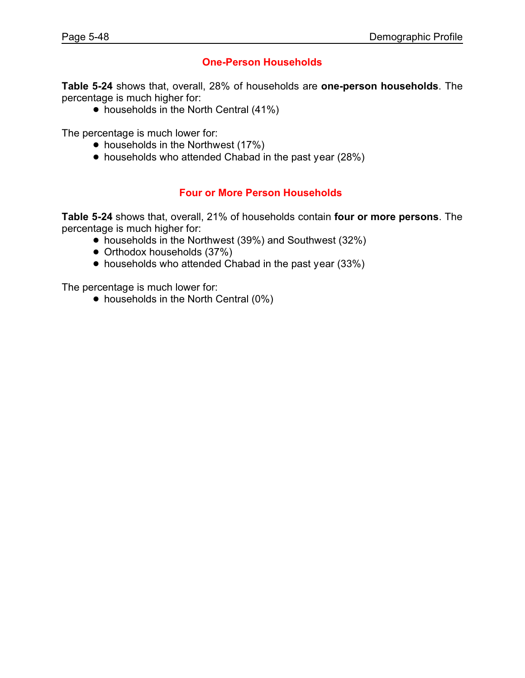## **One-Person Households**

**Table 5-24** shows that, overall, 28% of households are **one-person households**. The percentage is much higher for:

• households in the North Central (41%)

The percentage is much lower for:

- households in the Northwest (17%)
- households who attended Chabad in the past year (28%)

## **Four or More Person Households**

**Table 5-24** shows that, overall, 21% of households contain **four or more persons**. The percentage is much higher for:

- ! households in the Northwest (39%) and Southwest (32%)
- Orthodox households (37%)
- households who attended Chabad in the past year (33%)

The percentage is much lower for:

• households in the North Central (0%)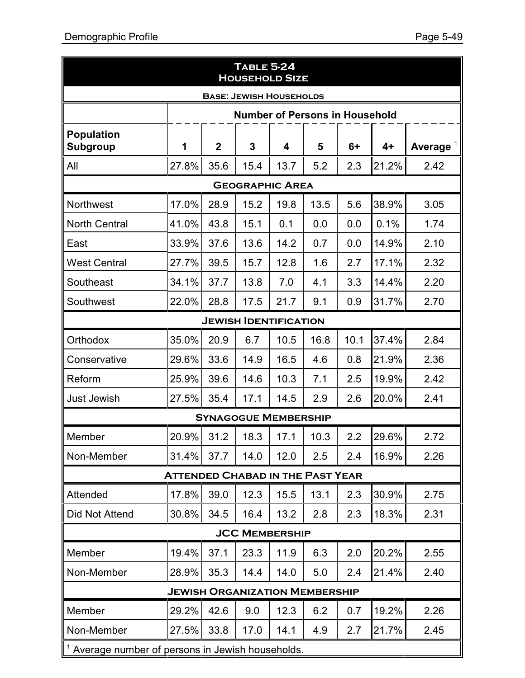|                                                              |                                         |                | <b>TABLE 5-24</b><br><b>HOUSEHOLD SIZE</b> |      |                                       |      |       |             |
|--------------------------------------------------------------|-----------------------------------------|----------------|--------------------------------------------|------|---------------------------------------|------|-------|-------------|
|                                                              |                                         |                | <b>BASE: JEWISH HOUSEHOLDS</b>             |      |                                       |      |       |             |
|                                                              |                                         |                |                                            |      | <b>Number of Persons in Household</b> |      |       |             |
| <b>Population</b><br><b>Subgroup</b>                         | 1                                       | $\overline{2}$ | $\overline{3}$                             | 4    | 5                                     | $6+$ | $4+$  | Average $1$ |
| All                                                          | 27.8%                                   | 35.6           | 15.4                                       | 13.7 | 5.2                                   | 2.3  | 21.2% | 2.42        |
| <b>GEOGRAPHIC AREA</b>                                       |                                         |                |                                            |      |                                       |      |       |             |
| <b>Northwest</b>                                             | 17.0%                                   | 28.9           | 15.2                                       | 19.8 | 13.5                                  | 5.6  | 38.9% | 3.05        |
| <b>North Central</b>                                         | 41.0%                                   | 43.8           | 15.1                                       | 0.1  | 0.0                                   | 0.0  | 0.1%  | 1.74        |
| East                                                         | 33.9%                                   | 37.6           | 13.6                                       | 14.2 | 0.7                                   | 0.0  | 14.9% | 2.10        |
| <b>West Central</b>                                          | 27.7%                                   | 39.5           | 15.7                                       | 12.8 | 1.6                                   | 2.7  | 17.1% | 2.32        |
| Southeast                                                    | 34.1%                                   | 37.7           | 13.8                                       | 7.0  | 4.1                                   | 3.3  | 14.4% | 2.20        |
| Southwest                                                    | 22.0%                                   | 28.8           | 17.5                                       | 21.7 | 9.1                                   | 0.9  | 31.7% | 2.70        |
|                                                              |                                         |                | <b>JEWISH IDENTIFICATION</b>               |      |                                       |      |       |             |
| Orthodox                                                     | 35.0%                                   | 20.9           | 6.7                                        | 10.5 | 16.8                                  | 10.1 | 37.4% | 2.84        |
| Conservative                                                 | 29.6%                                   | 33.6           | 14.9                                       | 16.5 | 4.6                                   | 0.8  | 21.9% | 2.36        |
| Reform                                                       | 25.9%                                   | 39.6           | 14.6                                       | 10.3 | 7.1                                   | 2.5  | 19.9% | 2.42        |
| <b>Just Jewish</b>                                           | 27.5%                                   | 35.4           | 17.1                                       | 14.5 | 2.9                                   | 2.6  | 20.0% | 2.41        |
|                                                              |                                         |                | <b>SYNAGOGUE MEMBERSHIP</b>                |      |                                       |      |       |             |
| Member                                                       | 20.9%                                   | 31.2           | 18.3                                       | 17.1 | 10.3                                  | 2.2  | 29.6% | 2.72        |
| Non-Member                                                   | 31.4%                                   | 37.7           | 14.0                                       | 12.0 | 2.5                                   | 2.4  | 16.9% | 2.26        |
|                                                              | <b>ATTENDED CHABAD IN THE PAST YEAR</b> |                |                                            |      |                                       |      |       |             |
| Attended                                                     | 17.8%                                   | 39.0           | 12.3                                       | 15.5 | 13.1                                  | 2.3  | 30.9% | 2.75        |
| <b>Did Not Attend</b>                                        | 30.8%                                   | 34.5           | 16.4                                       | 13.2 | 2.8                                   | 2.3  | 18.3% | 2.31        |
|                                                              |                                         |                | <b>JCC MEMBERSHIP</b>                      |      |                                       |      |       |             |
| Member                                                       | 19.4%                                   | 37.1           | 23.3                                       | 11.9 | 6.3                                   | 2.0  | 20.2% | 2.55        |
| Non-Member                                                   | 28.9%                                   | 35.3           | 14.4                                       | 14.0 | 5.0                                   | 2.4  | 21.4% | 2.40        |
|                                                              | <b>JEWISH ORGANIZATION MEMBERSHIP</b>   |                |                                            |      |                                       |      |       |             |
| Member                                                       | 29.2%                                   | 42.6           | 9.0                                        | 12.3 | 6.2                                   | 0.7  | 19.2% | 2.26        |
| Non-Member                                                   | 27.5%                                   | 33.8           | 17.0                                       | 14.1 | 4.9                                   | 2.7  | 21.7% | 2.45        |
| <sup>1</sup> Average number of persons in Jewish households. |                                         |                |                                            |      |                                       |      |       |             |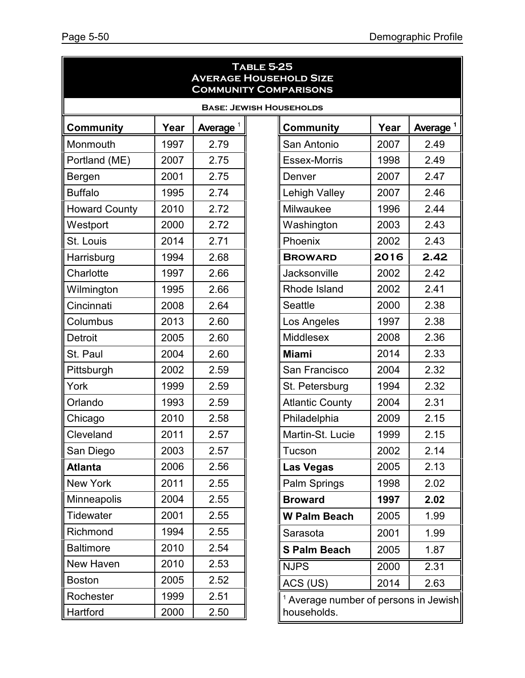|                      | <b>TABLE 5-25</b><br><b>AVERAGE HOUSEHOLD SIZE</b><br><b>COMMUNITY COMPARISONS</b> |                      |  |                                                  |      |                      |  |  |
|----------------------|------------------------------------------------------------------------------------|----------------------|--|--------------------------------------------------|------|----------------------|--|--|
|                      |                                                                                    |                      |  | <b>BASE: JEWISH HOUSEHOLDS</b>                   |      |                      |  |  |
| <b>Community</b>     | Year                                                                               | Average <sup>1</sup> |  | <b>Community</b>                                 | Year | Average <sup>1</sup> |  |  |
| Monmouth             | 1997                                                                               | 2.79                 |  | San Antonio                                      | 2007 | 2.49                 |  |  |
| Portland (ME)        | 2007                                                                               | 2.75                 |  | <b>Essex-Morris</b>                              | 1998 | 2.49                 |  |  |
| Bergen               | 2001                                                                               | 2.75                 |  | Denver                                           | 2007 | 2.47                 |  |  |
| <b>Buffalo</b>       | 1995                                                                               | 2.74                 |  | <b>Lehigh Valley</b>                             | 2007 | 2.46                 |  |  |
| <b>Howard County</b> | 2010                                                                               | 2.72                 |  | Milwaukee                                        | 1996 | 2.44                 |  |  |
| Westport             | 2000                                                                               | 2.72                 |  | Washington                                       | 2003 | 2.43                 |  |  |
| St. Louis            | 2014                                                                               | 2.71                 |  | Phoenix                                          | 2002 | 2.43                 |  |  |
| Harrisburg           | 1994                                                                               | 2.68                 |  | <b>BROWARD</b>                                   | 2016 | 2.42                 |  |  |
| Charlotte            | 1997                                                                               | 2.66                 |  | Jacksonville                                     | 2002 | 2.42                 |  |  |
| Wilmington           | 1995                                                                               | 2.66                 |  | Rhode Island                                     | 2002 | 2.41                 |  |  |
| Cincinnati           | 2008                                                                               | 2.64                 |  | <b>Seattle</b>                                   | 2000 | 2.38                 |  |  |
| Columbus             | 2013                                                                               | 2.60                 |  | Los Angeles                                      | 1997 | 2.38                 |  |  |
| <b>Detroit</b>       | 2005                                                                               | 2.60                 |  | <b>Middlesex</b>                                 | 2008 | 2.36                 |  |  |
| St. Paul             | 2004                                                                               | 2.60                 |  | <b>Miami</b>                                     | 2014 | 2.33                 |  |  |
| Pittsburgh           | 2002                                                                               | 2.59                 |  | San Francisco                                    | 2004 | 2.32                 |  |  |
| York                 | 1999                                                                               | 2.59                 |  | St. Petersburg                                   | 1994 | 2.32                 |  |  |
| Orlando              | 1993                                                                               | 2.59                 |  | <b>Atlantic County</b>                           | 2004 | 2.31                 |  |  |
| Chicago              | 2010                                                                               | 2.58                 |  | Philadelphia                                     | 2009 | 2.15                 |  |  |
| Cleveland            | 2011                                                                               | 2.57                 |  | Martin-St. Lucie                                 | 1999 | 2.15                 |  |  |
| San Diego            | 2003                                                                               | 2.57                 |  | Tucson                                           | 2002 | 2.14                 |  |  |
| <b>Atlanta</b>       | 2006                                                                               | 2.56                 |  | <b>Las Vegas</b>                                 | 2005 | 2.13                 |  |  |
| New York             | 2011                                                                               | 2.55                 |  | Palm Springs                                     | 1998 | 2.02                 |  |  |
| <b>Minneapolis</b>   | 2004                                                                               | 2.55                 |  | <b>Broward</b>                                   | 1997 | 2.02                 |  |  |
| Tidewater            | 2001                                                                               | 2.55                 |  | <b>W Palm Beach</b>                              | 2005 | 1.99                 |  |  |
| Richmond             | 1994                                                                               | 2.55                 |  | Sarasota                                         | 2001 | 1.99                 |  |  |
| <b>Baltimore</b>     | 2010                                                                               | 2.54                 |  | <b>S Palm Beach</b>                              | 2005 | 1.87                 |  |  |
| New Haven            | 2010                                                                               | 2.53                 |  | <b>NJPS</b>                                      | 2000 | 2.31                 |  |  |
| <b>Boston</b>        | 2005                                                                               | 2.52                 |  | ACS (US)                                         | 2014 | 2.63                 |  |  |
| Rochester            | 1999                                                                               | 2.51                 |  | <sup>1</sup> Average number of persons in Jewish |      |                      |  |  |
| Hartford             | 2000                                                                               | 2.50                 |  | households.                                      |      |                      |  |  |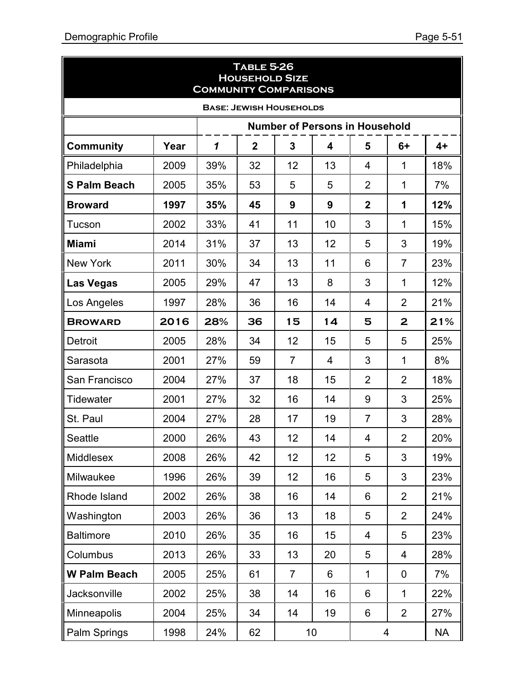5

|                     |      | <b>COMMUNITY COMPARISONS</b> | <b>TABLE 5-26</b><br><b>HOUSEHOLD SIZE</b> |                                |                                       |                |                |           |
|---------------------|------|------------------------------|--------------------------------------------|--------------------------------|---------------------------------------|----------------|----------------|-----------|
|                     |      |                              |                                            | <b>BASE: JEWISH HOUSEHOLDS</b> |                                       |                |                |           |
|                     |      |                              |                                            |                                | <b>Number of Persons in Household</b> |                |                |           |
| <b>Community</b>    | Year | $\mathbf 1$                  | $\overline{\mathbf{2}}$                    | $\overline{3}$                 | 4                                     | 5              | $6+$           | $4+$      |
| Philadelphia        | 2009 | 39%                          | 32                                         | 12                             | 13                                    | 4              | 1              | 18%       |
| <b>S Palm Beach</b> | 2005 | 35%                          | 53                                         | 5                              | 5                                     | $\overline{2}$ | 1              | 7%        |
| <b>Broward</b>      | 1997 | 35%                          | 45                                         | 9                              | 9                                     | $\overline{2}$ | 1              | 12%       |
| Tucson              | 2002 | 33%                          | 41                                         | 11                             | 10                                    | 3              | 1              | 15%       |
| <b>Miami</b>        | 2014 | 31%                          | 37                                         | 13                             | 12                                    | 5              | 3              | 19%       |
| <b>New York</b>     | 2011 | 30%                          | 34                                         | 13                             | 11                                    | 6              | $\overline{7}$ | 23%       |
| <b>Las Vegas</b>    | 2005 | 29%                          | 47                                         | 13                             | 8                                     | 3              | 1              | 12%       |
| Los Angeles         | 1997 | 28%                          | 36                                         | 16                             | 14                                    | 4              | $\overline{2}$ | 21%       |
| <b>BROWARD</b>      | 2016 | 28%                          | 36                                         | 15                             | 14                                    | 5              | $\mathbf{2}$   | 21%       |
| Detroit             | 2005 | 28%                          | 34                                         | 12                             | 15                                    | 5              | 5              | 25%       |
| Sarasota            | 2001 | 27%                          | 59                                         | $\overline{7}$                 | $\overline{4}$                        | 3              | 1              | 8%        |
| San Francisco       | 2004 | 27%                          | 37                                         | 18                             | 15                                    | $\overline{2}$ | 2              | 18%       |
| <b>Tidewater</b>    | 2001 | 27%                          | 32                                         | 16                             | 14                                    | 9              | 3              | 25%       |
| St. Paul            | 2004 | 27%                          | 28                                         | 17                             | 19                                    | $\overline{7}$ | 3              | 28%       |
| <b>Seattle</b>      | 2000 | 26%                          | 43                                         | 12                             | 14                                    | 4              | $\overline{2}$ | 20%       |
| Middlesex           | 2008 | 26%                          | 42                                         | 12                             | 12                                    | 5              | 3              | 19%       |
| Milwaukee           | 1996 | 26%                          | 39                                         | 12                             | 16                                    | 5              | 3              | 23%       |
| Rhode Island        | 2002 | 26%                          | 38                                         | 16                             | 14                                    | 6              | $\overline{2}$ | 21%       |
| Washington          | 2003 | 26%                          | 36                                         | 13                             | 18                                    | 5              | $\overline{2}$ | 24%       |
| <b>Baltimore</b>    | 2010 | 26%                          | 35                                         | 16                             | 15                                    | 4              | 5              | 23%       |
| Columbus            | 2013 | 26%                          | 33                                         | 13                             | 20                                    | 5              | 4              | 28%       |
| <b>W Palm Beach</b> | 2005 | 25%                          | 61                                         | $\overline{7}$                 | 6                                     | $\mathbf{1}$   | $\mathbf 0$    | 7%        |
| Jacksonville        | 2002 | 25%                          | 38                                         | 14                             | 16                                    | 6              | 1              | 22%       |
| Minneapolis         | 2004 | 25%                          | 34                                         | 14                             | 19                                    | 6              | $\overline{2}$ | 27%       |
| Palm Springs        | 1998 | 24%                          | 62                                         | 10                             |                                       | 4              |                | <b>NA</b> |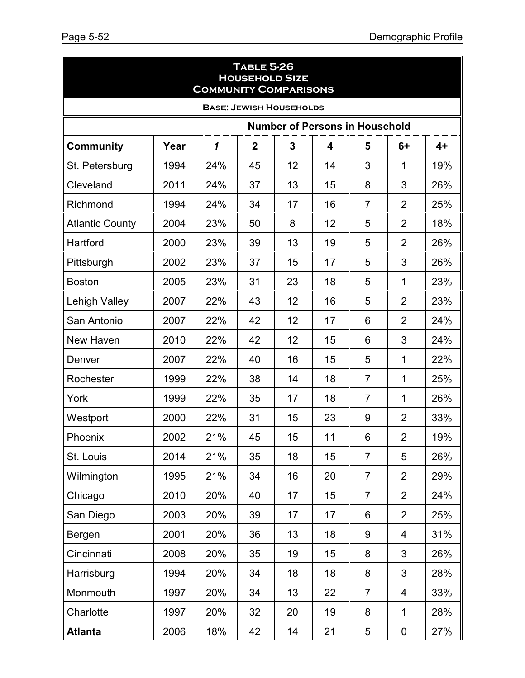|                        |      | <b>COMMUNITY COMPARISONS</b> | <b>TABLE 5-26</b><br><b>HOUSEHOLD SIZE</b> |                                       |    |                |                  |      |
|------------------------|------|------------------------------|--------------------------------------------|---------------------------------------|----|----------------|------------------|------|
|                        |      |                              | <b>BASE: JEWISH HOUSEHOLDS</b>             |                                       |    |                |                  |      |
|                        |      |                              |                                            | <b>Number of Persons in Household</b> |    |                |                  |      |
| <b>Community</b>       | Year | 1                            | $\overline{2}$                             | 3                                     | 4  | 5              | $6+$             | $4+$ |
| St. Petersburg         | 1994 | 24%                          | 45                                         | 12                                    | 14 | 3              | 1                | 19%  |
| Cleveland              | 2011 | 24%                          | 37                                         | 13                                    | 15 | 8              | 3                | 26%  |
| Richmond               | 1994 | 24%                          | 34                                         | 17                                    | 16 | $\overline{7}$ | $\overline{2}$   | 25%  |
| <b>Atlantic County</b> | 2004 | 23%                          | 50                                         | 8                                     | 12 | 5              | $\overline{2}$   | 18%  |
| Hartford               | 2000 | 23%                          | 39                                         | 13                                    | 19 | 5              | $\overline{2}$   | 26%  |
| Pittsburgh             | 2002 | 23%                          | 37                                         | 15                                    | 17 | 5              | 3                | 26%  |
| <b>Boston</b>          | 2005 | 23%                          | 31                                         | 23                                    | 18 | 5              | 1                | 23%  |
| Lehigh Valley          | 2007 | 22%                          | 43                                         | 12                                    | 16 | 5              | $\overline{2}$   | 23%  |
| San Antonio            | 2007 | 22%                          | 42                                         | 12                                    | 17 | 6              | 2                | 24%  |
| New Haven              | 2010 | 22%                          | 42                                         | 12                                    | 15 | 6              | 3                | 24%  |
| Denver                 | 2007 | 22%                          | 40                                         | 16                                    | 15 | 5              | 1                | 22%  |
| Rochester              | 1999 | 22%                          | 38                                         | 14                                    | 18 | $\overline{7}$ | $\mathbf 1$      | 25%  |
| York                   | 1999 | 22%                          | 35                                         | 17                                    | 18 | $\overline{7}$ | 1                | 26%  |
| Westport               | 2000 | 22%                          | 31                                         | 15                                    | 23 | 9              | $\overline{2}$   | 33%  |
| Phoenix                | 2002 | 21%                          | 45                                         | 15                                    | 11 | 6              | $\overline{2}$   | 19%  |
| St. Louis              | 2014 | 21%                          | 35                                         | 18                                    | 15 | $\overline{7}$ | 5                | 26%  |
| Wilmington             | 1995 | 21%                          | 34                                         | 16                                    | 20 | $\overline{7}$ | $\overline{2}$   | 29%  |
| Chicago                | 2010 | 20%                          | 40                                         | 17                                    | 15 | $\overline{7}$ | $\overline{2}$   | 24%  |
| San Diego              | 2003 | 20%                          | 39                                         | 17                                    | 17 | 6              | $\overline{2}$   | 25%  |
| Bergen                 | 2001 | 20%                          | 36                                         | 13                                    | 18 | 9              | $\overline{4}$   | 31%  |
| Cincinnati             | 2008 | 20%                          | 35                                         | 19                                    | 15 | 8              | 3                | 26%  |
| Harrisburg             | 1994 | 20%                          | 34                                         | 18                                    | 18 | 8              | 3                | 28%  |
| Monmouth               | 1997 | 20%                          | 34                                         | 13                                    | 22 | $\overline{7}$ | 4                | 33%  |
| Charlotte              | 1997 | 20%                          | 32                                         | 20                                    | 19 | 8              | $\mathbf 1$      | 28%  |
| <b>Atlanta</b>         | 2006 | 18%                          | 42                                         | 14                                    | 21 | 5              | $\boldsymbol{0}$ | 27%  |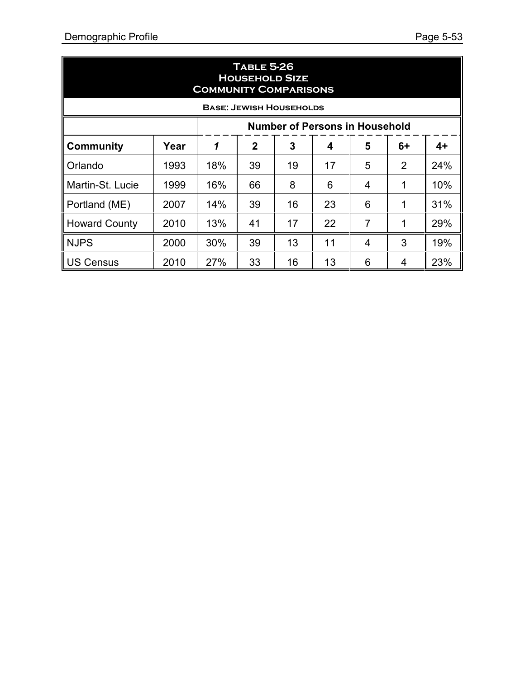| <b>TABLE 5-26</b><br><b>HOUSEHOLD SIZE</b><br><b>COMMUNITY COMPARISONS</b> |      |                                        |             |                                |                                       |   |      |      |  |  |
|----------------------------------------------------------------------------|------|----------------------------------------|-------------|--------------------------------|---------------------------------------|---|------|------|--|--|
|                                                                            |      |                                        |             | <b>BASE: JEWISH HOUSEHOLDS</b> |                                       |   |      |      |  |  |
|                                                                            |      |                                        |             |                                | <b>Number of Persons in Household</b> |   |      |      |  |  |
| <b>Community</b>                                                           | Year | 1                                      | $\mathbf 2$ | 3                              | 4                                     | 5 | $6+$ | $4+$ |  |  |
| Orlando                                                                    | 1993 | 18%                                    | 39          | 19                             | 17                                    | 5 | 2    | 24%  |  |  |
| Martin-St. Lucie                                                           | 1999 | 16%                                    | 66          | 8                              | 6                                     | 4 |      | 10%  |  |  |
| Portland (ME)                                                              | 2007 | 14%                                    | 39          | 16                             | 23                                    | 6 | 1    | 31%  |  |  |
| <b>Howard County</b>                                                       | 2010 | 13%                                    | 41          | 17                             | 22                                    | 7 |      | 29%  |  |  |
| <b>NJPS</b>                                                                | 2000 | 3<br>19%<br>30%<br>39<br>13<br>11<br>4 |             |                                |                                       |   |      |      |  |  |
| <b>IUS Census</b>                                                          | 2010 | 27%                                    | 33          | 16                             | 13                                    | 6 | 4    | 23%  |  |  |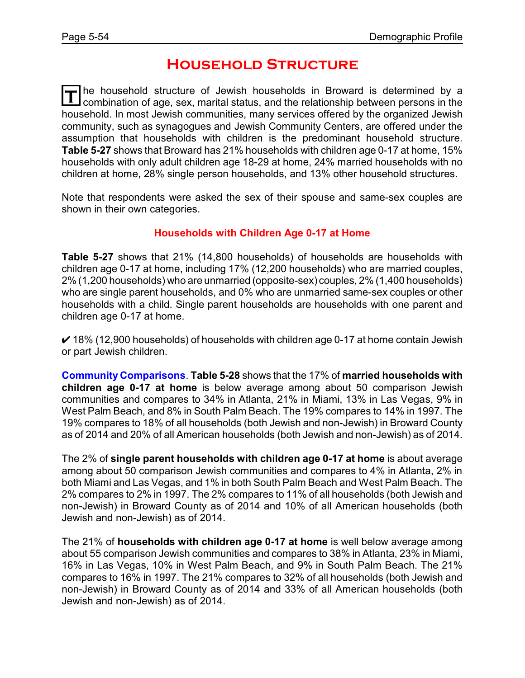## **Household Structure**

**T** he household structure of Jewish households in Broward is determined by a combination of age, sex, marital status, and the relationship between persons in the household. In most Jewish communities, many services offered by the organized Jewish community, such as synagogues and Jewish Community Centers, are offered under the assumption that households with children is the predominant household structure. **Table 5-27** shows that Broward has 21% households with children age 0-17 at home, 15% households with only adult children age 18-29 at home, 24% married households with no children at home, 28% single person households, and 13% other household structures.

Note that respondents were asked the sex of their spouse and same-sex couples are shown in their own categories.

## **Households with Children Age 0-17 at Home**

**Table 5-27** shows that 21% (14,800 households) of households are households with children age 0-17 at home, including 17% (12,200 households) who are married couples, 2% (1,200 households) who are unmarried (opposite-sex) couples, 2% (1,400 households) who are single parent households, and 0% who are unmarried same-sex couples or other households with a child. Single parent households are households with one parent and children age 0-17 at home.

 $\checkmark$  18% (12,900 households) of households with children age 0-17 at home contain Jewish or part Jewish children.

**Community Comparisons**. **Table 5-28** shows that the 17% of **married households with children age 0-17 at home** is below average among about 50 comparison Jewish communities and compares to 34% in Atlanta, 21% in Miami, 13% in Las Vegas, 9% in West Palm Beach, and 8% in South Palm Beach. The 19% compares to 14% in 1997. The 19% compares to 18% of all households (both Jewish and non-Jewish) in Broward County as of 2014 and 20% of all American households (both Jewish and non-Jewish) as of 2014.

The 2% of **single parent households with children age 0-17 at home** is about average among about 50 comparison Jewish communities and compares to 4% in Atlanta, 2% in both Miami and Las Vegas, and 1% in both South Palm Beach and West Palm Beach. The 2% compares to 2% in 1997. The 2% compares to 11% of all households (both Jewish and non-Jewish) in Broward County as of 2014 and 10% of all American households (both Jewish and non-Jewish) as of 2014.

The 21% of **households with children age 0-17 at home** is well below average among about 55 comparison Jewish communities and compares to 38% in Atlanta, 23% in Miami, 16% in Las Vegas, 10% in West Palm Beach, and 9% in South Palm Beach. The 21% compares to 16% in 1997. The 21% compares to 32% of all households (both Jewish and non-Jewish) in Broward County as of 2014 and 33% of all American households (both Jewish and non-Jewish) as of 2014.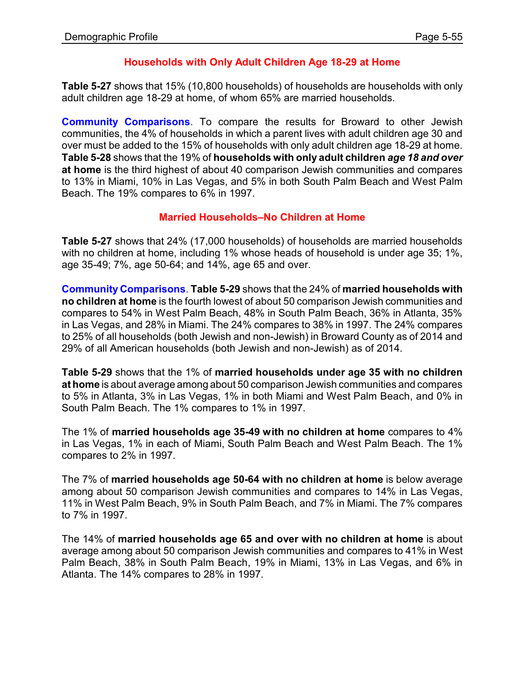## **Households with Only Adult Children Age 18-29 at Home**

**Table 5-27** shows that 15% (10,800 households) of households are households with only adult children age 18-29 at home, of whom 65% are married households.

**Community Comparisons**. To compare the results for Broward to other Jewish communities, the 4% of households in which a parent lives with adult children age 30 and over must be added to the 15% of households with only adult children age 18-29 at home. **Table 5-28** shows that the 19% of **households with only adult children** *age 18 and over* **at home** is the third highest of about 40 comparison Jewish communities and compares to 13% in Miami, 10% in Las Vegas, and 5% in both South Palm Beach and West Palm Beach. The 19% compares to 6% in 1997.

### **Married Households–No Children at Home**

**Table 5-27** shows that 24% (17,000 households) of households are married households with no children at home, including 1% whose heads of household is under age 35; 1%, age 35-49; 7%, age 50-64; and 14%, age 65 and over.

**Community Comparisons**. **Table 5-29** shows that the 24% of **married households with no children at home** is the fourth lowest of about 50 comparison Jewish communities and compares to 54% in West Palm Beach, 48% in South Palm Beach, 36% in Atlanta, 35% in Las Vegas, and 28% in Miami. The 24% compares to 38% in 1997. The 24% compares to 25% of all households (both Jewish and non-Jewish) in Broward County as of 2014 and 29% of all American households (both Jewish and non-Jewish) as of 2014.

**Table 5-29** shows that the 1% of **married households under age 35 with no children at home** is about average among about 50 comparison Jewish communities and compares to 5% in Atlanta, 3% in Las Vegas, 1% in both Miami and West Palm Beach, and 0% in South Palm Beach. The 1% compares to 1% in 1997.

The 1% of **married households age 35-49 with no children at home** compares to 4% in Las Vegas, 1% in each of Miami, South Palm Beach and West Palm Beach. The 1% compares to 2% in 1997.

The 7% of **married households age 50-64 with no children at home** is below average among about 50 comparison Jewish communities and compares to 14% in Las Vegas, 11% in West Palm Beach, 9% in South Palm Beach, and 7% in Miami. The 7% compares to 7% in 1997.

The 14% of **married households age 65 and over with no children at home** is about average among about 50 comparison Jewish communities and compares to 41% in West Palm Beach, 38% in South Palm Beach, 19% in Miami, 13% in Las Vegas, and 6% in Atlanta. The 14% compares to 28% in 1997.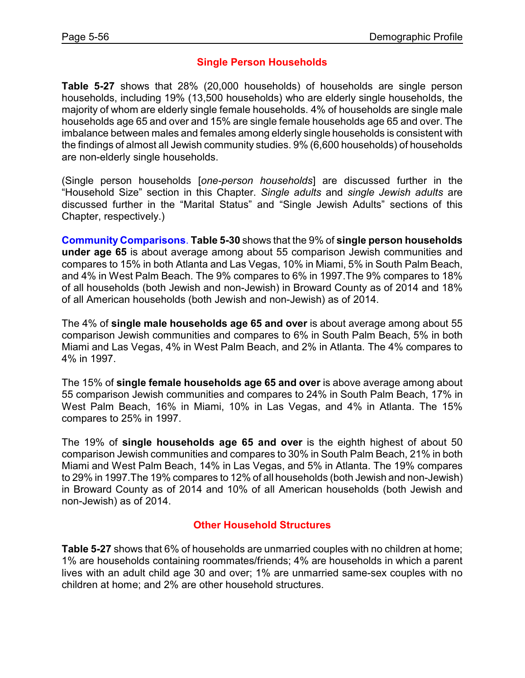### **Single Person Households**

**Table 5-27** shows that 28% (20,000 households) of households are single person households, including 19% (13,500 households) who are elderly single households, the majority of whom are elderly single female households. 4% of households are single male households age 65 and over and 15% are single female households age 65 and over. The imbalance between males and females among elderly single households is consistent with the findings of almost all Jewish community studies. 9% (6,600 households) of households are non-elderly single households.

(Single person households [*one-person households*] are discussed further in the "Household Size" section in this Chapter. *Single adults* and *single Jewish adults* are discussed further in the "Marital Status" and "Single Jewish Adults" sections of this Chapter, respectively.)

**Community Comparisons**. **Table 5-30** shows that the 9% of **single person households under age 65** is about average among about 55 comparison Jewish communities and compares to 15% in both Atlanta and Las Vegas, 10% in Miami, 5% in South Palm Beach, and 4% in West Palm Beach. The 9% compares to 6% in 1997.The 9% compares to 18% of all households (both Jewish and non-Jewish) in Broward County as of 2014 and 18% of all American households (both Jewish and non-Jewish) as of 2014.

The 4% of **single male households age 65 and over** is about average among about 55 comparison Jewish communities and compares to 6% in South Palm Beach, 5% in both Miami and Las Vegas, 4% in West Palm Beach, and 2% in Atlanta. The 4% compares to 4% in 1997.

The 15% of **single female households age 65 and over** is above average among about 55 comparison Jewish communities and compares to 24% in South Palm Beach, 17% in West Palm Beach, 16% in Miami, 10% in Las Vegas, and 4% in Atlanta. The 15% compares to 25% in 1997.

The 19% of **single households age 65 and over** is the eighth highest of about 50 comparison Jewish communities and compares to 30% in South Palm Beach, 21% in both Miami and West Palm Beach, 14% in Las Vegas, and 5% in Atlanta. The 19% compares to 29% in 1997.The 19% compares to 12% of all households (both Jewish and non-Jewish) in Broward County as of 2014 and 10% of all American households (both Jewish and non-Jewish) as of 2014.

#### **Other Household Structures**

**Table 5-27** shows that 6% of households are unmarried couples with no children at home; 1% are households containing roommates/friends; 4% are households in which a parent lives with an adult child age 30 and over; 1% are unmarried same-sex couples with no children at home; and 2% are other household structures.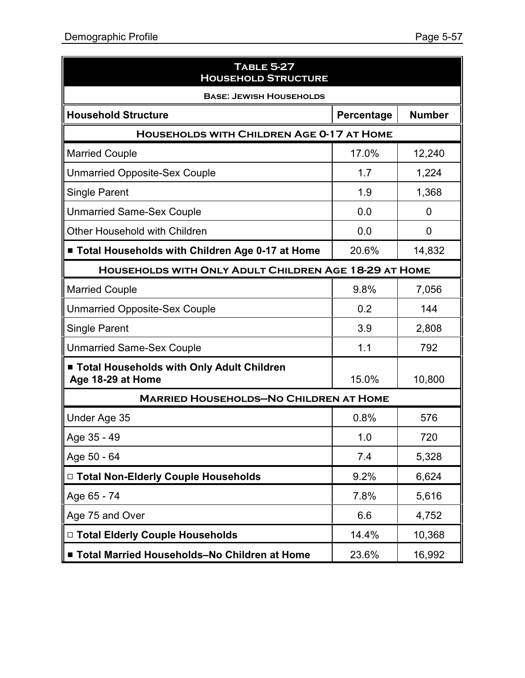| <b>TABLE 5-27</b><br><b>HOUSEHOLD STRUCTURE</b>                  |            |               |  |  |  |  |  |  |
|------------------------------------------------------------------|------------|---------------|--|--|--|--|--|--|
| <b>BASE: JEWISH HOUSEHOLDS</b>                                   |            |               |  |  |  |  |  |  |
| <b>Household Structure</b>                                       | Percentage | <b>Number</b> |  |  |  |  |  |  |
| <b>HOUSEHOLDS WITH CHILDREN AGE 0-17 AT HOME</b>                 |            |               |  |  |  |  |  |  |
| <b>Married Couple</b>                                            | 17.0%      | 12,240        |  |  |  |  |  |  |
| <b>Unmarried Opposite-Sex Couple</b>                             | 1.7        | 1,224         |  |  |  |  |  |  |
| <b>Single Parent</b>                                             | 1.9        | 1,368         |  |  |  |  |  |  |
| <b>Unmarried Same-Sex Couple</b>                                 | 0.0        | 0             |  |  |  |  |  |  |
| Other Household with Children                                    | 0.0        | 0             |  |  |  |  |  |  |
| ■ Total Households with Children Age 0-17 at Home                | 20.6%      | 14,832        |  |  |  |  |  |  |
| <b>HOUSEHOLDS WITH ONLY ADULT CHILDREN AGE 18-29 AT HOME</b>     |            |               |  |  |  |  |  |  |
| <b>Married Couple</b>                                            | 9.8%       | 7,056         |  |  |  |  |  |  |
| <b>Unmarried Opposite-Sex Couple</b>                             | 0.2        | 144           |  |  |  |  |  |  |
| <b>Single Parent</b>                                             | 3.9        | 2,808         |  |  |  |  |  |  |
| <b>Unmarried Same-Sex Couple</b>                                 | 1.1        | 792           |  |  |  |  |  |  |
| ■ Total Households with Only Adult Children<br>Age 18-29 at Home | 15.0%      | 10,800        |  |  |  |  |  |  |
| <b>MARRIED HOUSEHOLDS-NO CHILDREN AT HOME</b>                    |            |               |  |  |  |  |  |  |
| Under Age 35                                                     | 0.8%       | 576           |  |  |  |  |  |  |
| Age 35 - 49                                                      | 1.0        | 720           |  |  |  |  |  |  |
| Age 50 - 64                                                      | 7.4        | 5,328         |  |  |  |  |  |  |
| □ Total Non-Elderly Couple Households                            | 9.2%       | 6,624         |  |  |  |  |  |  |
| Age 65 - 74                                                      | 7.8%       | 5,616         |  |  |  |  |  |  |
| Age 75 and Over                                                  | 6.6        | 4,752         |  |  |  |  |  |  |
| □ Total Elderly Couple Households                                | 14.4%      | 10,368        |  |  |  |  |  |  |
| ■ Total Married Households-No Children at Home                   | 23.6%      | 16,992        |  |  |  |  |  |  |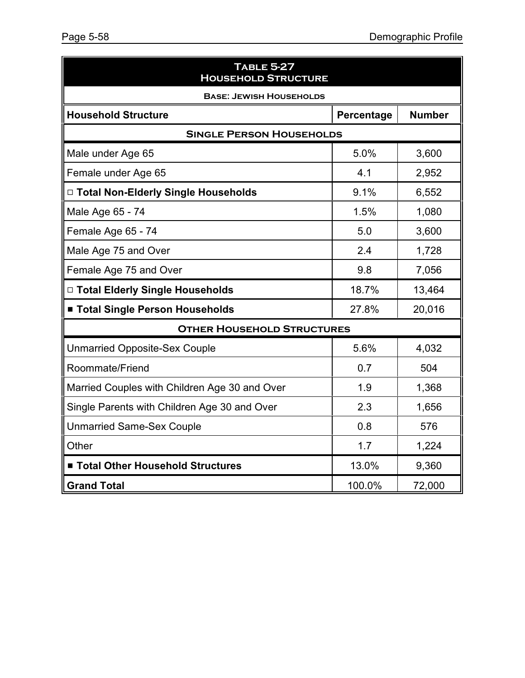| <b>TABLE 5-27</b><br><b>HOUSEHOLD STRUCTURE</b>           |        |        |  |  |  |  |  |  |
|-----------------------------------------------------------|--------|--------|--|--|--|--|--|--|
| <b>BASE: JEWISH HOUSEHOLDS</b>                            |        |        |  |  |  |  |  |  |
| <b>Number</b><br><b>Household Structure</b><br>Percentage |        |        |  |  |  |  |  |  |
| <b>SINGLE PERSON HOUSEHOLDS</b>                           |        |        |  |  |  |  |  |  |
| Male under Age 65                                         | 5.0%   | 3,600  |  |  |  |  |  |  |
| Female under Age 65                                       | 4.1    | 2,952  |  |  |  |  |  |  |
| □ Total Non-Elderly Single Households                     | 9.1%   | 6,552  |  |  |  |  |  |  |
| Male Age 65 - 74                                          | 1.5%   | 1,080  |  |  |  |  |  |  |
| Female Age 65 - 74                                        | 5.0    | 3,600  |  |  |  |  |  |  |
| Male Age 75 and Over                                      | 2.4    | 1,728  |  |  |  |  |  |  |
| Female Age 75 and Over                                    | 9.8    | 7,056  |  |  |  |  |  |  |
| □ Total Elderly Single Households                         | 18.7%  | 13,464 |  |  |  |  |  |  |
| ■ Total Single Person Households                          | 27.8%  | 20,016 |  |  |  |  |  |  |
| <b>OTHER HOUSEHOLD STRUCTURES</b>                         |        |        |  |  |  |  |  |  |
| <b>Unmarried Opposite-Sex Couple</b>                      | 5.6%   | 4,032  |  |  |  |  |  |  |
| Roommate/Friend                                           | 0.7    | 504    |  |  |  |  |  |  |
| Married Couples with Children Age 30 and Over             | 1.9    | 1,368  |  |  |  |  |  |  |
| Single Parents with Children Age 30 and Over              | 2.3    | 1,656  |  |  |  |  |  |  |
| <b>Unmarried Same-Sex Couple</b>                          | 0.8    | 576    |  |  |  |  |  |  |
| Other                                                     | 1.7    | 1,224  |  |  |  |  |  |  |
| ■ Total Other Household Structures                        | 13.0%  | 9,360  |  |  |  |  |  |  |
| <b>Grand Total</b>                                        | 100.0% | 72,000 |  |  |  |  |  |  |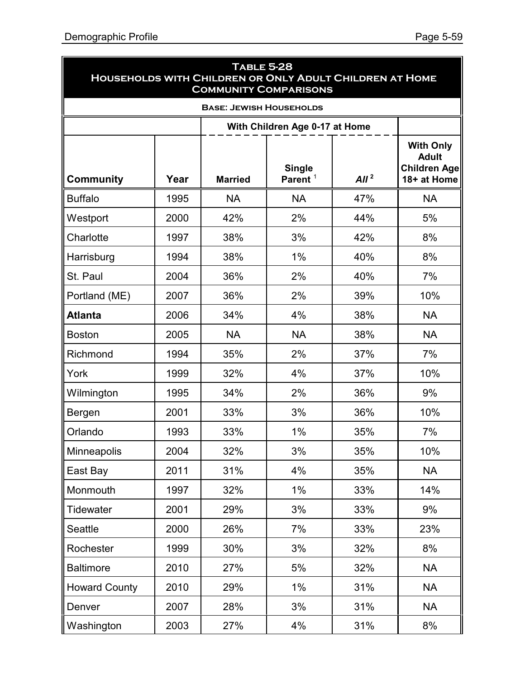| <b>TABLE 5-28</b><br>HOUSEHOLDS WITH CHILDREN OR ONLY ADULT CHILDREN AT HOME<br><b>COMMUNITY COMPARISONS</b> |      |                |                                      |                  |                                                                        |  |  |  |  |
|--------------------------------------------------------------------------------------------------------------|------|----------------|--------------------------------------|------------------|------------------------------------------------------------------------|--|--|--|--|
| <b>BASE: JEWISH HOUSEHOLDS</b>                                                                               |      |                |                                      |                  |                                                                        |  |  |  |  |
| With Children Age 0-17 at Home                                                                               |      |                |                                      |                  |                                                                        |  |  |  |  |
| <b>Community</b>                                                                                             | Year | <b>Married</b> | <b>Single</b><br>Parent <sup>1</sup> | All <sup>2</sup> | <b>With Only</b><br><b>Adult</b><br><b>Children Age</b><br>18+ at Home |  |  |  |  |
| <b>Buffalo</b>                                                                                               | 1995 | <b>NA</b>      | <b>NA</b>                            | 47%              | <b>NA</b>                                                              |  |  |  |  |
| Westport                                                                                                     | 2000 | 42%            | 2%                                   | 44%              | 5%                                                                     |  |  |  |  |
| Charlotte                                                                                                    | 1997 | 38%            | 3%                                   | 42%              | 8%                                                                     |  |  |  |  |
| Harrisburg                                                                                                   | 1994 | 38%            | 1%                                   | 40%              | 8%                                                                     |  |  |  |  |
| St. Paul                                                                                                     | 2004 | 36%            | 2%                                   | 40%              | 7%                                                                     |  |  |  |  |
| Portland (ME)                                                                                                | 2007 | 36%            | 2%                                   | 39%              | 10%                                                                    |  |  |  |  |
| <b>Atlanta</b>                                                                                               | 2006 | 34%            | 4%                                   | 38%              | <b>NA</b>                                                              |  |  |  |  |
| <b>Boston</b>                                                                                                | 2005 | <b>NA</b>      | <b>NA</b>                            | 38%              | <b>NA</b>                                                              |  |  |  |  |
| Richmond                                                                                                     | 1994 | 35%            | 2%                                   | 37%              | 7%                                                                     |  |  |  |  |
| York                                                                                                         | 1999 | 32%            | 4%                                   | 37%              | 10%                                                                    |  |  |  |  |
| Wilmington                                                                                                   | 1995 | 34%            | 2%                                   | 36%              | 9%                                                                     |  |  |  |  |
| Bergen                                                                                                       | 2001 | 33%            | 3%                                   | 36%              | 10%                                                                    |  |  |  |  |
| Orlando                                                                                                      | 1993 | 33%            | 1%                                   | 35%              | 7%                                                                     |  |  |  |  |
| Minneapolis                                                                                                  | 2004 | 32%            | 3%                                   | 35%              | 10%                                                                    |  |  |  |  |
| East Bay                                                                                                     | 2011 | 31%            | 4%                                   | 35%              | <b>NA</b>                                                              |  |  |  |  |
| Monmouth                                                                                                     | 1997 | 32%            | 1%                                   | 33%              | 14%                                                                    |  |  |  |  |
| <b>Tidewater</b>                                                                                             | 2001 | 29%            | 3%                                   | 33%              | 9%                                                                     |  |  |  |  |
| Seattle                                                                                                      | 2000 | 26%            | 7%                                   | 33%              | 23%                                                                    |  |  |  |  |
| Rochester                                                                                                    | 1999 | 30%            | 3%                                   | 32%              | 8%                                                                     |  |  |  |  |
| <b>Baltimore</b>                                                                                             | 2010 | 27%            | 5%                                   | 32%              | <b>NA</b>                                                              |  |  |  |  |
| <b>Howard County</b>                                                                                         | 2010 | 29%            | $1\%$                                | 31%              | <b>NA</b>                                                              |  |  |  |  |
| Denver                                                                                                       | 2007 | 28%            | 3%                                   | 31%              | <b>NA</b>                                                              |  |  |  |  |
| Washington                                                                                                   | 2003 | 27%            | 4%                                   | 31%              | 8%                                                                     |  |  |  |  |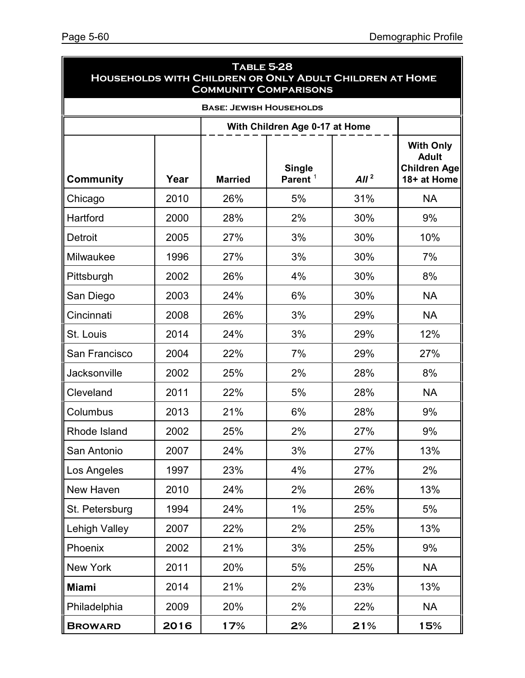| <b>TABLE 5-28</b><br>HOUSEHOLDS WITH CHILDREN OR ONLY ADULT CHILDREN AT HOME<br><b>COMMUNITY COMPARISONS</b> |      |                |                                      |         |                                                                        |  |  |  |  |
|--------------------------------------------------------------------------------------------------------------|------|----------------|--------------------------------------|---------|------------------------------------------------------------------------|--|--|--|--|
| <b>BASE: JEWISH HOUSEHOLDS</b>                                                                               |      |                |                                      |         |                                                                        |  |  |  |  |
|                                                                                                              |      |                |                                      |         |                                                                        |  |  |  |  |
| <b>Community</b>                                                                                             | Year | <b>Married</b> | <b>Single</b><br>Parent <sup>1</sup> | $All^2$ | <b>With Only</b><br><b>Adult</b><br><b>Children Age</b><br>18+ at Home |  |  |  |  |
| Chicago                                                                                                      | 2010 | 26%            | 5%                                   | 31%     | <b>NA</b>                                                              |  |  |  |  |
| Hartford                                                                                                     | 2000 | 28%            | 2%                                   | 30%     | 9%                                                                     |  |  |  |  |
| Detroit                                                                                                      | 2005 | 27%            | 3%                                   | 30%     | 10%                                                                    |  |  |  |  |
| Milwaukee                                                                                                    | 1996 | 27%            | 3%                                   | 30%     | 7%                                                                     |  |  |  |  |
| Pittsburgh                                                                                                   | 2002 | 26%            | 4%                                   | 30%     | 8%                                                                     |  |  |  |  |
| San Diego                                                                                                    | 2003 | 24%            | 6%                                   | 30%     | <b>NA</b>                                                              |  |  |  |  |
| Cincinnati                                                                                                   | 2008 | 26%            | 3%                                   | 29%     | <b>NA</b>                                                              |  |  |  |  |
| St. Louis                                                                                                    | 2014 | 24%            | 3%                                   | 29%     | 12%                                                                    |  |  |  |  |
| San Francisco                                                                                                | 2004 | 22%            | 7%                                   | 29%     | 27%                                                                    |  |  |  |  |
| <b>Jacksonville</b>                                                                                          | 2002 | 25%            | 2%                                   | 28%     | 8%                                                                     |  |  |  |  |
| Cleveland                                                                                                    | 2011 | 22%            | 5%                                   | 28%     | <b>NA</b>                                                              |  |  |  |  |
| Columbus                                                                                                     | 2013 | 21%            | 6%                                   | 28%     | 9%                                                                     |  |  |  |  |
| Rhode Island                                                                                                 | 2002 | 25%            | 2%                                   | 27%     | 9%                                                                     |  |  |  |  |
| San Antonio                                                                                                  | 2007 | 24%            | 3%                                   | 27%     | 13%                                                                    |  |  |  |  |
| Los Angeles                                                                                                  | 1997 | 23%            | 4%                                   | 27%     | 2%                                                                     |  |  |  |  |
| New Haven                                                                                                    | 2010 | 24%            | 2%                                   | 26%     | 13%                                                                    |  |  |  |  |
| St. Petersburg                                                                                               | 1994 | 24%            | $1\%$                                | 25%     | 5%                                                                     |  |  |  |  |
| Lehigh Valley                                                                                                | 2007 | 22%            | 2%                                   | 25%     | 13%                                                                    |  |  |  |  |
| Phoenix                                                                                                      | 2002 | 21%            | 3%                                   | 25%     | 9%                                                                     |  |  |  |  |
| <b>New York</b>                                                                                              | 2011 | 20%            | 5%                                   | 25%     | <b>NA</b>                                                              |  |  |  |  |
| <b>Miami</b>                                                                                                 | 2014 | 21%            | 2%                                   | 23%     | 13%                                                                    |  |  |  |  |
| Philadelphia                                                                                                 | 2009 | 20%            | 2%                                   | 22%     | <b>NA</b>                                                              |  |  |  |  |
| <b>BROWARD</b>                                                                                               | 2016 | 17%            | 2%                                   | 21%     | 15%                                                                    |  |  |  |  |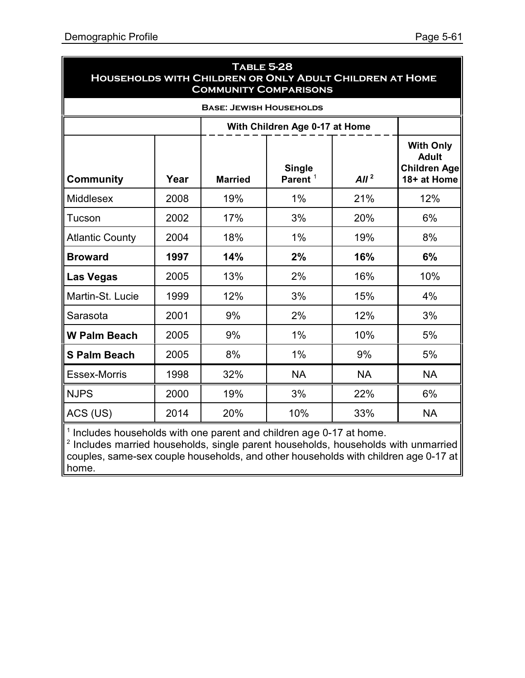| <b>TABLE 5-28</b><br>HOUSEHOLDS WITH CHILDREN OR ONLY ADULT CHILDREN AT HOME<br><b>COMMUNITY COMPARISONS</b> |                                                                        |     |           |           |           |  |  |  |  |
|--------------------------------------------------------------------------------------------------------------|------------------------------------------------------------------------|-----|-----------|-----------|-----------|--|--|--|--|
| <b>BASE: JEWISH HOUSEHOLDS</b>                                                                               |                                                                        |     |           |           |           |  |  |  |  |
|                                                                                                              |                                                                        |     |           |           |           |  |  |  |  |
| <b>Community</b>                                                                                             | <b>With Only</b><br><b>Adult</b><br><b>Children Age</b><br>18+ at Home |     |           |           |           |  |  |  |  |
| <b>Middlesex</b>                                                                                             | 2008                                                                   | 19% | $1\%$     | 21%       | 12%       |  |  |  |  |
| Tucson                                                                                                       | 2002                                                                   | 17% | 3%        | 20%       | 6%        |  |  |  |  |
| <b>Atlantic County</b>                                                                                       | 2004                                                                   | 18% | $1\%$     | 19%       | 8%        |  |  |  |  |
| <b>Broward</b>                                                                                               | 1997                                                                   | 14% | 2%        | 16%       | 6%        |  |  |  |  |
| <b>Las Vegas</b>                                                                                             | 2005                                                                   | 13% | 2%        | 16%       | 10%       |  |  |  |  |
| Martin-St. Lucie                                                                                             | 1999                                                                   | 12% | 3%        | 15%       | 4%        |  |  |  |  |
| Sarasota                                                                                                     | 2001                                                                   | 9%  | 2%        | 12%       | 3%        |  |  |  |  |
| <b>W Palm Beach</b>                                                                                          | 2005                                                                   | 9%  | 1%        | 10%       | 5%        |  |  |  |  |
| <b>S Palm Beach</b>                                                                                          | 2005                                                                   | 8%  | 1%        | 9%        | 5%        |  |  |  |  |
| <b>Essex-Morris</b>                                                                                          | 1998                                                                   | 32% | <b>NA</b> | <b>NA</b> | <b>NA</b> |  |  |  |  |
| <b>NJPS</b>                                                                                                  | 2000                                                                   | 19% | 3%        | 22%       | 6%        |  |  |  |  |
| ACS (US)                                                                                                     | 2014                                                                   | 20% | 10%       | 33%       | <b>NA</b> |  |  |  |  |

<sup>1</sup> Includes households with one parent and children age 0-17 at home.

2 Includes married households, single parent households, households with unmarried couples, same-sex couple households, and other households with children age 0-17 at home.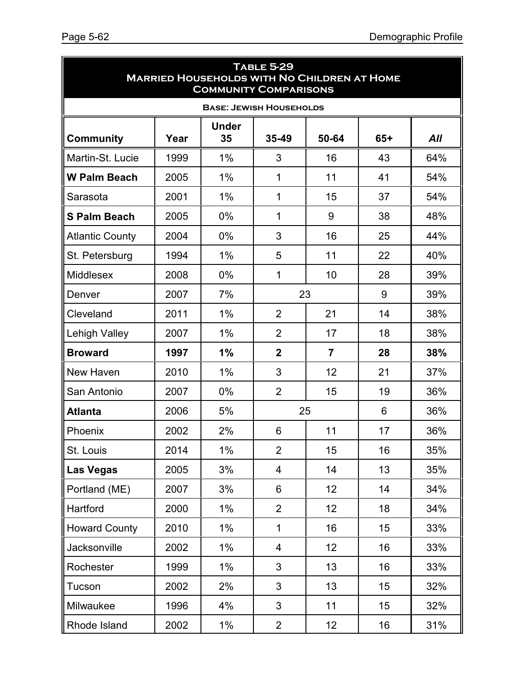| <b>TABLE 5-29</b><br><b>MARRIED HOUSEHOLDS WITH NO CHILDREN AT HOME</b><br><b>COMMUNITY COMPARISONS</b> |      |                    |                          |                |       |     |  |  |  |
|---------------------------------------------------------------------------------------------------------|------|--------------------|--------------------------|----------------|-------|-----|--|--|--|
| <b>BASE: JEWISH HOUSEHOLDS</b>                                                                          |      |                    |                          |                |       |     |  |  |  |
| <b>Community</b>                                                                                        | Year | <b>Under</b><br>35 | 35-49                    | 50-64          | $65+$ | All |  |  |  |
| Martin-St. Lucie                                                                                        | 1999 | 1%                 | 3                        | 16             | 43    | 64% |  |  |  |
| <b>W Palm Beach</b>                                                                                     | 2005 | 1%                 | 1                        | 11             | 41    | 54% |  |  |  |
| Sarasota                                                                                                | 2001 | 1%                 | 1                        | 15             | 37    | 54% |  |  |  |
| <b>S Palm Beach</b>                                                                                     | 2005 | $0\%$              | 1                        | 9              | 38    | 48% |  |  |  |
| <b>Atlantic County</b>                                                                                  | 2004 | $0\%$              | 3                        | 16             | 25    | 44% |  |  |  |
| St. Petersburg                                                                                          | 1994 | 1%                 | 5                        | 11             | 22    | 40% |  |  |  |
| Middlesex                                                                                               | 2008 | $0\%$              | 1                        | 10             | 28    | 39% |  |  |  |
| Denver                                                                                                  | 2007 | 7%                 | 23                       |                | 9     | 39% |  |  |  |
| Cleveland                                                                                               | 2011 | 1%                 | $\overline{2}$           | 21             | 14    | 38% |  |  |  |
| Lehigh Valley                                                                                           | 2007 | $1\%$              | $\overline{2}$           | 17             | 18    | 38% |  |  |  |
| <b>Broward</b>                                                                                          | 1997 | 1%                 | $\overline{2}$           | $\overline{7}$ | 28    | 38% |  |  |  |
| New Haven                                                                                               | 2010 | 1%                 | 3                        | 12             | 21    | 37% |  |  |  |
| San Antonio                                                                                             | 2007 | $0\%$              | $\overline{2}$           | 15             | 19    | 36% |  |  |  |
| <b>Atlanta</b>                                                                                          | 2006 | 5%                 | 25                       |                | 6     | 36% |  |  |  |
| Phoenix                                                                                                 | 2002 | 2%                 | 6                        | 11             | 17    | 36% |  |  |  |
| St. Louis                                                                                               | 2014 | $1\%$              | $\overline{2}$           | 15             | 16    | 35% |  |  |  |
| <b>Las Vegas</b>                                                                                        | 2005 | 3%                 | $\overline{\mathcal{A}}$ | 14             | 13    | 35% |  |  |  |
| Portland (ME)                                                                                           | 2007 | 3%                 | 6                        | 12             | 14    | 34% |  |  |  |
| Hartford                                                                                                | 2000 | $1\%$              | $\overline{2}$           | 12             | 18    | 34% |  |  |  |
| <b>Howard County</b>                                                                                    | 2010 | $1\%$              | $\mathbf 1$              | 16             | 15    | 33% |  |  |  |
| Jacksonville                                                                                            | 2002 | $1\%$              | 4                        | 12             | 16    | 33% |  |  |  |
| Rochester                                                                                               | 1999 | $1\%$              | 3                        | 13             | 16    | 33% |  |  |  |
| Tucson                                                                                                  | 2002 | 2%                 | 3                        | 13             | 15    | 32% |  |  |  |
| Milwaukee                                                                                               | 1996 | 4%                 | 3                        | 11             | 15    | 32% |  |  |  |
| Rhode Island                                                                                            | 2002 | $1\%$              | $\overline{2}$           | 12             | 16    | 31% |  |  |  |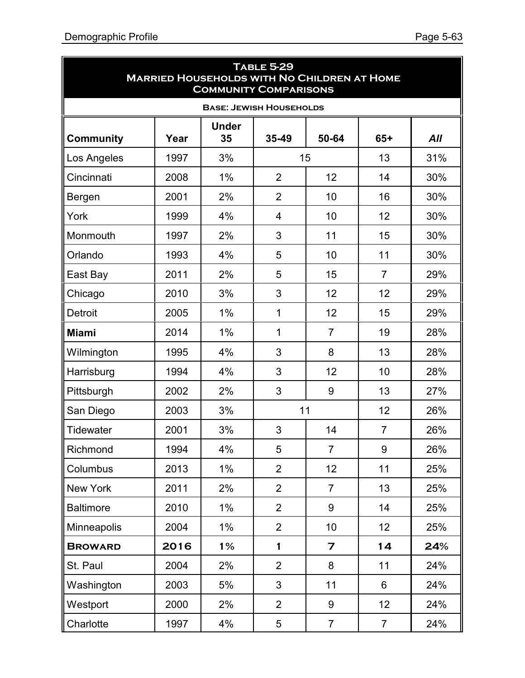ñ

| <b>TABLE 5-29</b><br><b>MARRIED HOUSEHOLDS WITH NO CHILDREN AT HOME</b><br><b>COMMUNITY COMPARISONS</b> |      |                    |                |                |                  |     |  |  |  |  |
|---------------------------------------------------------------------------------------------------------|------|--------------------|----------------|----------------|------------------|-----|--|--|--|--|
| <b>BASE: JEWISH HOUSEHOLDS</b>                                                                          |      |                    |                |                |                  |     |  |  |  |  |
| <b>Community</b>                                                                                        | Year | <b>Under</b><br>35 | 35-49          | 50-64          | $65+$            | All |  |  |  |  |
| Los Angeles                                                                                             | 1997 | 3%                 |                | 15             | 13               | 31% |  |  |  |  |
| Cincinnati                                                                                              | 2008 | 1%                 | $\overline{2}$ | 12             | 14               | 30% |  |  |  |  |
| Bergen                                                                                                  | 2001 | 2%                 | $\overline{2}$ | 10             | 16               | 30% |  |  |  |  |
| York                                                                                                    | 1999 | 4%                 | 4              | 10             | 12               | 30% |  |  |  |  |
| Monmouth                                                                                                | 1997 | 2%                 | 3              | 11             | 15               | 30% |  |  |  |  |
| Orlando                                                                                                 | 1993 | 4%                 | 5              | 10             | 11               | 30% |  |  |  |  |
| East Bay                                                                                                | 2011 | 2%                 | 5              | 15             | $\overline{7}$   | 29% |  |  |  |  |
| Chicago                                                                                                 | 2010 | 3%                 | 3              | 12             | 12               | 29% |  |  |  |  |
| <b>Detroit</b>                                                                                          | 2005 | $1\%$              | 1              | 12             | 15               | 29% |  |  |  |  |
| <b>Miami</b>                                                                                            | 2014 | 1%                 | 1              | $\overline{7}$ | 19               | 28% |  |  |  |  |
| Wilmington                                                                                              | 1995 | 4%                 | 3              | 8              | 13               | 28% |  |  |  |  |
| Harrisburg                                                                                              | 1994 | 4%                 | 3              | 12             | 10               | 28% |  |  |  |  |
| Pittsburgh                                                                                              | 2002 | 2%                 | 3              | 9              | 13               | 27% |  |  |  |  |
| San Diego                                                                                               | 2003 | 3%                 | 11             |                | 12               | 26% |  |  |  |  |
| <b>Tidewater</b>                                                                                        | 2001 | 3%                 | 3              | 14             | $\overline{7}$   | 26% |  |  |  |  |
| Richmond                                                                                                | 1994 | 4%                 | 5              | $\overline{7}$ | $\boldsymbol{9}$ | 26% |  |  |  |  |
| Columbus                                                                                                | 2013 | $1\%$              | $\overline{2}$ | 12             | 11               | 25% |  |  |  |  |
| New York                                                                                                | 2011 | 2%                 | $\overline{2}$ | $\overline{7}$ | 13               | 25% |  |  |  |  |
| <b>Baltimore</b>                                                                                        | 2010 | $1\%$              | $\overline{2}$ | 9              | 14               | 25% |  |  |  |  |
| Minneapolis                                                                                             | 2004 | $1\%$              | $\overline{2}$ | 10             | 12               | 25% |  |  |  |  |
| <b>BROWARD</b>                                                                                          | 2016 | 1%                 | 1              | $\overline{z}$ | 14               | 24% |  |  |  |  |
| St. Paul                                                                                                | 2004 | 2%                 | $\overline{2}$ | 8              | 11               | 24% |  |  |  |  |
| Washington                                                                                              | 2003 | 5%                 | 3              | 11             | 6                | 24% |  |  |  |  |
| Westport                                                                                                | 2000 | 2%                 | $\overline{2}$ | 9              | 12               | 24% |  |  |  |  |
| Charlotte                                                                                               | 1997 | 4%                 | 5              | $\overline{7}$ | $\overline{7}$   | 24% |  |  |  |  |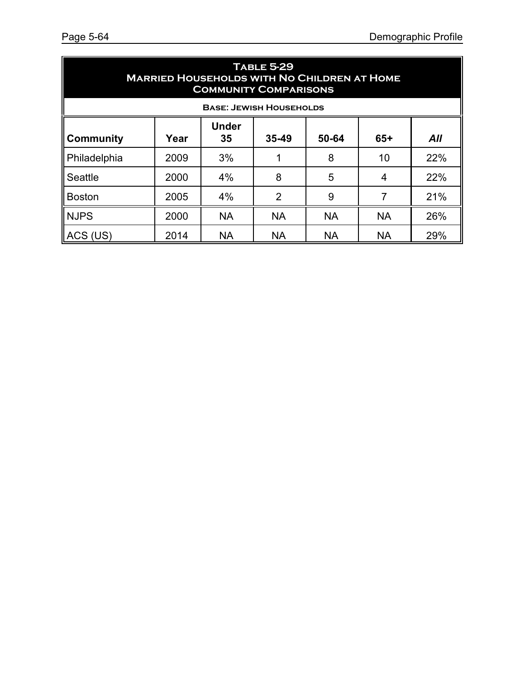| <b>TABLE 5-29</b><br><b>MARRIED HOUSEHOLDS WITH NO CHILDREN AT HOME</b><br><b>COMMUNITY COMPARISONS</b> |      |           |                                |           |           |     |  |  |  |
|---------------------------------------------------------------------------------------------------------|------|-----------|--------------------------------|-----------|-----------|-----|--|--|--|
|                                                                                                         |      |           | <b>BASE: JEWISH HOUSEHOLDS</b> |           |           |     |  |  |  |
| <b>Under</b><br>35-49<br>$65+$<br>All<br>Year<br>35<br>50-64<br>Community                               |      |           |                                |           |           |     |  |  |  |
| Philadelphia                                                                                            | 2009 | 3%        |                                | 8         | 10        | 22% |  |  |  |
| Seattle                                                                                                 | 2000 | 4%        | 8                              | 5         | 4         | 22% |  |  |  |
| <b>Boston</b>                                                                                           | 2005 | 4%        | $\overline{2}$                 | 9         |           | 21% |  |  |  |
| <b>NJPS</b>                                                                                             | 2000 | <b>NA</b> | <b>NA</b>                      | <b>NA</b> | <b>NA</b> | 26% |  |  |  |
| ACS (US)                                                                                                | 2014 | <b>NA</b> | <b>NA</b>                      | <b>NA</b> | <b>NA</b> | 29% |  |  |  |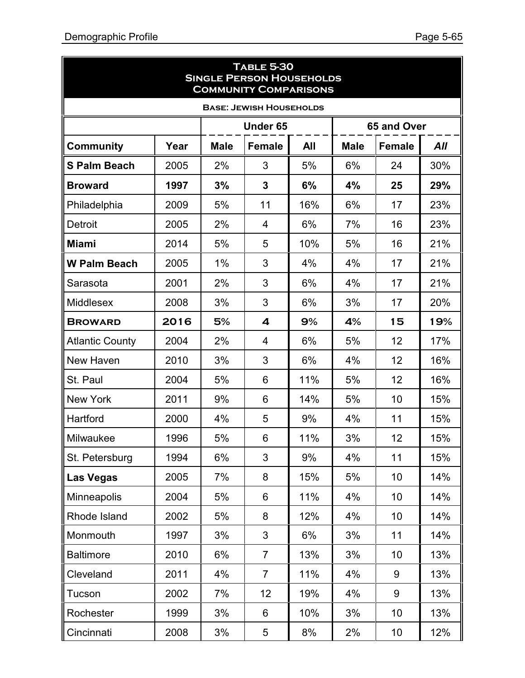ñ

| <b>TABLE 5-30</b><br><b>SINGLE PERSON HOUSEHOLDS</b><br><b>COMMUNITY COMPARISONS</b> |      |             |                |     |             |               |     |  |  |
|--------------------------------------------------------------------------------------|------|-------------|----------------|-----|-------------|---------------|-----|--|--|
| <b>BASE: JEWISH HOUSEHOLDS</b>                                                       |      |             |                |     |             |               |     |  |  |
| <b>Under 65</b><br>65 and Over                                                       |      |             |                |     |             |               |     |  |  |
| <b>Community</b>                                                                     | Year | <b>Male</b> | <b>Female</b>  | All | <b>Male</b> | <b>Female</b> | All |  |  |
| <b>S Palm Beach</b>                                                                  | 2005 | 2%          | 3              | 5%  | 6%          | 24            | 30% |  |  |
| <b>Broward</b>                                                                       | 1997 | 3%          | $\overline{3}$ | 6%  | 4%          | 25            | 29% |  |  |
| Philadelphia                                                                         | 2009 | 5%          | 11             | 16% | 6%          | 17            | 23% |  |  |
| Detroit                                                                              | 2005 | 2%          | $\overline{4}$ | 6%  | 7%          | 16            | 23% |  |  |
| <b>Miami</b>                                                                         | 2014 | 5%          | 5              | 10% | 5%          | 16            | 21% |  |  |
| <b>W Palm Beach</b>                                                                  | 2005 | 1%          | 3              | 4%  | 4%          | 17            | 21% |  |  |
| Sarasota                                                                             | 2001 | 2%          | 3              | 6%  | 4%          | 17            | 21% |  |  |
| <b>Middlesex</b>                                                                     | 2008 | 3%          | 3              | 6%  | 3%          | 17            | 20% |  |  |
| <b>BROWARD</b>                                                                       | 2016 | 5%          | 4              | 9%  | 4%          | 15            | 19% |  |  |
| <b>Atlantic County</b>                                                               | 2004 | 2%          | 4              | 6%  | 5%          | 12            | 17% |  |  |
| New Haven                                                                            | 2010 | 3%          | 3              | 6%  | 4%          | 12            | 16% |  |  |
| St. Paul                                                                             | 2004 | 5%          | 6              | 11% | 5%          | 12            | 16% |  |  |
| <b>New York</b>                                                                      | 2011 | 9%          | 6              | 14% | 5%          | 10            | 15% |  |  |
| Hartford                                                                             | 2000 | 4%          | 5              | 9%  | 4%          | 11            | 15% |  |  |
| Milwaukee                                                                            | 1996 | 5%          | 6              | 11% | 3%          | 12            | 15% |  |  |
| St. Petersburg                                                                       | 1994 | 6%          | 3              | 9%  | 4%          | 11            | 15% |  |  |
| <b>Las Vegas</b>                                                                     | 2005 | 7%          | 8              | 15% | 5%          | 10            | 14% |  |  |
| Minneapolis                                                                          | 2004 | 5%          | 6              | 11% | 4%          | 10            | 14% |  |  |
| Rhode Island                                                                         | 2002 | 5%          | 8              | 12% | 4%          | 10            | 14% |  |  |
| Monmouth                                                                             | 1997 | 3%          | 3              | 6%  | 3%          | 11            | 14% |  |  |
| <b>Baltimore</b>                                                                     | 2010 | 6%          | $\overline{7}$ | 13% | 3%          | 10            | 13% |  |  |
| Cleveland                                                                            | 2011 | 4%          | $\overline{7}$ | 11% | 4%          | 9             | 13% |  |  |
| Tucson                                                                               | 2002 | 7%          | 12             | 19% | 4%          | 9             | 13% |  |  |
| Rochester                                                                            | 1999 | 3%          | 6              | 10% | 3%          | 10            | 13% |  |  |
| Cincinnati                                                                           | 2008 | 3%          | 5              | 8%  | 2%          | 10            | 12% |  |  |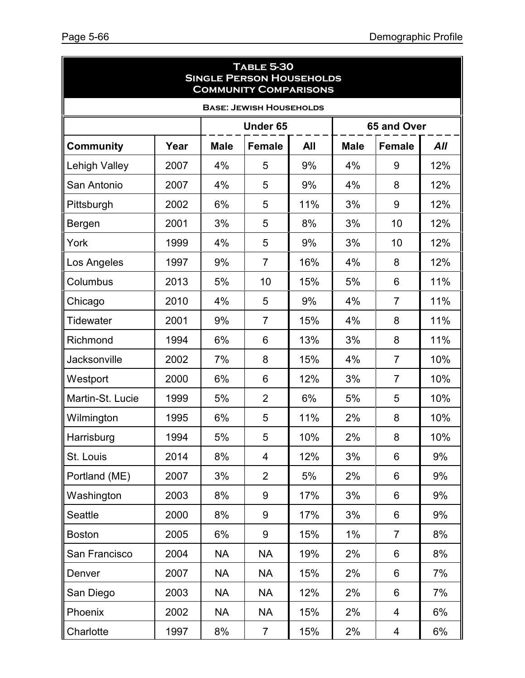| <b>TABLE 5-30</b><br><b>SINGLE PERSON HOUSEHOLDS</b><br><b>COMMUNITY COMPARISONS</b> |      |             |                |     |             |                |     |  |  |
|--------------------------------------------------------------------------------------|------|-------------|----------------|-----|-------------|----------------|-----|--|--|
| <b>BASE: JEWISH HOUSEHOLDS</b>                                                       |      |             |                |     |             |                |     |  |  |
| <b>Under 65</b><br>65 and Over                                                       |      |             |                |     |             |                |     |  |  |
| <b>Community</b>                                                                     | Year | <b>Male</b> | <b>Female</b>  | All | <b>Male</b> | <b>Female</b>  | All |  |  |
| Lehigh Valley                                                                        | 2007 | 4%          | 5              | 9%  | 4%          | 9              | 12% |  |  |
| San Antonio                                                                          | 2007 | 4%          | 5              | 9%  | 4%          | 8              | 12% |  |  |
| Pittsburgh                                                                           | 2002 | 6%          | 5              | 11% | 3%          | 9              | 12% |  |  |
| Bergen                                                                               | 2001 | 3%          | 5              | 8%  | 3%          | 10             | 12% |  |  |
| York                                                                                 | 1999 | 4%          | 5              | 9%  | 3%          | 10             | 12% |  |  |
| Los Angeles                                                                          | 1997 | 9%          | $\overline{7}$ | 16% | 4%          | 8              | 12% |  |  |
| Columbus                                                                             | 2013 | 5%          | 10             | 15% | 5%          | 6              | 11% |  |  |
| Chicago                                                                              | 2010 | 4%          | 5              | 9%  | 4%          | $\overline{7}$ | 11% |  |  |
| Tidewater                                                                            | 2001 | 9%          | $\overline{7}$ | 15% | 4%          | 8              | 11% |  |  |
| Richmond                                                                             | 1994 | 6%          | 6              | 13% | 3%          | 8              | 11% |  |  |
| <b>Jacksonville</b>                                                                  | 2002 | 7%          | 8              | 15% | 4%          | $\overline{7}$ | 10% |  |  |
| Westport                                                                             | 2000 | 6%          | 6              | 12% | 3%          | $\overline{7}$ | 10% |  |  |
| Martin-St. Lucie                                                                     | 1999 | 5%          | $\overline{2}$ | 6%  | 5%          | 5              | 10% |  |  |
| Wilmington                                                                           | 1995 | 6%          | 5              | 11% | 2%          | 8              | 10% |  |  |
| Harrisburg                                                                           | 1994 | 5%          | 5              | 10% | 2%          | 8              | 10% |  |  |
| St. Louis                                                                            | 2014 | 8%          | $\overline{4}$ | 12% | 3%          | 6              | 9%  |  |  |
| Portland (ME)                                                                        | 2007 | 3%          | $\overline{2}$ | 5%  | 2%          | 6              | 9%  |  |  |
| Washington                                                                           | 2003 | 8%          | 9              | 17% | 3%          | 6              | 9%  |  |  |
| Seattle                                                                              | 2000 | 8%          | 9              | 17% | 3%          | $6\phantom{1}$ | 9%  |  |  |
| <b>Boston</b>                                                                        | 2005 | 6%          | 9              | 15% | 1%          | $\overline{7}$ | 8%  |  |  |
| San Francisco                                                                        | 2004 | <b>NA</b>   | <b>NA</b>      | 19% | 2%          | 6              | 8%  |  |  |
| Denver                                                                               | 2007 | <b>NA</b>   | <b>NA</b>      | 15% | 2%          | 6              | 7%  |  |  |
| San Diego                                                                            | 2003 | <b>NA</b>   | <b>NA</b>      | 12% | 2%          | 6              | 7%  |  |  |
| Phoenix                                                                              | 2002 | <b>NA</b>   | <b>NA</b>      | 15% | 2%          | 4              | 6%  |  |  |
| Charlotte                                                                            | 1997 | 8%          | $\overline{7}$ | 15% | 2%          | 4              | 6%  |  |  |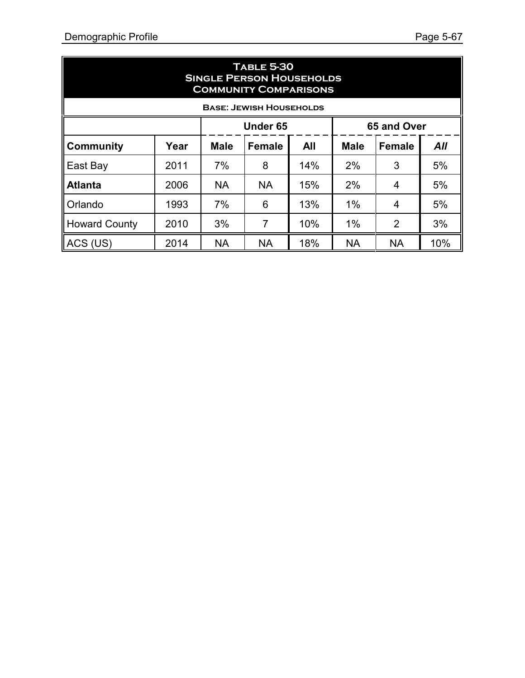| <b>TABLE 5-30</b><br><b>SINGLE PERSON HOUSEHOLDS</b><br><b>COMMUNITY COMPARISONS</b> |                                                      |                                                                     |                                |     |           |           |     |  |  |
|--------------------------------------------------------------------------------------|------------------------------------------------------|---------------------------------------------------------------------|--------------------------------|-----|-----------|-----------|-----|--|--|
|                                                                                      |                                                      |                                                                     | <b>BASE: JEWISH HOUSEHOLDS</b> |     |           |           |     |  |  |
|                                                                                      | <b>Under 65</b><br>65 and Over                       |                                                                     |                                |     |           |           |     |  |  |
| <b>Community</b>                                                                     | Year                                                 | <b>Female</b><br><b>Male</b><br><b>Female</b><br>All<br><b>Male</b> |                                |     |           |           | All |  |  |
| East Bay                                                                             | 2011                                                 | 7%                                                                  | 8                              | 14% | 2%        | 3         | 5%  |  |  |
| <b>Atlanta</b>                                                                       | 2006                                                 | <b>NA</b>                                                           | <b>NA</b>                      | 15% | 2%        | 4         | 5%  |  |  |
| Orlando                                                                              | 1993                                                 | 7%                                                                  | 6                              | 13% | 1%        | 4         | 5%  |  |  |
| <b>Howard County</b>                                                                 | 3%<br>7<br>10%<br>3%<br>2010<br>1%<br>$\overline{2}$ |                                                                     |                                |     |           |           |     |  |  |
| ACS (US)                                                                             | 2014                                                 | <b>NA</b>                                                           | <b>NA</b>                      | 18% | <b>NA</b> | <b>NA</b> | 10% |  |  |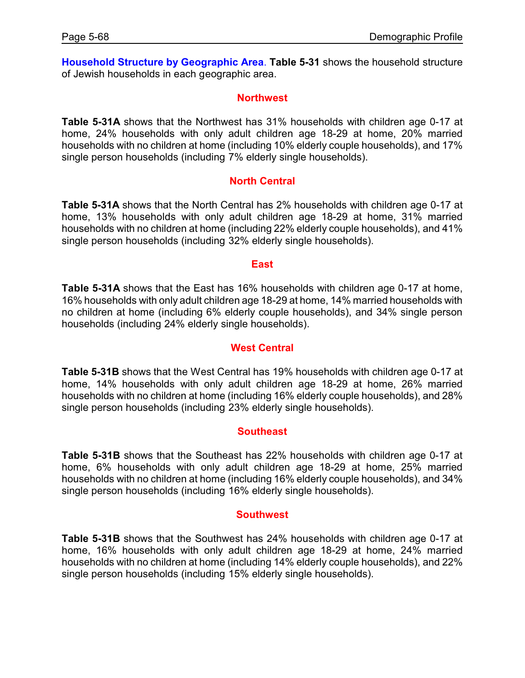**Household Structure by Geographic Area**. **Table 5-31** shows the household structure of Jewish households in each geographic area.

#### **Northwest**

**Table 5-31A** shows that the Northwest has 31% households with children age 0-17 at home, 24% households with only adult children age 18-29 at home, 20% married households with no children at home (including 10% elderly couple households), and 17% single person households (including 7% elderly single households).

#### **North Central**

**Table 5-31A** shows that the North Central has 2% households with children age 0-17 at home, 13% households with only adult children age 18-29 at home, 31% married households with no children at home (including 22% elderly couple households), and 41% single person households (including 32% elderly single households).

#### **East**

**Table 5-31A** shows that the East has 16% households with children age 0-17 at home, 16% households with only adult children age 18-29 at home, 14% married households with no children at home (including 6% elderly couple households), and 34% single person households (including 24% elderly single households).

#### **West Central**

**Table 5-31B** shows that the West Central has 19% households with children age 0-17 at home, 14% households with only adult children age 18-29 at home, 26% married households with no children at home (including 16% elderly couple households), and 28% single person households (including 23% elderly single households).

#### **Southeast**

**Table 5-31B** shows that the Southeast has 22% households with children age 0-17 at home, 6% households with only adult children age 18-29 at home, 25% married households with no children at home (including 16% elderly couple households), and 34% single person households (including 16% elderly single households).

#### **Southwest**

**Table 5-31B** shows that the Southwest has 24% households with children age 0-17 at home, 16% households with only adult children age 18-29 at home, 24% married households with no children at home (including 14% elderly couple households), and 22% single person households (including 15% elderly single households).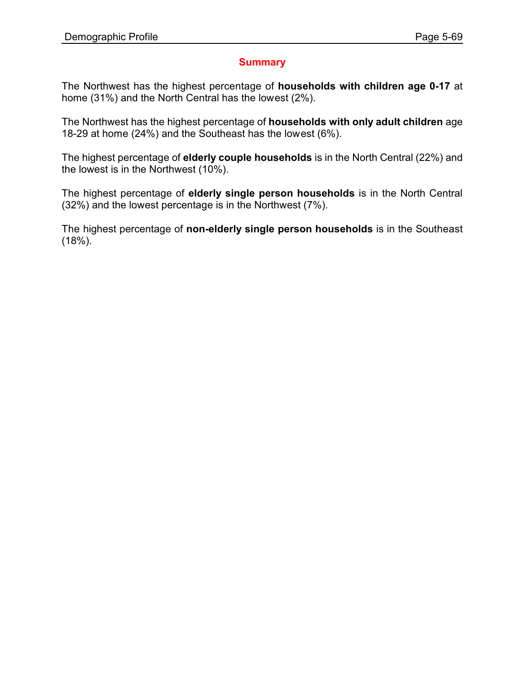### **Summary**

The Northwest has the highest percentage of **households with children age 0-17** at home (31%) and the North Central has the lowest (2%).

The Northwest has the highest percentage of **households with only adult children** age 18-29 at home (24%) and the Southeast has the lowest (6%).

The highest percentage of **elderly couple households** is in the North Central (22%) and the lowest is in the Northwest (10%).

The highest percentage of **elderly single person households** is in the North Central (32%) and the lowest percentage is in the Northwest (7%).

The highest percentage of **non-elderly single person households** is in the Southeast (18%).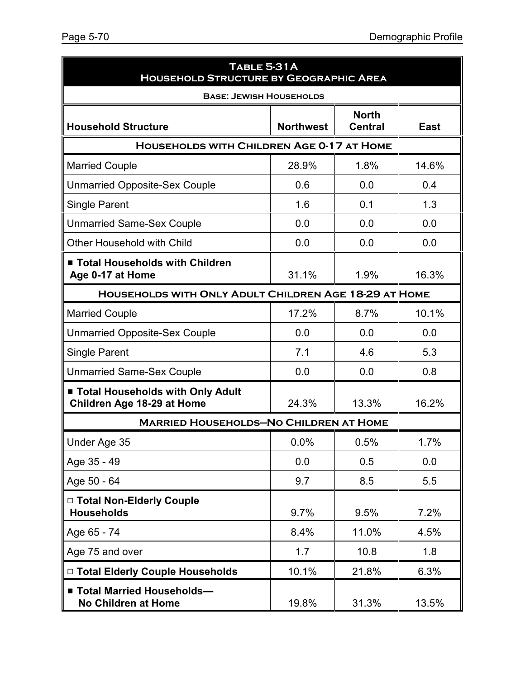| TABLE 5-31A<br><b>HOUSEHOLD STRUCTURE BY GEOGRAPHIC AREA</b>            |                  |                                |             |  |  |
|-------------------------------------------------------------------------|------------------|--------------------------------|-------------|--|--|
| <b>BASE: JEWISH HOUSEHOLDS</b>                                          |                  |                                |             |  |  |
| <b>Household Structure</b>                                              | <b>Northwest</b> | <b>North</b><br><b>Central</b> | <b>East</b> |  |  |
| <b>HOUSEHOLDS WITH CHILDREN AGE 0-17 AT HOME</b>                        |                  |                                |             |  |  |
| <b>Married Couple</b>                                                   | 28.9%            | 1.8%                           | 14.6%       |  |  |
| <b>Unmarried Opposite-Sex Couple</b>                                    | 0.6              | 0.0                            | 0.4         |  |  |
| <b>Single Parent</b>                                                    | 1.6              | 0.1                            | 1.3         |  |  |
| <b>Unmarried Same-Sex Couple</b>                                        | 0.0              | 0.0                            | 0.0         |  |  |
| Other Household with Child                                              | 0.0              | 0.0                            | 0.0         |  |  |
| ■ Total Households with Children<br>Age 0-17 at Home                    | 31.1%            | 1.9%                           | 16.3%       |  |  |
| <b>HOUSEHOLDS WITH ONLY ADULT CHILDREN AGE 18-29 AT HOME</b>            |                  |                                |             |  |  |
| <b>Married Couple</b>                                                   | 17.2%            | 8.7%                           | 10.1%       |  |  |
| <b>Unmarried Opposite-Sex Couple</b>                                    | 0.0              | 0.0                            | 0.0         |  |  |
| <b>Single Parent</b>                                                    | 7.1              | 4.6                            | 5.3         |  |  |
| <b>Unmarried Same-Sex Couple</b>                                        | 0.0              | 0.0                            | 0.8         |  |  |
| ■ Total Households with Only Adult<br><b>Children Age 18-29 at Home</b> | 24.3%            | 13.3%                          | 16.2%       |  |  |
| <b>MARRIED HOUSEHOLDS-NO CHILDREN AT HOME</b>                           |                  |                                |             |  |  |
| Under Age 35                                                            | 0.0%             | 0.5%                           | 1.7%        |  |  |
| Age 35 - 49                                                             | 0.0              | 0.5                            | 0.0         |  |  |
| Age 50 - 64                                                             | 9.7              | 8.5                            | 5.5         |  |  |
| □ Total Non-Elderly Couple<br><b>Households</b>                         | 9.7%             | 9.5%                           | 7.2%        |  |  |
| Age 65 - 74                                                             | 8.4%             | 11.0%                          | 4.5%        |  |  |
| Age 75 and over                                                         | 1.7              | 10.8                           | 1.8         |  |  |
| □ Total Elderly Couple Households                                       | 10.1%            | 21.8%                          | 6.3%        |  |  |
| ■ Total Married Households-<br><b>No Children at Home</b>               | 19.8%            | 31.3%                          | 13.5%       |  |  |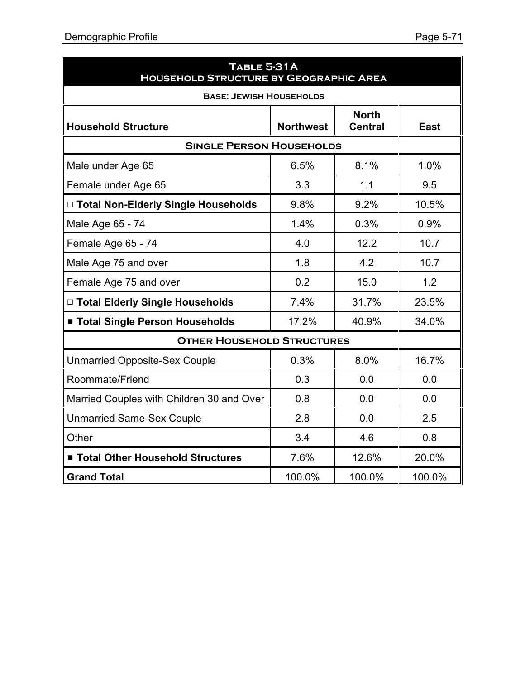| TABLE 5-31A<br><b>HOUSEHOLD STRUCTURE BY GEOGRAPHIC AREA</b> |                  |                                |             |  |  |
|--------------------------------------------------------------|------------------|--------------------------------|-------------|--|--|
| <b>BASE: JEWISH HOUSEHOLDS</b>                               |                  |                                |             |  |  |
| <b>Household Structure</b>                                   | <b>Northwest</b> | <b>North</b><br><b>Central</b> | <b>East</b> |  |  |
| <b>SINGLE PERSON HOUSEHOLDS</b>                              |                  |                                |             |  |  |
| Male under Age 65                                            | 6.5%             | 8.1%                           | 1.0%        |  |  |
| Female under Age 65                                          | 3.3              | 1.1                            | 9.5         |  |  |
| □ Total Non-Elderly Single Households                        | 9.8%             | 9.2%                           | 10.5%       |  |  |
| Male Age 65 - 74                                             | 1.4%             | 0.3%                           | 0.9%        |  |  |
| Female Age 65 - 74                                           | 4.0              | 12.2                           | 10.7        |  |  |
| Male Age 75 and over                                         | 1.8              | 4.2                            | 10.7        |  |  |
| Female Age 75 and over                                       | 0.2              | 15.0                           | 1.2         |  |  |
| □ Total Elderly Single Households                            | 7.4%             | 31.7%                          | 23.5%       |  |  |
| ■ Total Single Person Households                             | 17.2%            | 40.9%                          | 34.0%       |  |  |
| <b>OTHER HOUSEHOLD STRUCTURES</b>                            |                  |                                |             |  |  |
| <b>Unmarried Opposite-Sex Couple</b>                         | 0.3%             | 8.0%                           | 16.7%       |  |  |
| Roommate/Friend                                              | 0.3              | 0.0                            | 0.0         |  |  |
| Married Couples with Children 30 and Over                    | 0.8              | 0.0                            | 0.0         |  |  |
| <b>Unmarried Same-Sex Couple</b>                             | 2.8              | 0.0                            | 2.5         |  |  |
| Other                                                        | 3.4              | 4.6                            | 0.8         |  |  |
| ■ Total Other Household Structures                           | 7.6%             | 12.6%                          | 20.0%       |  |  |
| <b>Grand Total</b>                                           | 100.0%           | 100.0%                         | 100.0%      |  |  |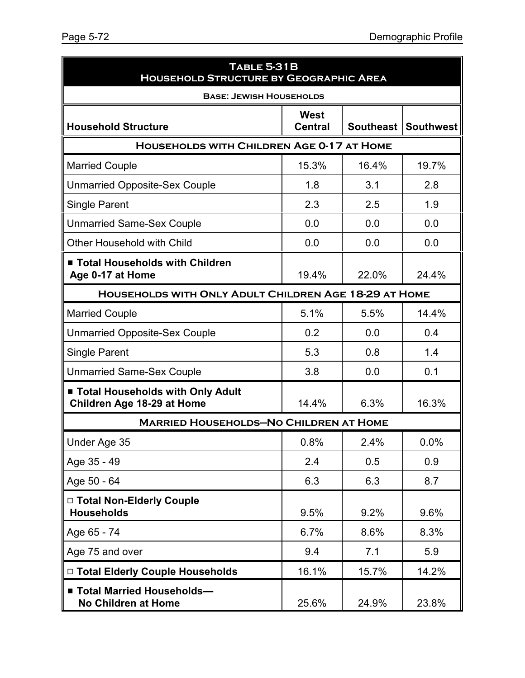| TABLE 5-31B<br><b>HOUSEHOLD STRUCTURE BY GEOGRAPHIC AREA</b><br><b>BASE: JEWISH HOUSEHOLDS</b> |       |       |       |  |  |
|------------------------------------------------------------------------------------------------|-------|-------|-------|--|--|
|                                                                                                |       |       |       |  |  |
| <b>HOUSEHOLDS WITH CHILDREN AGE 0-17 AT HOME</b>                                               |       |       |       |  |  |
| <b>Married Couple</b>                                                                          | 15.3% | 16.4% | 19.7% |  |  |
| <b>Unmarried Opposite-Sex Couple</b>                                                           | 1.8   | 3.1   | 2.8   |  |  |
| <b>Single Parent</b>                                                                           | 2.3   | 2.5   | 1.9   |  |  |
| <b>Unmarried Same-Sex Couple</b>                                                               | 0.0   | 0.0   | 0.0   |  |  |
| <b>Other Household with Child</b>                                                              | 0.0   | 0.0   | 0.0   |  |  |
| ■ Total Households with Children<br>Age 0-17 at Home                                           | 19.4% | 22.0% | 24.4% |  |  |
| HOUSEHOLDS WITH ONLY ADULT CHILDREN AGE 18-29 AT HOME                                          |       |       |       |  |  |
| <b>Married Couple</b>                                                                          | 5.1%  | 5.5%  | 14.4% |  |  |
| <b>Unmarried Opposite-Sex Couple</b>                                                           | 0.2   | 0.0   | 0.4   |  |  |
| <b>Single Parent</b>                                                                           | 5.3   | 0.8   | 1.4   |  |  |
| <b>Unmarried Same-Sex Couple</b>                                                               | 3.8   | 0.0   | 0.1   |  |  |
| ■ Total Households with Only Adult<br><b>Children Age 18-29 at Home</b>                        | 14.4% | 6.3%  | 16.3% |  |  |
| <b>MARRIED HOUSEHOLDS-NO CHILDREN AT HOME</b>                                                  |       |       |       |  |  |
| Under Age 35                                                                                   | 0.8%  | 2.4%  | 0.0%  |  |  |
| Age 35 - 49                                                                                    | 2.4   | 0.5   | 0.9   |  |  |
| Age 50 - 64                                                                                    | 6.3   | 6.3   | 8.7   |  |  |
| □ Total Non-Elderly Couple<br><b>Households</b>                                                | 9.5%  | 9.2%  | 9.6%  |  |  |
| Age 65 - 74                                                                                    | 6.7%  | 8.6%  | 8.3%  |  |  |
| Age 75 and over                                                                                | 9.4   | 7.1   | 5.9   |  |  |
| □ Total Elderly Couple Households                                                              | 16.1% | 15.7% | 14.2% |  |  |
| ■ Total Married Households-<br>No Children at Home                                             | 25.6% | 24.9% | 23.8% |  |  |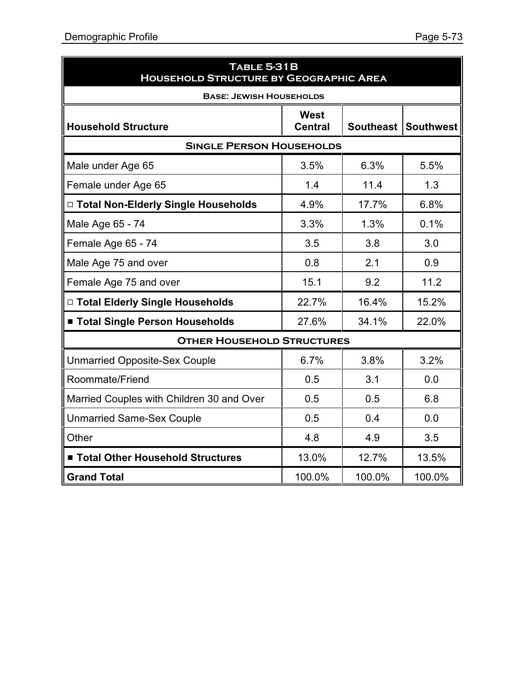| TABLE 5-31B<br><b>HOUSEHOLD STRUCTURE BY GEOGRAPHIC AREA</b> |                        |           |                  |  |  |
|--------------------------------------------------------------|------------------------|-----------|------------------|--|--|
| <b>BASE: JEWISH HOUSEHOLDS</b>                               |                        |           |                  |  |  |
| <b>Household Structure</b>                                   | West<br><b>Central</b> | Southeast | <b>Southwest</b> |  |  |
| <b>SINGLE PERSON HOUSEHOLDS</b>                              |                        |           |                  |  |  |
| Male under Age 65                                            | 3.5%                   | 6.3%      | 5.5%             |  |  |
| Female under Age 65                                          | 1.4                    | 11.4      | 1.3              |  |  |
| □ Total Non-Elderly Single Households                        | 4.9%                   | 17.7%     | 6.8%             |  |  |
| Male Age 65 - 74                                             | 3.3%                   | 1.3%      | 0.1%             |  |  |
| Female Age 65 - 74                                           | 3.5                    | 3.8       | 3.0              |  |  |
| Male Age 75 and over                                         | 0.8                    | 2.1       | 0.9              |  |  |
| Female Age 75 and over                                       | 15.1                   | 9.2       | 11.2             |  |  |
| □ Total Elderly Single Households                            | 22.7%                  | 16.4%     | 15.2%            |  |  |
| ■ Total Single Person Households                             | 27.6%                  | 34.1%     | 22.0%            |  |  |
| <b>OTHER HOUSEHOLD STRUCTURES</b>                            |                        |           |                  |  |  |
| <b>Unmarried Opposite-Sex Couple</b>                         | 6.7%                   | 3.8%      | 3.2%             |  |  |
| Roommate/Friend                                              | 0.5                    | 3.1       | 0.0              |  |  |
| Married Couples with Children 30 and Over                    | 0.5                    | 0.5       | 6.8              |  |  |
| <b>Unmarried Same-Sex Couple</b>                             | 0.5                    | 0.4       | 0.0              |  |  |
| Other                                                        | 4.8                    | 4.9       | 3.5              |  |  |
| ■ Total Other Household Structures                           | 13.0%                  | 12.7%     | 13.5%            |  |  |
| <b>Grand Total</b>                                           | 100.0%                 | 100.0%    | 100.0%           |  |  |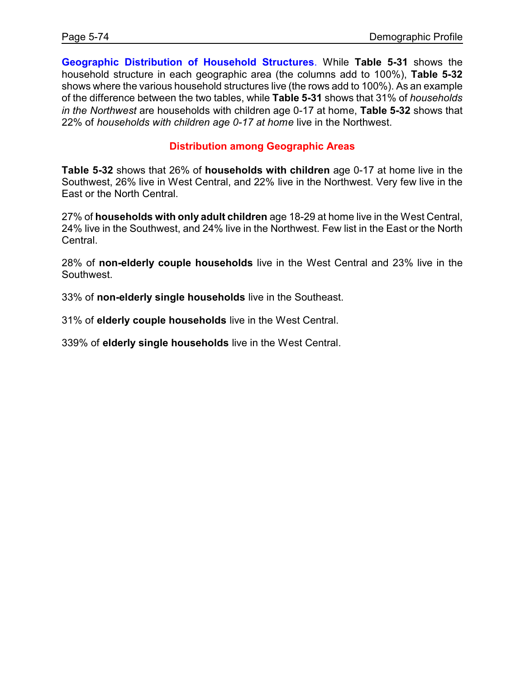**Geographic Distribution of Household Structures**. While **Table 5-31** shows the household structure in each geographic area (the columns add to 100%), **Table 5-32** shows where the various household structures live (the rows add to 100%). As an example of the difference between the two tables, while **Table 5-31** shows that 31% of *households in the Northwest* are households with children age 0-17 at home, **Table 5-32** shows that 22% of *households with children age 0-17 at home* live in the Northwest.

## **Distribution among Geographic Areas**

**Table 5-32** shows that 26% of **households with children** age 0-17 at home live in the Southwest, 26% live in West Central, and 22% live in the Northwest. Very few live in the East or the North Central.

27% of **households with only adult children** age 18-29 at home live in the West Central, 24% live in the Southwest, and 24% live in the Northwest. Few list in the East or the North Central.

28% of **non-elderly couple households** live in the West Central and 23% live in the Southwest.

33% of **non-elderly single households** live in the Southeast.

31% of **elderly couple households** live in the West Central.

339% of **elderly single households** live in the West Central.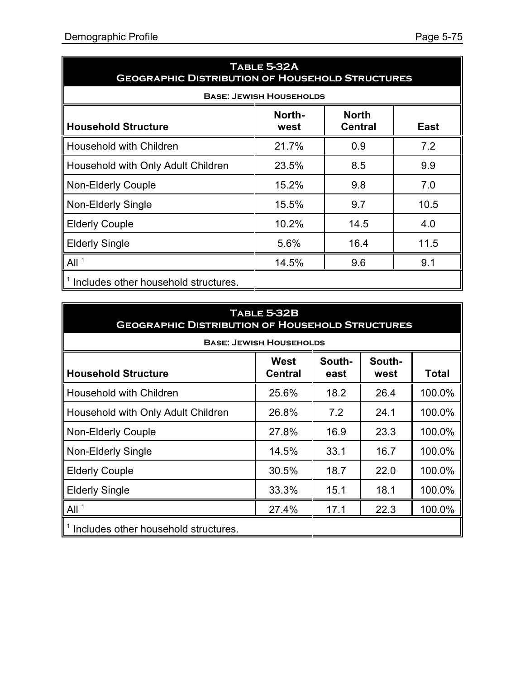| TABLE 5-32A<br><b>GEOGRAPHIC DISTRIBUTION OF HOUSEHOLD STRUCTURES</b>                  |                                |      |      |  |  |  |  |
|----------------------------------------------------------------------------------------|--------------------------------|------|------|--|--|--|--|
|                                                                                        | <b>BASE: JEWISH HOUSEHOLDS</b> |      |      |  |  |  |  |
| <b>North</b><br>North-<br><b>Household Structure</b><br><b>Central</b><br>East<br>west |                                |      |      |  |  |  |  |
| <b>Household with Children</b>                                                         | 21.7%                          | 0.9  | 7.2  |  |  |  |  |
| Household with Only Adult Children                                                     | 23.5%                          | 8.5  | 9.9  |  |  |  |  |
| Non-Elderly Couple                                                                     | 15.2%                          | 9.8  | 7.0  |  |  |  |  |
| Non-Elderly Single                                                                     | 15.5%                          | 9.7  | 10.5 |  |  |  |  |
| <b>Elderly Couple</b>                                                                  | 10.2%                          | 14.5 | 4.0  |  |  |  |  |
| <b>Elderly Single</b>                                                                  | 5.6%                           | 16.4 | 11.5 |  |  |  |  |
| All <sup>1</sup>                                                                       | 14.5%                          | 9.6  | 9.1  |  |  |  |  |
| Includes other household structures.                                                   |                                |      |      |  |  |  |  |

| TABLE 5-32B<br><b>GEOGRAPHIC DISTRIBUTION OF HOUSEHOLD STRUCTURES</b>                             |                                |      |      |        |  |  |  |  |
|---------------------------------------------------------------------------------------------------|--------------------------------|------|------|--------|--|--|--|--|
|                                                                                                   | <b>BASE: JEWISH HOUSEHOLDS</b> |      |      |        |  |  |  |  |
| South-<br>South-<br>West<br><b>Household Structure</b><br><b>Central</b><br>Total<br>west<br>east |                                |      |      |        |  |  |  |  |
| Household with Children                                                                           | 25.6%                          | 18.2 | 26.4 | 100.0% |  |  |  |  |
| Household with Only Adult Children                                                                | 26.8%                          | 7.2  | 24.1 | 100.0% |  |  |  |  |
| Non-Elderly Couple                                                                                | 27.8%                          | 16.9 | 23.3 | 100.0% |  |  |  |  |
| Non-Elderly Single                                                                                | 14.5%                          | 33.1 | 16.7 | 100.0% |  |  |  |  |
| <b>Elderly Couple</b>                                                                             | 30.5%                          | 18.7 | 22.0 | 100.0% |  |  |  |  |
| <b>Elderly Single</b>                                                                             | 33.3%                          | 15.1 | 18.1 | 100.0% |  |  |  |  |
| $\mathsf{All}$ <sup>1</sup>                                                                       | 27.4%                          | 17.1 | 22.3 | 100.0% |  |  |  |  |
| Includes other household structures.                                                              |                                |      |      |        |  |  |  |  |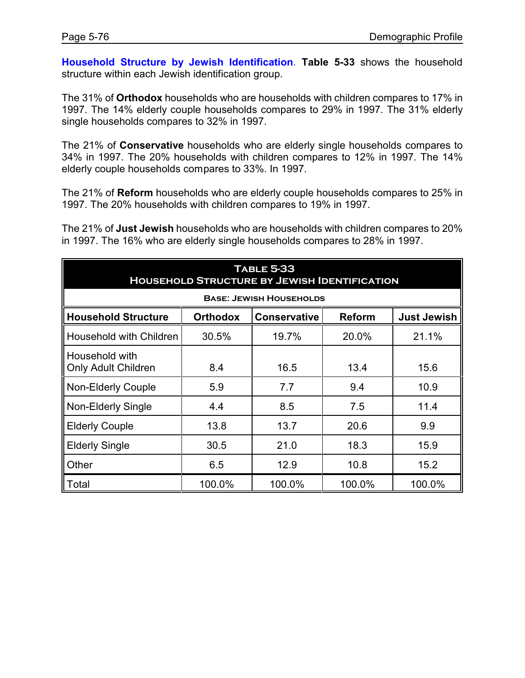**Household Structure by Jewish Identification**. **Table 5-33** shows the household structure within each Jewish identification group.

The 31% of **Orthodox** households who are households with children compares to 17% in 1997. The 14% elderly couple households compares to 29% in 1997. The 31% elderly single households compares to 32% in 1997.

The 21% of **Conservative** households who are elderly single households compares to 34% in 1997. The 20% households with children compares to 12% in 1997. The 14% elderly couple households compares to 33%. In 1997.

The 21% of **Reform** households who are elderly couple households compares to 25% in 1997. The 20% households with children compares to 19% in 1997.

The 21% of **Just Jewish** households who are households with children compares to 20% in 1997. The 16% who are elderly single households compares to 28% in 1997.

| <b>TABLE 5-33</b><br><b>HOUSEHOLD STRUCTURE BY JEWISH IDENTIFICATION</b> |                                                                               |                                |        |        |  |  |  |  |
|--------------------------------------------------------------------------|-------------------------------------------------------------------------------|--------------------------------|--------|--------|--|--|--|--|
|                                                                          |                                                                               | <b>BASE: JEWISH HOUSEHOLDS</b> |        |        |  |  |  |  |
| <b>Household Structure</b>                                               | <b>Just Jewish</b><br><b>Orthodox</b><br><b>Reform</b><br><b>Conservative</b> |                                |        |        |  |  |  |  |
| Household with Children                                                  | 30.5%                                                                         | 19.7%                          | 20.0%  | 21.1%  |  |  |  |  |
| Household with<br><b>Only Adult Children</b>                             | 8.4                                                                           | 16.5                           | 13.4   | 15.6   |  |  |  |  |
| <b>Non-Elderly Couple</b>                                                | 5.9                                                                           | 7.7                            | 9.4    | 10.9   |  |  |  |  |
| <b>Non-Elderly Single</b>                                                | 4.4                                                                           | 8.5                            | 7.5    | 11.4   |  |  |  |  |
| <b>Elderly Couple</b>                                                    | 13.8                                                                          | 13.7                           | 20.6   | 9.9    |  |  |  |  |
| <b>Elderly Single</b>                                                    | 30.5                                                                          | 21.0                           | 18.3   | 15.9   |  |  |  |  |
| Other                                                                    | 6.5                                                                           | 12.9                           | 10.8   | 15.2   |  |  |  |  |
| Total                                                                    | 100.0%                                                                        | 100.0%                         | 100.0% | 100.0% |  |  |  |  |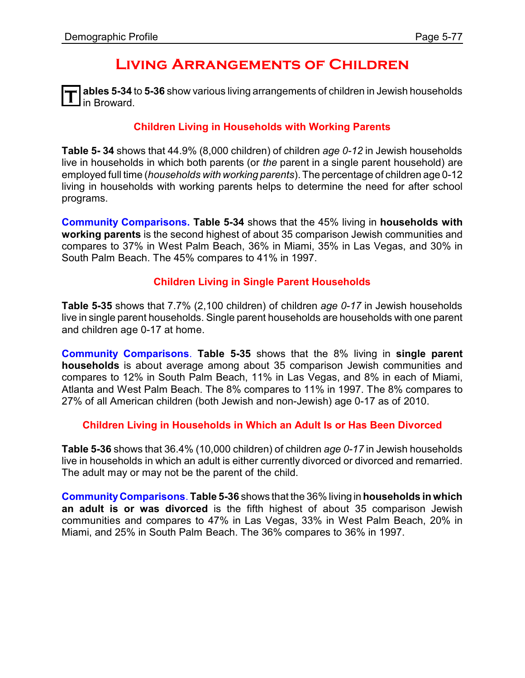# **Living Arrangements of Children**

**T ables 5-34** to **5-36** show various living arrangements of children in Jewish households in Broward.

## **Children Living in Households with Working Parents**

**Table 5- 34** shows that 44.9% (8,000 children) of children *age 0-12* in Jewish households live in households in which both parents (or *the* parent in a single parent household) are employed full time (*households with working parents*). The percentage of children age 0-12 living in households with working parents helps to determine the need for after school programs.

**Community Comparisons. Table 5-34** shows that the 45% living in **households with working parents** is the second highest of about 35 comparison Jewish communities and compares to 37% in West Palm Beach, 36% in Miami, 35% in Las Vegas, and 30% in South Palm Beach. The 45% compares to 41% in 1997.

## **Children Living in Single Parent Households**

**Table 5-35** shows that 7.7% (2,100 children) of children *age 0-17* in Jewish households live in single parent households. Single parent households are households with one parent and children age 0-17 at home.

**Community Comparisons**. **Table 5-35** shows that the 8% living in **single parent households** is about average among about 35 comparison Jewish communities and compares to 12% in South Palm Beach, 11% in Las Vegas, and 8% in each of Miami, Atlanta and West Palm Beach. The 8% compares to 11% in 1997. The 8% compares to 27% of all American children (both Jewish and non-Jewish) age 0-17 as of 2010.

### **Children Living in Households in Which an Adult Is or Has Been Divorced**

**Table 5-36** shows that 36.4% (10,000 children) of children *age 0-17* in Jewish households live in households in which an adult is either currently divorced or divorced and remarried. The adult may or may not be the parent of the child.

**CommunityComparisons**. **Table 5-36** shows that the 36% living in **households in which an adult is or was divorced** is the fifth highest of about 35 comparison Jewish communities and compares to 47% in Las Vegas, 33% in West Palm Beach, 20% in Miami, and 25% in South Palm Beach. The 36% compares to 36% in 1997.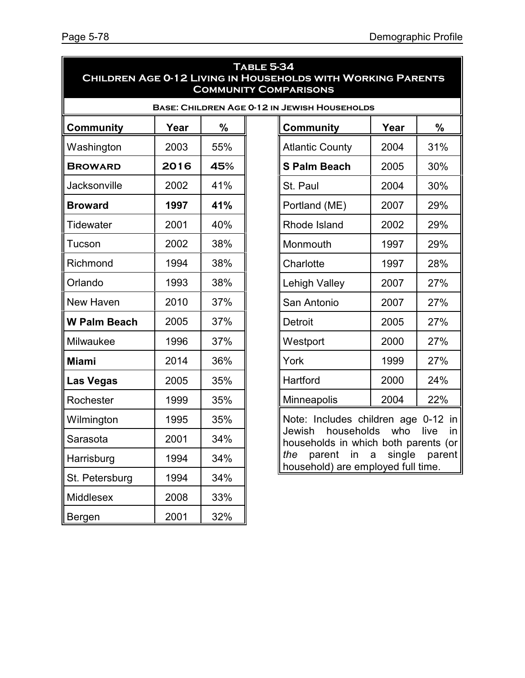| <b>TABLE 5-34</b><br><b>CHILDREN AGE 0-12 LIVING IN HOUSEHOLDS WITH WORKING PARENTS</b><br><b>COMMUNITY COMPARISONS</b> |                                                     |     |                                                                              |                                                              |      |            |  |  |
|-------------------------------------------------------------------------------------------------------------------------|-----------------------------------------------------|-----|------------------------------------------------------------------------------|--------------------------------------------------------------|------|------------|--|--|
|                                                                                                                         | <b>BASE: CHILDREN AGE 0-12 IN JEWISH HOUSEHOLDS</b> |     |                                                                              |                                                              |      |            |  |  |
| <b>Community</b>                                                                                                        | Year                                                | %   |                                                                              | <b>Community</b>                                             | Year | $\%$       |  |  |
| Washington                                                                                                              | 2003                                                | 55% |                                                                              | <b>Atlantic County</b>                                       | 2004 | 31%        |  |  |
| <b>BROWARD</b>                                                                                                          | 2016                                                | 45% |                                                                              | <b>S Palm Beach</b>                                          | 2005 | 30%        |  |  |
| Jacksonville                                                                                                            | 2002                                                | 41% |                                                                              | St. Paul                                                     | 2004 | 30%        |  |  |
| <b>Broward</b>                                                                                                          | 1997                                                | 41% |                                                                              | Portland (ME)                                                | 2007 | 29%        |  |  |
| Tidewater                                                                                                               | 2001                                                | 40% |                                                                              | Rhode Island                                                 | 2002 | 29%        |  |  |
| Tucson                                                                                                                  | 2002                                                | 38% |                                                                              | Monmouth                                                     | 1997 | 29%        |  |  |
| Richmond                                                                                                                | 1994                                                | 38% |                                                                              | Charlotte                                                    | 1997 | 28%        |  |  |
| Orlando                                                                                                                 | 1993                                                | 38% |                                                                              | <b>Lehigh Valley</b>                                         | 2007 | 27%        |  |  |
| New Haven                                                                                                               | 2010                                                | 37% |                                                                              | San Antonio                                                  | 2007 | 27%        |  |  |
| <b>W Palm Beach</b>                                                                                                     | 2005                                                | 37% |                                                                              | <b>Detroit</b>                                               | 2005 | 27%        |  |  |
| Milwaukee                                                                                                               | 1996                                                | 37% |                                                                              | Westport                                                     | 2000 | 27%        |  |  |
| <b>Miami</b>                                                                                                            | 2014                                                | 36% |                                                                              | York                                                         | 1999 | 27%        |  |  |
| Las Vegas                                                                                                               | 2005                                                | 35% |                                                                              | Hartford                                                     | 2000 | 24%        |  |  |
| Rochester                                                                                                               | 1999                                                | 35% |                                                                              | Minneapolis                                                  | 2004 | 22%        |  |  |
| Wilmington                                                                                                              | 1995                                                | 35% |                                                                              | Note: Includes children age 0-12 in                          |      |            |  |  |
| Sarasota                                                                                                                | 2001                                                | 34% |                                                                              | Jewish<br>households<br>households in which both parents (or | who  | live<br>in |  |  |
| Harrisburg                                                                                                              | 1994                                                | 34% | parent in a<br>the<br>single<br>parent<br>household) are employed full time. |                                                              |      |            |  |  |
| St. Petersburg                                                                                                          | 1994                                                | 34% |                                                                              |                                                              |      |            |  |  |
| Middlesex                                                                                                               | 2008                                                | 33% |                                                                              |                                                              |      |            |  |  |
| Bergen                                                                                                                  | 2001                                                | 32% |                                                                              |                                                              |      |            |  |  |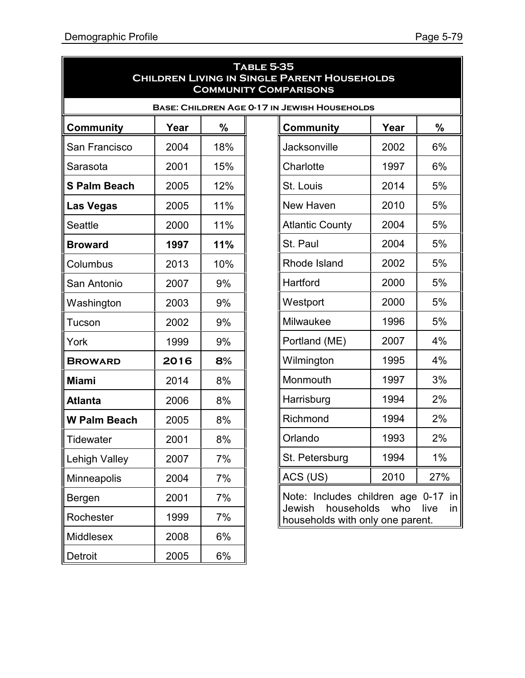| <b>TABLE 5-35</b><br><b>CHILDREN LIVING IN SINGLE PARENT HOUSEHOLDS</b><br><b>COMMUNITY COMPARISONS</b> |      |     |                       |                                                     |                |            |
|---------------------------------------------------------------------------------------------------------|------|-----|-----------------------|-----------------------------------------------------|----------------|------------|
|                                                                                                         |      |     |                       | <b>BASE: CHILDREN AGE 0-17 IN JEWISH HOUSEHOLDS</b> |                |            |
| <b>Community</b>                                                                                        | Year | %   |                       | <b>Community</b>                                    | Year           | $\%$       |
| San Francisco                                                                                           | 2004 | 18% |                       | <b>Jacksonville</b>                                 | 2002           | 6%         |
| Sarasota                                                                                                | 2001 | 15% |                       | Charlotte                                           | 1997           | 6%         |
| <b>S Palm Beach</b>                                                                                     | 2005 | 12% |                       | St. Louis                                           | 2014           | 5%         |
| <b>Las Vegas</b>                                                                                        | 2005 | 11% |                       | New Haven                                           | 2010           | 5%         |
| Seattle                                                                                                 | 2000 | 11% |                       | <b>Atlantic County</b>                              | 2004           | 5%         |
| <b>Broward</b>                                                                                          | 1997 | 11% |                       | St. Paul                                            | 2004           | 5%         |
| Columbus                                                                                                | 2013 | 10% |                       | Rhode Island                                        | 2002           | 5%         |
| San Antonio                                                                                             | 2007 | 9%  |                       | Hartford                                            | 2000           | 5%         |
| Washington                                                                                              | 2003 | 9%  |                       | Westport                                            | 2000           | 5%         |
| Tucson                                                                                                  | 2002 | 9%  |                       | Milwaukee                                           | 1996           | 5%         |
| York                                                                                                    | 1999 | 9%  | Portland (ME)<br>2007 |                                                     | 4%             |            |
| <b>BROWARD</b>                                                                                          | 2016 | 8%  |                       | Wilmington<br>1995                                  |                | 4%         |
| <b>Miami</b>                                                                                            | 2014 | 8%  |                       | Monmouth<br>1997                                    |                | 3%         |
| <b>Atlanta</b>                                                                                          | 2006 | 8%  |                       | Harrisburg                                          | 1994           | 2%         |
| <b>W Palm Beach</b>                                                                                     | 2005 | 8%  |                       | Richmond                                            | 1994           | 2%         |
| Tidewater                                                                                               | 2001 | 8%  |                       | Orlando                                             | 1993           | 2%         |
| <b>Lehigh Valley</b>                                                                                    | 2007 | 7%  |                       | St. Petersburg                                      | 1994           | $1\%$      |
| Minneapolis                                                                                             | 2004 | 7%  |                       | ACS (US)                                            | 2010           | 27%        |
| Bergen                                                                                                  | 2001 | 7%  |                       | Note: Includes children age 0-17 in                 |                |            |
| Rochester                                                                                               | 1999 | 7%  |                       | Jewish<br>households with only one parent.          | households who | live<br>in |
| Middlesex                                                                                               | 2008 | 6%  |                       |                                                     |                |            |
| 2005<br>6%<br>Detroit                                                                                   |      |     |                       |                                                     |                |            |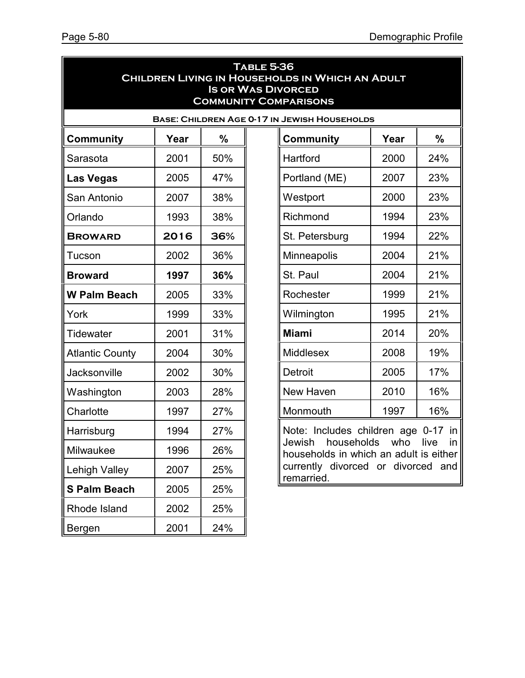| <b>TABLE 5-36</b><br>CHILDREN LIVING IN HOUSEHOLDS IN WHICH AN ADULT<br><b>IS OR WAS DIVORCED</b><br><b>COMMUNITY COMPARISONS</b> |      |     |                      |                                                                |      |              |
|-----------------------------------------------------------------------------------------------------------------------------------|------|-----|----------------------|----------------------------------------------------------------|------|--------------|
| <b>BASE: CHILDREN AGE 0-17 IN JEWISH HOUSEHOLDS</b>                                                                               |      |     |                      |                                                                |      |              |
| <b>Community</b>                                                                                                                  | Year | %   |                      | <b>Community</b>                                               | Year | $\%$         |
| Sarasota                                                                                                                          | 2001 | 50% |                      | Hartford                                                       | 2000 | 24%          |
| <b>Las Vegas</b>                                                                                                                  | 2005 | 47% |                      | Portland (ME)                                                  | 2007 | 23%          |
| San Antonio                                                                                                                       | 2007 | 38% |                      | Westport                                                       | 2000 | 23%          |
| Orlando                                                                                                                           | 1993 | 38% |                      | Richmond                                                       | 1994 | 23%          |
| <b>BROWARD</b>                                                                                                                    | 2016 | 36% |                      | St. Petersburg                                                 | 1994 | 22%          |
| Tucson                                                                                                                            | 2002 | 36% |                      | Minneapolis                                                    | 2004 | 21%          |
| <b>Broward</b>                                                                                                                    | 1997 | 36% |                      | St. Paul                                                       | 2004 | 21%          |
| <b>W Palm Beach</b>                                                                                                               | 2005 | 33% |                      | Rochester                                                      | 1999 | 21%          |
| York                                                                                                                              | 1999 | 33% | 1995<br>Wilmington   |                                                                | 21%  |              |
| <b>Tidewater</b>                                                                                                                  | 2001 | 31% | 2014<br><b>Miami</b> |                                                                | 20%  |              |
| <b>Atlantic County</b>                                                                                                            | 2004 | 30% |                      | Middlesex                                                      | 2008 | 19%          |
| Jacksonville                                                                                                                      | 2002 | 30% |                      | Detroit                                                        | 2005 | 17%          |
| Washington                                                                                                                        | 2003 | 28% |                      | New Haven                                                      | 2010 | 16%          |
| Charlotte                                                                                                                         | 1997 | 27% |                      | Monmouth                                                       | 1997 | 16%          |
| Harrisburg                                                                                                                        | 1994 | 27% |                      | Note: Includes children age 0-17 in                            |      |              |
| Milwaukee                                                                                                                         | 1996 | 26% |                      | Jewish<br>households<br>households in which an adult is either | who  | live<br>in I |
| <b>Lehigh Valley</b>                                                                                                              | 2007 | 25% |                      | currently divorced or divorced and<br>remarried.               |      |              |
| <b>S Palm Beach</b>                                                                                                               | 2005 | 25% |                      |                                                                |      |              |
| Rhode Island                                                                                                                      | 2002 | 25% |                      |                                                                |      |              |
| <b>Bergen</b>                                                                                                                     | 2001 | 24% |                      |                                                                |      |              |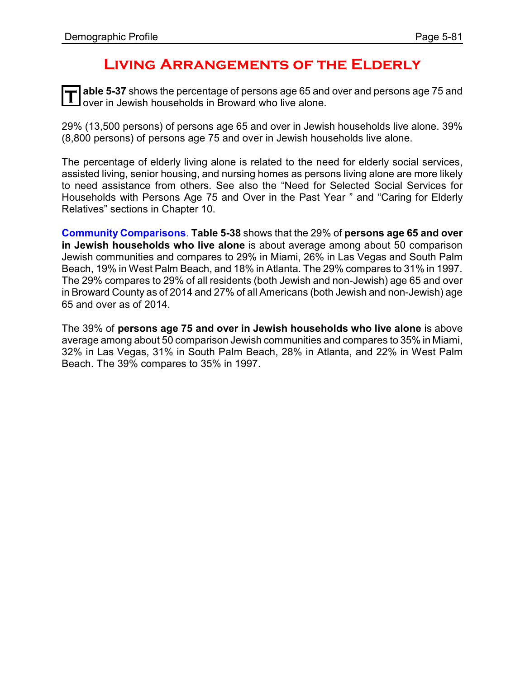# **Living Arrangements of the Elderly**

**T able 5-37** shows the percentage of persons age 65 and over and persons age 75 and over in Jewish households in Broward who live alone.

29% (13,500 persons) of persons age 65 and over in Jewish households live alone. 39% (8,800 persons) of persons age 75 and over in Jewish households live alone.

The percentage of elderly living alone is related to the need for elderly social services, assisted living, senior housing, and nursing homes as persons living alone are more likely to need assistance from others. See also the "Need for Selected Social Services for Households with Persons Age 75 and Over in the Past Year " and "Caring for Elderly Relatives" sections in Chapter 10.

**Community Comparisons**. **Table 5-38** shows that the 29% of **persons age 65 and over in Jewish households who live alone** is about average among about 50 comparison Jewish communities and compares to 29% in Miami, 26% in Las Vegas and South Palm Beach, 19% in West Palm Beach, and 18% in Atlanta. The 29% compares to 31% in 1997. The 29% compares to 29% of all residents (both Jewish and non-Jewish) age 65 and over in Broward County as of 2014 and 27% of all Americans (both Jewish and non-Jewish) age 65 and over as of 2014.

The 39% of **persons age 75 and over in Jewish households who live alone** is above average among about 50 comparison Jewish communities and compares to 35% in Miami, 32% in Las Vegas, 31% in South Palm Beach, 28% in Atlanta, and 22% in West Palm Beach. The 39% compares to 35% in 1997.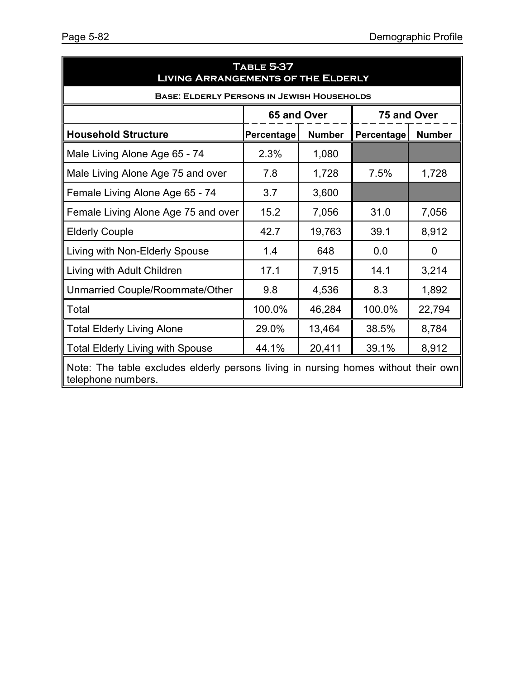| <b>TABLE 5-37</b><br><b>LIVING ARRANGEMENTS OF THE ELDERLY</b>                                           |             |               |             |               |  |  |
|----------------------------------------------------------------------------------------------------------|-------------|---------------|-------------|---------------|--|--|
| <b>BASE: ELDERLY PERSONS IN JEWISH HOUSEHOLDS</b>                                                        |             |               |             |               |  |  |
|                                                                                                          | 65 and Over |               | 75 and Over |               |  |  |
| <b>Household Structure</b>                                                                               | Percentage  | <b>Number</b> | Percentage  | <b>Number</b> |  |  |
| Male Living Alone Age 65 - 74                                                                            | 2.3%        | 1,080         |             |               |  |  |
| Male Living Alone Age 75 and over                                                                        | 7.8         | 1,728         | 7.5%        | 1,728         |  |  |
| Female Living Alone Age 65 - 74                                                                          | 3.7         | 3,600         |             |               |  |  |
| Female Living Alone Age 75 and over                                                                      | 15.2        | 7,056         | 31.0        | 7,056         |  |  |
| <b>Elderly Couple</b>                                                                                    | 42.7        | 19,763        | 39.1        | 8,912         |  |  |
| Living with Non-Elderly Spouse                                                                           | 1.4         | 648           | 0.0         | 0             |  |  |
| Living with Adult Children                                                                               | 17.1        | 7,915         | 14.1        | 3,214         |  |  |
| Unmarried Couple/Roommate/Other                                                                          | 9.8         | 4,536         | 8.3         | 1,892         |  |  |
| Total                                                                                                    | 100.0%      | 46,284        | 100.0%      | 22,794        |  |  |
| <b>Total Elderly Living Alone</b>                                                                        | 29.0%       | 13,464        | 38.5%       | 8,784         |  |  |
| <b>Total Elderly Living with Spouse</b>                                                                  | 44.1%       | 20,411        | 39.1%       | 8,912         |  |  |
| Note: The table excludes elderly persons living in nursing homes without their own<br>telephone numbers. |             |               |             |               |  |  |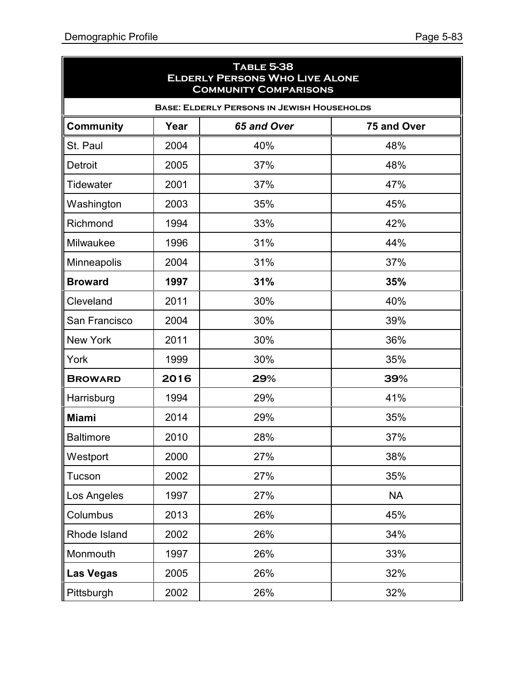| <b>TABLE 5-38</b><br><b>ELDERLY PERSONS WHO LIVE ALONE</b><br><b>COMMUNITY COMPARISONS</b> |      |             |             |  |  |  |
|--------------------------------------------------------------------------------------------|------|-------------|-------------|--|--|--|
| <b>BASE: ELDERLY PERSONS IN JEWISH HOUSEHOLDS</b>                                          |      |             |             |  |  |  |
| <b>Community</b>                                                                           | Year | 65 and Over | 75 and Over |  |  |  |
| St. Paul                                                                                   | 2004 | 40%         | 48%         |  |  |  |
| <b>Detroit</b>                                                                             | 2005 | 37%         | 48%         |  |  |  |
| Tidewater                                                                                  | 2001 | 37%         | 47%         |  |  |  |
| Washington                                                                                 | 2003 | 35%         | 45%         |  |  |  |
| Richmond                                                                                   | 1994 | 33%         | 42%         |  |  |  |
| Milwaukee                                                                                  | 1996 | 31%         | 44%         |  |  |  |
| Minneapolis                                                                                | 2004 | 31%         | 37%         |  |  |  |
| <b>Broward</b>                                                                             | 1997 | 31%         | 35%         |  |  |  |
| Cleveland                                                                                  | 2011 | 30%         | 40%         |  |  |  |
| San Francisco                                                                              | 2004 | 30%         | 39%         |  |  |  |
| New York                                                                                   | 2011 | 30%         | 36%         |  |  |  |
| York                                                                                       | 1999 | 30%         | 35%         |  |  |  |
| <b>BROWARD</b>                                                                             | 2016 | 29%         | 39%         |  |  |  |
| Harrisburg                                                                                 | 1994 | 29%         | 41%         |  |  |  |
| <b>Miami</b>                                                                               | 2014 | 29%         | 35%         |  |  |  |
| <b>Baltimore</b>                                                                           | 2010 | 28%         | 37%         |  |  |  |
| Westport                                                                                   | 2000 | 27%         | 38%         |  |  |  |
| Tucson                                                                                     | 2002 | 27%         | 35%         |  |  |  |
| Los Angeles                                                                                | 1997 | 27%         | <b>NA</b>   |  |  |  |
| Columbus                                                                                   | 2013 | 26%         | 45%         |  |  |  |
| Rhode Island                                                                               | 2002 | 26%         | 34%         |  |  |  |
| Monmouth                                                                                   | 1997 | 26%         | 33%         |  |  |  |
| <b>Las Vegas</b>                                                                           | 2005 | 26%         | 32%         |  |  |  |
| Pittsburgh                                                                                 | 2002 | 26%         | 32%         |  |  |  |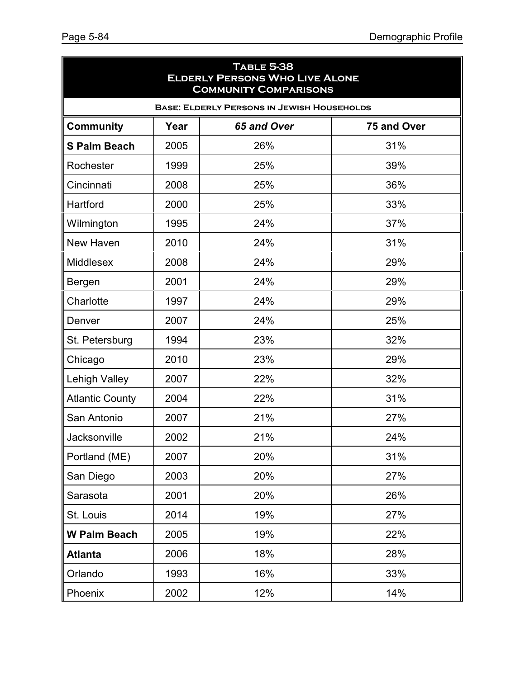| <b>TABLE 5-38</b><br><b>ELDERLY PERSONS WHO LIVE ALONE</b><br><b>COMMUNITY COMPARISONS</b> |      |             |             |  |  |  |
|--------------------------------------------------------------------------------------------|------|-------------|-------------|--|--|--|
| <b>BASE: ELDERLY PERSONS IN JEWISH HOUSEHOLDS</b>                                          |      |             |             |  |  |  |
| <b>Community</b>                                                                           | Year | 65 and Over | 75 and Over |  |  |  |
| <b>S Palm Beach</b>                                                                        | 2005 | 26%         | 31%         |  |  |  |
| Rochester                                                                                  | 1999 | 25%         | 39%         |  |  |  |
| Cincinnati                                                                                 | 2008 | 25%         | 36%         |  |  |  |
| Hartford                                                                                   | 2000 | 25%         | 33%         |  |  |  |
| Wilmington                                                                                 | 1995 | 24%         | 37%         |  |  |  |
| New Haven                                                                                  | 2010 | 24%         | 31%         |  |  |  |
| <b>Middlesex</b>                                                                           | 2008 | 24%         | 29%         |  |  |  |
| Bergen                                                                                     | 2001 | 24%         | 29%         |  |  |  |
| Charlotte                                                                                  | 1997 | 24%         | 29%         |  |  |  |
| Denver                                                                                     | 2007 | 24%         | 25%         |  |  |  |
| St. Petersburg                                                                             | 1994 | 23%         | 32%         |  |  |  |
| Chicago                                                                                    | 2010 | 23%         | 29%         |  |  |  |
| Lehigh Valley                                                                              | 2007 | 22%         | 32%         |  |  |  |
| <b>Atlantic County</b>                                                                     | 2004 | 22%         | 31%         |  |  |  |
| San Antonio                                                                                | 2007 | 21%         | 27%         |  |  |  |
| Jacksonville                                                                               | 2002 | 21%         | 24%         |  |  |  |
| Portland (ME)                                                                              | 2007 | 20%         | 31%         |  |  |  |
| San Diego                                                                                  | 2003 | 20%         | 27%         |  |  |  |
| Sarasota                                                                                   | 2001 | 20%         | 26%         |  |  |  |
| St. Louis                                                                                  | 2014 | 19%         | 27%         |  |  |  |
| W Palm Beach                                                                               | 2005 | 19%         | 22%         |  |  |  |
| <b>Atlanta</b>                                                                             | 2006 | 18%         | 28%         |  |  |  |
| Orlando                                                                                    | 1993 | 16%         | 33%         |  |  |  |
| Phoenix                                                                                    | 2002 | 12%         | 14%         |  |  |  |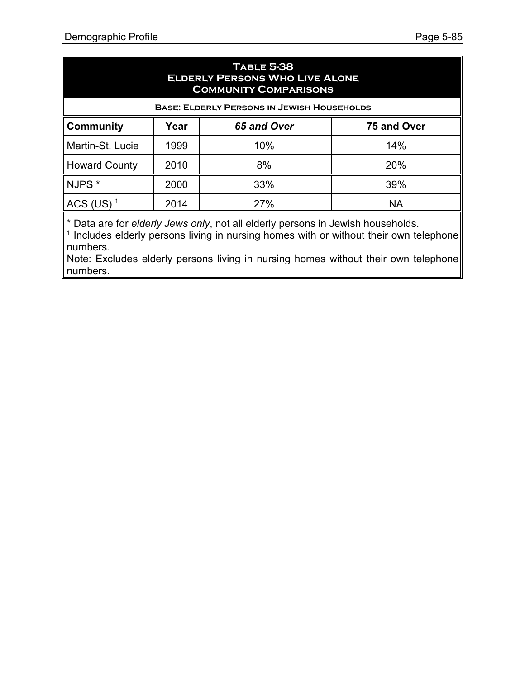| <b>TABLE 5-38</b><br><b>ELDERLY PERSONS WHO LIVE ALONE</b><br><b>COMMUNITY COMPARISONS</b> |      |            |           |  |  |
|--------------------------------------------------------------------------------------------|------|------------|-----------|--|--|
| <b>BASE: ELDERLY PERSONS IN JEWISH HOUSEHOLDS</b>                                          |      |            |           |  |  |
| 65 and Over<br><b>Community</b><br>75 and Over<br>Year                                     |      |            |           |  |  |
| Martin-St. Lucie                                                                           | 1999 | 10%        | 14%       |  |  |
| Howard County                                                                              | 2010 | 8%         | 20%       |  |  |
| NJPS <sup>*</sup>                                                                          | 2000 | 33%        | 39%       |  |  |
| $\parallel$ ACS (US) <sup>1</sup>                                                          | 2014 | <b>27%</b> | <b>NA</b> |  |  |
|                                                                                            |      |            | .         |  |  |

\* Data are for *elderly Jews only*, not all elderly persons in Jewish households. 1 Includes elderly persons living in nursing homes with or without their own telephone

numbers.

Note: Excludes elderly persons living in nursing homes without their own telephone numbers.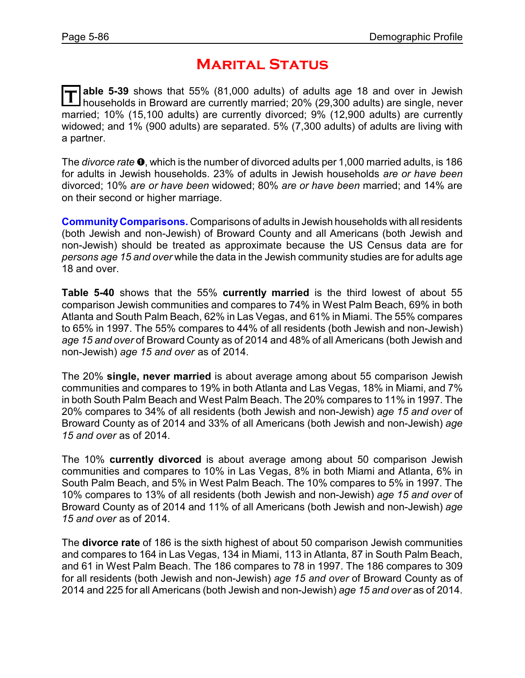# **Marital Status**

**T able 5-39** shows that 55% (81,000 adults) of adults age 18 and over in Jewish households in Broward are currently married; 20% (29,300 adults) are single, never married; 10% (15,100 adults) are currently divorced; 9% (12,900 adults) are currently widowed; and 1% (900 adults) are separated. 5% (7,300 adults) of adults are living with a partner.

The *divorce rate*  $\bullet$ , which is the number of divorced adults per 1,000 married adults, is 186 for adults in Jewish households. 23% of adults in Jewish households *are or have been* divorced; 10% *are or have been* widowed; 80% *are or have been* married; and 14% are on their second or higher marriage.

**CommunityComparisons.** Comparisons of adults in Jewish households with all residents (both Jewish and non-Jewish) of Broward County and all Americans (both Jewish and non-Jewish) should be treated as approximate because the US Census data are for *persons age 15 and over* while the data in the Jewish community studies are for adults age 18 and over.

**Table 5-40** shows that the 55% **currently married** is the third lowest of about 55 comparison Jewish communities and compares to 74% in West Palm Beach, 69% in both Atlanta and South Palm Beach, 62% in Las Vegas, and 61% in Miami. The 55% compares to 65% in 1997. The 55% compares to 44% of all residents (both Jewish and non-Jewish) *age 15 and over* of Broward County as of 2014 and 48% of all Americans (both Jewish and non-Jewish) *age 15 and over* as of 2014.

The 20% **single, never married** is about average among about 55 comparison Jewish communities and compares to 19% in both Atlanta and Las Vegas, 18% in Miami, and 7% in both South Palm Beach and West Palm Beach. The 20% compares to 11% in 1997. The 20% compares to 34% of all residents (both Jewish and non-Jewish) *age 15 and over* of Broward County as of 2014 and 33% of all Americans (both Jewish and non-Jewish) *age 15 and over* as of 2014.

The 10% **currently divorced** is about average among about 50 comparison Jewish communities and compares to 10% in Las Vegas, 8% in both Miami and Atlanta, 6% in South Palm Beach, and 5% in West Palm Beach. The 10% compares to 5% in 1997. The 10% compares to 13% of all residents (both Jewish and non-Jewish) *age 15 and over* of Broward County as of 2014 and 11% of all Americans (both Jewish and non-Jewish) *age 15 and over* as of 2014.

The **divorce rate** of 186 is the sixth highest of about 50 comparison Jewish communities and compares to 164 in Las Vegas, 134 in Miami, 113 in Atlanta, 87 in South Palm Beach, and 61 in West Palm Beach. The 186 compares to 78 in 1997. The 186 compares to 309 for all residents (both Jewish and non-Jewish) *age 15 and over* of Broward County as of 2014 and 225 for all Americans (both Jewish and non-Jewish) *age 15 and over* as of 2014.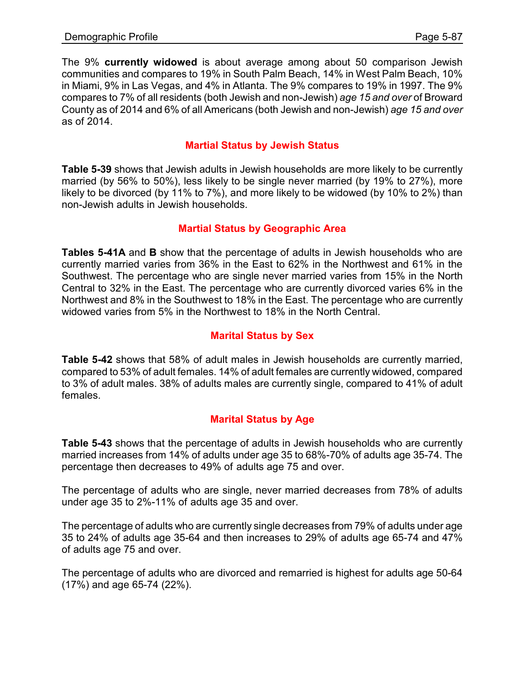The 9% **currently widowed** is about average among about 50 comparison Jewish communities and compares to 19% in South Palm Beach, 14% in West Palm Beach, 10% in Miami, 9% in Las Vegas, and 4% in Atlanta. The 9% compares to 19% in 1997. The 9% compares to 7% of all residents (both Jewish and non-Jewish) *age 15 and over* of Broward County as of 2014 and 6% of all Americans (both Jewish and non-Jewish) *age 15 and over* as of 2014.

## **Martial Status by Jewish Status**

**Table 5-39** shows that Jewish adults in Jewish households are more likely to be currently married (by 56% to 50%), less likely to be single never married (by 19% to 27%), more likely to be divorced (by 11% to 7%), and more likely to be widowed (by 10% to 2%) than non-Jewish adults in Jewish households.

## **Martial Status by Geographic Area**

**Tables 5-41A** and **B** show that the percentage of adults in Jewish households who are currently married varies from 36% in the East to 62% in the Northwest and 61% in the Southwest. The percentage who are single never married varies from 15% in the North Central to 32% in the East. The percentage who are currently divorced varies 6% in the Northwest and 8% in the Southwest to 18% in the East. The percentage who are currently widowed varies from 5% in the Northwest to 18% in the North Central.

## **Marital Status by Sex**

**Table 5-42** shows that 58% of adult males in Jewish households are currently married, compared to 53% of adult females. 14% of adult females are currently widowed, compared to 3% of adult males. 38% of adults males are currently single, compared to 41% of adult females.

## **Marital Status by Age**

**Table 5-43** shows that the percentage of adults in Jewish households who are currently married increases from 14% of adults under age 35 to 68%-70% of adults age 35-74. The percentage then decreases to 49% of adults age 75 and over.

The percentage of adults who are single, never married decreases from 78% of adults under age 35 to 2%-11% of adults age 35 and over.

The percentage of adults who are currently single decreases from 79% of adults under age 35 to 24% of adults age 35-64 and then increases to 29% of adults age 65-74 and 47% of adults age 75 and over.

The percentage of adults who are divorced and remarried is highest for adults age 50-64 (17%) and age 65-74 (22%).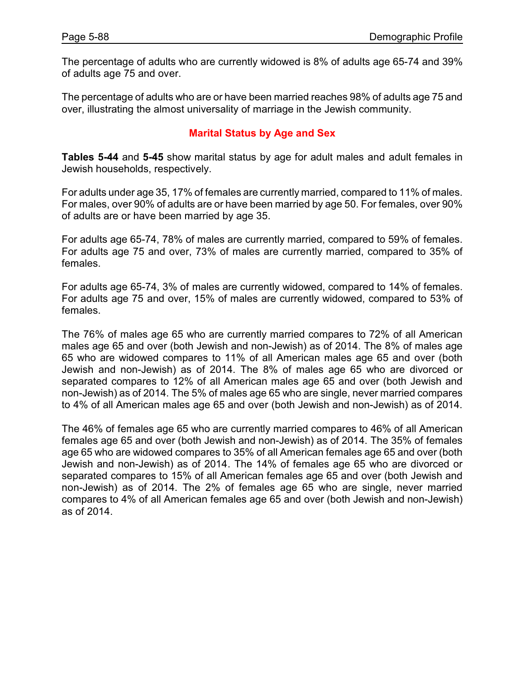The percentage of adults who are currently widowed is 8% of adults age 65-74 and 39% of adults age 75 and over.

The percentage of adults who are or have been married reaches 98% of adults age 75 and over, illustrating the almost universality of marriage in the Jewish community.

### **Marital Status by Age and Sex**

**Tables 5-44** and **5-45** show marital status by age for adult males and adult females in Jewish households, respectively.

For adults under age 35, 17% of females are currently married, compared to 11% of males. For males, over 90% of adults are or have been married by age 50. For females, over 90% of adults are or have been married by age 35.

For adults age 65-74, 78% of males are currently married, compared to 59% of females. For adults age 75 and over, 73% of males are currently married, compared to 35% of females.

For adults age 65-74, 3% of males are currently widowed, compared to 14% of females. For adults age 75 and over, 15% of males are currently widowed, compared to 53% of females.

The 76% of males age 65 who are currently married compares to 72% of all American males age 65 and over (both Jewish and non-Jewish) as of 2014. The 8% of males age 65 who are widowed compares to 11% of all American males age 65 and over (both Jewish and non-Jewish) as of 2014. The 8% of males age 65 who are divorced or separated compares to 12% of all American males age 65 and over (both Jewish and non-Jewish) as of 2014. The 5% of males age 65 who are single, never married compares to 4% of all American males age 65 and over (both Jewish and non-Jewish) as of 2014.

The 46% of females age 65 who are currently married compares to 46% of all American females age 65 and over (both Jewish and non-Jewish) as of 2014. The 35% of females age 65 who are widowed compares to 35% of all American females age 65 and over (both Jewish and non-Jewish) as of 2014. The 14% of females age 65 who are divorced or separated compares to 15% of all American females age 65 and over (both Jewish and non-Jewish) as of 2014. The 2% of females age 65 who are single, never married compares to 4% of all American females age 65 and over (both Jewish and non-Jewish) as of 2014.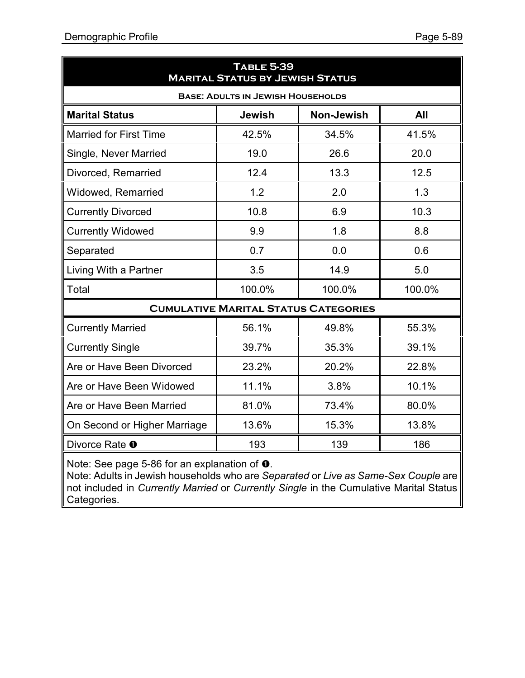| <b>TABLE 5-39</b><br><b>MARITAL STATUS BY JEWISH STATUS</b> |                                             |        |        |  |  |  |  |
|-------------------------------------------------------------|---------------------------------------------|--------|--------|--|--|--|--|
| <b>BASE: ADULTS IN JEWISH HOUSEHOLDS</b>                    |                                             |        |        |  |  |  |  |
| <b>Jewish</b><br>Non-Jewish<br>All<br><b>Marital Status</b> |                                             |        |        |  |  |  |  |
| <b>Married for First Time</b>                               | 42.5%                                       | 34.5%  | 41.5%  |  |  |  |  |
| Single, Never Married                                       | 19.0                                        | 26.6   | 20.0   |  |  |  |  |
| Divorced, Remarried                                         | 12.4                                        | 13.3   | 12.5   |  |  |  |  |
| Widowed, Remarried                                          | 1.2                                         | 2.0    | 1.3    |  |  |  |  |
| <b>Currently Divorced</b>                                   | 10.8                                        | 6.9    | 10.3   |  |  |  |  |
| <b>Currently Widowed</b>                                    | 9.9                                         | 1.8    | 8.8    |  |  |  |  |
| Separated                                                   | 0.7                                         | 0.0    | 0.6    |  |  |  |  |
| Living With a Partner                                       | 3.5                                         | 14.9   | 5.0    |  |  |  |  |
| Total                                                       | 100.0%                                      | 100.0% | 100.0% |  |  |  |  |
|                                                             | <b>CUMULATIVE MARITAL STATUS CATEGORIES</b> |        |        |  |  |  |  |
| <b>Currently Married</b>                                    | 56.1%                                       | 49.8%  | 55.3%  |  |  |  |  |
| <b>Currently Single</b>                                     | 39.7%                                       | 35.3%  | 39.1%  |  |  |  |  |
| Are or Have Been Divorced                                   | 23.2%                                       | 20.2%  | 22.8%  |  |  |  |  |
| Are or Have Been Widowed                                    | 11.1%                                       | 3.8%   | 10.1%  |  |  |  |  |
| Are or Have Been Married                                    | 81.0%                                       | 73.4%  | 80.0%  |  |  |  |  |
| On Second or Higher Marriage                                | 13.6%                                       | 15.3%  | 13.8%  |  |  |  |  |
| Divorce Rate <sup>O</sup>                                   | 193                                         | 139    | 186    |  |  |  |  |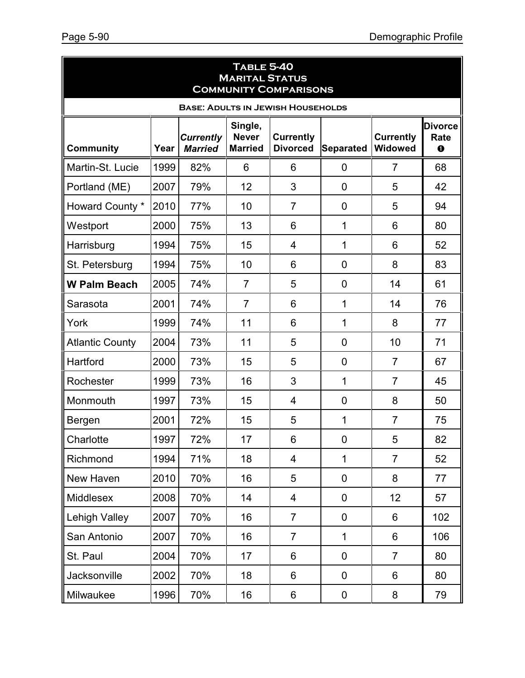| <b>TABLE 5-40</b><br><b>MARITAL STATUS</b><br><b>COMMUNITY COMPARISONS</b>                                                                                                                            |      |     |                |                |                |                |     |  |  |  |
|-------------------------------------------------------------------------------------------------------------------------------------------------------------------------------------------------------|------|-----|----------------|----------------|----------------|----------------|-----|--|--|--|
| <b>BASE: ADULTS IN JEWISH HOUSEHOLDS</b>                                                                                                                                                              |      |     |                |                |                |                |     |  |  |  |
| Single,<br><b>Never</b><br><b>Currently</b><br><b>Currently</b><br><b>Currently</b><br><b>Divorced</b><br>Widowed<br>Year<br><b>Married</b><br><b>Married</b><br><b>Community</b><br><b>Separated</b> |      |     |                |                |                |                |     |  |  |  |
| Martin-St. Lucie                                                                                                                                                                                      | 1999 | 82% | 6              | 6              | $\overline{0}$ | $\overline{7}$ | 68  |  |  |  |
| Portland (ME)                                                                                                                                                                                         | 2007 | 79% | 12             | 3              | 0              | 5              | 42  |  |  |  |
| Howard County *                                                                                                                                                                                       | 2010 | 77% | 10             | $\overline{7}$ | 0              | 5              | 94  |  |  |  |
| Westport                                                                                                                                                                                              | 2000 | 75% | 13             | 6              | $\mathbf 1$    | 6              | 80  |  |  |  |
| Harrisburg                                                                                                                                                                                            | 1994 | 75% | 15             | 4              | $\mathbf{1}$   | 6              | 52  |  |  |  |
| St. Petersburg                                                                                                                                                                                        | 1994 | 75% | 10             | 6              | $\mathbf 0$    | 8              | 83  |  |  |  |
| <b>W Palm Beach</b>                                                                                                                                                                                   | 2005 | 74% | $\overline{7}$ | 5              | $\mathbf 0$    | 14             | 61  |  |  |  |
| Sarasota                                                                                                                                                                                              | 2001 | 74% | $\overline{7}$ | 6              | 1              | 14             | 76  |  |  |  |
| York                                                                                                                                                                                                  | 1999 | 74% | 11             | 6              | 1              | 8              | 77  |  |  |  |
| <b>Atlantic County</b>                                                                                                                                                                                | 2004 | 73% | 11             | 5              | 0              | 10             | 71  |  |  |  |
| Hartford                                                                                                                                                                                              | 2000 | 73% | 15             | 5              | 0              | $\overline{7}$ | 67  |  |  |  |
| Rochester                                                                                                                                                                                             | 1999 | 73% | 16             | 3              | 1              | $\overline{7}$ | 45  |  |  |  |
| Monmouth                                                                                                                                                                                              | 1997 | 73% | 15             | 4              | 0              | 8              | 50  |  |  |  |
| Bergen                                                                                                                                                                                                | 2001 | 72% | 15             | 5              | 1              | $\overline{7}$ | 75  |  |  |  |
| Charlotte                                                                                                                                                                                             | 1997 | 72% | 17             | 6              | 0              | 5              | 82  |  |  |  |
| Richmond                                                                                                                                                                                              | 1994 | 71% | 18             | $\overline{4}$ | $\mathbf{1}$   | $\overline{7}$ | 52  |  |  |  |
| New Haven                                                                                                                                                                                             | 2010 | 70% | 16             | 5              | $\mathbf 0$    | 8              | 77  |  |  |  |
| Middlesex                                                                                                                                                                                             | 2008 | 70% | 14             | 4              | $\mathbf 0$    | 12             | 57  |  |  |  |
| <b>Lehigh Valley</b>                                                                                                                                                                                  | 2007 | 70% | 16             | $\overline{7}$ | 0              | 6              | 102 |  |  |  |
| San Antonio                                                                                                                                                                                           | 2007 | 70% | 16             | $\overline{7}$ | $\mathbf 1$    | 6              | 106 |  |  |  |
| St. Paul                                                                                                                                                                                              | 2004 | 70% | 17             | 6              | 0              | $\overline{7}$ | 80  |  |  |  |
| Jacksonville                                                                                                                                                                                          | 2002 | 70% | 18             | 6              | 0              | 6              | 80  |  |  |  |
| Milwaukee                                                                                                                                                                                             | 1996 | 70% | 16             | 6              | 0              | 8              | 79  |  |  |  |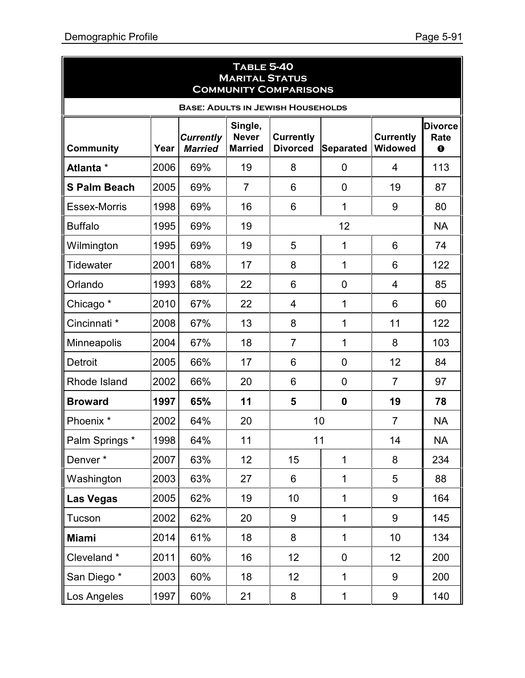| <b>TABLE 5-40</b><br><b>MARITAL STATUS</b><br><b>COMMUNITY COMPARISONS</b> |                                                                                                                                                                                                     |     |                |                |              |                |           |  |  |  |
|----------------------------------------------------------------------------|-----------------------------------------------------------------------------------------------------------------------------------------------------------------------------------------------------|-----|----------------|----------------|--------------|----------------|-----------|--|--|--|
| <b>BASE: ADULTS IN JEWISH HOUSEHOLDS</b>                                   |                                                                                                                                                                                                     |     |                |                |              |                |           |  |  |  |
| <b>Community</b>                                                           | <b>Divorce</b><br>Single,<br><b>Never</b><br><b>Currently</b><br><b>Currently</b><br><b>Currently</b><br><b>Married</b><br><b>Divorced</b><br><b>Separated</b><br>Widowed<br>Year<br><b>Married</b> |     |                |                |              |                |           |  |  |  |
| Atlanta *                                                                  | 2006                                                                                                                                                                                                | 69% | 19             | 8              | $\mathbf 0$  | $\overline{4}$ | 113       |  |  |  |
| <b>S Palm Beach</b>                                                        | 2005                                                                                                                                                                                                | 69% | $\overline{7}$ | 6              | 0            | 19             | 87        |  |  |  |
| <b>Essex-Morris</b>                                                        | 1998                                                                                                                                                                                                | 69% | 16             | 6              | $\mathbf 1$  | 9              | 80        |  |  |  |
| <b>Buffalo</b>                                                             | 1995                                                                                                                                                                                                | 69% | 19             |                | 12           |                | <b>NA</b> |  |  |  |
| Wilmington                                                                 | 1995                                                                                                                                                                                                | 69% | 19             | 5              | 1            | 6              | 74        |  |  |  |
| <b>Tidewater</b>                                                           | 2001                                                                                                                                                                                                | 68% | 17             | 8              | $\mathbf{1}$ | 6              | 122       |  |  |  |
| Orlando                                                                    | 1993                                                                                                                                                                                                | 68% | 22             | 6              | 0            | 4              | 85        |  |  |  |
| Chicago <sup>*</sup>                                                       | 2010                                                                                                                                                                                                | 67% | 22             | 4              | 1            | 6              | 60        |  |  |  |
| Cincinnati <sup>*</sup>                                                    | 2008                                                                                                                                                                                                | 67% | 13             | 8              | 1            | 11             | 122       |  |  |  |
| Minneapolis                                                                | 2004                                                                                                                                                                                                | 67% | 18             | $\overline{7}$ | $\mathbf 1$  | 8              | 103       |  |  |  |
| <b>Detroit</b>                                                             | 2005                                                                                                                                                                                                | 66% | 17             | 6              | $\mathbf 0$  | 12             | 84        |  |  |  |
| Rhode Island                                                               | 2002                                                                                                                                                                                                | 66% | 20             | 6              | 0            | $\overline{7}$ | 97        |  |  |  |
| <b>Broward</b>                                                             | 1997                                                                                                                                                                                                | 65% | 11             | 5              | $\bf{0}$     | 19             | 78        |  |  |  |
| Phoenix <sup>*</sup>                                                       | 2002                                                                                                                                                                                                | 64% | 20             | 10             |              | $\overline{7}$ | NA        |  |  |  |
| Palm Springs *                                                             | 1998                                                                                                                                                                                                | 64% | 11             | 11             |              | 14             | <b>NA</b> |  |  |  |
| Denver*                                                                    | 2007                                                                                                                                                                                                | 63% | 12             | 15             | $\mathbf{1}$ | 8              | 234       |  |  |  |
| Washington                                                                 | 2003                                                                                                                                                                                                | 63% | 27             | 6              | $\mathbf 1$  | 5              | 88        |  |  |  |
| <b>Las Vegas</b>                                                           | 2005                                                                                                                                                                                                | 62% | 19             | 10             | $\mathbf 1$  | 9              | 164       |  |  |  |
| Tucson                                                                     | 2002                                                                                                                                                                                                | 62% | 20             | 9              | $\mathbf 1$  | 9              | 145       |  |  |  |
| <b>Miami</b>                                                               | 2014                                                                                                                                                                                                | 61% | 18             | 8              | $\mathbf 1$  | 10             | 134       |  |  |  |
| Cleveland*                                                                 | 2011                                                                                                                                                                                                | 60% | 16             | 12             | 0            | 12             | 200       |  |  |  |
| San Diego*                                                                 | 2003                                                                                                                                                                                                | 60% | 18             | 12             | $\mathbf 1$  | 9              | 200       |  |  |  |
| Los Angeles                                                                | 1997                                                                                                                                                                                                | 60% | 21             | 8              | 1            | 9              | 140       |  |  |  |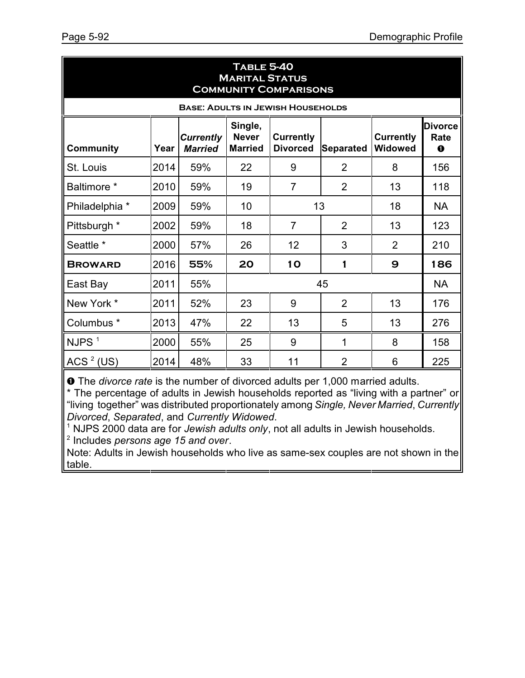| <b>TABLE 5-40</b><br><b>MARITAL STATUS</b><br><b>COMMUNITY COMPARISONS</b> |                                          |                                    |                                           |                                     |                  |                             |                                   |  |  |  |  |
|----------------------------------------------------------------------------|------------------------------------------|------------------------------------|-------------------------------------------|-------------------------------------|------------------|-----------------------------|-----------------------------------|--|--|--|--|
|                                                                            | <b>BASE: ADULTS IN JEWISH HOUSEHOLDS</b> |                                    |                                           |                                     |                  |                             |                                   |  |  |  |  |
| Community                                                                  | Year                                     | <b>Currently</b><br><b>Married</b> | Single,<br><b>Never</b><br><b>Married</b> | <b>Currently</b><br><b>Divorced</b> | <b>Separated</b> | <b>Currently</b><br>Widowed | <b>Divorce</b><br>Rate<br>$\bf o$ |  |  |  |  |
| St. Louis                                                                  | 2014                                     | 59%                                | 22                                        | 9                                   | $\overline{2}$   | 8                           | 156                               |  |  |  |  |
| Baltimore *                                                                | 2010                                     | 59%                                | 19                                        | $\overline{7}$                      | $\overline{2}$   | 13                          | 118                               |  |  |  |  |
| Philadelphia *                                                             | 2009                                     | 59%                                | 10                                        |                                     | 13               | 18                          | <b>NA</b>                         |  |  |  |  |
| Pittsburgh *                                                               | 2002                                     | 59%                                | 18                                        | $\overline{7}$                      | $\overline{2}$   | 13                          | 123                               |  |  |  |  |
| Seattle *                                                                  | 2000                                     | 57%                                | 26                                        | 12                                  | 3                | $\overline{2}$              | 210                               |  |  |  |  |
| <b>BROWARD</b>                                                             | 2016                                     | 55%                                | 20                                        | <b>10</b>                           | 1                | 9                           | 186                               |  |  |  |  |
| East Bay                                                                   | 2011                                     | 55%                                |                                           |                                     | 45               |                             | <b>NA</b>                         |  |  |  |  |
| New York *                                                                 | 2011                                     | 52%                                | 23                                        | 9                                   | $\overline{2}$   | 13                          | 176                               |  |  |  |  |
| Columbus <sup>*</sup>                                                      | 2013                                     | 47%                                | 22                                        | 13                                  | 5                | 13                          | 276                               |  |  |  |  |
| NJPS <sup>1</sup>                                                          | 2000                                     | 55%                                | 25                                        | 9                                   | 1                | 8                           | 158                               |  |  |  |  |
| ACS $2$ (US)                                                               | 2014                                     | 48%                                | 33                                        | 11                                  | $\overline{2}$   | 6                           | 225                               |  |  |  |  |

**O** The *divorce rate* is the number of divorced adults per 1,000 married adults.

\* The percentage of adults in Jewish households reported as "living with a partner" or "living together" was distributed proportionately among *Single, Never Married*, *Currently Divorced*, *Separated*, and *Currently Widowed*.

<sup>1</sup> NJPS 2000 data are for *Jewish adults only*, not all adults in Jewish households. 2 Includes *persons age 15 and over*.

Note: Adults in Jewish households who live as same-sex couples are not shown in the table.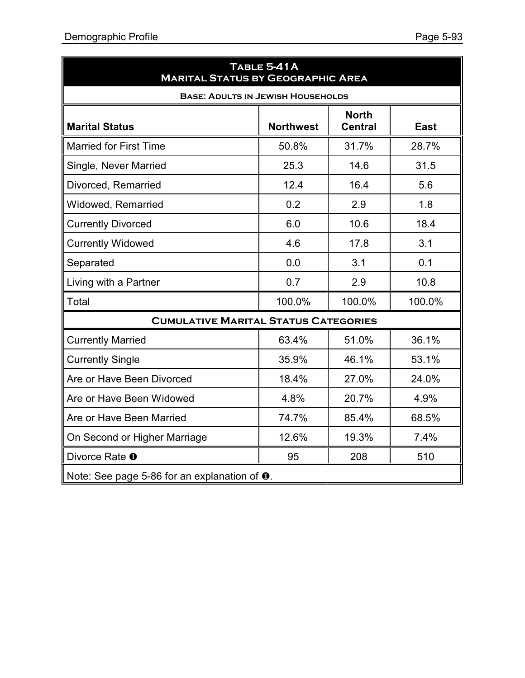| TABLE 5-41A<br><b>MARITAL STATUS BY GEOGRAPHIC AREA</b>                                    |             |        |        |  |  |  |  |  |
|--------------------------------------------------------------------------------------------|-------------|--------|--------|--|--|--|--|--|
| <b>BASE: ADULTS IN JEWISH HOUSEHOLDS</b>                                                   |             |        |        |  |  |  |  |  |
| <b>North</b><br><b>Marital Status</b><br><b>Northwest</b><br><b>Central</b><br><b>East</b> |             |        |        |  |  |  |  |  |
| <b>Married for First Time</b>                                                              | 50.8%       | 31.7%  | 28.7%  |  |  |  |  |  |
| Single, Never Married                                                                      | 25.3        | 14.6   | 31.5   |  |  |  |  |  |
| Divorced, Remarried                                                                        | 12.4        | 16.4   | 5.6    |  |  |  |  |  |
| Widowed, Remarried                                                                         | 0.2         | 2.9    | 1.8    |  |  |  |  |  |
| <b>Currently Divorced</b>                                                                  | 6.0         | 10.6   | 18.4   |  |  |  |  |  |
| <b>Currently Widowed</b>                                                                   | 4.6<br>17.8 |        | 3.1    |  |  |  |  |  |
| Separated                                                                                  | 0.0<br>3.1  |        | 0.1    |  |  |  |  |  |
| Living with a Partner                                                                      | 0.7         | 2.9    |        |  |  |  |  |  |
| Total                                                                                      | 100.0%      | 100.0% | 100.0% |  |  |  |  |  |
| <b>CUMULATIVE MARITAL STATUS CATEGORIES</b>                                                |             |        |        |  |  |  |  |  |
| <b>Currently Married</b>                                                                   | 63.4%       | 51.0%  | 36.1%  |  |  |  |  |  |
| <b>Currently Single</b>                                                                    | 35.9%       | 46.1%  | 53.1%  |  |  |  |  |  |
| Are or Have Been Divorced                                                                  | 18.4%       | 27.0%  | 24.0%  |  |  |  |  |  |
| Are or Have Been Widowed                                                                   | 4.8%        | 20.7%  | 4.9%   |  |  |  |  |  |
| Are or Have Been Married                                                                   | 74.7%       | 85.4%  | 68.5%  |  |  |  |  |  |
| On Second or Higher Marriage                                                               | 12.6%       | 19.3%  | 7.4%   |  |  |  |  |  |
| Divorce Rate <b>O</b>                                                                      | 95          | 208    | 510    |  |  |  |  |  |
| Note: See page 5-86 for an explanation of $\mathbf{0}$ .                                   |             |        |        |  |  |  |  |  |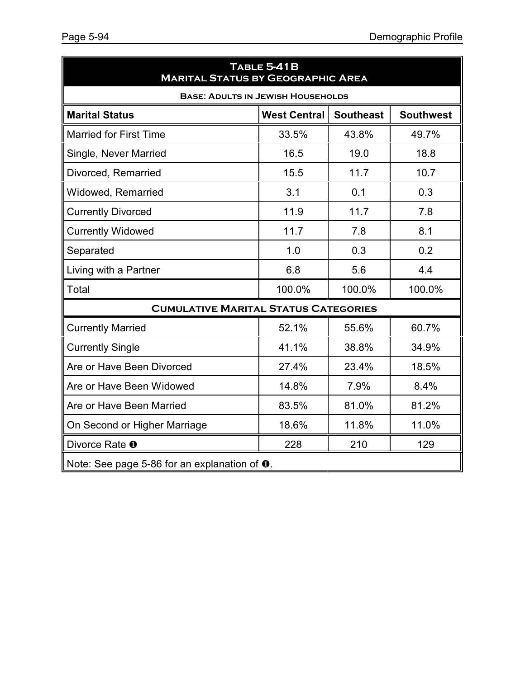| TABLE 5-41B<br><b>MARITAL STATUS BY GEOGRAPHIC AREA</b>                              |        |        |        |  |  |  |  |  |  |
|--------------------------------------------------------------------------------------|--------|--------|--------|--|--|--|--|--|--|
| <b>BASE: ADULTS IN JEWISH HOUSEHOLDS</b>                                             |        |        |        |  |  |  |  |  |  |
| <b>Southeast</b><br><b>Marital Status</b><br><b>West Central</b><br><b>Southwest</b> |        |        |        |  |  |  |  |  |  |
| <b>Married for First Time</b>                                                        | 33.5%  | 43.8%  | 49.7%  |  |  |  |  |  |  |
| Single, Never Married                                                                | 16.5   | 19.0   | 18.8   |  |  |  |  |  |  |
| Divorced, Remarried                                                                  | 15.5   | 11.7   | 10.7   |  |  |  |  |  |  |
| Widowed, Remarried                                                                   | 3.1    | 0.1    | 0.3    |  |  |  |  |  |  |
| <b>Currently Divorced</b>                                                            | 11.9   | 11.7   | 7.8    |  |  |  |  |  |  |
| <b>Currently Widowed</b>                                                             | 11.7   | 7.8    | 8.1    |  |  |  |  |  |  |
| Separated                                                                            | 1.0    | 0.3    |        |  |  |  |  |  |  |
| Living with a Partner                                                                | 6.8    | 5.6    | 4.4    |  |  |  |  |  |  |
| Total                                                                                | 100.0% | 100.0% | 100.0% |  |  |  |  |  |  |
| <b>CUMULATIVE MARITAL STATUS CATEGORIES</b>                                          |        |        |        |  |  |  |  |  |  |
| <b>Currently Married</b>                                                             | 52.1%  | 55.6%  | 60.7%  |  |  |  |  |  |  |
| <b>Currently Single</b>                                                              | 41.1%  | 38.8%  | 34.9%  |  |  |  |  |  |  |
| Are or Have Been Divorced                                                            | 27.4%  | 23.4%  | 18.5%  |  |  |  |  |  |  |
| Are or Have Been Widowed                                                             | 14.8%  | 7.9%   | 8.4%   |  |  |  |  |  |  |
| Are or Have Been Married                                                             | 83.5%  | 81.0%  | 81.2%  |  |  |  |  |  |  |
| 18.6%<br>11.8%<br>11.0%<br>On Second or Higher Marriage                              |        |        |        |  |  |  |  |  |  |
| Divorce Rate <sup>O</sup>                                                            | 228    | 210    | 129    |  |  |  |  |  |  |
| Note: See page 5-86 for an explanation of $\bullet$ .                                |        |        |        |  |  |  |  |  |  |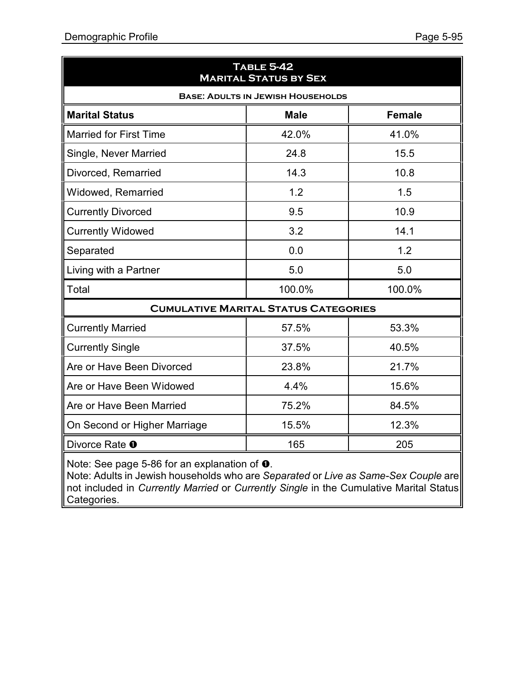| <b>TABLE 5-42</b><br><b>MARITAL STATUS BY SEX</b> |                                             |               |  |  |  |  |  |  |
|---------------------------------------------------|---------------------------------------------|---------------|--|--|--|--|--|--|
| <b>BASE: ADULTS IN JEWISH HOUSEHOLDS</b>          |                                             |               |  |  |  |  |  |  |
| <b>Marital Status</b>                             | <b>Male</b>                                 | <b>Female</b> |  |  |  |  |  |  |
| <b>Married for First Time</b>                     | 42.0%                                       | 41.0%         |  |  |  |  |  |  |
| Single, Never Married                             | 24.8                                        | 15.5          |  |  |  |  |  |  |
| Divorced, Remarried                               | 14.3                                        | 10.8          |  |  |  |  |  |  |
| Widowed, Remarried                                | 1.2                                         | 1.5           |  |  |  |  |  |  |
| <b>Currently Divorced</b>                         | 9.5                                         | 10.9          |  |  |  |  |  |  |
| <b>Currently Widowed</b>                          | 3.2                                         | 14.1          |  |  |  |  |  |  |
| Separated                                         | 0.0                                         | 1.2           |  |  |  |  |  |  |
| Living with a Partner                             | 5.0                                         | 5.0           |  |  |  |  |  |  |
| Total                                             | 100.0%                                      | 100.0%        |  |  |  |  |  |  |
|                                                   | <b>CUMULATIVE MARITAL STATUS CATEGORIES</b> |               |  |  |  |  |  |  |
| <b>Currently Married</b>                          | 57.5%                                       | 53.3%         |  |  |  |  |  |  |
| <b>Currently Single</b>                           | 37.5%                                       | 40.5%         |  |  |  |  |  |  |
| Are or Have Been Divorced                         | 23.8%                                       | 21.7%         |  |  |  |  |  |  |
| Are or Have Been Widowed                          | 4.4%                                        | 15.6%         |  |  |  |  |  |  |
| Are or Have Been Married                          | 75.2%                                       | 84.5%         |  |  |  |  |  |  |
| On Second or Higher Marriage                      | 15.5%                                       | 12.3%         |  |  |  |  |  |  |
| Divorce Rate <sup>O</sup>                         | 165                                         | 205           |  |  |  |  |  |  |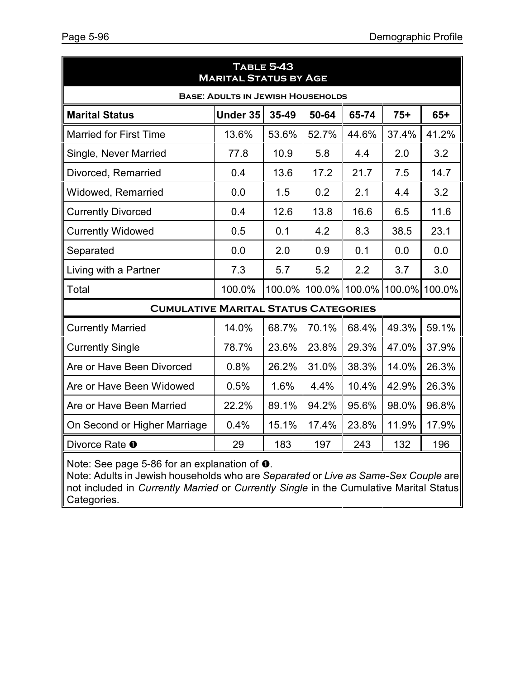| <b>TABLE 5-43</b><br><b>MARITAL STATUS BY AGE</b> |                                                              |       |               |        |        |        |  |  |  |  |
|---------------------------------------------------|--------------------------------------------------------------|-------|---------------|--------|--------|--------|--|--|--|--|
| <b>BASE: ADULTS IN JEWISH HOUSEHOLDS</b>          |                                                              |       |               |        |        |        |  |  |  |  |
| <b>Marital Status</b>                             | <b>Under 35</b><br>35-49<br>50-64<br>65-74<br>$75+$<br>$65+$ |       |               |        |        |        |  |  |  |  |
| <b>Married for First Time</b>                     | 13.6%                                                        | 53.6% | 52.7%         | 44.6%  | 37.4%  | 41.2%  |  |  |  |  |
| Single, Never Married                             | 77.8                                                         | 10.9  | 5.8           | 4.4    | 2.0    | 3.2    |  |  |  |  |
| Divorced, Remarried                               | 0.4                                                          | 13.6  | 17.2          | 21.7   | 7.5    | 14.7   |  |  |  |  |
| Widowed, Remarried                                | 0.0                                                          | 1.5   | 0.2           | 2.1    | 4.4    | 3.2    |  |  |  |  |
| <b>Currently Divorced</b>                         | 0.4                                                          | 12.6  | 13.8          | 16.6   | 6.5    | 11.6   |  |  |  |  |
| <b>Currently Widowed</b>                          | 0.5                                                          | 0.1   | 4.2           | 8.3    | 38.5   | 23.1   |  |  |  |  |
| Separated                                         | 0.0                                                          | 2.0   | 0.9           | 0.1    | 0.0    | 0.0    |  |  |  |  |
| Living with a Partner                             | 7.3                                                          | 5.7   | 5.2           | 2.2    | 3.7    | 3.0    |  |  |  |  |
| Total                                             | 100.0%                                                       |       | 100.0% 100.0% | 100.0% | 100.0% | 100.0% |  |  |  |  |
| <b>CUMULATIVE MARITAL STATUS CATEGORIES</b>       |                                                              |       |               |        |        |        |  |  |  |  |
| <b>Currently Married</b>                          | 14.0%                                                        | 68.7% | 70.1%         | 68.4%  | 49.3%  | 59.1%  |  |  |  |  |
| <b>Currently Single</b>                           | 78.7%                                                        | 23.6% | 23.8%         | 29.3%  | 47.0%  | 37.9%  |  |  |  |  |
| Are or Have Been Divorced                         | 0.8%                                                         | 26.2% | 31.0%         | 38.3%  | 14.0%  | 26.3%  |  |  |  |  |
| Are or Have Been Widowed                          | 0.5%                                                         | 1.6%  | 4.4%          | 10.4%  | 42.9%  | 26.3%  |  |  |  |  |
| Are or Have Been Married                          | 22.2%                                                        | 89.1% | 94.2%         | 95.6%  | 98.0%  | 96.8%  |  |  |  |  |
| On Second or Higher Marriage                      | 0.4%                                                         | 15.1% | 17.4%         | 23.8%  | 11.9%  | 17.9%  |  |  |  |  |
| Divorce Rate <b>O</b>                             | 29                                                           | 183   | 197           | 243    | 132    | 196    |  |  |  |  |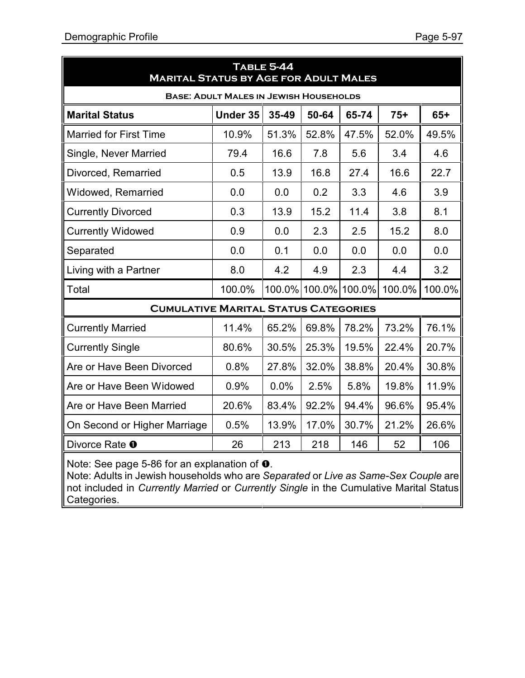| <b>TABLE 5-44</b><br><b>MARITAL STATUS BY AGE FOR ADULT MALES</b>                         |        |       |                      |       |        |        |  |  |  |  |
|-------------------------------------------------------------------------------------------|--------|-------|----------------------|-------|--------|--------|--|--|--|--|
| <b>BASE: ADULT MALES IN JEWISH HOUSEHOLDS</b>                                             |        |       |                      |       |        |        |  |  |  |  |
| <b>Under 35</b><br>$35 - 49$<br>50-64<br>65-74<br>$65+$<br><b>Marital Status</b><br>$75+$ |        |       |                      |       |        |        |  |  |  |  |
| <b>Married for First Time</b>                                                             | 10.9%  | 51.3% | 52.8%                | 47.5% | 52.0%  | 49.5%  |  |  |  |  |
| Single, Never Married                                                                     | 79.4   | 16.6  | 7.8                  | 5.6   | 3.4    | 4.6    |  |  |  |  |
| Divorced, Remarried                                                                       | 0.5    | 13.9  | 16.8                 | 27.4  | 16.6   | 22.7   |  |  |  |  |
| Widowed, Remarried                                                                        | 0.0    | 0.0   | 0.2                  | 3.3   | 4.6    | 3.9    |  |  |  |  |
| <b>Currently Divorced</b>                                                                 | 0.3    | 13.9  | 15.2                 | 11.4  | 3.8    | 8.1    |  |  |  |  |
| <b>Currently Widowed</b>                                                                  | 0.9    | 0.0   | 2.3                  | 2.5   | 15.2   | 8.0    |  |  |  |  |
| Separated                                                                                 | 0.0    | 0.1   | 0.0                  | 0.0   | 0.0    | 0.0    |  |  |  |  |
| Living with a Partner                                                                     | 8.0    | 4.2   | 4.9                  | 2.3   | 4.4    | 3.2    |  |  |  |  |
| Total                                                                                     | 100.0% |       | 100.0% 100.0% 100.0% |       | 100.0% | 100.0% |  |  |  |  |
| <b>CUMULATIVE MARITAL STATUS CATEGORIES</b>                                               |        |       |                      |       |        |        |  |  |  |  |
| <b>Currently Married</b>                                                                  | 11.4%  | 65.2% | 69.8%                | 78.2% | 73.2%  | 76.1%  |  |  |  |  |
| <b>Currently Single</b>                                                                   | 80.6%  | 30.5% | 25.3%                | 19.5% | 22.4%  | 20.7%  |  |  |  |  |
| Are or Have Been Divorced                                                                 | 0.8%   | 27.8% | 32.0%                | 38.8% | 20.4%  | 30.8%  |  |  |  |  |
| Are or Have Been Widowed                                                                  | 0.9%   | 0.0%  | 2.5%                 | 5.8%  | 19.8%  | 11.9%  |  |  |  |  |
| Are or Have Been Married                                                                  | 20.6%  | 83.4% | 92.2%                | 94.4% | 96.6%  | 95.4%  |  |  |  |  |
| On Second or Higher Marriage                                                              | 0.5%   | 13.9% | 17.0%                | 30.7% | 21.2%  | 26.6%  |  |  |  |  |
| Divorce Rate <b>O</b>                                                                     | 26     | 213   | 218                  | 146   | 52     | 106    |  |  |  |  |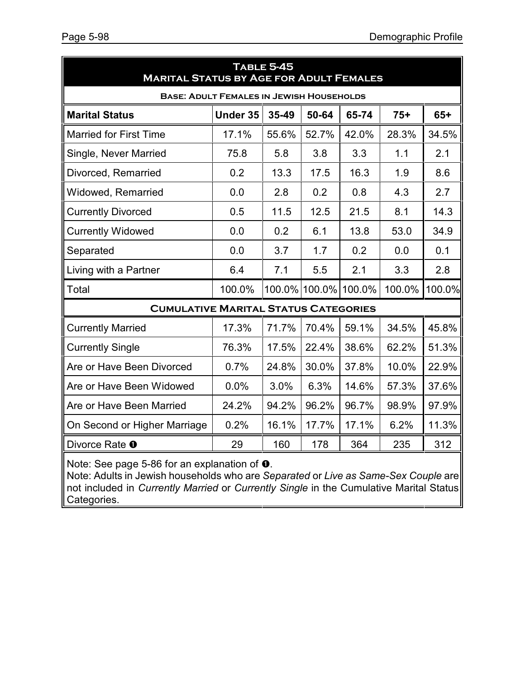| <b>TABLE 5-45</b><br><b>MARITAL STATUS BY AGE FOR ADULT FEMALES</b> |                                                       |       |               |        |        |        |  |  |  |  |
|---------------------------------------------------------------------|-------------------------------------------------------|-------|---------------|--------|--------|--------|--|--|--|--|
| <b>BASE: ADULT FEMALES IN JEWISH HOUSEHOLDS</b>                     |                                                       |       |               |        |        |        |  |  |  |  |
| <b>Marital Status</b>                                               | 35-49<br>Under 35<br>50-64<br>65-74<br>$75+$<br>$65+$ |       |               |        |        |        |  |  |  |  |
| <b>Married for First Time</b>                                       | 17.1%                                                 | 55.6% | 52.7%         | 42.0%  | 28.3%  | 34.5%  |  |  |  |  |
| Single, Never Married                                               | 75.8                                                  | 5.8   | 3.8           | 3.3    | 1.1    | 2.1    |  |  |  |  |
| Divorced, Remarried                                                 | 0.2                                                   | 13.3  | 17.5          | 16.3   | 1.9    | 8.6    |  |  |  |  |
| Widowed, Remarried                                                  | 0.0                                                   | 2.8   | 0.2           | 0.8    | 4.3    | 2.7    |  |  |  |  |
| <b>Currently Divorced</b>                                           | 0.5                                                   | 11.5  | 12.5          | 21.5   | 8.1    | 14.3   |  |  |  |  |
| <b>Currently Widowed</b>                                            | 0.0                                                   | 0.2   | 6.1           | 13.8   | 53.0   | 34.9   |  |  |  |  |
| Separated                                                           | 0.0                                                   | 3.7   | 1.7           | 0.2    | 0.0    | 0.1    |  |  |  |  |
| Living with a Partner                                               | 6.4                                                   | 7.1   | 5.5           | 2.1    | 3.3    | 2.8    |  |  |  |  |
| Total                                                               | 100.0%                                                |       | 100.0% 100.0% | 100.0% | 100.0% | 100.0% |  |  |  |  |
| <b>CUMULATIVE MARITAL STATUS CATEGORIES</b>                         |                                                       |       |               |        |        |        |  |  |  |  |
| <b>Currently Married</b>                                            | 17.3%                                                 | 71.7% | 70.4%         | 59.1%  | 34.5%  | 45.8%  |  |  |  |  |
| <b>Currently Single</b>                                             | 76.3%                                                 | 17.5% | 22.4%         | 38.6%  | 62.2%  | 51.3%  |  |  |  |  |
| Are or Have Been Divorced                                           | 0.7%                                                  | 24.8% | 30.0%         | 37.8%  | 10.0%  | 22.9%  |  |  |  |  |
| Are or Have Been Widowed                                            | 0.0%                                                  | 3.0%  | 6.3%          | 14.6%  | 57.3%  | 37.6%  |  |  |  |  |
| Are or Have Been Married                                            | 24.2%                                                 | 94.2% | 96.2%         | 96.7%  | 98.9%  | 97.9%  |  |  |  |  |
| On Second or Higher Marriage                                        | 0.2%                                                  | 16.1% | 17.7%         | 17.1%  | 6.2%   | 11.3%  |  |  |  |  |
| Divorce Rate <b>O</b>                                               | 29                                                    | 160   | 178           | 364    | 235    | 312    |  |  |  |  |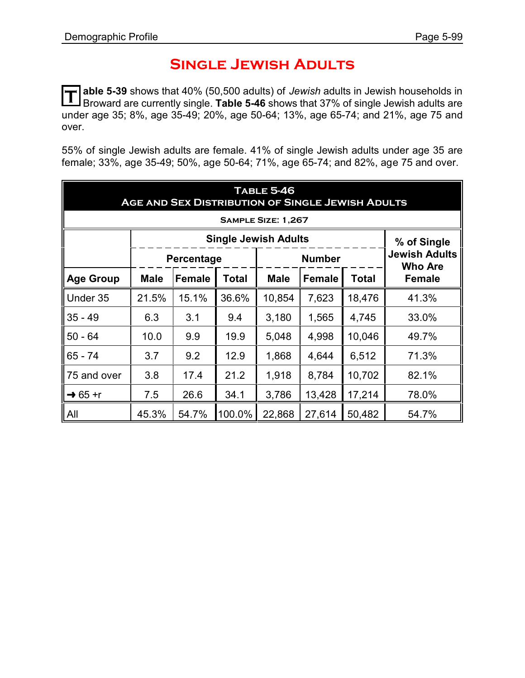# **Single Jewish Adults**

**T** able 5-39 shows that 40% (50,500 adults) of *Jewish* adults in Jewish households in<br>Repayate are ourrently single. Table 5.46 shows that 37% of single, lowish adults are Broward are currently single. **Table 5-46** shows that 37% of single Jewish adults are under age 35; 8%, age 35-49; 20%, age 50-64; 13%, age 65-74; and 21%, age 75 and over.

55% of single Jewish adults are female. 41% of single Jewish adults under age 35 are female; 33%, age 35-49; 50%, age 50-64; 71%, age 65-74; and 82%, age 75 and over.

| <b>TABLE 5-46</b><br><b>AGE AND SEX DISTRIBUTION OF SINGLE JEWISH ADULTS</b> |             |               |        |                             |               |                        |                                        |  |  |  |
|------------------------------------------------------------------------------|-------------|---------------|--------|-----------------------------|---------------|------------------------|----------------------------------------|--|--|--|
|                                                                              |             |               |        | SAMPLE SIZE: 1,267          |               |                        |                                        |  |  |  |
|                                                                              |             |               |        | <b>Single Jewish Adults</b> |               |                        | % of Single                            |  |  |  |
|                                                                              |             | Percentage    |        |                             | <b>Number</b> |                        | <b>Jewish Adults</b><br><b>Who Are</b> |  |  |  |
| <b>Age Group</b>                                                             | <b>Male</b> | <b>Female</b> | Total  | <b>Male</b>                 | <b>Female</b> | Total<br><b>Female</b> |                                        |  |  |  |
| Under 35                                                                     | 21.5%       | 15.1%         | 36.6%  | 10,854                      | 7,623         | 18,476                 | 41.3%                                  |  |  |  |
| $35 - 49$                                                                    | 6.3         | 3.1           | 9.4    | 3,180                       | 1,565         | 4,745                  | 33.0%                                  |  |  |  |
| $50 - 64$                                                                    | 10.0        | 9.9           | 19.9   | 5,048                       | 4,998         | 10,046                 | 49.7%                                  |  |  |  |
| $65 - 74$                                                                    | 3.7         | 9.2           | 12.9   | 1,868                       | 4,644         | 6,512                  | 71.3%                                  |  |  |  |
| 75 and over                                                                  | 3.8         | 17.4          | 21.2   | 1,918                       | 8,784         | 10,702                 | 82.1%                                  |  |  |  |
| $\rightarrow$ 65 +r                                                          | 7.5         | 26.6          | 34.1   | 3,786                       | 13,428        | 17,214                 | 78.0%                                  |  |  |  |
| All                                                                          | 45.3%       | 54.7%         | 100.0% | 22,868                      | 27,614        | 50,482                 | 54.7%                                  |  |  |  |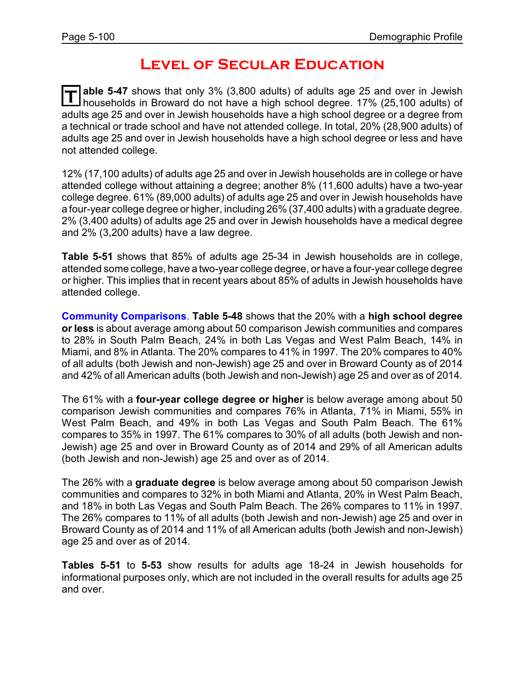# **Level of Secular Education**

**T able 5-47** shows that only 3% (3,800 adults) of adults age 25 and over in Jewish households in Broward do not have a high school degree. 17% (25,100 adults) of adults age 25 and over in Jewish households have a high school degree or a degree from a technical or trade school and have not attended college. In total, 20% (28,900 adults) of adults age 25 and over in Jewish households have a high school degree or less and have not attended college.

12% (17,100 adults) of adults age 25 and over in Jewish households are in college or have attended college without attaining a degree; another 8% (11,600 adults) have a two-year college degree. 61% (89,000 adults) of adults age 25 and over in Jewish households have a four-year college degree or higher, including 26% (37,400 adults) with a graduate degree. 2% (3,400 adults) of adults age 25 and over in Jewish households have a medical degree and 2% (3,200 adults) have a law degree.

**Table 5-51** shows that 85% of adults age 25-34 in Jewish households are in college, attended some college, have a two-year college degree, or have a four-year college degree or higher. This implies that in recent years about 85% of adults in Jewish households have attended college.

**Community Comparisons**. **Table 5-48** shows that the 20% with a **high school degree or less** is about average among about 50 comparison Jewish communities and compares to 28% in South Palm Beach, 24% in both Las Vegas and West Palm Beach, 14% in Miami, and 8% in Atlanta. The 20% compares to 41% in 1997. The 20% compares to 40% of all adults (both Jewish and non-Jewish) age 25 and over in Broward County as of 2014 and 42% of all American adults (both Jewish and non-Jewish) age 25 and over as of 2014.

The 61% with a **four-year college degree or higher** is below average among about 50 comparison Jewish communities and compares 76% in Atlanta, 71% in Miami, 55% in West Palm Beach, and 49% in both Las Vegas and South Palm Beach. The 61% compares to 35% in 1997. The 61% compares to 30% of all adults (both Jewish and non-Jewish) age 25 and over in Broward County as of 2014 and 29% of all American adults (both Jewish and non-Jewish) age 25 and over as of 2014.

The 26% with a **graduate degree** is below average among about 50 comparison Jewish communities and compares to 32% in both Miami and Atlanta, 20% in West Palm Beach, and 18% in both Las Vegas and South Palm Beach. The 26% compares to 11% in 1997. The 26% compares to 11% of all adults (both Jewish and non-Jewish) age 25 and over in Broward County as of 2014 and 11% of all American adults (both Jewish and non-Jewish) age 25 and over as of 2014.

**Tables 5-51** to **5-53** show results for adults age 18-24 in Jewish households for informational purposes only, which are not included in the overall results for adults age 25 and over.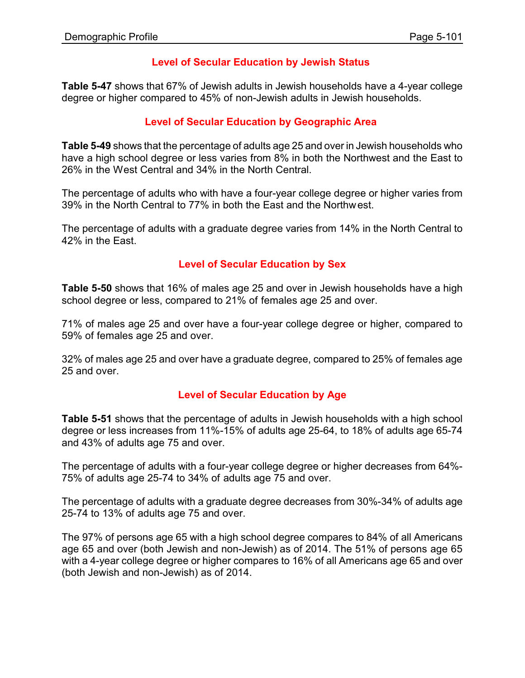## **Level of Secular Education by Jewish Status**

**Table 5-47** shows that 67% of Jewish adults in Jewish households have a 4-year college degree or higher compared to 45% of non-Jewish adults in Jewish households.

## **Level of Secular Education by Geographic Area**

**Table 5-49** shows that the percentage of adults age 25 and over in Jewish households who have a high school degree or less varies from 8% in both the Northwest and the East to 26% in the West Central and 34% in the North Central.

The percentage of adults who with have a four-year college degree or higher varies from 39% in the North Central to 77% in both the East and the Northwest.

The percentage of adults with a graduate degree varies from 14% in the North Central to 42% in the East.

## **Level of Secular Education by Sex**

**Table 5-50** shows that 16% of males age 25 and over in Jewish households have a high school degree or less, compared to 21% of females age 25 and over.

71% of males age 25 and over have a four-year college degree or higher, compared to 59% of females age 25 and over.

32% of males age 25 and over have a graduate degree, compared to 25% of females age 25 and over.

### **Level of Secular Education by Age**

**Table 5-51** shows that the percentage of adults in Jewish households with a high school degree or less increases from 11%-15% of adults age 25-64, to 18% of adults age 65-74 and 43% of adults age 75 and over.

The percentage of adults with a four-year college degree or higher decreases from 64%- 75% of adults age 25-74 to 34% of adults age 75 and over.

The percentage of adults with a graduate degree decreases from 30%-34% of adults age 25-74 to 13% of adults age 75 and over.

The 97% of persons age 65 with a high school degree compares to 84% of all Americans age 65 and over (both Jewish and non-Jewish) as of 2014. The 51% of persons age 65 with a 4-year college degree or higher compares to 16% of all Americans age 65 and over (both Jewish and non-Jewish) as of 2014.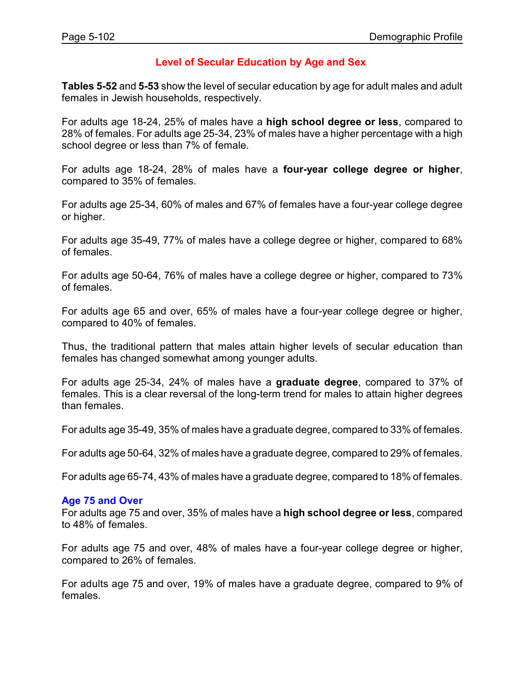### **Level of Secular Education by Age and Sex**

**Tables 5-52** and **5-53** show the level of secular education by age for adult males and adult females in Jewish households, respectively.

For adults age 18-24, 25% of males have a **high school degree or less**, compared to 28% of females. For adults age 25-34, 23% of males have a higher percentage with a high school degree or less than 7% of female.

For adults age 18-24, 28% of males have a **four-year college degree or higher**, compared to 35% of females.

For adults age 25-34, 60% of males and 67% of females have a four-year college degree or higher.

For adults age 35-49, 77% of males have a college degree or higher, compared to 68% of females.

For adults age 50-64, 76% of males have a college degree or higher, compared to 73% of females.

For adults age 65 and over, 65% of males have a four-year college degree or higher, compared to 40% of females.

Thus, the traditional pattern that males attain higher levels of secular education than females has changed somewhat among younger adults.

For adults age 25-34, 24% of males have a **graduate degree**, compared to 37% of females. This is a clear reversal of the long-term trend for males to attain higher degrees than females.

For adults age 35-49, 35% of males have a graduate degree, compared to 33% of females.

For adults age 50-64, 32% of males have a graduate degree, compared to 29% of females.

For adults age 65-74, 43% of males have a graduate degree, compared to 18% of females.

#### **Age 75 and Over**

For adults age 75 and over, 35% of males have a **high school degree or less**, compared to 48% of females.

For adults age 75 and over, 48% of males have a four-year college degree or higher, compared to 26% of females.

For adults age 75 and over, 19% of males have a graduate degree, compared to 9% of females.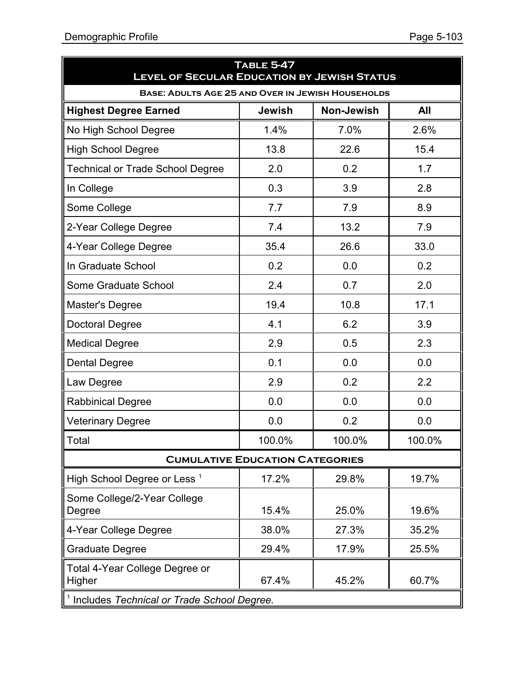| <b>TABLE 5-47</b><br><b>LEVEL OF SECULAR EDUCATION BY JEWISH STATUS</b> |        |                   |        |  |  |  |  |  |
|-------------------------------------------------------------------------|--------|-------------------|--------|--|--|--|--|--|
| BASE: ADULTS AGE 25 AND OVER IN JEWISH HOUSEHOLDS                       |        |                   |        |  |  |  |  |  |
| <b>Highest Degree Earned</b>                                            | Jewish | <b>Non-Jewish</b> | All    |  |  |  |  |  |
| No High School Degree                                                   | 1.4%   | 7.0%              | 2.6%   |  |  |  |  |  |
| <b>High School Degree</b>                                               | 13.8   | 22.6              | 15.4   |  |  |  |  |  |
| <b>Technical or Trade School Degree</b>                                 | 2.0    | 0.2               | 1.7    |  |  |  |  |  |
| In College                                                              | 0.3    | 3.9               | 2.8    |  |  |  |  |  |
| Some College                                                            | 7.7    | 7.9               | 8.9    |  |  |  |  |  |
| 2-Year College Degree                                                   | 7.4    | 13.2              | 7.9    |  |  |  |  |  |
| 4-Year College Degree                                                   | 35.4   | 26.6              | 33.0   |  |  |  |  |  |
| In Graduate School                                                      | 0.2    | 0.0               | 0.2    |  |  |  |  |  |
| Some Graduate School                                                    | 2.4    | 0.7               | 2.0    |  |  |  |  |  |
| Master's Degree                                                         | 19.4   | 10.8              | 17.1   |  |  |  |  |  |
| <b>Doctoral Degree</b>                                                  | 4.1    | 6.2               | 3.9    |  |  |  |  |  |
| <b>Medical Degree</b>                                                   | 2.9    | 0.5               | 2.3    |  |  |  |  |  |
| <b>Dental Degree</b>                                                    | 0.1    | 0.0               | 0.0    |  |  |  |  |  |
| Law Degree                                                              | 2.9    | 0.2               | 2.2    |  |  |  |  |  |
| <b>Rabbinical Degree</b>                                                | 0.0    | 0.0               | 0.0    |  |  |  |  |  |
| <b>Veterinary Degree</b>                                                | 0.0    | 0.2               | 0.0    |  |  |  |  |  |
| Total                                                                   | 100.0% | 100.0%            | 100.0% |  |  |  |  |  |
| <b>CUMULATIVE EDUCATION CATEGORIES</b>                                  |        |                   |        |  |  |  |  |  |
| High School Degree or Less <sup>1</sup>                                 | 17.2%  | 29.8%             | 19.7%  |  |  |  |  |  |
| Some College/2-Year College<br>Degree                                   | 15.4%  | 25.0%             | 19.6%  |  |  |  |  |  |
| 4-Year College Degree                                                   | 38.0%  | 27.3%             | 35.2%  |  |  |  |  |  |
| <b>Graduate Degree</b>                                                  | 29.4%  | 17.9%             | 25.5%  |  |  |  |  |  |
| Total 4-Year College Degree or<br>Higher                                | 67.4%  | 45.2%             | 60.7%  |  |  |  |  |  |
| <sup>1</sup> Includes Technical or Trade School Degree.                 |        |                   |        |  |  |  |  |  |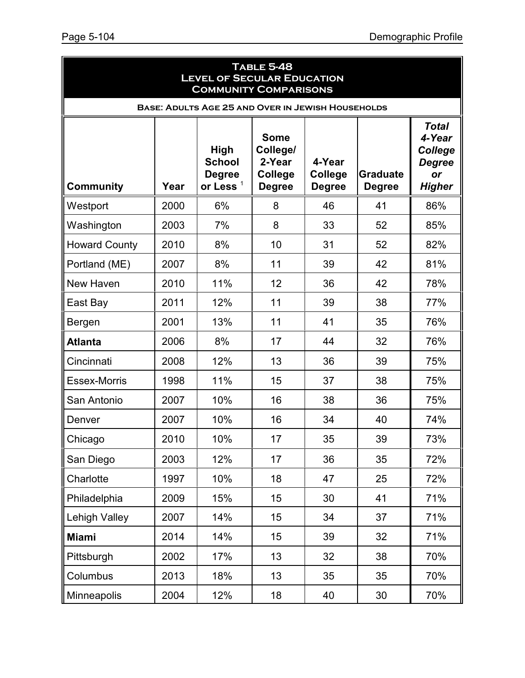| <b>TABLE 5-48</b><br><b>LEVEL OF SECULAR EDUCATION</b><br><b>COMMUNITY COMPARISONS</b> |      |                                                              |                                                               |                                    |                                  |                                                                                  |  |  |  |  |
|----------------------------------------------------------------------------------------|------|--------------------------------------------------------------|---------------------------------------------------------------|------------------------------------|----------------------------------|----------------------------------------------------------------------------------|--|--|--|--|
| <b>BASE: ADULTS AGE 25 AND OVER IN JEWISH HOUSEHOLDS</b>                               |      |                                                              |                                                               |                                    |                                  |                                                                                  |  |  |  |  |
| <b>Community</b>                                                                       | Year | <b>High</b><br><b>School</b><br><b>Degree</b><br>or Less $1$ | <b>Some</b><br>College/<br>2-Year<br>College<br><b>Degree</b> | 4-Year<br>College<br><b>Degree</b> | <b>Graduate</b><br><b>Degree</b> | <b>Total</b><br>4-Year<br>College<br><b>Degree</b><br><b>or</b><br><b>Higher</b> |  |  |  |  |
| Westport                                                                               | 2000 | 6%                                                           | 8                                                             | 46                                 | 41                               | 86%                                                                              |  |  |  |  |
| Washington                                                                             | 2003 | 7%                                                           | 8                                                             | 33                                 | 52                               | 85%                                                                              |  |  |  |  |
| <b>Howard County</b>                                                                   | 2010 | 8%                                                           | 10                                                            | 31                                 | 52                               | 82%                                                                              |  |  |  |  |
| Portland (ME)                                                                          | 2007 | 8%                                                           | 11                                                            | 39                                 | 42                               | 81%                                                                              |  |  |  |  |
| New Haven                                                                              | 2010 | 11%                                                          | 12                                                            | 36                                 | 42                               | 78%                                                                              |  |  |  |  |
| East Bay                                                                               | 2011 | 12%                                                          | 11                                                            | 39                                 | 38                               | 77%                                                                              |  |  |  |  |
| Bergen                                                                                 | 2001 | 13%                                                          | 11                                                            | 41                                 | 35                               | 76%                                                                              |  |  |  |  |
| <b>Atlanta</b>                                                                         | 2006 | 8%                                                           | 17                                                            | 44                                 | 32                               | 76%                                                                              |  |  |  |  |
| Cincinnati                                                                             | 2008 | 12%                                                          | 13                                                            | 36                                 | 39                               | 75%                                                                              |  |  |  |  |
| <b>Essex-Morris</b>                                                                    | 1998 | 11%                                                          | 15                                                            | 37                                 | 38                               | 75%                                                                              |  |  |  |  |
| San Antonio                                                                            | 2007 | 10%                                                          | 16                                                            | 38                                 | 36                               | 75%                                                                              |  |  |  |  |
| Denver                                                                                 | 2007 | 10%                                                          | 16                                                            | 34                                 | 40                               | 74%                                                                              |  |  |  |  |
| Chicago                                                                                | 2010 | 10%                                                          | 17                                                            | 35                                 | 39                               | 73%                                                                              |  |  |  |  |
| San Diego                                                                              | 2003 | 12%                                                          | 17                                                            | 36                                 | 35                               | 72%                                                                              |  |  |  |  |
| Charlotte                                                                              | 1997 | 10%                                                          | 18                                                            | 47                                 | 25                               | 72%                                                                              |  |  |  |  |
| Philadelphia                                                                           | 2009 | 15%                                                          | 15                                                            | 30                                 | 41                               | 71%                                                                              |  |  |  |  |
| Lehigh Valley                                                                          | 2007 | 14%                                                          | 15                                                            | 34                                 | 37                               | 71%                                                                              |  |  |  |  |
| <b>Miami</b>                                                                           | 2014 | 14%                                                          | 15                                                            | 39                                 | 32                               | 71%                                                                              |  |  |  |  |
| Pittsburgh                                                                             | 2002 | 17%                                                          | 13                                                            | 32                                 | 38                               | 70%                                                                              |  |  |  |  |
| Columbus                                                                               | 2013 | 18%                                                          | 13                                                            | 35                                 | 35                               | 70%                                                                              |  |  |  |  |
| Minneapolis                                                                            | 2004 | 12%                                                          | 18                                                            | 40                                 | 30                               | 70%                                                                              |  |  |  |  |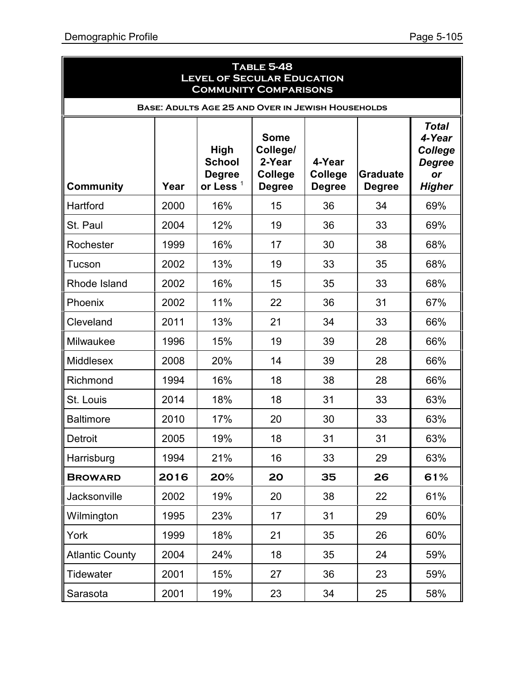| <b>TABLE 5-48</b><br><b>LEVEL OF SECULAR EDUCATION</b><br><b>COMMUNITY COMPARISONS</b> |      |                                                              |                                                                      |                                    |                                  |                                                                                  |  |  |
|----------------------------------------------------------------------------------------|------|--------------------------------------------------------------|----------------------------------------------------------------------|------------------------------------|----------------------------------|----------------------------------------------------------------------------------|--|--|
| BASE: ADULTS AGE 25 AND OVER IN JEWISH HOUSEHOLDS                                      |      |                                                              |                                                                      |                                    |                                  |                                                                                  |  |  |
| <b>Community</b>                                                                       | Year | <b>High</b><br><b>School</b><br><b>Degree</b><br>or Less $1$ | <b>Some</b><br>College/<br>2-Year<br><b>College</b><br><b>Degree</b> | 4-Year<br>College<br><b>Degree</b> | <b>Graduate</b><br><b>Degree</b> | <b>Total</b><br>4-Year<br><b>College</b><br><b>Degree</b><br>or<br><b>Higher</b> |  |  |
| Hartford                                                                               | 2000 | 16%                                                          | 15                                                                   | 36                                 | 34                               | 69%                                                                              |  |  |
| St. Paul                                                                               | 2004 | 12%                                                          | 19                                                                   | 36                                 | 33                               | 69%                                                                              |  |  |
| Rochester                                                                              | 1999 | 16%                                                          | 17                                                                   | 30                                 | 38                               | 68%                                                                              |  |  |
| Tucson                                                                                 | 2002 | 13%                                                          | 19                                                                   | 33                                 | 35                               | 68%                                                                              |  |  |
| Rhode Island                                                                           | 2002 | 16%                                                          | 15                                                                   | 35                                 | 33                               | 68%                                                                              |  |  |
| Phoenix                                                                                | 2002 | 11%                                                          | 22                                                                   | 36                                 | 31                               | 67%                                                                              |  |  |
| Cleveland                                                                              | 2011 | 13%                                                          | 21                                                                   | 34                                 | 33                               | 66%                                                                              |  |  |
| Milwaukee                                                                              | 1996 | 15%                                                          | 19                                                                   | 39                                 | 28                               | 66%                                                                              |  |  |
| <b>Middlesex</b>                                                                       | 2008 | 20%                                                          | 14                                                                   | 39                                 | 28                               | 66%                                                                              |  |  |
| Richmond                                                                               | 1994 | 16%                                                          | 18                                                                   | 38                                 | 28                               | 66%                                                                              |  |  |
| St. Louis                                                                              | 2014 | 18%                                                          | 18                                                                   | 31                                 | 33                               | 63%                                                                              |  |  |
| <b>Baltimore</b>                                                                       | 2010 | 17%                                                          | 20                                                                   | 30                                 | 33                               | 63%                                                                              |  |  |
| Detroit                                                                                | 2005 | 19%                                                          | 18                                                                   | 31                                 | 31                               | 63%                                                                              |  |  |
| Harrisburg                                                                             | 1994 | 21%                                                          | 16                                                                   | 33                                 | 29                               | 63%                                                                              |  |  |
| <b>BROWARD</b>                                                                         | 2016 | 20%                                                          | 20                                                                   | 35                                 | 26                               | 61%                                                                              |  |  |
| Jacksonville                                                                           | 2002 | 19%                                                          | 20                                                                   | 38                                 | 22                               | 61%                                                                              |  |  |
| Wilmington                                                                             | 1995 | 23%                                                          | 17                                                                   | 31                                 | 29                               | 60%                                                                              |  |  |
| York                                                                                   | 1999 | 18%                                                          | 21                                                                   | 35                                 | 26                               | 60%                                                                              |  |  |
| <b>Atlantic County</b>                                                                 | 2004 | 24%                                                          | 18                                                                   | 35                                 | 24                               | 59%                                                                              |  |  |
| Tidewater                                                                              | 2001 | 15%                                                          | 27                                                                   | 36                                 | 23                               | 59%                                                                              |  |  |
| Sarasota                                                                               | 2001 | 19%                                                          | 23                                                                   | 34                                 | 25                               | 58%                                                                              |  |  |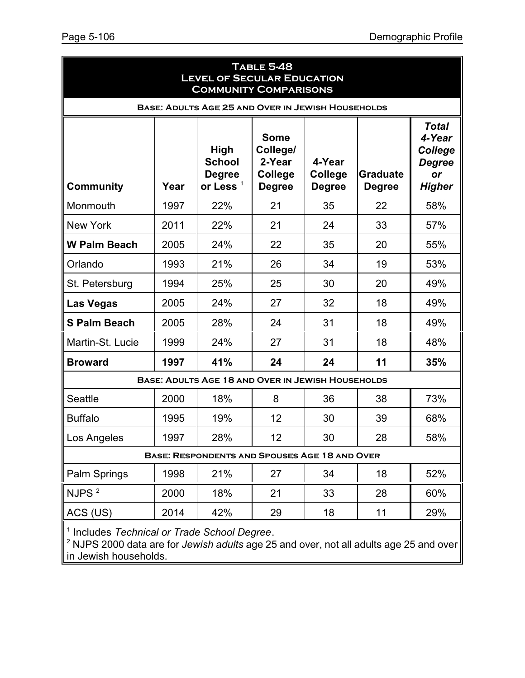| <b>TABLE 5-48</b><br><b>LEVEL OF SECULAR EDUCATION</b><br><b>COMMUNITY COMPARISONS</b> |       |                                                              |                                                                      |                                           |                                  |                                                                                         |  |
|----------------------------------------------------------------------------------------|-------|--------------------------------------------------------------|----------------------------------------------------------------------|-------------------------------------------|----------------------------------|-----------------------------------------------------------------------------------------|--|
| <b>BASE: ADULTS AGE 25 AND OVER IN JEWISH HOUSEHOLDS</b>                               |       |                                                              |                                                                      |                                           |                                  |                                                                                         |  |
| <b>Community</b>                                                                       | Year  | <b>High</b><br><b>School</b><br><b>Degree</b><br>or Less $1$ | <b>Some</b><br>College/<br>2-Year<br><b>College</b><br><b>Degree</b> | 4-Year<br><b>College</b><br><b>Degree</b> | <b>Graduate</b><br><b>Degree</b> | <b>Total</b><br>4-Year<br><b>College</b><br><b>Degree</b><br><b>or</b><br><b>Higher</b> |  |
| Monmouth                                                                               | 1997  | 22%                                                          | 21                                                                   | 35                                        | 22                               | 58%                                                                                     |  |
| <b>New York</b>                                                                        | 2011  | 22%                                                          | 21                                                                   | 24                                        | 33                               | 57%                                                                                     |  |
| <b>W Palm Beach</b>                                                                    | 2005  | 24%                                                          | 22                                                                   | 35                                        | 20                               | 55%                                                                                     |  |
| Orlando                                                                                | 1993  | 21%                                                          | 26                                                                   | 34                                        | 19                               | 53%                                                                                     |  |
| St. Petersburg                                                                         | 1994  | 25%                                                          | 25                                                                   | 30                                        | 20                               | 49%                                                                                     |  |
| <b>Las Vegas</b>                                                                       | 2005  | 24%                                                          | 27                                                                   | 32                                        | 18                               | 49%                                                                                     |  |
| <b>S Palm Beach</b>                                                                    | 2005  | 28%                                                          | 24                                                                   | 31                                        | 18                               | 49%                                                                                     |  |
| Martin-St. Lucie                                                                       | 1999  | 24%                                                          | 27                                                                   | 31                                        | 18                               | 48%                                                                                     |  |
| <b>Broward</b>                                                                         | 1997  | 41%                                                          | 24                                                                   | 24                                        | 11                               | 35%                                                                                     |  |
|                                                                                        |       | BASE: ADULTS AGE 18 AND OVER IN JEWISH HOUSEHOLDS            |                                                                      |                                           |                                  |                                                                                         |  |
| <b>Seattle</b>                                                                         | 2000  | 18%                                                          | 8                                                                    | 36                                        | 38                               | 73%                                                                                     |  |
| <b>Buffalo</b>                                                                         | 1995  | 19%                                                          | 12                                                                   | 30                                        | 39                               | 68%                                                                                     |  |
| Los Angeles                                                                            | 1997  | 28%                                                          | 12                                                                   | 30                                        | 28                               | 58%                                                                                     |  |
| <b>BASE: RESPONDENTS AND SPOUSES AGE 18 AND OVER</b>                                   |       |                                                              |                                                                      |                                           |                                  |                                                                                         |  |
| Palm Springs                                                                           | 1998  | 21%                                                          | 27                                                                   | 34                                        | 18                               | 52%                                                                                     |  |
| NJPS <sup>2</sup>                                                                      | 2000  | 18%                                                          | 21                                                                   | 33                                        | 28                               | 60%                                                                                     |  |
| ACS (US)                                                                               | 2014  | 42%                                                          | 29                                                                   | 18                                        | 11                               | 29%                                                                                     |  |
|                                                                                        | . . T |                                                              |                                                                      |                                           |                                  |                                                                                         |  |

1 Includes *Technical or Trade School Degree*.

<sup>2</sup> NJPS 2000 data are for *Jewish adults* age 25 and over, not all adults age 25 and over in Jewish households.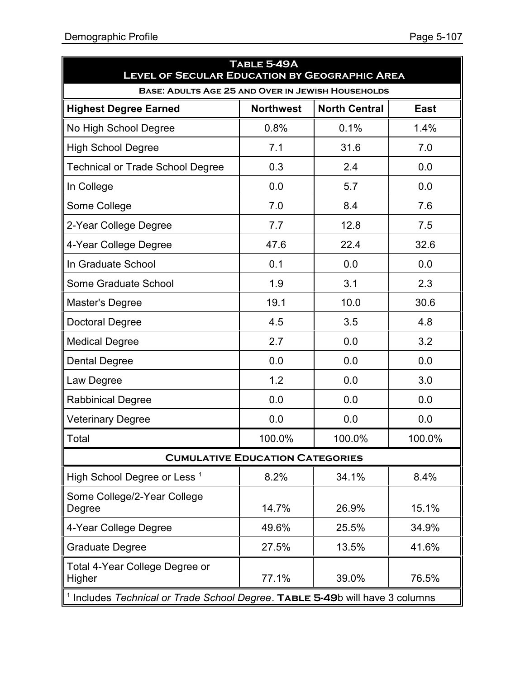| <b>TABLE 5-49A</b><br><b>LEVEL OF SECULAR EDUCATION BY GEOGRAPHIC AREA</b> |                                        |                      |             |  |  |  |  |
|----------------------------------------------------------------------------|----------------------------------------|----------------------|-------------|--|--|--|--|
| BASE: ADULTS AGE 25 AND OVER IN JEWISH HOUSEHOLDS                          |                                        |                      |             |  |  |  |  |
| <b>Highest Degree Earned</b>                                               | <b>Northwest</b>                       | <b>North Central</b> | <b>East</b> |  |  |  |  |
| No High School Degree                                                      | 0.8%                                   | 0.1%                 | 1.4%        |  |  |  |  |
| <b>High School Degree</b>                                                  | 7.1                                    | 31.6                 | 7.0         |  |  |  |  |
| <b>Technical or Trade School Degree</b>                                    | 0.3                                    | 2.4                  | 0.0         |  |  |  |  |
| In College                                                                 | 0.0                                    | 5.7                  | 0.0         |  |  |  |  |
| Some College                                                               | 7.0                                    | 8.4                  | 7.6         |  |  |  |  |
| 2-Year College Degree                                                      | 7.7                                    | 12.8                 | 7.5         |  |  |  |  |
| 4-Year College Degree                                                      | 47.6                                   | 22.4                 | 32.6        |  |  |  |  |
| In Graduate School                                                         | 0.1                                    | 0.0                  | 0.0         |  |  |  |  |
| Some Graduate School                                                       | 1.9                                    | 3.1                  | 2.3         |  |  |  |  |
| Master's Degree                                                            | 19.1                                   | 10.0                 | 30.6        |  |  |  |  |
| Doctoral Degree                                                            | 4.5                                    | 3.5                  | 4.8         |  |  |  |  |
| <b>Medical Degree</b>                                                      | 2.7                                    | 0.0                  | 3.2         |  |  |  |  |
| <b>Dental Degree</b>                                                       | 0.0                                    | 0.0                  | 0.0         |  |  |  |  |
| Law Degree                                                                 | 1.2                                    | 0.0                  | 3.0         |  |  |  |  |
| <b>Rabbinical Degree</b>                                                   | 0.0                                    | 0.0                  | 0.0         |  |  |  |  |
| <b>Veterinary Degree</b>                                                   | 0.0                                    | 0.0                  | 0.0         |  |  |  |  |
| Total                                                                      | 100.0%                                 | 100.0%               | 100.0%      |  |  |  |  |
|                                                                            | <b>CUMULATIVE EDUCATION CATEGORIES</b> |                      |             |  |  |  |  |
| High School Degree or Less $^1$                                            | 8.2%                                   | 34.1%                | 8.4%        |  |  |  |  |
| Some College/2-Year College<br>Degree                                      | 14.7%                                  | 26.9%                | 15.1%       |  |  |  |  |
| 4-Year College Degree                                                      | 49.6%                                  | 25.5%                | 34.9%       |  |  |  |  |
| <b>Graduate Degree</b>                                                     | 27.5%                                  | 13.5%                | 41.6%       |  |  |  |  |
| Total 4-Year College Degree or                                             |                                        |                      |             |  |  |  |  |

Higher 77.1% 39.0% 76.5% <sup>1</sup> Includes *Technical or Trade School Degree*. TABLE 5-49b will have 3 columns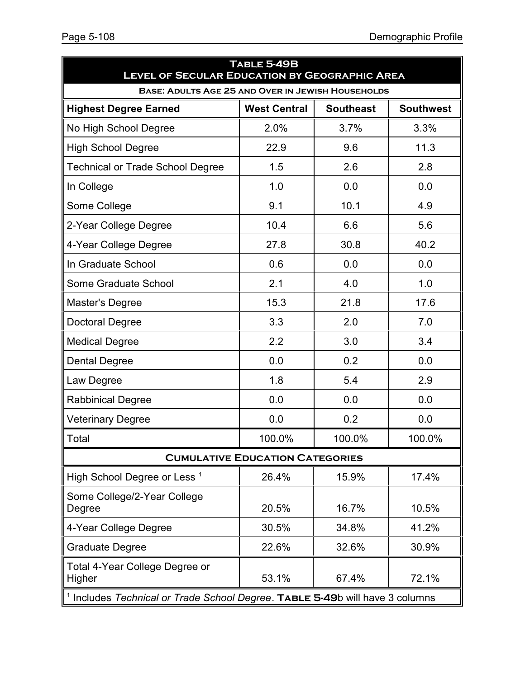| BASE: ADULTS AGE 25 AND OVER IN JEWISH HOUSEHOLDS<br><b>Highest Degree Earned</b><br><b>West Central</b><br><b>Southeast</b><br><b>Southwest</b><br>3.7%<br>No High School Degree<br>2.0%<br>3.3%<br>22.9<br>9.6<br>11.3<br><b>High School Degree</b><br>1.5<br><b>Technical or Trade School Degree</b><br>2.6<br>2.8<br>1.0<br>0.0<br>0.0<br>In College<br>10.1<br>4.9<br>9.1<br>Some College<br>5.6<br>10.4<br>6.6<br>2-Year College Degree |  |  |  |  |  |  |
|-----------------------------------------------------------------------------------------------------------------------------------------------------------------------------------------------------------------------------------------------------------------------------------------------------------------------------------------------------------------------------------------------------------------------------------------------|--|--|--|--|--|--|
|                                                                                                                                                                                                                                                                                                                                                                                                                                               |  |  |  |  |  |  |
|                                                                                                                                                                                                                                                                                                                                                                                                                                               |  |  |  |  |  |  |
|                                                                                                                                                                                                                                                                                                                                                                                                                                               |  |  |  |  |  |  |
|                                                                                                                                                                                                                                                                                                                                                                                                                                               |  |  |  |  |  |  |
|                                                                                                                                                                                                                                                                                                                                                                                                                                               |  |  |  |  |  |  |
|                                                                                                                                                                                                                                                                                                                                                                                                                                               |  |  |  |  |  |  |
|                                                                                                                                                                                                                                                                                                                                                                                                                                               |  |  |  |  |  |  |
| 30.8<br>40.2<br>4-Year College Degree<br>27.8                                                                                                                                                                                                                                                                                                                                                                                                 |  |  |  |  |  |  |
| 0.6<br>In Graduate School<br>0.0<br>0.0                                                                                                                                                                                                                                                                                                                                                                                                       |  |  |  |  |  |  |
| 2.1<br>4.0<br>1.0<br>Some Graduate School                                                                                                                                                                                                                                                                                                                                                                                                     |  |  |  |  |  |  |
| 15.3<br>21.8<br>17.6<br>Master's Degree                                                                                                                                                                                                                                                                                                                                                                                                       |  |  |  |  |  |  |
| 3.3<br>2.0<br>7.0<br><b>Doctoral Degree</b>                                                                                                                                                                                                                                                                                                                                                                                                   |  |  |  |  |  |  |
| 2.2<br>3.0<br>3.4<br><b>Medical Degree</b>                                                                                                                                                                                                                                                                                                                                                                                                    |  |  |  |  |  |  |
| 0.0<br>0.2<br>0.0<br><b>Dental Degree</b>                                                                                                                                                                                                                                                                                                                                                                                                     |  |  |  |  |  |  |
| 1.8<br>5.4<br>2.9<br>Law Degree                                                                                                                                                                                                                                                                                                                                                                                                               |  |  |  |  |  |  |
| 0.0<br>0.0<br><b>Rabbinical Degree</b><br>0.0                                                                                                                                                                                                                                                                                                                                                                                                 |  |  |  |  |  |  |
| 0.0<br>0.2<br><b>Veterinary Degree</b><br>0.0                                                                                                                                                                                                                                                                                                                                                                                                 |  |  |  |  |  |  |
| Total<br>100.0%<br>100.0%<br>100.0%                                                                                                                                                                                                                                                                                                                                                                                                           |  |  |  |  |  |  |
| <b>CUMULATIVE EDUCATION CATEGORIES</b>                                                                                                                                                                                                                                                                                                                                                                                                        |  |  |  |  |  |  |
| High School Degree or Less <sup>1</sup><br>26.4%<br>15.9%<br>17.4%                                                                                                                                                                                                                                                                                                                                                                            |  |  |  |  |  |  |
| Some College/2-Year College<br>20.5%<br>16.7%<br>10.5%<br>Degree                                                                                                                                                                                                                                                                                                                                                                              |  |  |  |  |  |  |
| 4-Year College Degree<br>30.5%<br>34.8%<br>41.2%                                                                                                                                                                                                                                                                                                                                                                                              |  |  |  |  |  |  |
| <b>Graduate Degree</b><br>22.6%<br>32.6%<br>30.9%                                                                                                                                                                                                                                                                                                                                                                                             |  |  |  |  |  |  |
| Total 4-Year College Degree or<br>53.1%<br>67.4%<br>72.1%<br>Higher<br><sup>1</sup> Includes Technical or Trade School Degree. TABLE 5-49b will have 3 columns                                                                                                                                                                                                                                                                                |  |  |  |  |  |  |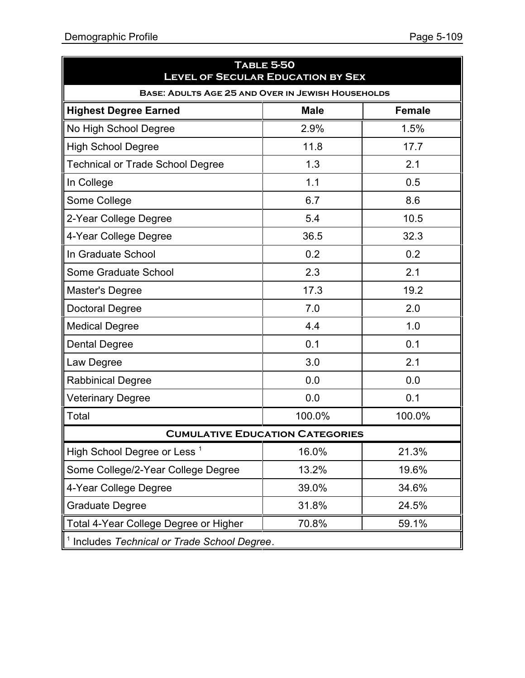| <b>TABLE 5-50</b><br><b>LEVEL OF SECULAR EDUCATION BY SEX</b> |                                        |               |  |  |  |  |  |  |
|---------------------------------------------------------------|----------------------------------------|---------------|--|--|--|--|--|--|
| <b>BASE: ADULTS AGE 25 AND OVER IN JEWISH HOUSEHOLDS</b>      |                                        |               |  |  |  |  |  |  |
| <b>Highest Degree Earned</b>                                  | <b>Male</b>                            | <b>Female</b> |  |  |  |  |  |  |
| No High School Degree                                         | 2.9%                                   | 1.5%          |  |  |  |  |  |  |
| <b>High School Degree</b>                                     | 11.8                                   | 17.7          |  |  |  |  |  |  |
| <b>Technical or Trade School Degree</b>                       | 1.3                                    | 2.1           |  |  |  |  |  |  |
| In College                                                    | 1.1                                    | 0.5           |  |  |  |  |  |  |
| Some College                                                  | 6.7                                    | 8.6           |  |  |  |  |  |  |
| 2-Year College Degree                                         | 5.4                                    | 10.5          |  |  |  |  |  |  |
| 4-Year College Degree                                         | 36.5                                   | 32.3          |  |  |  |  |  |  |
| In Graduate School                                            | 0.2                                    | 0.2           |  |  |  |  |  |  |
| Some Graduate School                                          | 2.3                                    | 2.1           |  |  |  |  |  |  |
| <b>Master's Degree</b>                                        | 17.3                                   | 19.2          |  |  |  |  |  |  |
| <b>Doctoral Degree</b>                                        | 7.0                                    | 2.0           |  |  |  |  |  |  |
| <b>Medical Degree</b>                                         | 4.4                                    | 1.0           |  |  |  |  |  |  |
| <b>Dental Degree</b>                                          | 0.1                                    | 0.1           |  |  |  |  |  |  |
| Law Degree                                                    | 3.0                                    | 2.1           |  |  |  |  |  |  |
| <b>Rabbinical Degree</b>                                      | 0.0                                    | 0.0           |  |  |  |  |  |  |
| <b>Veterinary Degree</b>                                      | 0.0                                    | 0.1           |  |  |  |  |  |  |
| Total                                                         | 100.0%                                 | 100.0%        |  |  |  |  |  |  |
|                                                               | <b>CUMULATIVE EDUCATION CATEGORIES</b> |               |  |  |  |  |  |  |
| High School Degree or Less <sup>1</sup>                       | 16.0%                                  | 21.3%         |  |  |  |  |  |  |
| Some College/2-Year College Degree                            | 13.2%                                  | 19.6%         |  |  |  |  |  |  |
| 4-Year College Degree                                         | 39.0%                                  | 34.6%         |  |  |  |  |  |  |
| <b>Graduate Degree</b>                                        | 31.8%                                  | 24.5%         |  |  |  |  |  |  |
| Total 4-Year College Degree or Higher                         | 70.8%                                  | 59.1%         |  |  |  |  |  |  |
| <sup>1</sup> Includes Technical or Trade School Degree.       |                                        |               |  |  |  |  |  |  |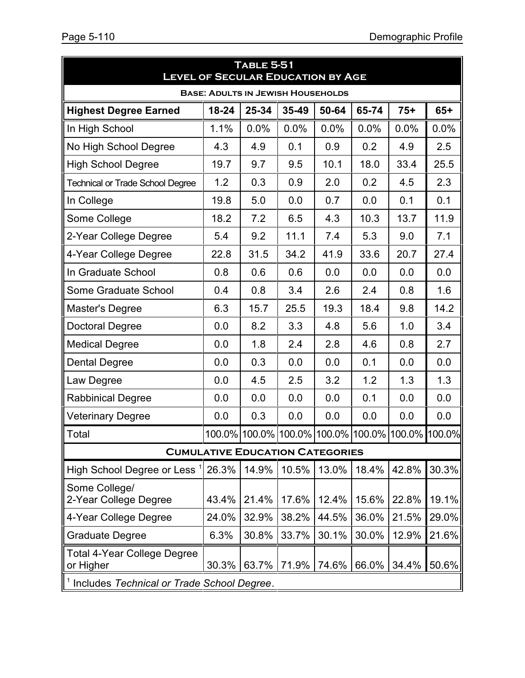|                                                         | <b>TABLE 5-51</b><br><b>LEVEL OF SECULAR EDUCATION BY AGE</b> |       |       |                                        |       |                                                  |         |  |
|---------------------------------------------------------|---------------------------------------------------------------|-------|-------|----------------------------------------|-------|--------------------------------------------------|---------|--|
|                                                         | <b>BASE: ADULTS IN JEWISH HOUSEHOLDS</b>                      |       |       |                                        |       |                                                  |         |  |
| <b>Highest Degree Earned</b>                            | 18-24                                                         | 25-34 | 35-49 | 50-64                                  | 65-74 | $75+$                                            | $65+$   |  |
| In High School                                          | 1.1%                                                          | 0.0%  | 0.0%  | 0.0%                                   | 0.0%  | 0.0%                                             | $0.0\%$ |  |
| No High School Degree                                   | 4.3                                                           | 4.9   | 0.1   | 0.9                                    | 0.2   | 4.9                                              | 2.5     |  |
| <b>High School Degree</b>                               | 19.7                                                          | 9.7   | 9.5   | 10.1                                   | 18.0  | 33.4                                             | 25.5    |  |
| <b>Technical or Trade School Degree</b>                 | 1.2                                                           | 0.3   | 0.9   | 2.0                                    | 0.2   | 4.5                                              | 2.3     |  |
| In College                                              | 19.8                                                          | 5.0   | 0.0   | 0.7                                    | 0.0   | 0.1                                              | 0.1     |  |
| Some College                                            | 18.2                                                          | 7.2   | 6.5   | 4.3                                    | 10.3  | 13.7                                             | 11.9    |  |
| 2-Year College Degree                                   | 5.4                                                           | 9.2   | 11.1  | 7.4                                    | 5.3   | 9.0                                              | 7.1     |  |
| 4-Year College Degree                                   | 22.8                                                          | 31.5  | 34.2  | 41.9                                   | 33.6  | 20.7                                             | 27.4    |  |
| In Graduate School                                      | 0.8                                                           | 0.6   | 0.6   | 0.0                                    | 0.0   | 0.0                                              | 0.0     |  |
| Some Graduate School                                    | 0.4                                                           | 0.8   | 3.4   | 2.6                                    | 2.4   | 0.8                                              | 1.6     |  |
| Master's Degree                                         | 6.3                                                           | 15.7  | 25.5  | 19.3                                   | 18.4  | 9.8                                              | 14.2    |  |
| <b>Doctoral Degree</b>                                  | 0.0                                                           | 8.2   | 3.3   | 4.8                                    | 5.6   | 1.0                                              | 3.4     |  |
| <b>Medical Degree</b>                                   | 0.0                                                           | 1.8   | 2.4   | 2.8                                    | 4.6   | 0.8                                              | 2.7     |  |
| <b>Dental Degree</b>                                    | 0.0                                                           | 0.3   | 0.0   | 0.0                                    | 0.1   | 0.0                                              | 0.0     |  |
| Law Degree                                              | 0.0                                                           | 4.5   | 2.5   | 3.2                                    | 1.2   | 1.3                                              | 1.3     |  |
| <b>Rabbinical Degree</b>                                | 0.0                                                           | 0.0   | 0.0   | 0.0                                    | 0.1   | 0.0                                              | 0.0     |  |
| <b>Veterinary Degree</b>                                | 0.0                                                           | 0.3   | 0.0   | 0.0                                    | 0.0   | 0.0                                              | 0.0     |  |
| Total                                                   |                                                               |       |       |                                        |       | 100.0% 100.0% 100.0% 100.0% 100.0% 100.0% 100.0% |         |  |
|                                                         |                                                               |       |       | <b>CUMULATIVE EDUCATION CATEGORIES</b> |       |                                                  |         |  |
| High School Degree or Less <sup>1</sup>                 | 26.3%                                                         | 14.9% | 10.5% | 13.0%                                  | 18.4% | 42.8%                                            | 30.3%   |  |
| Some College/<br>2-Year College Degree                  | 43.4%                                                         | 21.4% | 17.6% | 12.4%                                  | 15.6% | 22.8%                                            | 19.1%   |  |
| 4-Year College Degree                                   | 24.0%                                                         | 32.9% | 38.2% | 44.5%                                  | 36.0% | 21.5%                                            | 29.0%   |  |
| <b>Graduate Degree</b>                                  | 6.3%                                                          | 30.8% | 33.7% | 30.1%                                  | 30.0% | 12.9%                                            | 21.6%   |  |
| <b>Total 4-Year College Degree</b><br>or Higher         | 30.3%                                                         | 63.7% | 71.9% | 74.6%                                  | 66.0% | 34.4%                                            | 50.6%   |  |
| <sup>1</sup> Includes Technical or Trade School Degree. |                                                               |       |       |                                        |       |                                                  |         |  |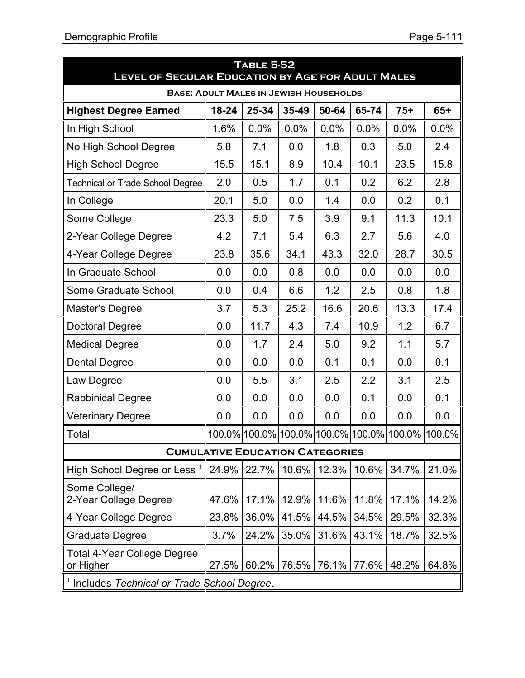|                                                         | <b>TABLE 5-52</b><br>LEVEL OF SECULAR EDUCATION BY AGE FOR ADULT MALES |       |       |       |       |                                                  |       |  |
|---------------------------------------------------------|------------------------------------------------------------------------|-------|-------|-------|-------|--------------------------------------------------|-------|--|
| <b>BASE: ADULT MALES IN JEWISH HOUSEHOLDS</b>           |                                                                        |       |       |       |       |                                                  |       |  |
| <b>Highest Degree Earned</b>                            | 18-24                                                                  | 25-34 | 35-49 | 50-64 | 65-74 | $75+$                                            | $65+$ |  |
| In High School                                          | 1.6%                                                                   | 0.0%  | 0.0%  | 0.0%  | 0.0%  | 0.0%                                             | 0.0%  |  |
| No High School Degree                                   | 5.8                                                                    | 7.1   | 0.0   | 1.8   | 0.3   | 5.0                                              | 2.4   |  |
| <b>High School Degree</b>                               | 15.5                                                                   | 15.1  | 8.9   | 10.4  | 10.1  | 23.5                                             | 15.8  |  |
| <b>Technical or Trade School Degree</b>                 | 2.0                                                                    | 0.5   | 1.7   | 0.1   | 0.2   | 6.2                                              | 2.8   |  |
| In College                                              | 20.1                                                                   | 5.0   | 0.0   | 1.4   | 0.0   | 0.2                                              | 0.1   |  |
| Some College                                            | 23.3                                                                   | 5.0   | 7.5   | 3.9   | 9.1   | 11.3                                             | 10.1  |  |
| 2-Year College Degree                                   | 4.2                                                                    | 7.1   | 5.4   | 6.3   | 2.7   | 5.6                                              | 4.0   |  |
| 4-Year College Degree                                   | 23.8                                                                   | 35.6  | 34.1  | 43.3  | 32.0  | 28.7                                             | 30.5  |  |
| In Graduate School                                      | 0.0                                                                    | 0.0   | 0.8   | 0.0   | 0.0   | 0.0                                              | 0.0   |  |
| Some Graduate School                                    | 0.0                                                                    | 0.4   | 6.6   | 1.2   | 2.5   | 0.8                                              | 1.8   |  |
| Master's Degree                                         | 3.7                                                                    | 5.3   | 25.2  | 16.6  | 20.6  | 13.3                                             | 17.4  |  |
| <b>Doctoral Degree</b>                                  | 0.0                                                                    | 11.7  | 4.3   | 7.4   | 10.9  | 1.2                                              | 6.7   |  |
| <b>Medical Degree</b>                                   | 0.0                                                                    | 1.7   | 2.4   | 5.0   | 9.2   | 1.1                                              | 5.7   |  |
| <b>Dental Degree</b>                                    | 0.0                                                                    | 0.0   | 0.0   | 0.1   | 0.1   | 0.0                                              | 0.1   |  |
| Law Degree                                              | 0.0                                                                    | 5.5   | 3.1   | 2.5   | 2.2   | 3.1                                              | 2.5   |  |
| <b>Rabbinical Degree</b>                                | 0.0                                                                    | 0.0   | 0.0   | 0.0   | 0.1   | 0.0                                              | 0.1   |  |
| <b>Veterinary Degree</b>                                | 0.0                                                                    | 0.0   | 0.0   | 0.0   | 0.0   | 0.0                                              | 0.0   |  |
| Total                                                   |                                                                        |       |       |       |       | 100.0% 100.0% 100.0% 100.0% 100.0% 100.0% 100.0% |       |  |
| <b>CUMULATIVE EDUCATION CATEGORIES</b>                  |                                                                        |       |       |       |       |                                                  |       |  |
| High School Degree or Less <sup>1</sup>                 | 24.9%                                                                  | 22.7% | 10.6% | 12.3% | 10.6% | 34.7%                                            | 21.0% |  |
| Some College/<br>2-Year College Degree                  | 47.6%                                                                  | 17.1% | 12.9% | 11.6% | 11.8% | 17.1%                                            | 14.2% |  |
| 4-Year College Degree                                   | 23.8%                                                                  | 36.0% | 41.5% | 44.5% | 34.5% | 29.5%                                            | 32.3% |  |
| <b>Graduate Degree</b>                                  | 3.7%                                                                   | 24.2% | 35.0% | 31.6% | 43.1% | 18.7%                                            | 32.5% |  |
| <b>Total 4-Year College Degree</b><br>or Higher         | 27.5%                                                                  | 60.2% | 76.5% | 76.1% | 77.6% | 48.2%                                            | 64.8% |  |
| <sup>1</sup> Includes Technical or Trade School Degree. |                                                                        |       |       |       |       |                                                  |       |  |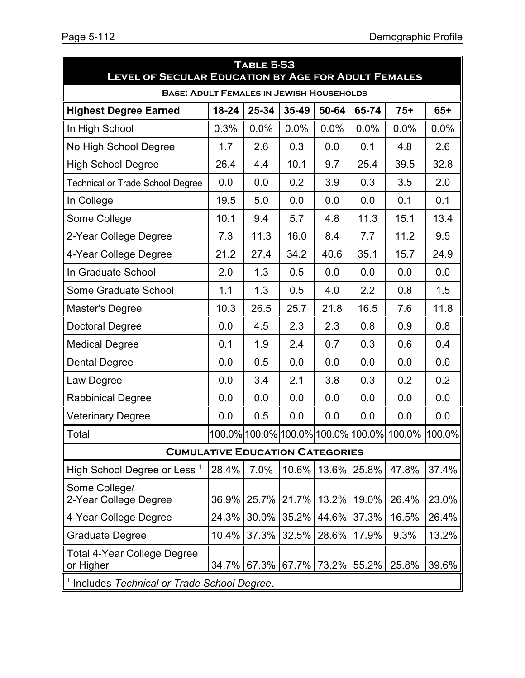| <b>TABLE 5-53</b><br>LEVEL OF SECULAR EDUCATION BY AGE FOR ADULT FEMALES |       |       |       |             |       |                                                  |       |  |
|--------------------------------------------------------------------------|-------|-------|-------|-------------|-------|--------------------------------------------------|-------|--|
| <b>BASE: ADULT FEMALES IN JEWISH HOUSEHOLDS</b>                          |       |       |       |             |       |                                                  |       |  |
| <b>Highest Degree Earned</b>                                             | 18-24 | 25-34 | 35-49 | 50-64       | 65-74 | $75+$                                            | $65+$ |  |
| In High School                                                           | 0.3%  | 0.0%  | 0.0%  | 0.0%        | 0.0%  | 0.0%                                             | 0.0%  |  |
| No High School Degree                                                    | 1.7   | 2.6   | 0.3   | 0.0         | 0.1   | 4.8                                              | 2.6   |  |
| <b>High School Degree</b>                                                | 26.4  | 4.4   | 10.1  | 9.7         | 25.4  | 39.5                                             | 32.8  |  |
| <b>Technical or Trade School Degree</b>                                  | 0.0   | 0.0   | 0.2   | 3.9         | 0.3   | 3.5                                              | 2.0   |  |
| In College                                                               | 19.5  | 5.0   | 0.0   | 0.0         | 0.0   | 0.1                                              | 0.1   |  |
| Some College                                                             | 10.1  | 9.4   | 5.7   | 4.8         | 11.3  | 15.1                                             | 13.4  |  |
| 2-Year College Degree                                                    | 7.3   | 11.3  | 16.0  | 8.4         | 7.7   | 11.2                                             | 9.5   |  |
| 4-Year College Degree                                                    | 21.2  | 27.4  | 34.2  | 40.6        | 35.1  | 15.7                                             | 24.9  |  |
| In Graduate School                                                       | 2.0   | 1.3   | 0.5   | 0.0         | 0.0   | 0.0                                              | 0.0   |  |
| Some Graduate School                                                     | 1.1   | 1.3   | 0.5   | 4.0         | 2.2   | 0.8                                              | 1.5   |  |
| Master's Degree                                                          | 10.3  | 26.5  | 25.7  | 21.8        | 16.5  | 7.6                                              | 11.8  |  |
| <b>Doctoral Degree</b>                                                   | 0.0   | 4.5   | 2.3   | 2.3         | 0.8   | 0.9                                              | 0.8   |  |
| <b>Medical Degree</b>                                                    | 0.1   | 1.9   | 2.4   | 0.7         | 0.3   | 0.6                                              | 0.4   |  |
| <b>Dental Degree</b>                                                     | 0.0   | 0.5   | 0.0   | 0.0         | 0.0   | 0.0                                              | 0.0   |  |
| Law Degree                                                               | 0.0   | 3.4   | 2.1   | 3.8         | 0.3   | 0.2                                              | 0.2   |  |
| <b>Rabbinical Degree</b>                                                 | 0.0   | 0.0   | 0.0   | 0.0         | 0.0   | 0.0                                              | 0.0   |  |
| <b>Veterinary Degree</b>                                                 | 0.0   | 0.5   | 0.0   | 0.0         | 0.0   | 0.0                                              | 0.0   |  |
| Total                                                                    |       |       |       |             |       | 100.0% 100.0% 100.0% 100.0% 100.0% 100.0% 100.0% |       |  |
| <b>CUMULATIVE EDUCATION CATEGORIES</b>                                   |       |       |       |             |       |                                                  |       |  |
| High School Degree or Less <sup>1</sup>                                  | 28.4% | 7.0%  | 10.6% | 13.6%       | 25.8% | 47.8%                                            | 37.4% |  |
| Some College/<br>2-Year College Degree                                   | 36.9% | 25.7% | 21.7% | 13.2%       | 19.0% | 26.4%                                            | 23.0% |  |
| 4-Year College Degree                                                    | 24.3% | 30.0% | 35.2% | 44.6%       | 37.3% | 16.5%                                            | 26.4% |  |
| <b>Graduate Degree</b>                                                   | 10.4% | 37.3% | 32.5% | 28.6%       | 17.9% | 9.3%                                             | 13.2% |  |
| <b>Total 4-Year College Degree</b><br>or Higher                          | 34.7% | 67.3% | 67.7% | 73.2% 55.2% |       | 25.8%                                            | 39.6% |  |
| <sup>1</sup> Includes Technical or Trade School Degree.                  |       |       |       |             |       |                                                  |       |  |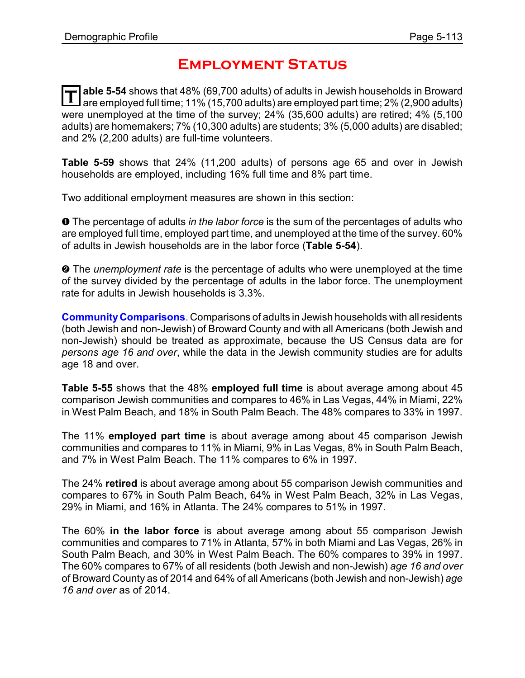# **Employment Status**

**T able 5-54** shows that 48% (69,700 adults) of adults in Jewish households in Broward are employed full time; 11% (15,700 adults) are employed part time; 2% (2,900 adults) were unemployed at the time of the survey; 24% (35,600 adults) are retired; 4% (5,100 adults) are homemakers; 7% (10,300 adults) are students; 3% (5,000 adults) are disabled; and 2% (2,200 adults) are full-time volunteers.

**Table 5-59** shows that 24% (11,200 adults) of persons age 65 and over in Jewish households are employed, including 16% full time and 8% part time.

Two additional employment measures are shown in this section:

**O** The percentage of adults *in the labor force* is the sum of the percentages of adults who are employed full time, employed part time, and unemployed at the time of the survey. 60% of adults in Jewish households are in the labor force (**Table 5-54**).

 $\odot$  The *unemployment rate* is the percentage of adults who were unemployed at the time of the survey divided by the percentage of adults in the labor force. The unemployment rate for adults in Jewish households is 3.3%.

**CommunityComparisons**. Comparisons of adults in Jewish households with all residents (both Jewish and non-Jewish) of Broward County and with all Americans (both Jewish and non-Jewish) should be treated as approximate, because the US Census data are for *persons age 16 and over*, while the data in the Jewish community studies are for adults age 18 and over.

**Table 5-55** shows that the 48% **employed full time** is about average among about 45 comparison Jewish communities and compares to 46% in Las Vegas, 44% in Miami, 22% in West Palm Beach, and 18% in South Palm Beach. The 48% compares to 33% in 1997.

The 11% **employed part time** is about average among about 45 comparison Jewish communities and compares to 11% in Miami, 9% in Las Vegas, 8% in South Palm Beach, and 7% in West Palm Beach. The 11% compares to 6% in 1997.

The 24% **retired** is about average among about 55 comparison Jewish communities and compares to 67% in South Palm Beach, 64% in West Palm Beach, 32% in Las Vegas, 29% in Miami, and 16% in Atlanta. The 24% compares to 51% in 1997.

The 60% **in the labor force** is about average among about 55 comparison Jewish communities and compares to 71% in Atlanta, 57% in both Miami and Las Vegas, 26% in South Palm Beach, and 30% in West Palm Beach. The 60% compares to 39% in 1997. The 60% compares to 67% of all residents (both Jewish and non-Jewish) *age 16 and over* of Broward County as of 2014 and 64% of all Americans (both Jewish and non-Jewish) *age 16 and over* as of 2014.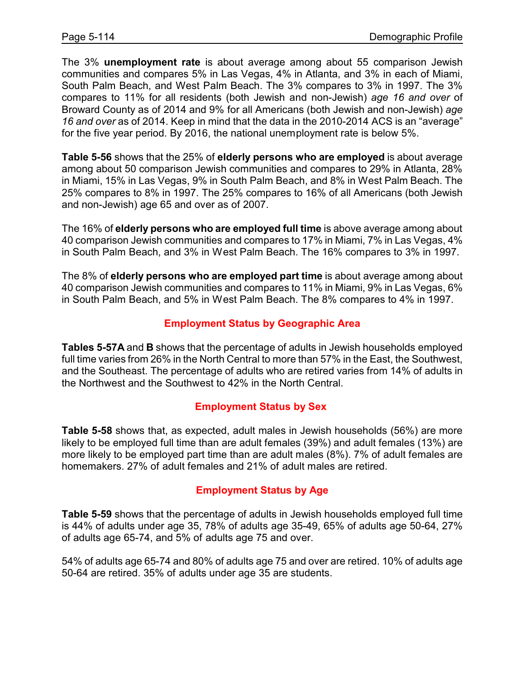The 3% **unemployment rate** is about average among about 55 comparison Jewish communities and compares 5% in Las Vegas, 4% in Atlanta, and 3% in each of Miami, South Palm Beach, and West Palm Beach. The 3% compares to 3% in 1997. The 3% compares to 11% for all residents (both Jewish and non-Jewish) *age 16 and over* of Broward County as of 2014 and 9% for all Americans (both Jewish and non-Jewish) *age 16 and over* as of 2014. Keep in mind that the data in the 2010-2014 ACS is an "average" for the five year period. By 2016, the national unemployment rate is below 5%.

**Table 5-56** shows that the 25% of **elderly persons who are employed** is about average among about 50 comparison Jewish communities and compares to 29% in Atlanta, 28% in Miami, 15% in Las Vegas, 9% in South Palm Beach, and 8% in West Palm Beach. The 25% compares to 8% in 1997. The 25% compares to 16% of all Americans (both Jewish and non-Jewish) age 65 and over as of 2007.

The 16% of **elderly persons who are employed full time** is above average among about 40 comparison Jewish communities and compares to 17% in Miami, 7% in Las Vegas, 4% in South Palm Beach, and 3% in West Palm Beach. The 16% compares to 3% in 1997.

The 8% of **elderly persons who are employed part time** is about average among about 40 comparison Jewish communities and compares to 11% in Miami, 9% in Las Vegas, 6% in South Palm Beach, and 5% in West Palm Beach. The 8% compares to 4% in 1997.

### **Employment Status by Geographic Area**

**Tables 5-57A** and **B** shows that the percentage of adults in Jewish households employed full time varies from 26% in the North Central to more than 57% in the East, the Southwest, and the Southeast. The percentage of adults who are retired varies from 14% of adults in the Northwest and the Southwest to 42% in the North Central.

#### **Employment Status by Sex**

**Table 5-58** shows that, as expected, adult males in Jewish households (56%) are more likely to be employed full time than are adult females (39%) and adult females (13%) are more likely to be employed part time than are adult males (8%). 7% of adult females are homemakers. 27% of adult females and 21% of adult males are retired.

#### **Employment Status by Age**

**Table 5-59** shows that the percentage of adults in Jewish households employed full time is 44% of adults under age 35, 78% of adults age 35-49, 65% of adults age 50-64, 27% of adults age 65-74, and 5% of adults age 75 and over.

54% of adults age 65-74 and 80% of adults age 75 and over are retired. 10% of adults age 50-64 are retired. 35% of adults under age 35 are students.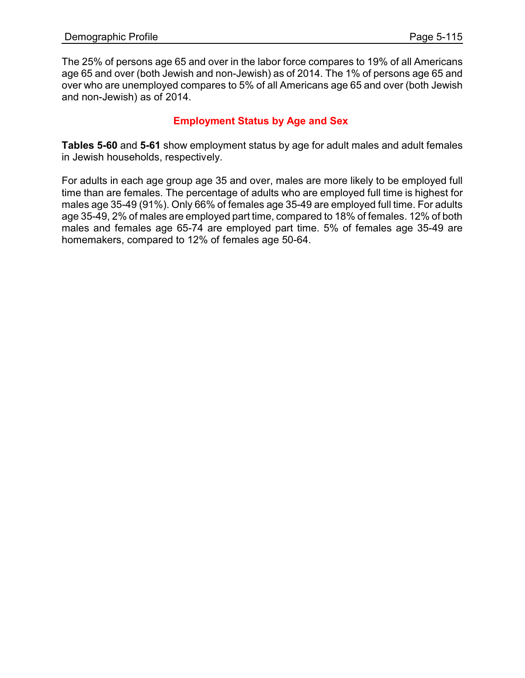The 25% of persons age 65 and over in the labor force compares to 19% of all Americans age 65 and over (both Jewish and non-Jewish) as of 2014. The 1% of persons age 65 and over who are unemployed compares to 5% of all Americans age 65 and over (both Jewish and non-Jewish) as of 2014.

## **Employment Status by Age and Sex**

**Tables 5-60** and **5-61** show employment status by age for adult males and adult females in Jewish households, respectively.

For adults in each age group age 35 and over, males are more likely to be employed full time than are females. The percentage of adults who are employed full time is highest for males age 35-49 (91%). Only 66% of females age 35-49 are employed full time. For adults age 35-49, 2% of males are employed part time, compared to 18% of females. 12% of both males and females age 65-74 are employed part time. 5% of females age 35-49 are homemakers, compared to 12% of females age 50-64.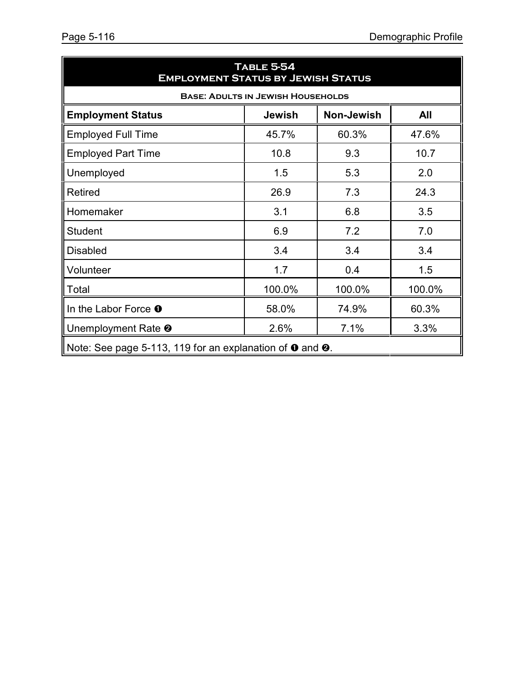| <b>TABLE 5-54</b><br><b>EMPLOYMENT STATUS BY JEWISH STATUS</b>            |        |            |        |  |  |  |  |  |
|---------------------------------------------------------------------------|--------|------------|--------|--|--|--|--|--|
| <b>BASE: ADULTS IN JEWISH HOUSEHOLDS</b>                                  |        |            |        |  |  |  |  |  |
| <b>Employment Status</b>                                                  | Jewish | Non-Jewish | All    |  |  |  |  |  |
| <b>Employed Full Time</b>                                                 | 45.7%  | 60.3%      | 47.6%  |  |  |  |  |  |
| <b>Employed Part Time</b>                                                 | 10.8   | 9.3        | 10.7   |  |  |  |  |  |
| Unemployed                                                                | 1.5    | 5.3        | 2.0    |  |  |  |  |  |
| <b>Retired</b>                                                            | 26.9   | 7.3        | 24.3   |  |  |  |  |  |
| Homemaker                                                                 | 3.1    | 6.8        | 3.5    |  |  |  |  |  |
| <b>Student</b>                                                            | 6.9    | 7.2        | 7.0    |  |  |  |  |  |
| <b>Disabled</b>                                                           | 3.4    | 3.4        | 3.4    |  |  |  |  |  |
| Volunteer                                                                 | 1.7    | 0.4        | 1.5    |  |  |  |  |  |
| Total                                                                     | 100.0% | 100.0%     | 100.0% |  |  |  |  |  |
| In the Labor Force O                                                      | 58.0%  | 74.9%      | 60.3%  |  |  |  |  |  |
| Unemployment Rate <sup>o</sup>                                            | 2.6%   | 7.1%       | 3.3%   |  |  |  |  |  |
| Note: See page 5-113, 119 for an explanation of $\bullet$ and $\bullet$ . |        |            |        |  |  |  |  |  |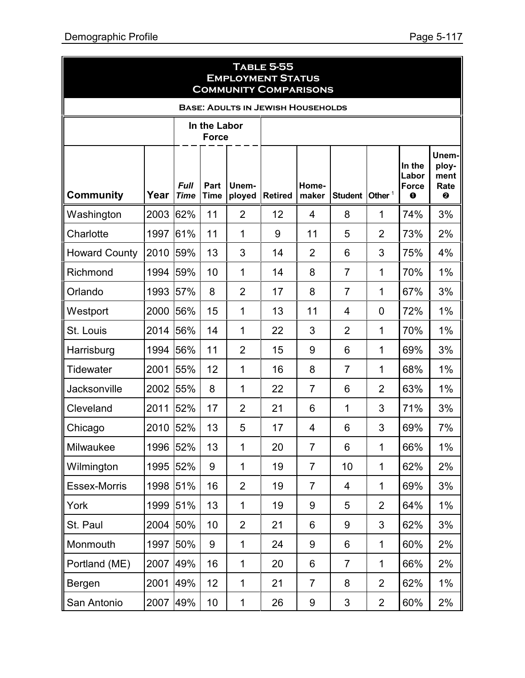| <b>TABLE 5-55</b><br><b>EMPLOYMENT STATUS</b><br><b>COMMUNITY COMPARISONS</b> |      |                            |                                          |                 |                |                |                |                |                                         |                                     |
|-------------------------------------------------------------------------------|------|----------------------------|------------------------------------------|-----------------|----------------|----------------|----------------|----------------|-----------------------------------------|-------------------------------------|
|                                                                               |      |                            | <b>BASE: ADULTS IN JEWISH HOUSEHOLDS</b> |                 |                |                |                |                |                                         |                                     |
| In the Labor<br><b>Force</b>                                                  |      |                            |                                          |                 |                |                |                |                |                                         |                                     |
| <b>Community</b>                                                              | Year | <b>Full</b><br><b>Time</b> | Part<br><b>Time</b>                      | Unem-<br>ployed | <b>Retired</b> | Home-<br>maker | <b>Student</b> | Other $1$      | In the<br>Labor<br>Force<br>$\mathbf 0$ | Unem-<br>ploy-<br>ment<br>Rate<br>0 |
| Washington                                                                    | 2003 | 62%                        | 11                                       | $\overline{2}$  | 12             | $\overline{4}$ | 8              | 1              | 74%                                     | 3%                                  |
| Charlotte                                                                     | 1997 | 61%                        | 11                                       | 1               | 9              | 11             | 5              | $\overline{2}$ | 73%                                     | 2%                                  |
| <b>Howard County</b>                                                          | 2010 | 59%                        | 13                                       | 3               | 14             | $\overline{2}$ | 6              | 3              | 75%                                     | 4%                                  |
| Richmond                                                                      | 1994 | 59%                        | 10                                       | 1               | 14             | 8              | $\overline{7}$ | 1              | 70%                                     | 1%                                  |
| Orlando                                                                       | 1993 | 57%                        | 8                                        | $\overline{2}$  | 17             | 8              | $\overline{7}$ | 1              | 67%                                     | 3%                                  |
| Westport                                                                      | 2000 | 56%                        | 15                                       | 1               | 13             | 11             | 4              | 0              | 72%                                     | 1%                                  |
| St. Louis                                                                     | 2014 | 56%                        | 14                                       | 1               | 22             | 3              | $\overline{2}$ | 1              | 70%                                     | 1%                                  |
| Harrisburg                                                                    | 1994 | 56%                        | 11                                       | $\overline{2}$  | 15             | 9              | 6              | 1              | 69%                                     | 3%                                  |
| <b>Tidewater</b>                                                              | 2001 | 55%                        | 12                                       | 1               | 16             | 8              | $\overline{7}$ | 1              | 68%                                     | 1%                                  |
| <b>Jacksonville</b>                                                           | 2002 | 55%                        | 8                                        | 1               | 22             | $\overline{7}$ | 6              | $\overline{2}$ | 63%                                     | 1%                                  |
| Cleveland                                                                     | 2011 | 52%                        | 17                                       | $\overline{2}$  | 21             | 6              | 1              | 3              | 71%                                     | 3%                                  |
| Chicago                                                                       | 2010 | 52%                        | 13                                       | 5               | 17             | 4              | 6              | 3              | 69%                                     | 7%                                  |
| Milwaukee                                                                     | 1996 | 52%                        | 13                                       | 1               | 20             | 7              | 6              | 1              | 66%                                     | 1%                                  |
| Wilmington                                                                    | 1995 | 52%                        | 9                                        | 1               | 19             | $\overline{7}$ | 10             | $\mathbf{1}$   | 62%                                     | 2%                                  |
| Essex-Morris                                                                  | 1998 | 51%                        | 16                                       | $\overline{2}$  | 19             | $\overline{7}$ | 4              | 1              | 69%                                     | 3%                                  |
| York                                                                          | 1999 | 51%                        | 13                                       | 1               | 19             | 9              | 5              | $\overline{2}$ | 64%                                     | $1\%$                               |
| St. Paul                                                                      | 2004 | 50%                        | 10                                       | $\overline{2}$  | 21             | 6              | 9              | 3              | 62%                                     | 3%                                  |
| Monmouth                                                                      | 1997 | 50%                        | 9                                        | 1               | 24             | 9              | 6              | 1              | 60%                                     | 2%                                  |
| Portland (ME)                                                                 | 2007 | 49%                        | 16                                       | $\mathbf 1$     | 20             | 6              | $\overline{7}$ | $\mathbf 1$    | 66%                                     | 2%                                  |
| Bergen                                                                        | 2001 | 49%                        | 12                                       | 1               | 21             | $\overline{7}$ | 8              | $\overline{2}$ | 62%                                     | $1\%$                               |
| San Antonio                                                                   | 2007 | 49%                        | 10                                       | $\mathbf{1}$    | 26             | 9              | 3              | $\overline{2}$ | 60%                                     | 2%                                  |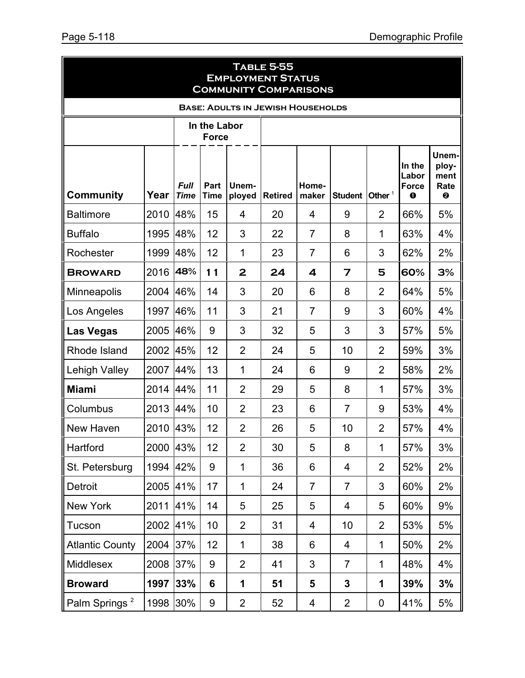| <b>TABLE 5-55</b><br><b>EMPLOYMENT STATUS</b><br><b>COMMUNITY COMPARISONS</b> |                              |                            |                     |                 |                                          |                |                |                  |                                            |                                     |
|-------------------------------------------------------------------------------|------------------------------|----------------------------|---------------------|-----------------|------------------------------------------|----------------|----------------|------------------|--------------------------------------------|-------------------------------------|
|                                                                               |                              |                            |                     |                 | <b>BASE: ADULTS IN JEWISH HOUSEHOLDS</b> |                |                |                  |                                            |                                     |
|                                                                               | In the Labor<br><b>Force</b> |                            |                     |                 |                                          |                |                |                  |                                            |                                     |
| <b>Community</b>                                                              | Year                         | <b>Full</b><br><b>Time</b> | Part<br><b>Time</b> | Unem-<br>ployed | <b>Retired</b>                           | Home-<br>maker | <b>Student</b> | Other $1$        | In the<br>Labor<br><b>Force</b><br>$\bf o$ | Unem-<br>ploy-<br>ment<br>Rate<br>❷ |
| <b>Baltimore</b>                                                              | 2010                         | 48%                        | 15                  | 4               | 20                                       | $\overline{4}$ | 9              | 2                | 66%                                        | 5%                                  |
| <b>Buffalo</b>                                                                | 1995                         | 48%                        | 12                  | 3               | 22                                       | $\overline{7}$ | 8              | 1                | 63%                                        | 4%                                  |
| Rochester                                                                     | 1999                         | 48%                        | 12                  | 1               | 23                                       | $\overline{7}$ | 6              | 3                | 62%                                        | 2%                                  |
| <b>BROWARD</b>                                                                | 2016                         | 48%                        | 11                  | $\overline{2}$  | 24                                       | 4              | 7              | 5                | 60%                                        | 3%                                  |
| Minneapolis                                                                   | 2004                         | 46%                        | 14                  | 3               | 20                                       | 6              | 8              | $\overline{2}$   | 64%                                        | 5%                                  |
| Los Angeles                                                                   | 1997                         | 46%                        | 11                  | 3               | 21                                       | $\overline{7}$ | 9              | 3                | 60%                                        | 4%                                  |
| <b>Las Vegas</b>                                                              | 2005                         | 46%                        | 9                   | 3               | 32                                       | 5              | 3              | 3                | 57%                                        | 5%                                  |
| Rhode Island                                                                  | 2002                         | 45%                        | 12                  | $\overline{2}$  | 24                                       | 5              | 10             | $\overline{2}$   | 59%                                        | 3%                                  |
| <b>Lehigh Valley</b>                                                          | 2007                         | 44%                        | 13                  | $\mathbf 1$     | 24                                       | 6              | 9              | $\overline{2}$   | 58%                                        | 2%                                  |
| <b>Miami</b>                                                                  | 2014                         | 44%                        | 11                  | $\overline{2}$  | 29                                       | 5              | 8              | 1                | 57%                                        | 3%                                  |
| Columbus                                                                      | 2013                         | 44%                        | 10                  | $\overline{2}$  | 23                                       | 6              | $\overline{7}$ | 9                | 53%                                        | 4%                                  |
| New Haven                                                                     | 2010                         | 43%                        | 12                  | $\overline{2}$  | 26                                       | 5              | 10             | $\overline{2}$   | 57%                                        | 4%                                  |
| Hartford                                                                      | 2000                         | 43%                        | 12                  | $\overline{2}$  | 30                                       | 5              | 8              | 1                | 57%                                        | 3%                                  |
| St. Petersburg                                                                | 1994                         | 42%                        | 9                   | 1               | 36                                       | 6              | 4              | $\overline{2}$   | 52%                                        | 2%                                  |
| Detroit                                                                       | 2005                         | 41%                        | 17                  | 1               | 24                                       | $\overline{7}$ | $\overline{7}$ | 3                | 60%                                        | 2%                                  |
| New York                                                                      | 2011                         | 41%                        | 14                  | 5               | 25                                       | 5              | $\overline{4}$ | 5                | 60%                                        | 9%                                  |
| Tucson                                                                        | 2002                         | 41%                        | 10 <sup>°</sup>     | $\overline{2}$  | 31                                       | 4              | 10             | $\overline{2}$   | 53%                                        | 5%                                  |
| <b>Atlantic County</b>                                                        | 2004                         | 37%                        | 12                  | 1               | 38                                       | 6              | 4              | 1                | 50%                                        | 2%                                  |
| Middlesex                                                                     | 2008                         | 37%                        | 9                   | $\overline{2}$  | 41                                       | 3              | $\overline{7}$ | 1                | 48%                                        | 4%                                  |
| <b>Broward</b>                                                                | 1997                         | 33%                        | 6                   | 1               | 51                                       | 5              | $\mathbf{3}$   | 1                | 39%                                        | 3%                                  |
| Palm Springs <sup>2</sup>                                                     | 1998                         | 30%                        | 9                   | $\overline{2}$  | 52                                       | 4              | $\overline{2}$ | $\boldsymbol{0}$ | 41%                                        | 5%                                  |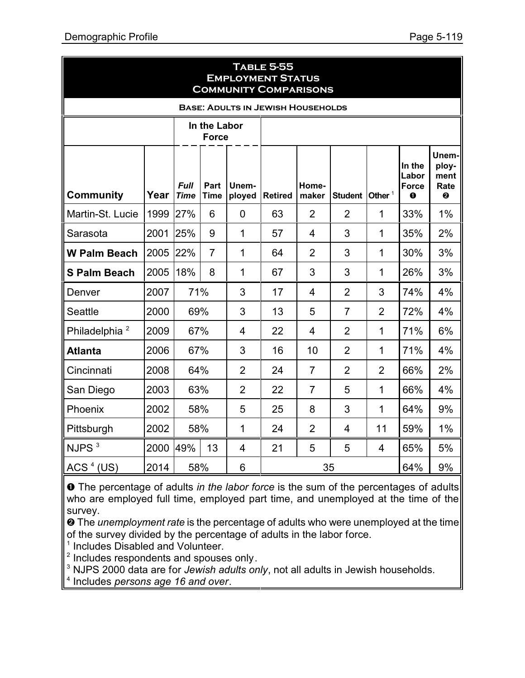| <b>TABLE 5-55</b><br><b>EMPLOYMENT STATUS</b><br><b>COMMUNITY COMPARISONS</b> |      |                              |                     |                 |                |                |                |                |                                            |                                     |
|-------------------------------------------------------------------------------|------|------------------------------|---------------------|-----------------|----------------|----------------|----------------|----------------|--------------------------------------------|-------------------------------------|
| <b>BASE: ADULTS IN JEWISH HOUSEHOLDS</b>                                      |      |                              |                     |                 |                |                |                |                |                                            |                                     |
|                                                                               |      | In the Labor<br><b>Force</b> |                     |                 |                |                |                |                |                                            |                                     |
| <b>Community</b>                                                              | Year | <b>Full</b><br><b>Time</b>   | Part<br><b>Time</b> | Unem-<br>ployed | <b>Retired</b> | Home-<br>maker | <b>Student</b> | Other $1$      | In the<br>Labor<br><b>Force</b><br>$\bf o$ | Unem-<br>ploy-<br>ment<br>Rate<br>❷ |
| Martin-St. Lucie                                                              | 1999 | 27%                          | 6                   | $\overline{0}$  | 63             | $\overline{2}$ | $\overline{2}$ | $\mathbf 1$    | 33%                                        | 1%                                  |
| Sarasota                                                                      | 2001 | 25%                          | 9                   | $\mathbf{1}$    | 57             | $\overline{4}$ | 3              | $\mathbf 1$    | 35%                                        | 2%                                  |
| <b>W Palm Beach</b>                                                           | 2005 | 22%                          | $\overline{7}$      | 1               | 64             | $\overline{2}$ | 3              | $\mathbf 1$    | 30%                                        | 3%                                  |
| <b>S Palm Beach</b>                                                           | 2005 | 18%                          | 8                   | $\mathbf{1}$    | 67             | 3              | 3              | $\mathbf 1$    | 26%                                        | 3%                                  |
| Denver                                                                        | 2007 | 71%                          |                     | 3               | 17             | 4              | $\overline{2}$ | 3              | 74%                                        | 4%                                  |
| Seattle                                                                       | 2000 | 69%                          |                     | 3               | 13             | 5              | $\overline{7}$ | $\overline{2}$ | 72%                                        | 4%                                  |
| Philadelphia <sup>2</sup>                                                     | 2009 | 67%                          |                     | 4               | 22             | 4              | $\overline{2}$ | $\mathbf 1$    | 71%                                        | 6%                                  |
| <b>Atlanta</b>                                                                | 2006 | 67%                          |                     | 3               | 16             | 10             | $\overline{2}$ | $\mathbf 1$    | 71%                                        | 4%                                  |
| Cincinnati                                                                    | 2008 | 64%                          |                     | $\overline{2}$  | 24             | $\overline{7}$ | $\overline{2}$ | 2              | 66%                                        | 2%                                  |
| San Diego                                                                     | 2003 | 63%                          |                     | $\overline{2}$  | 22             | $\overline{7}$ | 5              | $\mathbf{1}$   | 66%                                        | 4%                                  |
| Phoenix                                                                       | 2002 | 58%                          |                     | 5               | 25             | 8              | 3              | $\mathbf 1$    | 64%                                        | 9%                                  |
| Pittsburgh                                                                    | 2002 | 58%                          |                     | $\mathbf{1}$    | 24             | $\overline{2}$ | 4              | 11             | 59%                                        | 1%                                  |
| NJPS <sup>3</sup>                                                             | 2000 | 49%                          | 13                  | $\overline{4}$  | 21             | 5              | 5              | $\overline{4}$ | 65%                                        | 5%                                  |
| ACS $4$ (US)                                                                  | 2014 | 58%                          |                     | 6               |                | 35             |                |                | 64%                                        | 9%                                  |

**O** The percentage of adults *in the labor force* is the sum of the percentages of adults who are employed full time, employed part time, and unemployed at the time of the survey.

**<sup>2</sup>** The *unemployment rate* is the percentage of adults who were unemployed at the time of the survey divided by the percentage of adults in the labor force.

<sup>1</sup> Includes Disabled and Volunteer.

 $2$  Includes respondents and spouses only.

3 NJPS 2000 data are for *Jewish adults only*, not all adults in Jewish households.

4 Includes *persons age 16 and over*.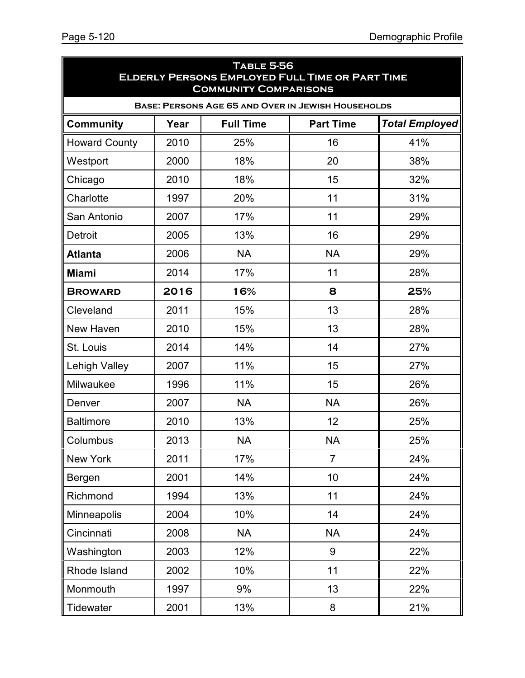| <b>TABLE 5-56</b><br><b>ELDERLY PERSONS EMPLOYED FULL TIME OR PART TIME</b><br><b>COMMUNITY COMPARISONS</b> |      |                                                    |                  |                       |  |  |  |
|-------------------------------------------------------------------------------------------------------------|------|----------------------------------------------------|------------------|-----------------------|--|--|--|
|                                                                                                             |      | BASE: PERSONS AGE 65 AND OVER IN JEWISH HOUSEHOLDS |                  |                       |  |  |  |
| <b>Community</b>                                                                                            | Year | <b>Full Time</b>                                   | <b>Part Time</b> | <b>Total Employed</b> |  |  |  |
| <b>Howard County</b>                                                                                        | 2010 | 25%                                                | 16               | 41%                   |  |  |  |
| Westport                                                                                                    | 2000 | 18%                                                | 20               | 38%                   |  |  |  |
| Chicago                                                                                                     | 2010 | 18%                                                | 15               | 32%                   |  |  |  |
| Charlotte                                                                                                   | 1997 | 20%                                                | 11               | 31%                   |  |  |  |
| San Antonio                                                                                                 | 2007 | 17%                                                | 11               | 29%                   |  |  |  |
| <b>Detroit</b>                                                                                              | 2005 | 13%                                                | 16               | 29%                   |  |  |  |
| <b>Atlanta</b>                                                                                              | 2006 | <b>NA</b>                                          | <b>NA</b>        | 29%                   |  |  |  |
| <b>Miami</b>                                                                                                | 2014 | 17%                                                | 11               | 28%                   |  |  |  |
| <b>BROWARD</b>                                                                                              | 2016 | 16%                                                | 8                | 25%                   |  |  |  |
| Cleveland                                                                                                   | 2011 | 15%                                                | 13               | 28%                   |  |  |  |
| New Haven                                                                                                   | 2010 | 15%                                                | 13               | 28%                   |  |  |  |
| St. Louis                                                                                                   | 2014 | 14%                                                | 14               | 27%                   |  |  |  |
| Lehigh Valley                                                                                               | 2007 | 11%                                                | 15               | 27%                   |  |  |  |
| Milwaukee                                                                                                   | 1996 | 11%                                                | 15               | 26%                   |  |  |  |
| Denver                                                                                                      | 2007 | <b>NA</b>                                          | <b>NA</b>        | 26%                   |  |  |  |
| <b>Baltimore</b>                                                                                            | 2010 | 13%                                                | 12               | 25%                   |  |  |  |
| Columbus                                                                                                    | 2013 | <b>NA</b>                                          | <b>NA</b>        | 25%                   |  |  |  |
| New York                                                                                                    | 2011 | 17%                                                | $\overline{7}$   | 24%                   |  |  |  |
| Bergen                                                                                                      | 2001 | 14%                                                | 10               | 24%                   |  |  |  |
| Richmond                                                                                                    | 1994 | 13%                                                | 11               | 24%                   |  |  |  |
| Minneapolis                                                                                                 | 2004 | 10%                                                | 14               | 24%                   |  |  |  |
| Cincinnati                                                                                                  | 2008 | <b>NA</b>                                          | <b>NA</b>        | 24%                   |  |  |  |
| Washington                                                                                                  | 2003 | 12%                                                | 9                | 22%                   |  |  |  |
| Rhode Island                                                                                                | 2002 | 10%                                                | 11               | 22%                   |  |  |  |
| Monmouth                                                                                                    | 1997 | 9%                                                 | 13               | 22%                   |  |  |  |
| Tidewater                                                                                                   | 2001 | 13%                                                | 8                | 21%                   |  |  |  |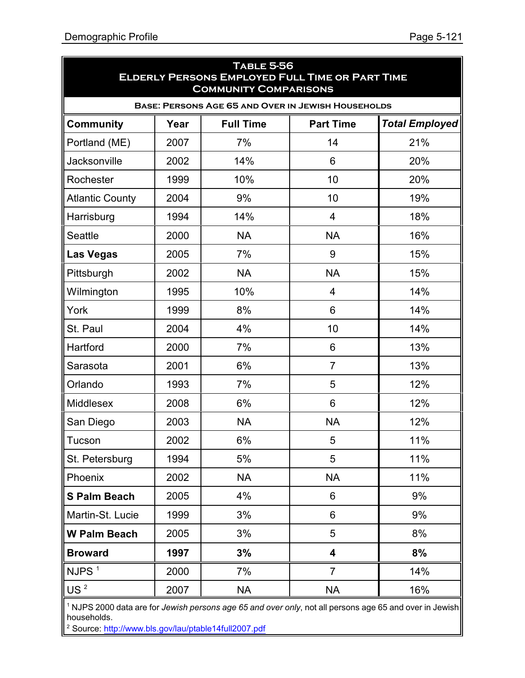| <b>TABLE 5-56</b><br><b>ELDERLY PERSONS EMPLOYED FULL TIME OR PART TIME</b><br><b>COMMUNITY COMPARISONS</b> |      |                  |                                                           |                       |  |  |  |
|-------------------------------------------------------------------------------------------------------------|------|------------------|-----------------------------------------------------------|-----------------------|--|--|--|
|                                                                                                             |      |                  | <b>BASE: PERSONS AGE 65 AND OVER IN JEWISH HOUSEHOLDS</b> |                       |  |  |  |
| <b>Community</b>                                                                                            | Year | <b>Full Time</b> | <b>Part Time</b>                                          | <b>Total Employed</b> |  |  |  |
| Portland (ME)                                                                                               | 2007 | 7%               | 14                                                        | 21%                   |  |  |  |
| Jacksonville                                                                                                | 2002 | 14%              | 6                                                         | 20%                   |  |  |  |
| Rochester                                                                                                   | 1999 | 10%              | 10                                                        | 20%                   |  |  |  |
| <b>Atlantic County</b>                                                                                      | 2004 | 9%               | 10                                                        | 19%                   |  |  |  |
| Harrisburg                                                                                                  | 1994 | 14%              | $\overline{4}$                                            | 18%                   |  |  |  |
| <b>Seattle</b>                                                                                              | 2000 | <b>NA</b>        | <b>NA</b>                                                 | 16%                   |  |  |  |
| <b>Las Vegas</b>                                                                                            | 2005 | 7%               | 9                                                         | 15%                   |  |  |  |
| Pittsburgh                                                                                                  | 2002 | <b>NA</b>        | <b>NA</b>                                                 | 15%                   |  |  |  |
| Wilmington                                                                                                  | 1995 | 10%              | $\overline{4}$                                            | 14%                   |  |  |  |
| York                                                                                                        | 1999 | 8%               | 6                                                         | 14%                   |  |  |  |
| St. Paul                                                                                                    | 2004 | 4%               | 10                                                        | 14%                   |  |  |  |
| Hartford                                                                                                    | 2000 | 7%               | 6                                                         | 13%                   |  |  |  |
| Sarasota                                                                                                    | 2001 | 6%               | $\overline{7}$                                            | 13%                   |  |  |  |
| Orlando                                                                                                     | 1993 | 7%               | 5                                                         | 12%                   |  |  |  |
| Middlesex                                                                                                   | 2008 | 6%               | 6                                                         | 12%                   |  |  |  |
| San Diego                                                                                                   | 2003 | <b>NA</b>        | <b>NA</b>                                                 | 12%                   |  |  |  |
| Tucson                                                                                                      | 2002 | 6%               | 5                                                         | 11%                   |  |  |  |
| St. Petersburg                                                                                              | 1994 | 5%               | 5                                                         | 11%                   |  |  |  |
| Phoenix                                                                                                     | 2002 | <b>NA</b>        | <b>NA</b>                                                 | 11%                   |  |  |  |
| <b>S Palm Beach</b>                                                                                         | 2005 | 4%               | 6                                                         | 9%                    |  |  |  |
| Martin-St. Lucie                                                                                            | 1999 | 3%               | 6                                                         | 9%                    |  |  |  |
| <b>W Palm Beach</b>                                                                                         | 2005 | 3%               | 5                                                         | 8%                    |  |  |  |
| <b>Broward</b>                                                                                              | 1997 | 3%               | 4                                                         | 8%                    |  |  |  |
| NJPS <sup>1</sup>                                                                                           | 2000 | 7%               | $\overline{7}$                                            | 14%                   |  |  |  |
| US <sup>2</sup>                                                                                             | 2007 | <b>NA</b>        | <b>NA</b>                                                 | 16%                   |  |  |  |

<sup>1</sup> NJPS 2000 data are for *Jewish persons age 65 and over only*, not all persons age 65 and over in Jewish households.

<sup>2</sup> Source:<http://www.bls.gov/lau/ptable14full2007.pdf>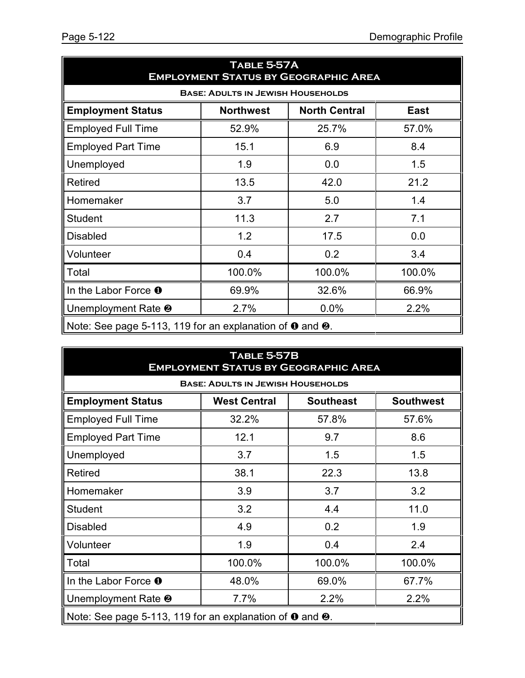| TABLE 5-57A<br><b>EMPLOYMENT STATUS BY GEOGRAPHIC AREA</b>                   |        |        |        |  |  |  |  |  |
|------------------------------------------------------------------------------|--------|--------|--------|--|--|--|--|--|
| <b>BASE: ADULTS IN JEWISH HOUSEHOLDS</b>                                     |        |        |        |  |  |  |  |  |
| <b>Employment Status</b><br><b>Northwest</b><br><b>North Central</b><br>East |        |        |        |  |  |  |  |  |
| <b>Employed Full Time</b>                                                    | 52.9%  | 25.7%  | 57.0%  |  |  |  |  |  |
| <b>Employed Part Time</b>                                                    | 15.1   | 6.9    | 8.4    |  |  |  |  |  |
| Unemployed                                                                   | 1.9    | 0.0    | 1.5    |  |  |  |  |  |
| <b>Retired</b>                                                               | 13.5   | 42.0   | 21.2   |  |  |  |  |  |
| Homemaker                                                                    | 3.7    | 5.0    | 1.4    |  |  |  |  |  |
| <b>Student</b>                                                               | 11.3   | 2.7    | 7.1    |  |  |  |  |  |
| <b>Disabled</b>                                                              | 1.2    | 17.5   | 0.0    |  |  |  |  |  |
| Volunteer                                                                    | 0.4    | 0.2    | 3.4    |  |  |  |  |  |
| Total                                                                        | 100.0% | 100.0% | 100.0% |  |  |  |  |  |
| In the Labor Force O                                                         | 69.9%  | 32.6%  | 66.9%  |  |  |  |  |  |
| Unemployment Rate <sup>®</sup>                                               | 2.7%   | 0.0%   | 2.2%   |  |  |  |  |  |
| Note: See page 5-113, 119 for an explanation of 0 and 0.                     |        |        |        |  |  |  |  |  |

| TABLE 5-57B<br><b>EMPLOYMENT STATUS BY GEOGRAPHIC AREA</b> |                     |                  |                  |  |  |  |  |  |
|------------------------------------------------------------|---------------------|------------------|------------------|--|--|--|--|--|
| <b>BASE: ADULTS IN JEWISH HOUSEHOLDS</b>                   |                     |                  |                  |  |  |  |  |  |
| <b>Employment Status</b>                                   | <b>West Central</b> | <b>Southeast</b> | <b>Southwest</b> |  |  |  |  |  |
| <b>Employed Full Time</b>                                  | 32.2%               | 57.8%            | 57.6%            |  |  |  |  |  |
| <b>Employed Part Time</b>                                  | 12.1                | 9.7              | 8.6              |  |  |  |  |  |
| Unemployed                                                 | 3.7                 | 1.5              | 1.5              |  |  |  |  |  |
| <b>Retired</b>                                             | 38.1                | 22.3             | 13.8             |  |  |  |  |  |
| Homemaker                                                  | 3.9                 | 3.7              | 3.2              |  |  |  |  |  |
| <b>Student</b>                                             | 3.2                 | 4.4              | 11.0             |  |  |  |  |  |
| <b>Disabled</b>                                            | 4.9                 | 0.2              | 1.9              |  |  |  |  |  |
| Volunteer                                                  | 1.9                 | 0.4              | 2.4              |  |  |  |  |  |
| Total                                                      | 100.0%              | 100.0%           | 100.0%           |  |  |  |  |  |
| In the Labor Force O                                       | 48.0%               | 69.0%            | 67.7%            |  |  |  |  |  |
| Unemployment Rate <sup>®</sup>                             | 7.7%                | 2.2%             | 2.2%             |  |  |  |  |  |
| Note: See page 5-113, 119 for an explanation of 0 and 0.   |                     |                  |                  |  |  |  |  |  |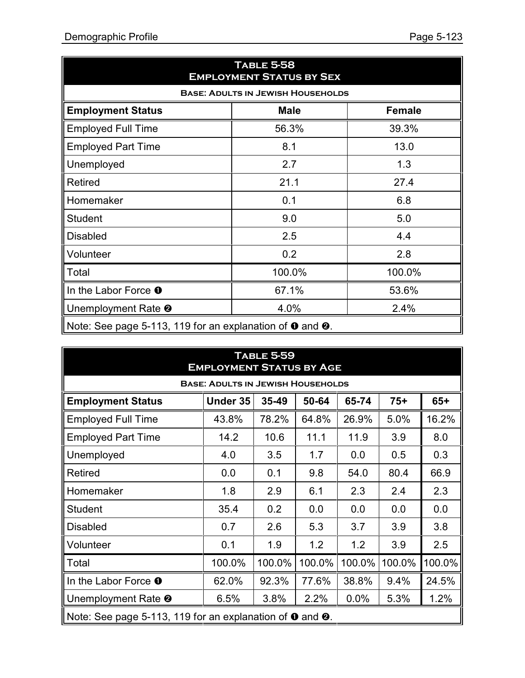| <b>TABLE 5-58</b><br><b>EMPLOYMENT STATUS BY SEX</b>                      |        |        |  |  |  |  |  |  |  |
|---------------------------------------------------------------------------|--------|--------|--|--|--|--|--|--|--|
| <b>BASE: ADULTS IN JEWISH HOUSEHOLDS</b>                                  |        |        |  |  |  |  |  |  |  |
| <b>Employment Status</b><br><b>Male</b><br><b>Female</b>                  |        |        |  |  |  |  |  |  |  |
| <b>Employed Full Time</b>                                                 | 56.3%  | 39.3%  |  |  |  |  |  |  |  |
| <b>Employed Part Time</b>                                                 | 8.1    | 13.0   |  |  |  |  |  |  |  |
| Unemployed                                                                | 2.7    | 1.3    |  |  |  |  |  |  |  |
| <b>Retired</b>                                                            | 21.1   | 27.4   |  |  |  |  |  |  |  |
| Homemaker                                                                 | 0.1    | 6.8    |  |  |  |  |  |  |  |
| <b>Student</b>                                                            | 9.0    | 5.0    |  |  |  |  |  |  |  |
| <b>Disabled</b>                                                           | 2.5    | 4.4    |  |  |  |  |  |  |  |
| Volunteer                                                                 | 0.2    | 2.8    |  |  |  |  |  |  |  |
| Total                                                                     | 100.0% | 100.0% |  |  |  |  |  |  |  |
| In the Labor Force O                                                      | 67.1%  | 53.6%  |  |  |  |  |  |  |  |
| Unemployment Rate <sup>o</sup><br>4.0%<br>2.4%                            |        |        |  |  |  |  |  |  |  |
| Note: See page 5-113, 119 for an explanation of $\bullet$ and $\bullet$ . |        |        |  |  |  |  |  |  |  |

| <b>TABLE 5-59</b><br><b>EMPLOYMENT STATUS BY AGE</b>                              |        |        |        |         |        |        |  |  |  |  |
|-----------------------------------------------------------------------------------|--------|--------|--------|---------|--------|--------|--|--|--|--|
| <b>BASE: ADULTS IN JEWISH HOUSEHOLDS</b>                                          |        |        |        |         |        |        |  |  |  |  |
| $65+$<br><b>Employment Status</b><br>Under 35<br>35-49<br>50-64<br>65-74<br>$75+$ |        |        |        |         |        |        |  |  |  |  |
| <b>Employed Full Time</b>                                                         | 43.8%  | 78.2%  | 64.8%  | 26.9%   | 5.0%   | 16.2%  |  |  |  |  |
| <b>Employed Part Time</b>                                                         | 14.2   | 10.6   | 11.1   | 11.9    | 3.9    | 8.0    |  |  |  |  |
| Unemployed                                                                        | 4.0    | 3.5    | 1.7    | 0.0     | 0.5    | 0.3    |  |  |  |  |
| Retired                                                                           | 0.0    | 0.1    | 9.8    | 54.0    | 80.4   | 66.9   |  |  |  |  |
| Homemaker                                                                         | 1.8    | 2.9    | 6.1    | 2.3     | 2.4    | 2.3    |  |  |  |  |
| <b>Student</b>                                                                    | 35.4   | 0.2    | 0.0    | 0.0     | 0.0    | 0.0    |  |  |  |  |
| <b>Disabled</b>                                                                   | 0.7    | 2.6    | 5.3    | 3.7     | 3.9    | 3.8    |  |  |  |  |
| Volunteer                                                                         | 0.1    | 1.9    | 1.2    | 1.2     | 3.9    | 2.5    |  |  |  |  |
| Total                                                                             | 100.0% | 100.0% | 100.0% | 100.0%  | 100.0% | 100.0% |  |  |  |  |
| In the Labor Force O                                                              | 62.0%  | 92.3%  | 77.6%  | 38.8%   | 9.4%   | 24.5%  |  |  |  |  |
| Unemployment Rate <sup>®</sup>                                                    | 6.5%   | 3.8%   | 2.2%   | $0.0\%$ | 5.3%   | 1.2%   |  |  |  |  |
| Note: See page 5-113, 119 for an explanation of $\bullet$ and $\bullet$ .         |        |        |        |         |        |        |  |  |  |  |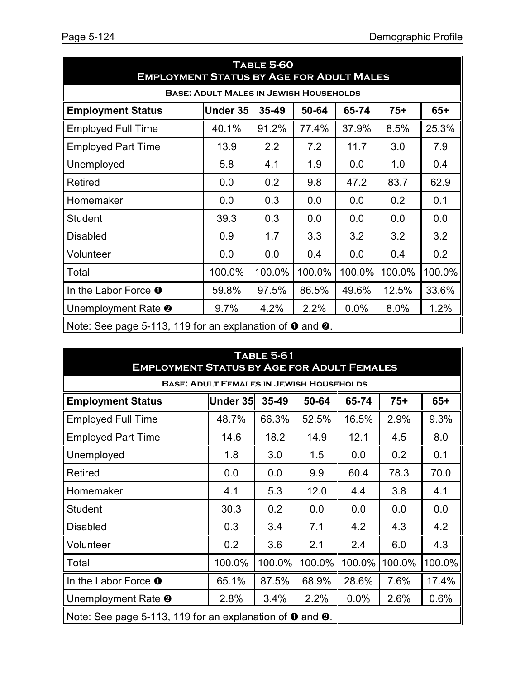| <b>TABLE 5-60</b><br><b>EMPLOYMENT STATUS BY AGE FOR ADULT MALES</b>              |        |        |        |        |        |        |  |  |  |
|-----------------------------------------------------------------------------------|--------|--------|--------|--------|--------|--------|--|--|--|
| <b>BASE: ADULT MALES IN JEWISH HOUSEHOLDS</b>                                     |        |        |        |        |        |        |  |  |  |
| Under 35<br>35-49<br>50-64<br>$75+$<br>$65+$<br><b>Employment Status</b><br>65-74 |        |        |        |        |        |        |  |  |  |
| <b>Employed Full Time</b>                                                         | 40.1%  | 91.2%  | 77.4%  | 37.9%  | 8.5%   | 25.3%  |  |  |  |
| <b>Employed Part Time</b>                                                         | 13.9   | 2.2    | 7.2    | 11.7   | 3.0    | 7.9    |  |  |  |
| Unemployed                                                                        | 5.8    | 4.1    | 1.9    | 0.0    | 1.0    | 0.4    |  |  |  |
| <b>Retired</b>                                                                    | 0.0    | 0.2    | 9.8    | 47.2   | 83.7   | 62.9   |  |  |  |
| Homemaker                                                                         | 0.0    | 0.3    | 0.0    | 0.0    | 0.2    | 0.1    |  |  |  |
| <b>Student</b>                                                                    | 39.3   | 0.3    | 0.0    | 0.0    | 0.0    | 0.0    |  |  |  |
| <b>Disabled</b>                                                                   | 0.9    | 1.7    | 3.3    | 3.2    | 3.2    | 3.2    |  |  |  |
| Volunteer                                                                         | 0.0    | 0.0    | 0.4    | 0.0    | 0.4    | 0.2    |  |  |  |
| Total                                                                             | 100.0% | 100.0% | 100.0% | 100.0% | 100.0% | 100.0% |  |  |  |
| In the Labor Force O                                                              | 59.8%  | 97.5%  | 86.5%  | 49.6%  | 12.5%  | 33.6%  |  |  |  |
| Unemployment Rate <sup>®</sup>                                                    | 9.7%   | 4.2%   | 2.2%   | 0.0%   | 8.0%   | 1.2%   |  |  |  |
| Note: See page 5-113, 119 for an explanation of $\bullet$ and $\bullet$ .         |        |        |        |        |        |        |  |  |  |

| <b>TABLE 5-61</b><br><b>EMPLOYMENT STATUS BY AGE FOR ADULT FEMALES</b>                |        |        |        |         |        |        |  |  |  |
|---------------------------------------------------------------------------------------|--------|--------|--------|---------|--------|--------|--|--|--|
| <b>BASE: ADULT FEMALES IN JEWISH HOUSEHOLDS</b>                                       |        |        |        |         |        |        |  |  |  |
| <b>Employment Status</b><br>Under 35<br>$35 - 49$<br>50-64<br>$75+$<br>$65+$<br>65-74 |        |        |        |         |        |        |  |  |  |
| <b>Employed Full Time</b>                                                             | 48.7%  | 66.3%  | 52.5%  | 16.5%   | 2.9%   | 9.3%   |  |  |  |
| <b>Employed Part Time</b>                                                             | 14.6   | 18.2   | 14.9   | 12.1    | 4.5    | 8.0    |  |  |  |
| Unemployed                                                                            | 1.8    | 3.0    | 1.5    | 0.0     | 0.2    | 0.1    |  |  |  |
| Retired                                                                               | 0.0    | 0.0    | 9.9    | 60.4    | 78.3   | 70.0   |  |  |  |
| Homemaker                                                                             | 4.1    | 5.3    | 12.0   | 4.4     | 3.8    | 4.1    |  |  |  |
| <b>Student</b>                                                                        | 30.3   | 0.2    | 0.0    | 0.0     | 0.0    | 0.0    |  |  |  |
| <b>Disabled</b>                                                                       | 0.3    | 3.4    | 7.1    | 4.2     | 4.3    | 4.2    |  |  |  |
| Volunteer                                                                             | 0.2    | 3.6    | 2.1    | 2.4     | 6.0    | 4.3    |  |  |  |
| Total                                                                                 | 100.0% | 100.0% | 100.0% | 100.0%  | 100.0% | 100.0% |  |  |  |
| In the Labor Force O                                                                  | 65.1%  | 87.5%  | 68.9%  | 28.6%   | 7.6%   | 17.4%  |  |  |  |
| Unemployment Rate <sup>®</sup>                                                        | 2.8%   | 3.4%   | 2.2%   | $0.0\%$ | 2.6%   | 0.6%   |  |  |  |
| Note: See page 5-113, 119 for an explanation of $\bullet$ and $\bullet$ .             |        |        |        |         |        |        |  |  |  |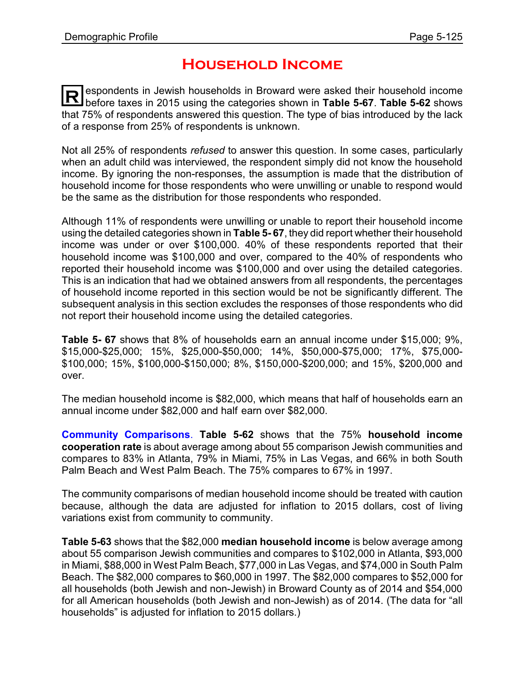# **Household Income**

**R** espondents in Jewish households in Broward were asked their household income before taxes in 2015 using the categories shown in **Table 5-67**. **Table 5-62** shows that 75% of respondents answered this question. The type of bias introduced by the lack of a response from 25% of respondents is unknown.

Not all 25% of respondents *refused* to answer this question. In some cases, particularly when an adult child was interviewed, the respondent simply did not know the household income. By ignoring the non-responses, the assumption is made that the distribution of household income for those respondents who were unwilling or unable to respond would be the same as the distribution for those respondents who responded.

Although 11% of respondents were unwilling or unable to report their household income using the detailed categories shown in **Table 5- 67**, they did report whether their household income was under or over \$100,000. 40% of these respondents reported that their household income was \$100,000 and over, compared to the 40% of respondents who reported their household income was \$100,000 and over using the detailed categories. This is an indication that had we obtained answers from all respondents, the percentages of household income reported in this section would be not be significantly different. The subsequent analysis in this section excludes the responses of those respondents who did not report their household income using the detailed categories.

**Table 5- 67** shows that 8% of households earn an annual income under \$15,000; 9%, \$15,000-\$25,000; 15%, \$25,000-\$50,000; 14%, \$50,000-\$75,000; 17%, \$75,000- \$100,000; 15%, \$100,000-\$150,000; 8%, \$150,000-\$200,000; and 15%, \$200,000 and over.

The median household income is \$82,000, which means that half of households earn an annual income under \$82,000 and half earn over \$82,000.

**Community Comparisons**. **Table 5-62** shows that the 75% **household income cooperation rate** is about average among about 55 comparison Jewish communities and compares to 83% in Atlanta, 79% in Miami, 75% in Las Vegas, and 66% in both South Palm Beach and West Palm Beach. The 75% compares to 67% in 1997.

The community comparisons of median household income should be treated with caution because, although the data are adjusted for inflation to 2015 dollars, cost of living variations exist from community to community.

**Table 5-63** shows that the \$82,000 **median household income** is below average among about 55 comparison Jewish communities and compares to \$102,000 in Atlanta, \$93,000 in Miami, \$88,000 in West Palm Beach, \$77,000 in Las Vegas, and \$74,000 in South Palm Beach. The \$82,000 compares to \$60,000 in 1997. The \$82,000 compares to \$52,000 for all households (both Jewish and non-Jewish) in Broward County as of 2014 and \$54,000 for all American households (both Jewish and non-Jewish) as of 2014. (The data for "all households" is adjusted for inflation to 2015 dollars.)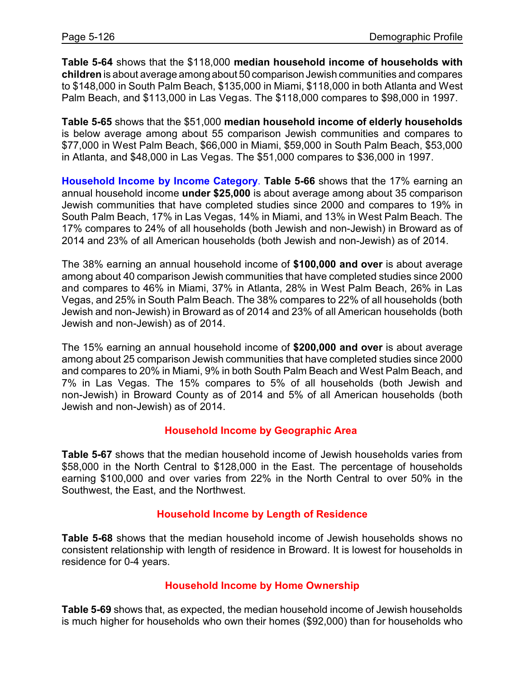**Table 5-64** shows that the \$118,000 **median household income of households with children** is about average amongabout 50 comparison Jewish communities and compares to \$148,000 in South Palm Beach, \$135,000 in Miami, \$118,000 in both Atlanta and West Palm Beach, and \$113,000 in Las Vegas. The \$118,000 compares to \$98,000 in 1997.

**Table 5-65** shows that the \$51,000 **median household income of elderly households** is below average among about 55 comparison Jewish communities and compares to \$77,000 in West Palm Beach, \$66,000 in Miami, \$59,000 in South Palm Beach, \$53,000 in Atlanta, and \$48,000 in Las Vegas. The \$51,000 compares to \$36,000 in 1997.

**Household Income by Income Category**. **Table 5-66** shows that the 17% earning an annual household income **under \$25,000** is about average among about 35 comparison Jewish communities that have completed studies since 2000 and compares to 19% in South Palm Beach, 17% in Las Vegas, 14% in Miami, and 13% in West Palm Beach. The 17% compares to 24% of all households (both Jewish and non-Jewish) in Broward as of 2014 and 23% of all American households (both Jewish and non-Jewish) as of 2014.

The 38% earning an annual household income of **\$100,000 and over** is about average among about 40 comparison Jewish communities that have completed studies since 2000 and compares to 46% in Miami, 37% in Atlanta, 28% in West Palm Beach, 26% in Las Vegas, and 25% in South Palm Beach. The 38% compares to 22% of all households (both Jewish and non-Jewish) in Broward as of 2014 and 23% of all American households (both Jewish and non-Jewish) as of 2014.

The 15% earning an annual household income of **\$200,000 and over** is about average among about 25 comparison Jewish communities that have completed studies since 2000 and compares to 20% in Miami, 9% in both South Palm Beach and West Palm Beach, and 7% in Las Vegas. The 15% compares to 5% of all households (both Jewish and non-Jewish) in Broward County as of 2014 and 5% of all American households (both Jewish and non-Jewish) as of 2014.

### **Household Income by Geographic Area**

**Table 5-67** shows that the median household income of Jewish households varies from \$58,000 in the North Central to \$128,000 in the East. The percentage of households earning \$100,000 and over varies from 22% in the North Central to over 50% in the Southwest, the East, and the Northwest.

#### **Household Income by Length of Residence**

**Table 5-68** shows that the median household income of Jewish households shows no consistent relationship with length of residence in Broward. It is lowest for households in residence for 0-4 years.

#### **Household Income by Home Ownership**

**Table 5-69** shows that, as expected, the median household income of Jewish households is much higher for households who own their homes (\$92,000) than for households who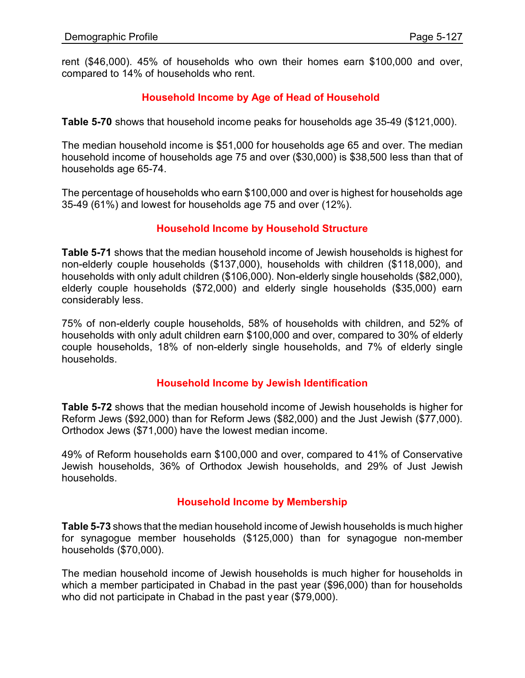rent (\$46,000). 45% of households who own their homes earn \$100,000 and over, compared to 14% of households who rent.

### **Household Income by Age of Head of Household**

**Table 5-70** shows that household income peaks for households age 35-49 (\$121,000).

The median household income is \$51,000 for households age 65 and over. The median household income of households age 75 and over (\$30,000) is \$38,500 less than that of households age 65-74.

The percentage of households who earn \$100,000 and over is highest for households age 35-49 (61%) and lowest for households age 75 and over (12%).

#### **Household Income by Household Structure**

**Table 5-71** shows that the median household income of Jewish households is highest for non-elderly couple households (\$137,000), households with children (\$118,000), and households with only adult children (\$106,000). Non-elderly single households (\$82,000), elderly couple households (\$72,000) and elderly single households (\$35,000) earn considerably less.

75% of non-elderly couple households, 58% of households with children, and 52% of households with only adult children earn \$100,000 and over, compared to 30% of elderly couple households, 18% of non-elderly single households, and 7% of elderly single households.

#### **Household Income by Jewish Identification**

**Table 5-72** shows that the median household income of Jewish households is higher for Reform Jews (\$92,000) than for Reform Jews (\$82,000) and the Just Jewish (\$77,000). Orthodox Jews (\$71,000) have the lowest median income.

49% of Reform households earn \$100,000 and over, compared to 41% of Conservative Jewish households, 36% of Orthodox Jewish households, and 29% of Just Jewish households.

#### **Household Income by Membership**

**Table 5-73** shows that the median household income of Jewish households is much higher for synagogue member households (\$125,000) than for synagogue non-member households (\$70,000).

The median household income of Jewish households is much higher for households in which a member participated in Chabad in the past year (\$96,000) than for households who did not participate in Chabad in the past year (\$79,000).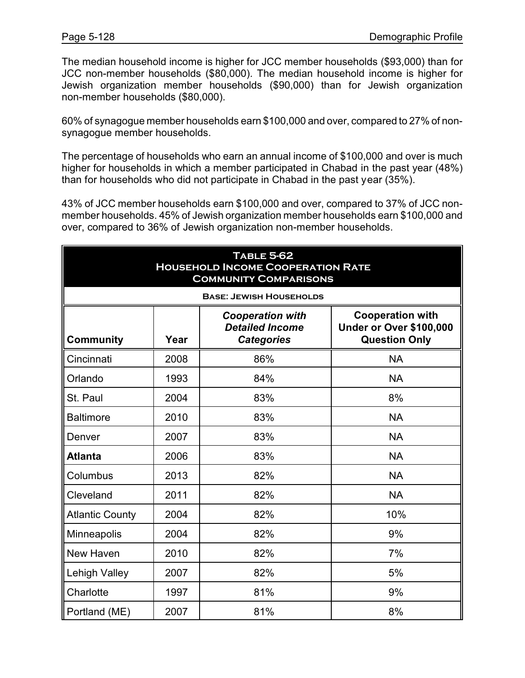The median household income is higher for JCC member households (\$93,000) than for JCC non-member households (\$80,000). The median household income is higher for Jewish organization member households (\$90,000) than for Jewish organization non-member households (\$80,000).

60% of synagogue member households earn \$100,000 and over, compared to 27% of nonsynagogue member households.

The percentage of households who earn an annual income of \$100,000 and over is much higher for households in which a member participated in Chabad in the past year (48%) than for households who did not participate in Chabad in the past year (35%).

43% of JCC member households earn \$100,000 and over, compared to 37% of JCC nonmember households. 45% of Jewish organization member households earn \$100,000 and over, compared to 36% of Jewish organization non-member households.

| <b>TABLE 5-62</b><br><b>HOUSEHOLD INCOME COOPERATION RATE</b><br><b>COMMUNITY COMPARISONS</b>                                                                                    |      |                                |           |  |  |  |  |  |
|----------------------------------------------------------------------------------------------------------------------------------------------------------------------------------|------|--------------------------------|-----------|--|--|--|--|--|
|                                                                                                                                                                                  |      | <b>BASE: JEWISH HOUSEHOLDS</b> |           |  |  |  |  |  |
| <b>Cooperation with</b><br><b>Cooperation with</b><br>Under or Over \$100,000<br><b>Detailed Income</b><br><b>Community</b><br><b>Categories</b><br><b>Question Only</b><br>Year |      |                                |           |  |  |  |  |  |
| Cincinnati                                                                                                                                                                       | 2008 | 86%                            | <b>NA</b> |  |  |  |  |  |
| Orlando                                                                                                                                                                          | 1993 | 84%                            | <b>NA</b> |  |  |  |  |  |
| St. Paul                                                                                                                                                                         | 2004 | 83%                            | 8%        |  |  |  |  |  |
| <b>Baltimore</b>                                                                                                                                                                 | 2010 | 83%                            | <b>NA</b> |  |  |  |  |  |
| Denver                                                                                                                                                                           | 2007 | 83%                            | <b>NA</b> |  |  |  |  |  |
| <b>Atlanta</b>                                                                                                                                                                   | 2006 | 83%                            | <b>NA</b> |  |  |  |  |  |
| Columbus                                                                                                                                                                         | 2013 | 82%                            | <b>NA</b> |  |  |  |  |  |
| Cleveland                                                                                                                                                                        | 2011 | 82%                            | <b>NA</b> |  |  |  |  |  |
| <b>Atlantic County</b>                                                                                                                                                           | 2004 | 82%                            | 10%       |  |  |  |  |  |
| Minneapolis                                                                                                                                                                      | 2004 | 82%                            | 9%        |  |  |  |  |  |
| New Haven                                                                                                                                                                        | 2010 | 82%                            | 7%        |  |  |  |  |  |
| <b>Lehigh Valley</b>                                                                                                                                                             | 2007 | 82%                            | 5%        |  |  |  |  |  |
| Charlotte                                                                                                                                                                        | 1997 | 81%                            | 9%        |  |  |  |  |  |
| Portland (ME)                                                                                                                                                                    | 2007 | 81%                            | 8%        |  |  |  |  |  |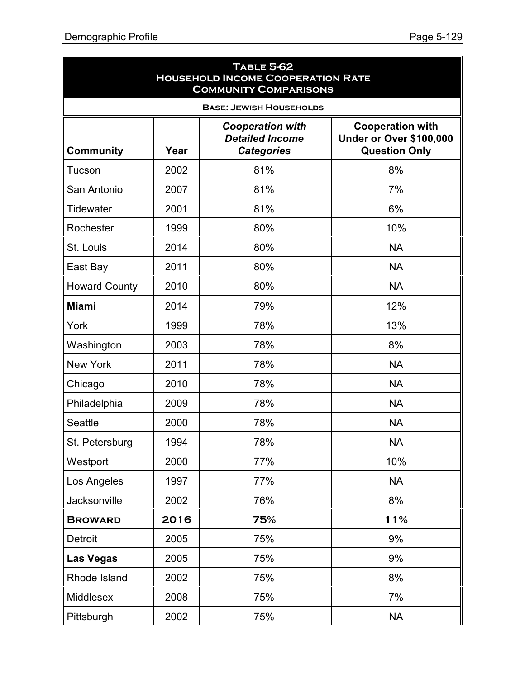| <b>TABLE 5-62</b><br><b>HOUSEHOLD INCOME COOPERATION RATE</b><br><b>COMMUNITY COMPARISONS</b><br><b>BASE: JEWISH HOUSEHOLDS</b> |      |     |           |  |  |  |  |  |
|---------------------------------------------------------------------------------------------------------------------------------|------|-----|-----------|--|--|--|--|--|
|                                                                                                                                 |      |     |           |  |  |  |  |  |
| Tucson                                                                                                                          | 2002 | 81% | 8%        |  |  |  |  |  |
| San Antonio                                                                                                                     | 2007 | 81% | 7%        |  |  |  |  |  |
| <b>Tidewater</b>                                                                                                                | 2001 | 81% | 6%        |  |  |  |  |  |
| Rochester                                                                                                                       | 1999 | 80% | 10%       |  |  |  |  |  |
| St. Louis                                                                                                                       | 2014 | 80% | <b>NA</b> |  |  |  |  |  |
| East Bay                                                                                                                        | 2011 | 80% | <b>NA</b> |  |  |  |  |  |
| <b>Howard County</b>                                                                                                            | 2010 | 80% | <b>NA</b> |  |  |  |  |  |
| <b>Miami</b>                                                                                                                    | 2014 | 79% | 12%       |  |  |  |  |  |
| York                                                                                                                            | 1999 | 78% | 13%       |  |  |  |  |  |
| Washington                                                                                                                      | 2003 | 78% | 8%        |  |  |  |  |  |
| <b>New York</b>                                                                                                                 | 2011 | 78% | <b>NA</b> |  |  |  |  |  |
| Chicago                                                                                                                         | 2010 | 78% | <b>NA</b> |  |  |  |  |  |
| Philadelphia                                                                                                                    | 2009 | 78% | <b>NA</b> |  |  |  |  |  |
| <b>Seattle</b>                                                                                                                  | 2000 | 78% | <b>NA</b> |  |  |  |  |  |
| St. Petersburg                                                                                                                  | 1994 | 78% | <b>NA</b> |  |  |  |  |  |
| Westport                                                                                                                        | 2000 | 77% | 10%       |  |  |  |  |  |
| Los Angeles                                                                                                                     | 1997 | 77% | <b>NA</b> |  |  |  |  |  |
| Jacksonville                                                                                                                    | 2002 | 76% | 8%        |  |  |  |  |  |
| <b>BROWARD</b>                                                                                                                  | 2016 | 75% | 11%       |  |  |  |  |  |
| Detroit                                                                                                                         | 2005 | 75% | 9%        |  |  |  |  |  |
| <b>Las Vegas</b>                                                                                                                | 2005 | 75% | 9%        |  |  |  |  |  |
| Rhode Island                                                                                                                    | 2002 | 75% | 8%        |  |  |  |  |  |
| Middlesex                                                                                                                       | 2008 | 75% | 7%        |  |  |  |  |  |
| Pittsburgh                                                                                                                      | 2002 | 75% | <b>NA</b> |  |  |  |  |  |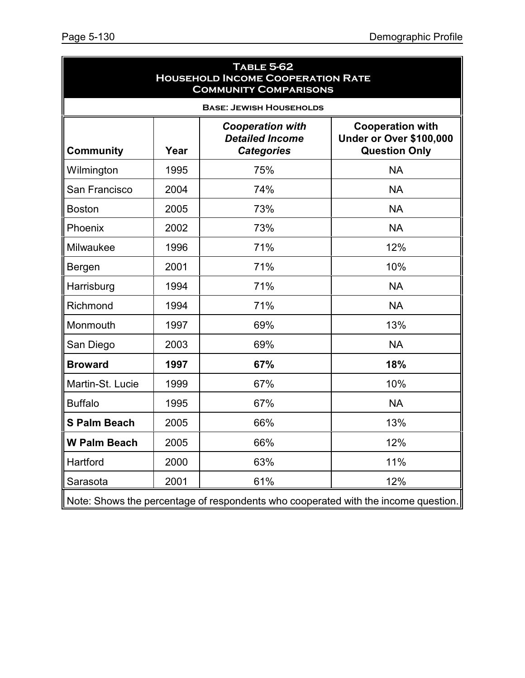| <b>TABLE 5-62</b><br><b>HOUSEHOLD INCOME COOPERATION RATE</b><br><b>COMMUNITY COMPARISONS</b> |                                                                                                                                                              |     |                                                                                    |  |  |  |  |  |  |
|-----------------------------------------------------------------------------------------------|--------------------------------------------------------------------------------------------------------------------------------------------------------------|-----|------------------------------------------------------------------------------------|--|--|--|--|--|--|
|                                                                                               | <b>BASE: JEWISH HOUSEHOLDS</b>                                                                                                                               |     |                                                                                    |  |  |  |  |  |  |
| <b>Community</b>                                                                              | <b>Cooperation with</b><br><b>Cooperation with</b><br>Under or Over \$100,000<br><b>Detailed Income</b><br><b>Categories</b><br><b>Question Only</b><br>Year |     |                                                                                    |  |  |  |  |  |  |
| Wilmington                                                                                    | 1995                                                                                                                                                         | 75% | <b>NA</b>                                                                          |  |  |  |  |  |  |
| San Francisco                                                                                 | 2004                                                                                                                                                         | 74% | <b>NA</b>                                                                          |  |  |  |  |  |  |
| <b>Boston</b>                                                                                 | 2005                                                                                                                                                         | 73% | <b>NA</b>                                                                          |  |  |  |  |  |  |
| Phoenix                                                                                       | 2002                                                                                                                                                         | 73% | <b>NA</b>                                                                          |  |  |  |  |  |  |
| Milwaukee                                                                                     | 1996                                                                                                                                                         | 71% | 12%                                                                                |  |  |  |  |  |  |
| Bergen                                                                                        | 2001                                                                                                                                                         | 71% | 10%                                                                                |  |  |  |  |  |  |
| Harrisburg                                                                                    | 1994                                                                                                                                                         | 71% | <b>NA</b>                                                                          |  |  |  |  |  |  |
| Richmond                                                                                      | 1994                                                                                                                                                         | 71% | <b>NA</b>                                                                          |  |  |  |  |  |  |
| Monmouth                                                                                      | 1997                                                                                                                                                         | 69% | 13%                                                                                |  |  |  |  |  |  |
| San Diego                                                                                     | 2003                                                                                                                                                         | 69% | <b>NA</b>                                                                          |  |  |  |  |  |  |
| <b>Broward</b>                                                                                | 1997                                                                                                                                                         | 67% | 18%                                                                                |  |  |  |  |  |  |
| Martin-St. Lucie                                                                              | 1999                                                                                                                                                         | 67% | 10%                                                                                |  |  |  |  |  |  |
| <b>Buffalo</b>                                                                                | 1995                                                                                                                                                         | 67% | <b>NA</b>                                                                          |  |  |  |  |  |  |
| <b>S Palm Beach</b>                                                                           | 2005                                                                                                                                                         | 66% | 13%                                                                                |  |  |  |  |  |  |
| <b>W Palm Beach</b>                                                                           | 2005                                                                                                                                                         | 66% | 12%                                                                                |  |  |  |  |  |  |
| Hartford                                                                                      | 2000                                                                                                                                                         | 63% | 11%                                                                                |  |  |  |  |  |  |
| Sarasota                                                                                      | 2001                                                                                                                                                         | 61% | 12%                                                                                |  |  |  |  |  |  |
|                                                                                               |                                                                                                                                                              |     | Note: Shows the percentage of respondents who cooperated with the income question. |  |  |  |  |  |  |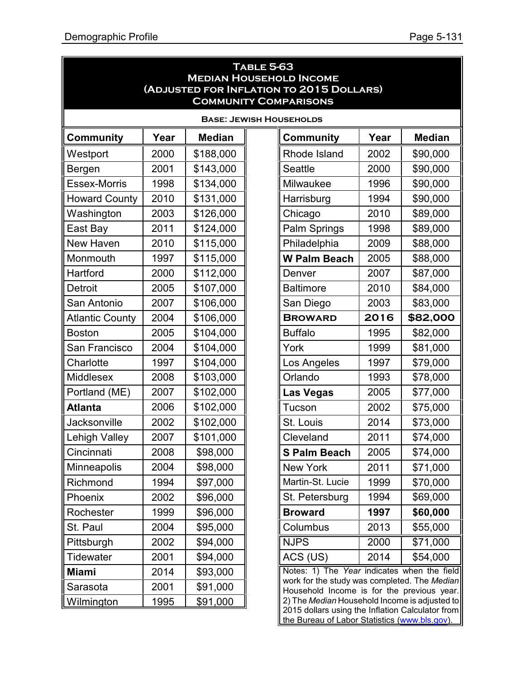| <b>TABLE 5-63</b><br><b>MEDIAN HOUSEHOLD INCOME</b><br>(ADJUSTED FOR INFLATION TO 2015 DOLLARS)<br><b>COMMUNITY COMPARISONS</b> |               |                 |  |                                                                                            |      |                                   |  |  |  |  |  |
|---------------------------------------------------------------------------------------------------------------------------------|---------------|-----------------|--|--------------------------------------------------------------------------------------------|------|-----------------------------------|--|--|--|--|--|
| <b>BASE: JEWISH HOUSEHOLDS</b>                                                                                                  |               |                 |  |                                                                                            |      |                                   |  |  |  |  |  |
| <b>Community</b>                                                                                                                | Year          | <b>Median</b>   |  | <b>Community</b>                                                                           | Year | <b>Median</b>                     |  |  |  |  |  |
| Westport                                                                                                                        | 2000          | \$188,000       |  | Rhode Island                                                                               | 2002 | \$90,000                          |  |  |  |  |  |
| Bergen                                                                                                                          | 2001          | \$143,000       |  | <b>Seattle</b>                                                                             | 2000 | \$90,000                          |  |  |  |  |  |
| <b>Essex-Morris</b>                                                                                                             | 1998          | \$134,000       |  | Milwaukee                                                                                  | 1996 | \$90,000                          |  |  |  |  |  |
| <b>Howard County</b>                                                                                                            | 2010          | \$131,000       |  | Harrisburg                                                                                 | 1994 | \$90,000                          |  |  |  |  |  |
| Washington                                                                                                                      | 2003          | \$126,000       |  | Chicago                                                                                    | 2010 | \$89,000                          |  |  |  |  |  |
| East Bay                                                                                                                        | 2011          | \$124,000       |  | Palm Springs                                                                               | 1998 | \$89,000                          |  |  |  |  |  |
| New Haven                                                                                                                       | 2010          | \$115,000       |  | Philadelphia                                                                               | 2009 | \$88,000                          |  |  |  |  |  |
| Monmouth                                                                                                                        | 1997          | \$115,000       |  | W Palm Beach                                                                               | 2005 | \$88,000                          |  |  |  |  |  |
| Hartford                                                                                                                        | 2000          | \$112,000       |  | Denver                                                                                     | 2007 | \$87,000                          |  |  |  |  |  |
| <b>Detroit</b>                                                                                                                  | 2005          | \$107,000       |  | <b>Baltimore</b>                                                                           | 2010 | \$84,000                          |  |  |  |  |  |
| San Antonio                                                                                                                     | 2007          | \$106,000       |  | San Diego                                                                                  | 2003 | \$83,000                          |  |  |  |  |  |
| <b>Atlantic County</b>                                                                                                          | 2004          | \$106,000       |  | <b>BROWARD</b>                                                                             | 2016 | \$82,000                          |  |  |  |  |  |
| <b>Boston</b>                                                                                                                   | 2005          | \$104,000       |  | <b>Buffalo</b>                                                                             | 1995 | \$82,000                          |  |  |  |  |  |
| San Francisco                                                                                                                   | 2004          | \$104,000       |  | York                                                                                       | 1999 | \$81,000                          |  |  |  |  |  |
| Charlotte                                                                                                                       | 1997          | \$104,000       |  | Los Angeles                                                                                | 1997 | \$79,000                          |  |  |  |  |  |
| Middlesex                                                                                                                       | 2008          | \$103,000       |  | Orlando                                                                                    | 1993 | \$78,000                          |  |  |  |  |  |
| Portland (ME)                                                                                                                   | 2007          | \$102,000       |  | <b>Las Vegas</b>                                                                           | 2005 | \$77,000                          |  |  |  |  |  |
| <b>Atlanta</b>                                                                                                                  | 2006          | \$102,000       |  | Tucson                                                                                     | 2002 | \$75,000                          |  |  |  |  |  |
| <b>Jacksonville</b>                                                                                                             | 2002          | \$102,000       |  | St. Louis                                                                                  | 2014 | \$73,000                          |  |  |  |  |  |
| Lehigh Valley                                                                                                                   | 2007          | \$101,000       |  | Cleveland                                                                                  | 2011 | \$74,000                          |  |  |  |  |  |
| Cincinnati                                                                                                                      | 2008          | \$98,000        |  | <b>S Palm Beach</b>                                                                        | 2005 | \$74,000                          |  |  |  |  |  |
| <b>Minneapolis</b>                                                                                                              | 2004          | \$98,000        |  | New York                                                                                   | 2011 | \$71,000                          |  |  |  |  |  |
| Richmond                                                                                                                        | 1994          | \$97,000        |  | Martin-St. Lucie                                                                           | 1999 | \$70,000                          |  |  |  |  |  |
| Phoenix                                                                                                                         | 2002          | \$96,000        |  | St. Petersburg                                                                             | 1994 | \$69,000                          |  |  |  |  |  |
| Rochester                                                                                                                       | 1999          | \$96,000        |  | <b>Broward</b>                                                                             | 1997 | \$60,000                          |  |  |  |  |  |
| St. Paul                                                                                                                        | 2004          | \$95,000        |  | Columbus                                                                                   | 2013 | \$55,000                          |  |  |  |  |  |
| Pittsburgh                                                                                                                      | 2002          | \$94,000        |  | <b>NJPS</b>                                                                                | 2000 | \$71,000                          |  |  |  |  |  |
| <b>Tidewater</b>                                                                                                                | 2001          | \$94,000        |  | ACS (US)                                                                                   | 2014 | \$54,000                          |  |  |  |  |  |
| <b>Miami</b>                                                                                                                    | 2014          | \$93,000        |  | Notes: 1) The Year indicates when the field                                                |      |                                   |  |  |  |  |  |
| Sarasota                                                                                                                        | 2001          | \$91,000        |  | work for the study was completed. The Median<br>Household Income is for the previous year. |      |                                   |  |  |  |  |  |
| <b>Wilmington</b>                                                                                                               | <u> 1995 </u> | <u>\$91,000</u> |  | 2) The Median Household Income is adjusted to                                              |      | ing the Inflation Coloulates from |  |  |  |  |  |

2015 dollars using the Inflation Calculator from the Bureau of Labor Statistics [\(www.bls.gov](http://www.bls.gov))).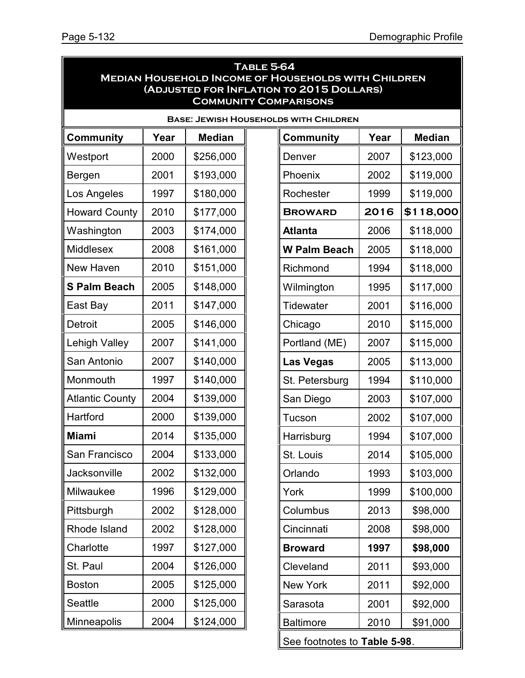| <b>TABLE 5-64</b><br><b>MEDIAN HOUSEHOLD INCOME OF HOUSEHOLDS WITH CHILDREN</b><br>(ADJUSTED FOR INFLATION TO 2015 DOLLARS)<br><b>COMMUNITY COMPARISONS</b> |      |               |  |                     |      |               |  |  |  |  |
|-------------------------------------------------------------------------------------------------------------------------------------------------------------|------|---------------|--|---------------------|------|---------------|--|--|--|--|
| <b>BASE: JEWISH HOUSEHOLDS WITH CHILDREN</b>                                                                                                                |      |               |  |                     |      |               |  |  |  |  |
| <b>Community</b>                                                                                                                                            | Year | <b>Median</b> |  | <b>Community</b>    | Year | <b>Median</b> |  |  |  |  |
| Westport                                                                                                                                                    | 2000 | \$256,000     |  | Denver              | 2007 | \$123,000     |  |  |  |  |
| Bergen                                                                                                                                                      | 2001 | \$193,000     |  | Phoenix             | 2002 | \$119,000     |  |  |  |  |
| Los Angeles                                                                                                                                                 | 1997 | \$180,000     |  | Rochester           | 1999 | \$119,000     |  |  |  |  |
| <b>Howard County</b>                                                                                                                                        | 2010 | \$177,000     |  | <b>BROWARD</b>      | 2016 | \$118,000     |  |  |  |  |
| Washington                                                                                                                                                  | 2003 | \$174,000     |  | <b>Atlanta</b>      | 2006 | \$118,000     |  |  |  |  |
| <b>Middlesex</b>                                                                                                                                            | 2008 | \$161,000     |  | <b>W Palm Beach</b> | 2005 | \$118,000     |  |  |  |  |
| New Haven                                                                                                                                                   | 2010 | \$151,000     |  | Richmond            | 1994 | \$118,000     |  |  |  |  |
| <b>S Palm Beach</b>                                                                                                                                         | 2005 | \$148,000     |  | Wilmington          | 1995 | \$117,000     |  |  |  |  |
| East Bay                                                                                                                                                    | 2011 | \$147,000     |  | <b>Tidewater</b>    | 2001 | \$116,000     |  |  |  |  |
| Detroit                                                                                                                                                     | 2005 | \$146,000     |  | Chicago             | 2010 | \$115,000     |  |  |  |  |
| <b>Lehigh Valley</b>                                                                                                                                        | 2007 | \$141,000     |  | Portland (ME)       | 2007 | \$115,000     |  |  |  |  |
| San Antonio                                                                                                                                                 | 2007 | \$140,000     |  | <b>Las Vegas</b>    | 2005 | \$113,000     |  |  |  |  |
| Monmouth                                                                                                                                                    | 1997 | \$140,000     |  | St. Petersburg      | 1994 | \$110,000     |  |  |  |  |
| <b>Atlantic County</b>                                                                                                                                      | 2004 | \$139,000     |  | San Diego           | 2003 | \$107,000     |  |  |  |  |
| Hartford                                                                                                                                                    | 2000 | \$139,000     |  | Tucson              | 2002 | \$107,000     |  |  |  |  |
| <b>Miami</b>                                                                                                                                                | 2014 | \$135,000     |  | Harrisburg          | 1994 | \$107,000     |  |  |  |  |
| San Francisco                                                                                                                                               | 2004 | \$133,000     |  | St. Louis           | 2014 | \$105,000     |  |  |  |  |
| Jacksonville                                                                                                                                                | 2002 | \$132,000     |  | Orlando             | 1993 | \$103,000     |  |  |  |  |
| Milwaukee                                                                                                                                                   | 1996 | \$129,000     |  | York                | 1999 | \$100,000     |  |  |  |  |
| Pittsburgh                                                                                                                                                  | 2002 | \$128,000     |  | Columbus            | 2013 | \$98,000      |  |  |  |  |
| Rhode Island                                                                                                                                                | 2002 | \$128,000     |  | Cincinnati          | 2008 | \$98,000      |  |  |  |  |
| Charlotte                                                                                                                                                   | 1997 | \$127,000     |  | <b>Broward</b>      | 1997 | \$98,000      |  |  |  |  |
| St. Paul                                                                                                                                                    | 2004 | \$126,000     |  | Cleveland           | 2011 | \$93,000      |  |  |  |  |
| <b>Boston</b>                                                                                                                                               | 2005 | \$125,000     |  | New York            | 2011 | \$92,000      |  |  |  |  |
| Seattle                                                                                                                                                     | 2000 | \$125,000     |  | Sarasota            | 2001 | \$92,000      |  |  |  |  |
| Minneapolis                                                                                                                                                 | 2004 | \$124,000     |  | <b>Baltimore</b>    | 2010 | \$91,000      |  |  |  |  |

See footnotes to **Table 5-98**.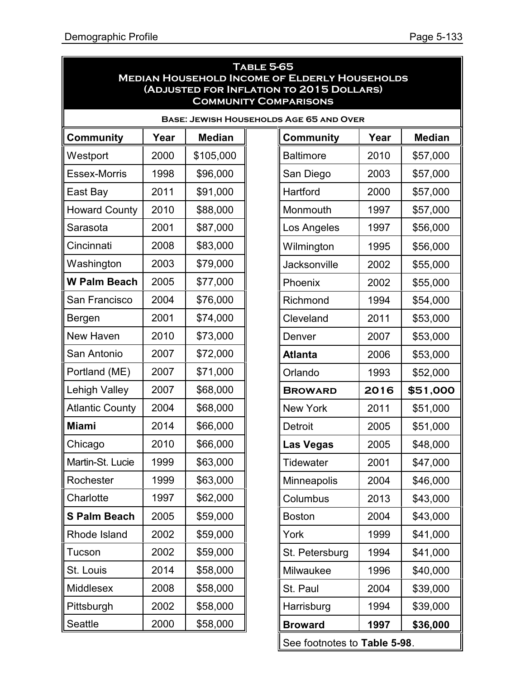| <b>TABLE 5-65</b><br><b>MEDIAN HOUSEHOLD INCOME OF ELDERLY HOUSEHOLDS</b><br>(ADJUSTED FOR INFLATION TO 2015 DOLLARS)<br><b>COMMUNITY COMPARISONS</b> |      |                                                            |  |                  |      |          |  |  |  |
|-------------------------------------------------------------------------------------------------------------------------------------------------------|------|------------------------------------------------------------|--|------------------|------|----------|--|--|--|
| <b>BASE: JEWISH HOUSEHOLDS AGE 65 AND OVER</b>                                                                                                        |      |                                                            |  |                  |      |          |  |  |  |
| <b>Community</b>                                                                                                                                      | Year | <b>Median</b><br><b>Median</b><br><b>Community</b><br>Year |  |                  |      |          |  |  |  |
| Westport                                                                                                                                              | 2000 | \$105,000                                                  |  | <b>Baltimore</b> | 2010 | \$57,000 |  |  |  |
| <b>Essex-Morris</b>                                                                                                                                   | 1998 | \$96,000                                                   |  | San Diego        | 2003 | \$57,000 |  |  |  |
| East Bay                                                                                                                                              | 2011 | \$91,000                                                   |  | Hartford         | 2000 | \$57,000 |  |  |  |
| <b>Howard County</b>                                                                                                                                  | 2010 | \$88,000                                                   |  | Monmouth         | 1997 | \$57,000 |  |  |  |
| Sarasota                                                                                                                                              | 2001 | \$87,000                                                   |  | Los Angeles      | 1997 | \$56,000 |  |  |  |
| Cincinnati                                                                                                                                            | 2008 | \$83,000                                                   |  | Wilmington       | 1995 | \$56,000 |  |  |  |
| Washington                                                                                                                                            | 2003 | \$79,000                                                   |  | Jacksonville     | 2002 | \$55,000 |  |  |  |
| <b>W Palm Beach</b>                                                                                                                                   | 2005 | \$77,000                                                   |  | Phoenix          | 2002 | \$55,000 |  |  |  |
| San Francisco                                                                                                                                         | 2004 | \$76,000                                                   |  | Richmond         | 1994 | \$54,000 |  |  |  |
| Bergen                                                                                                                                                | 2001 | \$74,000                                                   |  | Cleveland        | 2011 | \$53,000 |  |  |  |
| New Haven                                                                                                                                             | 2010 | \$73,000                                                   |  | Denver           | 2007 | \$53,000 |  |  |  |
| San Antonio                                                                                                                                           | 2007 | \$72,000                                                   |  | <b>Atlanta</b>   | 2006 | \$53,000 |  |  |  |
| Portland (ME)                                                                                                                                         | 2007 | \$71,000                                                   |  | Orlando          | 1993 | \$52,000 |  |  |  |
| Lehigh Valley                                                                                                                                         | 2007 | \$68,000                                                   |  | <b>BROWARD</b>   | 2016 | \$51,000 |  |  |  |
| <b>Atlantic County</b>                                                                                                                                | 2004 | \$68,000                                                   |  | <b>New York</b>  | 2011 | \$51,000 |  |  |  |
| <b>Miami</b>                                                                                                                                          | 2014 | \$66,000                                                   |  | Detroit          | 2005 | \$51,000 |  |  |  |
| Chicago                                                                                                                                               | 2010 | \$66,000                                                   |  | Las Vegas        | 2005 | \$48,000 |  |  |  |
| Martin-St. Lucie                                                                                                                                      | 1999 | \$63,000                                                   |  | <b>Tidewater</b> | 2001 | \$47,000 |  |  |  |
| Rochester                                                                                                                                             | 1999 | \$63,000                                                   |  | Minneapolis      | 2004 | \$46,000 |  |  |  |
| Charlotte                                                                                                                                             | 1997 | \$62,000                                                   |  | Columbus         | 2013 | \$43,000 |  |  |  |
| <b>S Palm Beach</b>                                                                                                                                   | 2005 | \$59,000                                                   |  | <b>Boston</b>    | 2004 | \$43,000 |  |  |  |
| Rhode Island                                                                                                                                          | 2002 | \$59,000                                                   |  | York             | 1999 | \$41,000 |  |  |  |
| Tucson                                                                                                                                                | 2002 | \$59,000                                                   |  | St. Petersburg   | 1994 | \$41,000 |  |  |  |
| St. Louis                                                                                                                                             | 2014 | \$58,000                                                   |  | Milwaukee        | 1996 | \$40,000 |  |  |  |
| Middlesex                                                                                                                                             | 2008 | \$58,000                                                   |  | St. Paul         | 2004 | \$39,000 |  |  |  |
| Pittsburgh                                                                                                                                            | 2002 | \$58,000                                                   |  | Harrisburg       | 1994 | \$39,000 |  |  |  |
| Seattle                                                                                                                                               | 2000 | \$58,000                                                   |  | <b>Broward</b>   | 1997 | \$36,000 |  |  |  |

See footnotes to **Table 5-98**.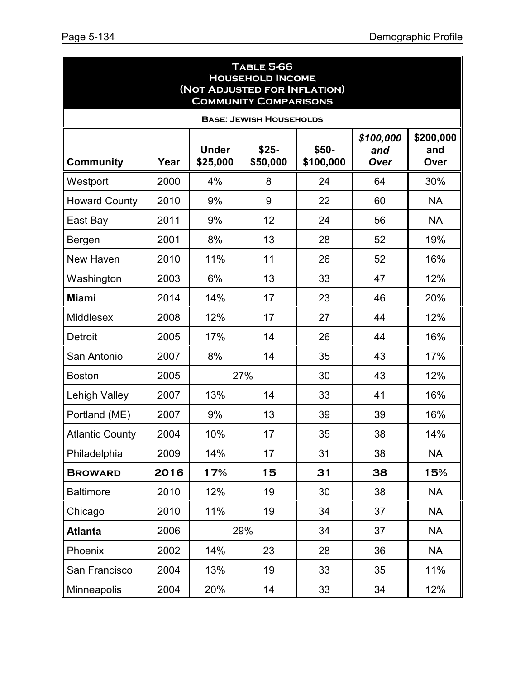| <b>TABLE 5-66</b><br><b>HOUSEHOLD INCOME</b><br>(NOT ADJUSTED FOR INFLATION)<br><b>COMMUNITY COMPARISONS</b> |      |                          |                    |                     |                          |                          |  |  |  |  |
|--------------------------------------------------------------------------------------------------------------|------|--------------------------|--------------------|---------------------|--------------------------|--------------------------|--|--|--|--|
| <b>BASE: JEWISH HOUSEHOLDS</b>                                                                               |      |                          |                    |                     |                          |                          |  |  |  |  |
| <b>Community</b>                                                                                             | Year | <b>Under</b><br>\$25,000 | $$25-$<br>\$50,000 | $$50-$<br>\$100,000 | \$100,000<br>and<br>Over | \$200,000<br>and<br>Over |  |  |  |  |
| Westport                                                                                                     | 2000 | 4%                       | 8                  | 24                  | 64                       | 30%                      |  |  |  |  |
| <b>Howard County</b>                                                                                         | 2010 | 9%                       | 9                  | 22                  | 60                       | <b>NA</b>                |  |  |  |  |
| East Bay                                                                                                     | 2011 | 9%                       | 12                 | 24                  | 56                       | <b>NA</b>                |  |  |  |  |
| Bergen                                                                                                       | 2001 | 8%                       | 13                 | 28                  | 52                       | 19%                      |  |  |  |  |
| New Haven                                                                                                    | 2010 | 11%                      | 11                 | 26                  | 52                       | 16%                      |  |  |  |  |
| Washington                                                                                                   | 2003 | 6%                       | 13                 | 33                  | 47                       | 12%                      |  |  |  |  |
| <b>Miami</b>                                                                                                 | 2014 | 14%                      | 17                 | 23                  | 46                       | 20%                      |  |  |  |  |
| <b>Middlesex</b>                                                                                             | 2008 | 12%                      | 17                 | 27                  | 44                       | 12%                      |  |  |  |  |
| Detroit                                                                                                      | 2005 | 17%                      | 14                 | 26                  | 44                       | 16%                      |  |  |  |  |
| San Antonio                                                                                                  | 2007 | 8%                       | 14                 | 35                  | 43                       | 17%                      |  |  |  |  |
| <b>Boston</b>                                                                                                | 2005 |                          | 27%                | 30                  | 43                       | 12%                      |  |  |  |  |
| Lehigh Valley                                                                                                | 2007 | 13%                      | 14                 | 33                  | 41                       | 16%                      |  |  |  |  |
| Portland (ME)                                                                                                | 2007 | 9%                       | 13                 | 39                  | 39                       | 16%                      |  |  |  |  |
| <b>Atlantic County</b>                                                                                       | 2004 | 10%                      | 17                 | 35                  | 38                       | 14%                      |  |  |  |  |
| Philadelphia                                                                                                 | 2009 | 14%                      | 17                 | 31                  | 38                       | <b>NA</b>                |  |  |  |  |
| <b>BROWARD</b>                                                                                               | 2016 | 17%                      | 15                 | 31                  | 38                       | 15%                      |  |  |  |  |
| <b>Baltimore</b>                                                                                             | 2010 | 12%                      | 19                 | 30                  | 38                       | <b>NA</b>                |  |  |  |  |
| Chicago                                                                                                      | 2010 | 11%                      | 19                 | 34                  | 37                       | <b>NA</b>                |  |  |  |  |
| <b>Atlanta</b>                                                                                               | 2006 |                          | 29%                | 34                  | 37                       | <b>NA</b>                |  |  |  |  |
| Phoenix                                                                                                      | 2002 | 14%                      | 23                 | 28                  | 36                       | <b>NA</b>                |  |  |  |  |
| San Francisco                                                                                                | 2004 | 13%                      | 19                 | 33                  | 35                       | 11%                      |  |  |  |  |
| Minneapolis                                                                                                  | 2004 | 20%                      | 14                 | 33                  | 34                       | 12%                      |  |  |  |  |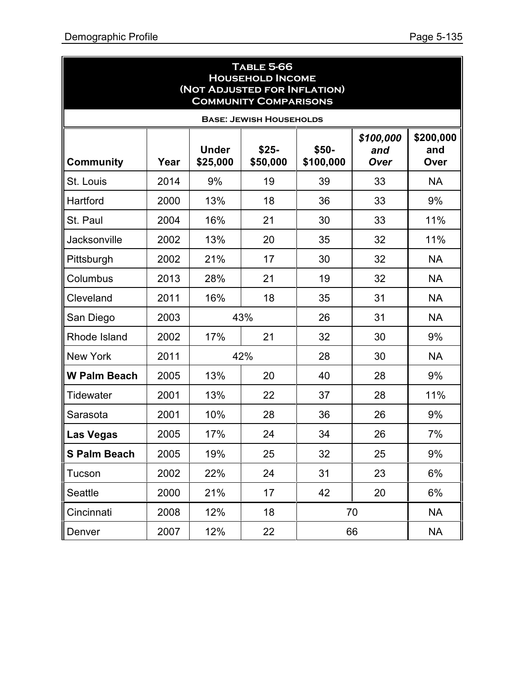| <b>TABLE 5-66</b><br><b>HOUSEHOLD INCOME</b><br>(NOT ADJUSTED FOR INFLATION)<br><b>COMMUNITY COMPARISONS</b> |      |                          |                                |                     |                          |                          |  |  |  |
|--------------------------------------------------------------------------------------------------------------|------|--------------------------|--------------------------------|---------------------|--------------------------|--------------------------|--|--|--|
|                                                                                                              |      |                          | <b>BASE: JEWISH HOUSEHOLDS</b> |                     |                          |                          |  |  |  |
| <b>Community</b>                                                                                             | Year | <b>Under</b><br>\$25,000 | $$25-$<br>\$50,000             | $$50-$<br>\$100,000 | \$100,000<br>and<br>Over | \$200,000<br>and<br>Over |  |  |  |
| St. Louis                                                                                                    | 2014 | 9%                       | 19                             | 39                  | 33                       | <b>NA</b>                |  |  |  |
| Hartford                                                                                                     | 2000 | 13%                      | 18                             | 36                  | 33                       | 9%                       |  |  |  |
| St. Paul                                                                                                     | 2004 | 16%                      | 21                             | 30                  | 33                       | 11%                      |  |  |  |
| <b>Jacksonville</b>                                                                                          | 2002 | 13%                      | 20                             | 35                  | 32                       | 11%                      |  |  |  |
| Pittsburgh                                                                                                   | 2002 | 21%                      | 17                             | 30                  | 32                       | <b>NA</b>                |  |  |  |
| Columbus                                                                                                     | 2013 | 28%                      | 21                             | 19                  | 32                       | <b>NA</b>                |  |  |  |
| Cleveland                                                                                                    | 2011 | 16%                      | 18                             | 35                  | 31                       | <b>NA</b>                |  |  |  |
| San Diego                                                                                                    | 2003 |                          | 43%                            | 26                  | 31                       | <b>NA</b>                |  |  |  |
| Rhode Island                                                                                                 | 2002 | 17%                      | 21                             | 32                  | 30                       | 9%                       |  |  |  |
| <b>New York</b>                                                                                              | 2011 |                          | 42%                            | 28                  | 30                       | <b>NA</b>                |  |  |  |
| <b>W Palm Beach</b>                                                                                          | 2005 | 13%                      | 20                             | 40                  | 28                       | 9%                       |  |  |  |
| Tidewater                                                                                                    | 2001 | 13%                      | 22                             | 37                  | 28                       | 11%                      |  |  |  |
| Sarasota                                                                                                     | 2001 | 10%                      | 28                             | 36                  | 26                       | 9%                       |  |  |  |
| Las Vegas                                                                                                    | 2005 | 17%                      | 24                             | 34                  | 26                       | 7%                       |  |  |  |
| S Palm Beach                                                                                                 | 2005 | 19%                      | 25                             | 32                  | 25                       | 9%                       |  |  |  |
| Tucson                                                                                                       | 2002 | 22%                      | 24                             | 31                  | 23                       | 6%                       |  |  |  |
| Seattle                                                                                                      | 2000 | 21%                      | 17                             | 42                  | 20                       | 6%                       |  |  |  |
| Cincinnati                                                                                                   | 2008 | 12%                      | 18                             |                     | 70                       | <b>NA</b>                |  |  |  |
| Denver                                                                                                       | 2007 | 12%                      | 22                             |                     | 66                       | <b>NA</b>                |  |  |  |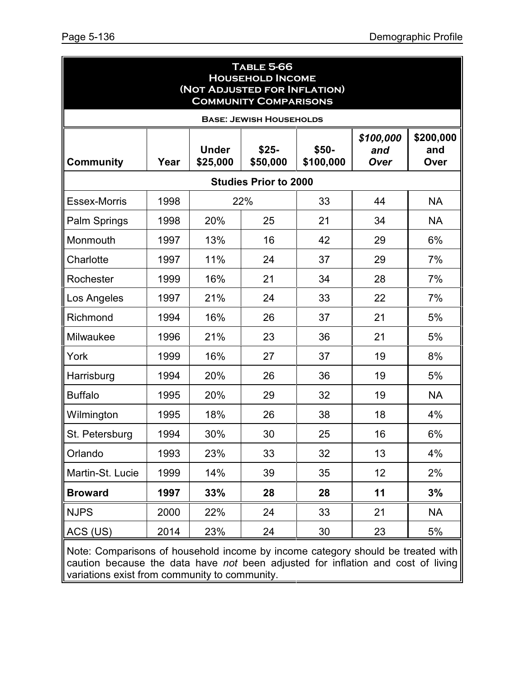| <b>TABLE 5-66</b><br><b>HOUSEHOLD INCOME</b><br>(NOT ADJUSTED FOR INFLATION)<br><b>COMMUNITY COMPARISONS</b> |      |                          |                                |                     |                                 |                          |  |
|--------------------------------------------------------------------------------------------------------------|------|--------------------------|--------------------------------|---------------------|---------------------------------|--------------------------|--|
|                                                                                                              |      |                          | <b>BASE: JEWISH HOUSEHOLDS</b> |                     |                                 |                          |  |
| <b>Community</b>                                                                                             | Year | <b>Under</b><br>\$25,000 | $$25-$<br>\$50,000             | $$50-$<br>\$100,000 | \$100,000<br>and<br><b>Over</b> | \$200,000<br>and<br>Over |  |
|                                                                                                              |      |                          | <b>Studies Prior to 2000</b>   |                     |                                 |                          |  |
| <b>Essex-Morris</b>                                                                                          | 1998 |                          | 22%                            | 33                  | 44                              | <b>NA</b>                |  |
| Palm Springs                                                                                                 | 1998 | 20%                      | 25                             | 21                  | 34                              | <b>NA</b>                |  |
| Monmouth                                                                                                     | 1997 | 13%                      | 16                             | 42                  | 29                              | 6%                       |  |
| Charlotte                                                                                                    | 1997 | 11%                      | 24                             | 37                  | 29                              | 7%                       |  |
| Rochester                                                                                                    | 1999 | 16%                      | 21                             | 34                  | 28                              | 7%                       |  |
| Los Angeles                                                                                                  | 1997 | 21%                      | 24                             | 33                  | 22                              | 7%                       |  |
| Richmond                                                                                                     | 1994 | 16%                      | 26                             | 37                  | 21                              | 5%                       |  |
| Milwaukee                                                                                                    | 1996 | 21%                      | 23                             | 36                  | 21                              | 5%                       |  |
| York                                                                                                         | 1999 | 16%                      | 27                             | 37                  | 19                              | 8%                       |  |
| Harrisburg                                                                                                   | 1994 | 20%                      | 26                             | 36                  | 19                              | 5%                       |  |
| <b>Buffalo</b>                                                                                               | 1995 | 20%                      | 29                             | 32                  | 19                              | <b>NA</b>                |  |
| Wilmington                                                                                                   | 1995 | 18%                      | 26                             | 38                  | 18                              | 4%                       |  |
| St. Petersburg                                                                                               | 1994 | 30%                      | 30                             | 25                  | 16                              | 6%                       |  |
| Orlando                                                                                                      | 1993 | 23%                      | 33                             | 32                  | 13                              | 4%                       |  |
| Martin-St. Lucie                                                                                             | 1999 | 14%                      | 39                             | 35                  | 12                              | 2%                       |  |
| <b>Broward</b>                                                                                               | 1997 | 33%                      | 28                             | 28                  | 11                              | 3%                       |  |
| <b>NJPS</b>                                                                                                  | 2000 | 22%                      | 24                             | 33                  | 21                              | <b>NA</b>                |  |
| ACS (US)                                                                                                     | 2014 | 23%                      | 24                             | 30                  | 23                              | 5%                       |  |
| Note: Comparisons of household income by income category should be treated with                              |      |                          |                                |                     |                                 |                          |  |

Note: Comparisons of household income by income category should be treated with caution because the data have *not* been adjusted for inflation and cost of living variations exist from community to community.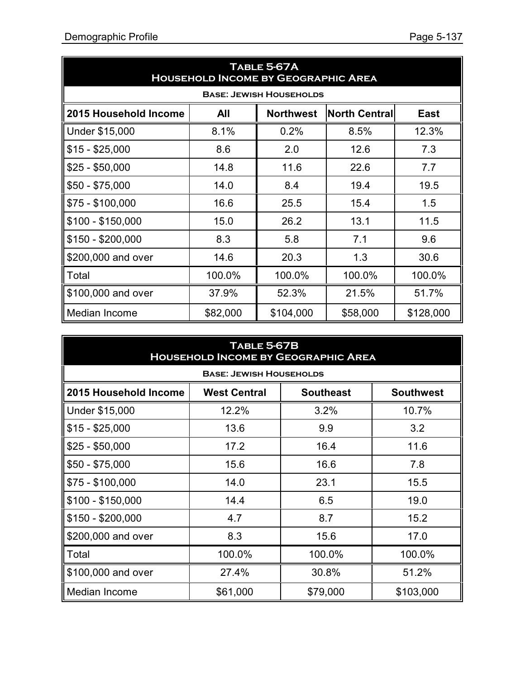| TABLE 5-67A<br><b>HOUSEHOLD INCOME BY GEOGRAPHIC AREA</b>                        |          |                                |          |           |  |  |  |  |  |
|----------------------------------------------------------------------------------|----------|--------------------------------|----------|-----------|--|--|--|--|--|
|                                                                                  |          | <b>BASE: JEWISH HOUSEHOLDS</b> |          |           |  |  |  |  |  |
| 2015 Household Income<br><b>North Central</b><br><b>Northwest</b><br>East<br>All |          |                                |          |           |  |  |  |  |  |
| Under \$15,000                                                                   | 8.1%     | 0.2%                           | 8.5%     | 12.3%     |  |  |  |  |  |
| $$15 - $25,000$                                                                  | 8.6      | 2.0                            | 12.6     | 7.3       |  |  |  |  |  |
| $$25 - $50,000$                                                                  | 14.8     | 11.6                           | 22.6     | 7.7       |  |  |  |  |  |
| $$50 - $75,000$                                                                  | 14.0     | 8.4                            | 19.4     | 19.5      |  |  |  |  |  |
| \$75 - \$100,000                                                                 | 16.6     | 25.5                           | 15.4     | 1.5       |  |  |  |  |  |
| $$100 - $150,000$                                                                | 15.0     | 26.2                           | 13.1     | 11.5      |  |  |  |  |  |
| $$150 - $200,000$                                                                | 8.3      | 5.8                            | 7.1      | 9.6       |  |  |  |  |  |
| \$200,000 and over                                                               | 14.6     | 20.3                           | 1.3      | 30.6      |  |  |  |  |  |
| Total                                                                            | 100.0%   | 100.0%                         | 100.0%   | 100.0%    |  |  |  |  |  |
| \$100,000 and over                                                               | 37.9%    | 52.3%                          | 21.5%    | 51.7%     |  |  |  |  |  |
| Median Income                                                                    | \$82,000 | \$104,000                      | \$58,000 | \$128,000 |  |  |  |  |  |

| TABLE 5-67B<br><b>HOUSEHOLD INCOME BY GEOGRAPHIC AREA</b>                            |          |          |           |  |  |  |  |  |
|--------------------------------------------------------------------------------------|----------|----------|-----------|--|--|--|--|--|
| <b>BASE: JEWISH HOUSEHOLDS</b>                                                       |          |          |           |  |  |  |  |  |
| 2015 Household Income<br><b>Southeast</b><br><b>Southwest</b><br><b>West Central</b> |          |          |           |  |  |  |  |  |
| Under \$15,000                                                                       | 12.2%    | 3.2%     | 10.7%     |  |  |  |  |  |
| $$15 - $25,000$                                                                      | 13.6     | 9.9      | 3.2       |  |  |  |  |  |
| $$25 - $50,000$                                                                      | 17.2     | 16.4     | 11.6      |  |  |  |  |  |
| $$50 - $75,000$                                                                      | 15.6     | 16.6     | 7.8       |  |  |  |  |  |
| $$75 - $100,000$                                                                     | 14.0     | 23.1     | 15.5      |  |  |  |  |  |
| $$100 - $150,000$                                                                    | 14.4     | 6.5      | 19.0      |  |  |  |  |  |
| $$150 - $200,000$                                                                    | 4.7      | 8.7      | 15.2      |  |  |  |  |  |
| \$200,000 and over                                                                   | 8.3      | 15.6     | 17.0      |  |  |  |  |  |
| Total                                                                                | 100.0%   | 100.0%   | 100.0%    |  |  |  |  |  |
| \$100,000 and over                                                                   | 27.4%    | 30.8%    | 51.2%     |  |  |  |  |  |
| Median Income                                                                        | \$61,000 | \$79,000 | \$103,000 |  |  |  |  |  |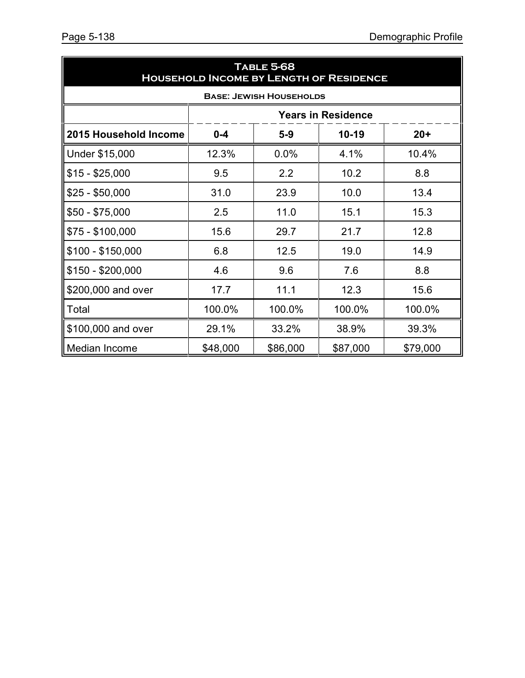| <b>TABLE 5-68</b><br><b>HOUSEHOLD INCOME BY LENGTH OF RESIDENCE</b> |                                      |          |                           |          |  |  |  |  |  |
|---------------------------------------------------------------------|--------------------------------------|----------|---------------------------|----------|--|--|--|--|--|
|                                                                     | <b>BASE: JEWISH HOUSEHOLDS</b>       |          |                           |          |  |  |  |  |  |
|                                                                     |                                      |          | <b>Years in Residence</b> |          |  |  |  |  |  |
| 2015 Household Income                                               | $0 - 4$<br>$10-19$<br>$20+$<br>$5-9$ |          |                           |          |  |  |  |  |  |
| Under \$15,000                                                      | 12.3%                                | 0.0%     | 4.1%                      | 10.4%    |  |  |  |  |  |
| $$15 - $25,000$                                                     | 9.5                                  | 2.2      | 10.2                      | 8.8      |  |  |  |  |  |
| $$25 - $50,000$                                                     | 31.0                                 | 23.9     | 10.0                      | 13.4     |  |  |  |  |  |
| $$50 - $75,000$                                                     | 2.5                                  | 11.0     | 15.1                      | 15.3     |  |  |  |  |  |
| $$75 - $100,000$                                                    | 15.6                                 | 29.7     | 21.7                      | 12.8     |  |  |  |  |  |
| $$100 - $150,000$                                                   | 6.8                                  | 12.5     | 19.0                      | 14.9     |  |  |  |  |  |
| $$150 - $200,000$                                                   | 4.6                                  | 9.6      | 7.6                       | 8.8      |  |  |  |  |  |
| \$200,000 and over                                                  | 17.7                                 | 11.1     | 12.3                      | 15.6     |  |  |  |  |  |
| Total                                                               | 100.0%                               | 100.0%   | 100.0%                    | 100.0%   |  |  |  |  |  |
| \$100,000 and over                                                  | 29.1%                                | 33.2%    | 38.9%                     | 39.3%    |  |  |  |  |  |
| Median Income                                                       | \$48,000                             | \$86,000 | \$87,000                  | \$79,000 |  |  |  |  |  |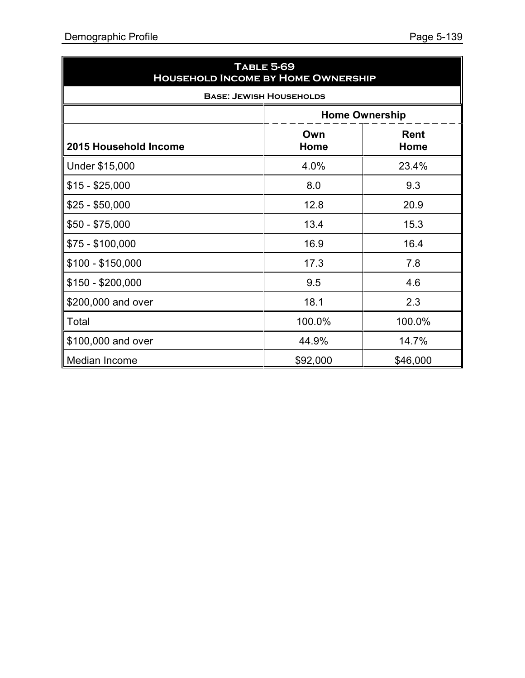| <b>TABLE 5-69</b><br><b>HOUSEHOLD INCOME BY HOME OWNERSHIP</b> |          |          |  |  |  |
|----------------------------------------------------------------|----------|----------|--|--|--|
| <b>BASE: JEWISH HOUSEHOLDS</b>                                 |          |          |  |  |  |
| <b>Home Ownership</b>                                          |          |          |  |  |  |
| <b>Rent</b><br>Own<br>2015 Household Income<br>Home<br>Home    |          |          |  |  |  |
| Under \$15,000                                                 | 4.0%     | 23.4%    |  |  |  |
| $$15 - $25,000$                                                | 8.0      | 9.3      |  |  |  |
| $$25 - $50,000$                                                | 12.8     | 20.9     |  |  |  |
| $$50 - $75,000$                                                | 13.4     | 15.3     |  |  |  |
| $$75 - $100,000$                                               | 16.9     | 16.4     |  |  |  |
| $$100 - $150,000$                                              | 17.3     | 7.8      |  |  |  |
| $$150 - $200,000$                                              | 9.5      | 4.6      |  |  |  |
| \$200,000 and over                                             | 18.1     | 2.3      |  |  |  |
| Total                                                          | 100.0%   | 100.0%   |  |  |  |
| \$100,000 and over                                             | 44.9%    | 14.7%    |  |  |  |
| Median Income                                                  | \$92,000 | \$46,000 |  |  |  |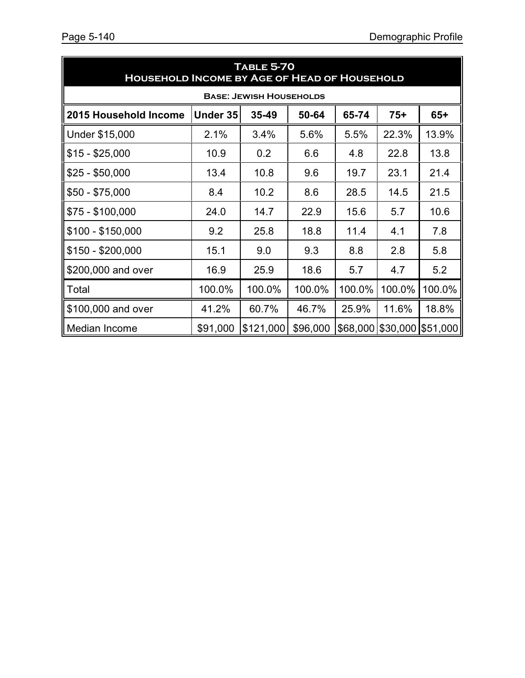| <b>TABLE 5-70</b><br><b>HOUSEHOLD INCOME BY AGE OF HEAD OF HOUSEHOLD</b>                  |                                                          |           |          |       |                            |       |  |  |  |
|-------------------------------------------------------------------------------------------|----------------------------------------------------------|-----------|----------|-------|----------------------------|-------|--|--|--|
| <b>BASE: JEWISH HOUSEHOLDS</b>                                                            |                                                          |           |          |       |                            |       |  |  |  |
| $65+$<br>2015 Household Income<br><b>Under 35</b><br>65-74<br>$75+$<br>$35 - 49$<br>50-64 |                                                          |           |          |       |                            |       |  |  |  |
| Under \$15,000                                                                            | 2.1%                                                     | 3.4%      | 5.6%     | 5.5%  | 22.3%                      | 13.9% |  |  |  |
| $$15 - $25,000$                                                                           | 10.9                                                     | 0.2       | 6.6      | 4.8   | 22.8                       | 13.8  |  |  |  |
| $$25 - $50,000$                                                                           | 13.4                                                     | 10.8      | 9.6      | 19.7  | 23.1                       | 21.4  |  |  |  |
| $$50 - $75,000$                                                                           | 8.4                                                      | 10.2      | 8.6      | 28.5  | 14.5                       | 21.5  |  |  |  |
| $$75 - $100,000$                                                                          | 24.0                                                     | 14.7      | 22.9     | 15.6  | 5.7                        | 10.6  |  |  |  |
| $$100 - $150,000$                                                                         | 9.2                                                      | 25.8      | 18.8     | 11.4  | 4.1                        | 7.8   |  |  |  |
| $$150 - $200,000$                                                                         | 15.1                                                     | 9.0       | 9.3      | 8.8   | 2.8                        | 5.8   |  |  |  |
| \$200,000 and over                                                                        | 16.9                                                     | 25.9      | 18.6     | 5.7   | 4.7                        | 5.2   |  |  |  |
| Total                                                                                     | 100.0%<br>100.0%<br>100.0%<br>100.0%<br>100.0%<br>100.0% |           |          |       |                            |       |  |  |  |
| \$100,000 and over                                                                        | 41.2%                                                    | 60.7%     | 46.7%    | 25.9% | 11.6%                      | 18.8% |  |  |  |
| Median Income                                                                             | \$91,000                                                 | \$121,000 | \$96,000 |       | \$68,000 \$30,000 \$51,000 |       |  |  |  |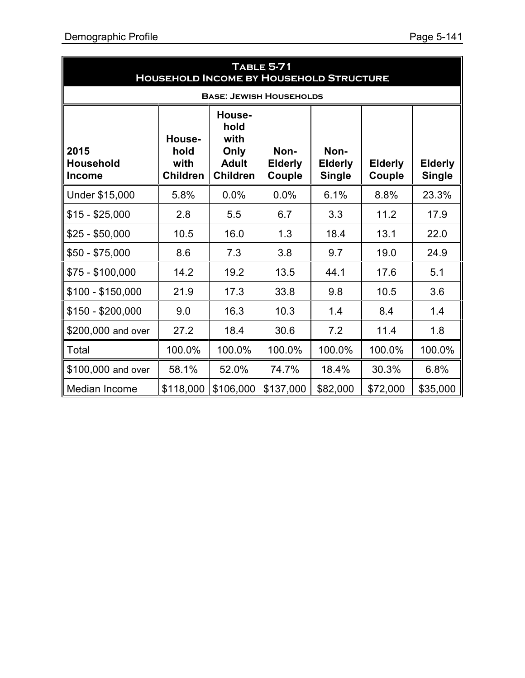| <b>TABLE 5-71</b><br><b>HOUSEHOLD INCOME BY HOUSEHOLD STRUCTURE</b> |                                                                                                                                                                                                                                                              |           |           |          |          |          |  |  |  |  |
|---------------------------------------------------------------------|--------------------------------------------------------------------------------------------------------------------------------------------------------------------------------------------------------------------------------------------------------------|-----------|-----------|----------|----------|----------|--|--|--|--|
|                                                                     | <b>BASE: JEWISH HOUSEHOLDS</b>                                                                                                                                                                                                                               |           |           |          |          |          |  |  |  |  |
| 2015<br><b>Household</b><br><b>Income</b>                           | House-<br>hold<br>with<br>House-<br>Non-<br>Non-<br>hold<br>Only<br><b>Adult</b><br>with<br><b>Elderly</b><br><b>Elderly</b><br><b>Elderly</b><br><b>Elderly</b><br><b>Children</b><br><b>Children</b><br>Couple<br><b>Single</b><br>Couple<br><b>Single</b> |           |           |          |          |          |  |  |  |  |
| Under \$15,000                                                      | 5.8%                                                                                                                                                                                                                                                         | 0.0%      | 0.0%      | 6.1%     | 8.8%     | 23.3%    |  |  |  |  |
| $$15 - $25,000$                                                     | 2.8                                                                                                                                                                                                                                                          | 5.5       | 6.7       | 3.3      | 11.2     | 17.9     |  |  |  |  |
| $$25 - $50,000$                                                     | 10.5                                                                                                                                                                                                                                                         | 16.0      | 1.3       | 18.4     | 13.1     | 22.0     |  |  |  |  |
| $$50 - $75,000$                                                     | 8.6                                                                                                                                                                                                                                                          | 7.3       | 3.8       | 9.7      | 19.0     | 24.9     |  |  |  |  |
| $$75 - $100,000$                                                    | 14.2                                                                                                                                                                                                                                                         | 19.2      | 13.5      | 44.1     | 17.6     | 5.1      |  |  |  |  |
| $$100 - $150,000$                                                   | 21.9                                                                                                                                                                                                                                                         | 17.3      | 33.8      | 9.8      | 10.5     | 3.6      |  |  |  |  |
| $$150 - $200,000$                                                   | 9.0                                                                                                                                                                                                                                                          | 16.3      | 10.3      | 1.4      | 8.4      | 1.4      |  |  |  |  |
| \$200,000 and over                                                  | 27.2                                                                                                                                                                                                                                                         | 18.4      | 30.6      | 7.2      | 11.4     | 1.8      |  |  |  |  |
| Total                                                               | 100.0%                                                                                                                                                                                                                                                       | 100.0%    | 100.0%    | 100.0%   | 100.0%   | 100.0%   |  |  |  |  |
| \$100,000 and over                                                  | 58.1%                                                                                                                                                                                                                                                        | 52.0%     | 74.7%     | 18.4%    | 30.3%    | 6.8%     |  |  |  |  |
| Median Income                                                       | \$118,000                                                                                                                                                                                                                                                    | \$106,000 | \$137,000 | \$82,000 | \$72,000 | \$35,000 |  |  |  |  |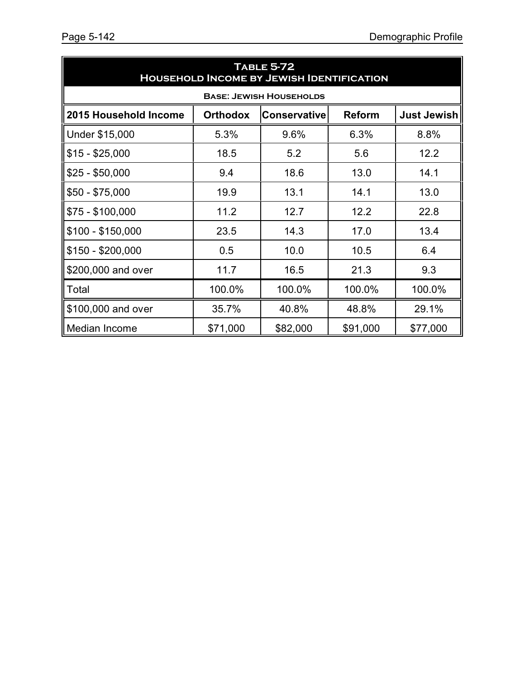| <b>TABLE 5-72</b><br><b>HOUSEHOLD INCOME BY JEWISH IDENTIFICATION</b>                                  |          |                                |          |          |  |  |  |
|--------------------------------------------------------------------------------------------------------|----------|--------------------------------|----------|----------|--|--|--|
|                                                                                                        |          | <b>BASE: JEWISH HOUSEHOLDS</b> |          |          |  |  |  |
| 2015 Household Income<br><b>Just Jewish</b><br><b>Orthodox</b><br><b>Reform</b><br><b>Conservative</b> |          |                                |          |          |  |  |  |
| Under \$15,000                                                                                         | 5.3%     | 9.6%                           | 6.3%     | 8.8%     |  |  |  |
| $$15 - $25,000$                                                                                        | 18.5     | 5.2                            | 5.6      | 12.2     |  |  |  |
| $$25 - $50,000$                                                                                        | 9.4      | 18.6                           | 13.0     | 14.1     |  |  |  |
| $$50 - $75,000$                                                                                        | 19.9     | 13.1                           | 14.1     | 13.0     |  |  |  |
| $$75 - $100,000$                                                                                       | 11.2     | 12.7                           | 12.2     | 22.8     |  |  |  |
| $$100 - $150,000$                                                                                      | 23.5     | 14.3                           | 17.0     | 13.4     |  |  |  |
| $$150 - $200,000$                                                                                      | 0.5      | 10.0                           | 10.5     | 6.4      |  |  |  |
| \$200,000 and over                                                                                     | 11.7     | 16.5                           | 21.3     | 9.3      |  |  |  |
| Total                                                                                                  | 100.0%   | 100.0%                         | 100.0%   | 100.0%   |  |  |  |
| \$100,000 and over                                                                                     | 35.7%    | 40.8%                          | 48.8%    | 29.1%    |  |  |  |
| Median Income                                                                                          | \$71,000 | \$82,000                       | \$91,000 | \$77,000 |  |  |  |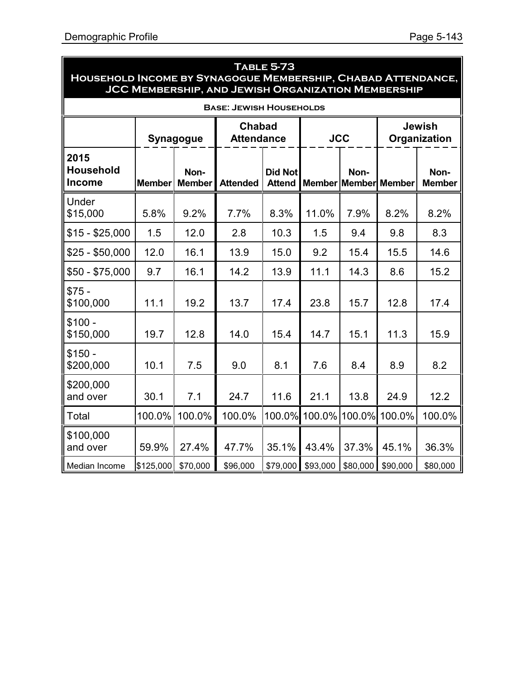| Page 5-143 |
|------------|
|            |

| <b>TABLE 5-73</b><br>HOUSEHOLD INCOME BY SYNAGOGUE MEMBERSHIP, CHABAD ATTENDANCE,<br>JCC MEMBERSHIP, AND JEWISH ORGANIZATION MEMBERSHIP |               |                       |                                    |                                 |                      |          |                               |                       |
|-----------------------------------------------------------------------------------------------------------------------------------------|---------------|-----------------------|------------------------------------|---------------------------------|----------------------|----------|-------------------------------|-----------------------|
|                                                                                                                                         |               |                       | <b>BASE: JEWISH HOUSEHOLDS</b>     |                                 |                      |          |                               |                       |
|                                                                                                                                         |               | Synagogue             | <b>Chabad</b><br><b>Attendance</b> |                                 | <b>JCC</b>           |          | <b>Jewish</b><br>Organization |                       |
| 2015<br><b>Household</b><br><b>Income</b>                                                                                               | <b>Member</b> | Non-<br><b>Member</b> | <b>Attended</b>                    | <b>Did Not</b><br><b>Attend</b> | <b>Member Member</b> | Non-     | <b>Member</b>                 | Non-<br><b>Member</b> |
| Under<br>\$15,000                                                                                                                       | 5.8%          | 9.2%                  | 7.7%                               | 8.3%                            | 11.0%                | 7.9%     | 8.2%                          | 8.2%                  |
| $$15 - $25,000$                                                                                                                         | 1.5           | 12.0                  | 2.8                                | 10.3                            | 1.5                  | 9.4      | 9.8                           | 8.3                   |
| $$25 - $50,000$                                                                                                                         | 12.0          | 16.1                  | 13.9                               | 15.0                            | 9.2                  | 15.4     | 15.5                          | 14.6                  |
| $$50 - $75,000$                                                                                                                         | 9.7           | 16.1                  | 14.2                               | 13.9                            | 11.1                 | 14.3     | 8.6                           | 15.2                  |
| $$75 -$<br>\$100,000                                                                                                                    | 11.1          | 19.2                  | 13.7                               | 17.4                            | 23.8                 | 15.7     | 12.8                          | 17.4                  |
| $$100 -$<br>\$150,000                                                                                                                   | 19.7          | 12.8                  | 14.0                               | 15.4                            | 14.7                 | 15.1     | 11.3                          | 15.9                  |
| $$150 -$<br>\$200,000                                                                                                                   | 10.1          | 7.5                   | 9.0                                | 8.1                             | 7.6                  | 8.4      | 8.9                           | 8.2                   |
| \$200,000<br>and over                                                                                                                   | 30.1          | 7.1                   | 24.7                               | 11.6                            | 21.1                 | 13.8     | 24.9                          | 12.2                  |
| Total                                                                                                                                   | 100.0%        | 100.0%                | 100.0%                             | 100.0%                          | 100.0%               | 100.0%   | 100.0%                        | 100.0%                |
| \$100,000<br>and over                                                                                                                   | 59.9%         | 27.4%                 | 47.7%                              | 35.1%                           | 43.4%                | 37.3%    | 45.1%                         | 36.3%                 |
| Median Income                                                                                                                           | \$125,000     | \$70,000              | \$96,000                           | \$79,000                        | \$93,000             | \$80,000 | \$90,000                      | \$80,000              |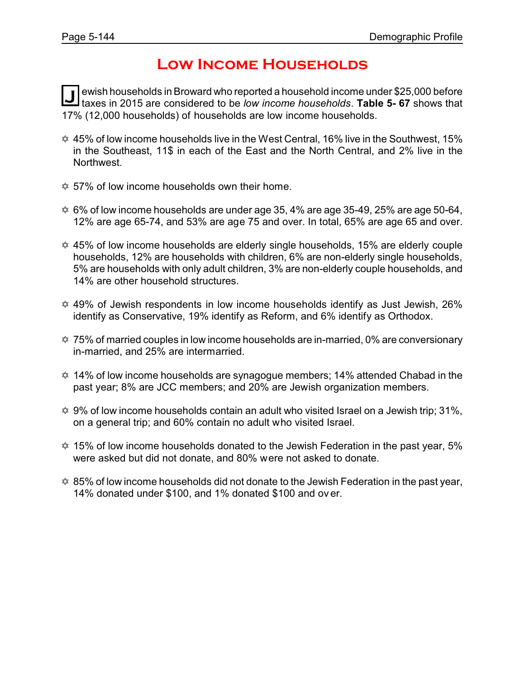# **Low Income Households**

**J** ewish households in Broward who reported a household income under \$25,000 before taxes in 2015 are considered to be *low income households*. **Table 5- 67** shows that 17% (12,000 households) of households are low income households.

- $\approx$  45% of low income households live in the West Central, 16% live in the Southwest, 15% in the Southeast, 11\$ in each of the East and the North Central, and 2% live in the Northwest.
- $\approx$  57% of low income households own their home.
- $\approx$  6% of low income households are under age 35, 4% are age 35-49, 25% are age 50-64, 12% are age 65-74, and 53% are age 75 and over. In total, 65% are age 65 and over.
- $\approx$  45% of low income households are elderly single households, 15% are elderly couple households, 12% are households with children, 6% are non-elderly single households, 5% are households with only adult children, 3% are non-elderly couple households, and 14% are other household structures.
- $\approx$  49% of Jewish respondents in low income households identify as Just Jewish, 26% identify as Conservative, 19% identify as Reform, and 6% identify as Orthodox.
- $\approx$  75% of married couples in low income households are in-married, 0% are conversionary in-married, and 25% are intermarried.
- $\approx$  14% of low income households are synagogue members; 14% attended Chabad in the past year; 8% are JCC members; and 20% are Jewish organization members.
- $\hat{\varphi}$  9% of low income households contain an adult who visited Israel on a Jewish trip; 31%, on a general trip; and 60% contain no adult who visited Israel.
- $\approx$  15% of low income households donated to the Jewish Federation in the past year, 5% were asked but did not donate, and 80% were not asked to donate.
- $\hat{\varphi}$  85% of low income households did not donate to the Jewish Federation in the past year, 14% donated under \$100, and 1% donated \$100 and ov er.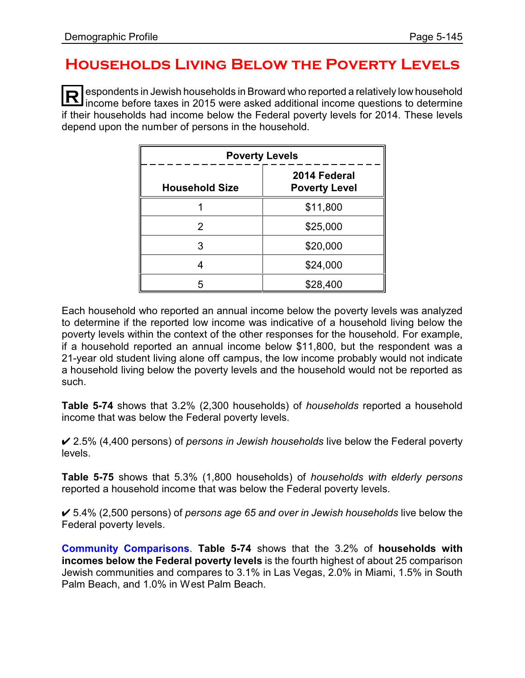# **Households Living Below the Poverty Levels**

**R** espondents in Jewish households in Broward who reported a relatively low household income before taxes in 2015 were asked additional income questions to determine if their households had income below the Federal poverty levels for 2014. These levels depend upon the number of persons in the household.

| <b>Poverty Levels</b> |                                      |  |  |  |
|-----------------------|--------------------------------------|--|--|--|
| <b>Household Size</b> | 2014 Federal<br><b>Poverty Level</b> |  |  |  |
|                       | \$11,800                             |  |  |  |
| 2                     | \$25,000                             |  |  |  |
| 3                     | \$20,000                             |  |  |  |
|                       | \$24,000                             |  |  |  |
|                       | \$28,400                             |  |  |  |

Each household who reported an annual income below the poverty levels was analyzed to determine if the reported low income was indicative of a household living below the poverty levels within the context of the other responses for the household. For example, if a household reported an annual income below \$11,800, but the respondent was a 21-year old student living alone off campus, the low income probably would not indicate a household living below the poverty levels and the household would not be reported as such.

**Table 5-74** shows that 3.2% (2,300 households) of *households* reported a household income that was below the Federal poverty levels.

U 2.5% (4,400 persons) of *persons in Jewish households* live below the Federal poverty levels.

**Table 5-75** shows that 5.3% (1,800 households) of *households with elderly persons* reported a household income that was below the Federal poverty levels.

U 5.4% (2,500 persons) of *persons age 65 and over in Jewish households* live below the Federal poverty levels.

**Community Comparisons**. **Table 5-74** shows that the 3.2% of **households with incomes below the Federal poverty levels** is the fourth highest of about 25 comparison Jewish communities and compares to 3.1% in Las Vegas, 2.0% in Miami, 1.5% in South Palm Beach, and 1.0% in West Palm Beach.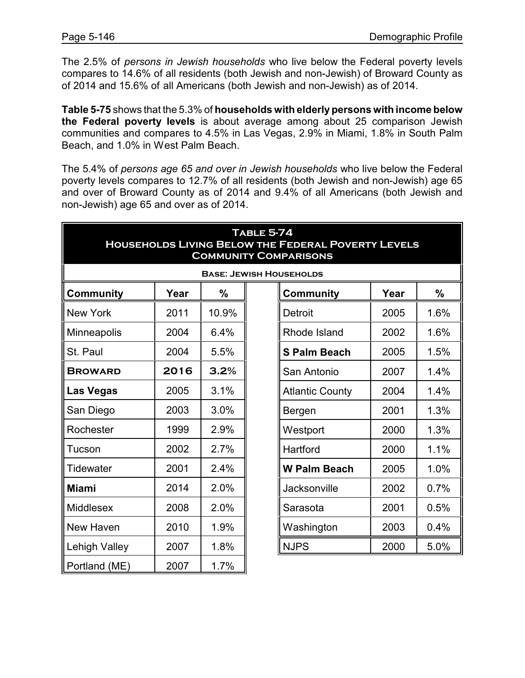The 2.5% of *persons in Jewish households* who live below the Federal poverty levels compares to 14.6% of all residents (both Jewish and non-Jewish) of Broward County as of 2014 and 15.6% of all Americans (both Jewish and non-Jewish) as of 2014.

**Table 5-75** shows that the 5.3% of **households with elderly persons with income below the Federal poverty levels** is about average among about 25 comparison Jewish communities and compares to 4.5% in Las Vegas, 2.9% in Miami, 1.8% in South Palm Beach, and 1.0% in West Palm Beach.

The 5.4% of *persons age 65 and over in Jewish households* who live below the Federal poverty levels compares to 12.7% of all residents (both Jewish and non-Jewish) age 65 and over of Broward County as of 2014 and 9.4% of all Americans (both Jewish and non-Jewish) age 65 and over as of 2014.

| <b>TABLE 5-74</b><br><b>HOUSEHOLDS LIVING BELOW THE FEDERAL POVERTY LEVELS</b><br><b>COMMUNITY COMPARISONS</b> |      |       |  |                                |      |      |
|----------------------------------------------------------------------------------------------------------------|------|-------|--|--------------------------------|------|------|
|                                                                                                                |      |       |  | <b>BASE: JEWISH HOUSEHOLDS</b> |      |      |
| Community                                                                                                      | Year | %     |  | <b>Community</b>               | Year | %    |
| <b>New York</b>                                                                                                | 2011 | 10.9% |  | Detroit                        | 2005 | 1.6% |
| Minneapolis                                                                                                    | 2004 | 6.4%  |  | Rhode Island                   | 2002 | 1.6% |
| St. Paul                                                                                                       | 2004 | 5.5%  |  | <b>S Palm Beach</b>            | 2005 | 1.5% |
| <b>BROWARD</b>                                                                                                 | 2016 | 3.2%  |  | San Antonio                    | 2007 | 1.4% |
| Las Vegas                                                                                                      | 2005 | 3.1%  |  | <b>Atlantic County</b>         | 2004 | 1.4% |
| San Diego                                                                                                      | 2003 | 3.0%  |  | Bergen                         | 2001 | 1.3% |
| Rochester                                                                                                      | 1999 | 2.9%  |  | Westport                       | 2000 | 1.3% |
| Tucson                                                                                                         | 2002 | 2.7%  |  | Hartford                       | 2000 | 1.1% |
| Tidewater                                                                                                      | 2001 | 2.4%  |  | <b>W Palm Beach</b>            | 2005 | 1.0% |
| <b>Miami</b>                                                                                                   | 2014 | 2.0%  |  | Jacksonville                   | 2002 | 0.7% |
| <b>Middlesex</b>                                                                                               | 2008 | 2.0%  |  | Sarasota                       | 2001 | 0.5% |
| New Haven                                                                                                      | 2010 | 1.9%  |  | Washington                     | 2003 | 0.4% |
| <b>Lehigh Valley</b>                                                                                           | 2007 | 1.8%  |  | <b>NJPS</b>                    | 2000 | 5.0% |
| Portland (ME)                                                                                                  | 2007 | 1.7%  |  |                                |      |      |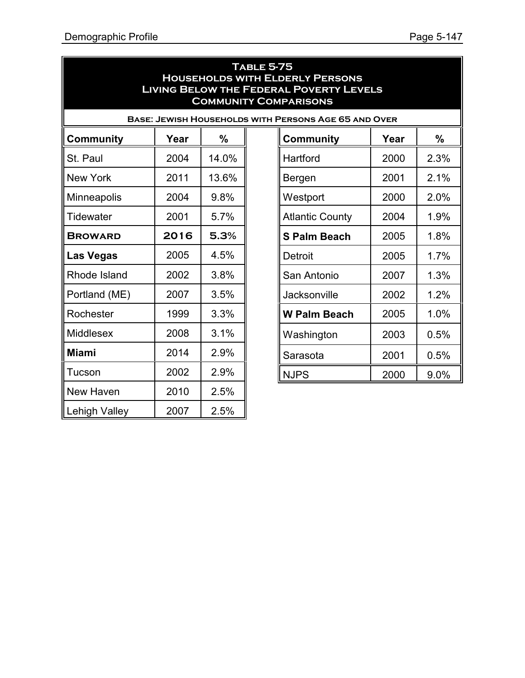| TABLE 5-75                                     |
|------------------------------------------------|
| <b>HOUSEHOLDS WITH ELDERLY PERSONS</b>         |
| <b>LIVING BELOW THE FEDERAL POVERTY LEVELS</b> |
| <b>COMMUNITY COMPARISONS</b>                   |

|  |  | <b>BASE: JEWISH HOUSEHOLDS WITH PERSONS AGE 65 AND OVER</b> |  |
|--|--|-------------------------------------------------------------|--|
|  |  |                                                             |  |

| <b>Community</b>     | Year | %     | <b>Community</b>       | Year | %                |
|----------------------|------|-------|------------------------|------|------------------|
| St. Paul             | 2004 | 14.0% | Hartford               | 2000 | 2.3 <sup>c</sup> |
| <b>New York</b>      | 2011 | 13.6% | Bergen                 | 2001 | 2.1 <sup>c</sup> |
| <b>Minneapolis</b>   | 2004 | 9.8%  | Westport               | 2000 | 2.0 <sup>c</sup> |
| <b>Tidewater</b>     | 2001 | 5.7%  | <b>Atlantic County</b> | 2004 | 1.9 <sup>c</sup> |
| <b>BROWARD</b>       | 2016 | 5.3%  | <b>S Palm Beach</b>    | 2005 | 1.8 <sup>c</sup> |
| <b>Las Vegas</b>     | 2005 | 4.5%  | <b>Detroit</b>         | 2005 | 1.7 <sup>c</sup> |
| Rhode Island         | 2002 | 3.8%  | San Antonio            | 2007 | 1.3 <sup>c</sup> |
| Portland (ME)        | 2007 | 3.5%  | Jacksonville           | 2002 | 1.2 <sup>c</sup> |
| Rochester            | 1999 | 3.3%  | <b>W Palm Beach</b>    | 2005 | 1.0 <sup>c</sup> |
| <b>Middlesex</b>     | 2008 | 3.1%  | Washington             | 2003 | 0.5 <sup>c</sup> |
| <b>Miami</b>         | 2014 | 2.9%  | Sarasota               | 2001 | 0.5 <sup>c</sup> |
| Tucson               | 2002 | 2.9%  | <b>NJPS</b>            | 2000 | 9.0 <sup>°</sup> |
| New Haven            | 2010 | 2.5%  |                        |      |                  |
| <b>Lehigh Valley</b> | 2007 | 2.5%  |                        |      |                  |

| PERSONS AGE 65 AND OVER |      |      |  |  |  |
|-------------------------|------|------|--|--|--|
| <b>Community</b>        | Year | $\%$ |  |  |  |
| Hartford                | 2000 | 2.3% |  |  |  |
| Bergen                  | 2001 | 2.1% |  |  |  |
| Westport                | 2000 | 2.0% |  |  |  |
| <b>Atlantic County</b>  | 2004 | 1.9% |  |  |  |
| <b>S Palm Beach</b>     | 2005 | 1.8% |  |  |  |
| <b>Detroit</b>          | 2005 | 1.7% |  |  |  |
| San Antonio             | 2007 | 1.3% |  |  |  |
| Jacksonville            | 2002 | 1.2% |  |  |  |
| <b>W Palm Beach</b>     | 2005 | 1.0% |  |  |  |
| Washington              | 2003 | 0.5% |  |  |  |
| Sarasota                | 2001 | 0.5% |  |  |  |
| <b>NJPS</b>             | 2000 | 9.0% |  |  |  |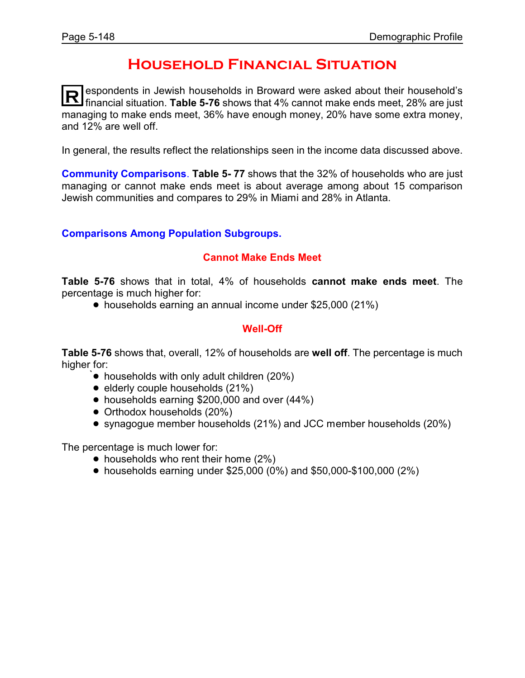## **Household Financial Situation**

**R** espondents in Jewish households in Broward were asked about their household's financial situation. **Table 5-76** shows that 4% cannot make ends meet, 28% are just managing to make ends meet, 36% have enough money, 20% have some extra money, and 12% are well off.

In general, the results reflect the relationships seen in the income data discussed above.

**Community Comparisons**. **Table 5- 77** shows that the 32% of households who are just managing or cannot make ends meet is about average among about 15 comparison Jewish communities and compares to 29% in Miami and 28% in Atlanta.

#### **Comparisons Among Population Subgroups.**

### **Cannot Make Ends Meet**

**Table 5-76** shows that in total, 4% of households **cannot make ends meet**. The percentage is much higher for:

! households earning an annual income under \$25,000 (21%)

#### **Well-Off**

**Table 5-76** shows that, overall, 12% of households are **well off**. The percentage is much higher for:

- $\bullet$  households with only adult children (20%)
- $\bullet$  elderly couple households (21%)
- households earning \$200,000 and over (44%)
- Orthodox households (20%)
- ! synagogue member households (21%) and JCC member households (20%)

The percentage is much lower for:

- $\bullet$  households who rent their home (2%)
- $\bullet$  households earning under \$25,000 (0%) and \$50,000-\$100,000 (2%)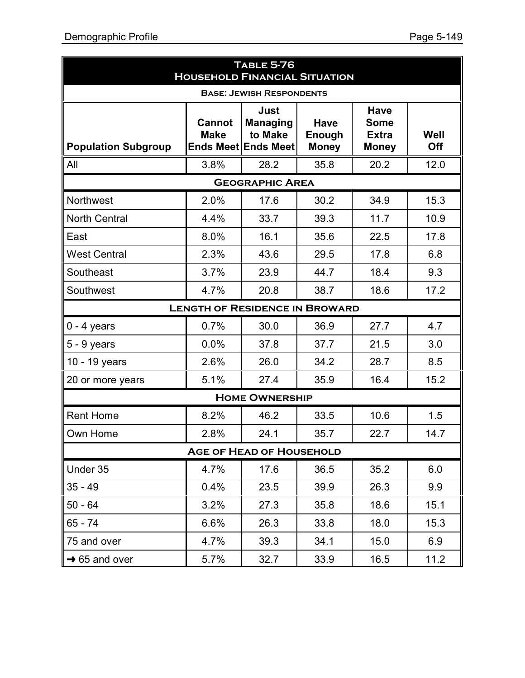| <b>TABLE 5-76</b><br><b>HOUSEHOLD FINANCIAL SITUATION</b> |                              |                                                                         |                                       |                                                            |             |  |
|-----------------------------------------------------------|------------------------------|-------------------------------------------------------------------------|---------------------------------------|------------------------------------------------------------|-------------|--|
|                                                           |                              | <b>BASE: JEWISH RESPONDENTS</b>                                         |                                       |                                                            |             |  |
| <b>Population Subgroup</b>                                | <b>Cannot</b><br><b>Make</b> | <b>Just</b><br><b>Managing</b><br>to Make<br><b>Ends Meet Ends Meet</b> | <b>Have</b><br>Enough<br><b>Money</b> | <b>Have</b><br><b>Some</b><br><b>Extra</b><br><b>Money</b> | Well<br>Off |  |
| All                                                       | 3.8%                         | 28.2                                                                    | 35.8                                  | 20.2                                                       | 12.0        |  |
|                                                           |                              | <b>GEOGRAPHIC AREA</b>                                                  |                                       |                                                            |             |  |
| Northwest                                                 | 2.0%                         | 17.6                                                                    | 30.2                                  | 34.9                                                       | 15.3        |  |
| <b>North Central</b>                                      | 4.4%                         | 33.7                                                                    | 39.3                                  | 11.7                                                       | 10.9        |  |
| East                                                      | 8.0%                         | 16.1                                                                    | 35.6                                  | 22.5                                                       | 17.8        |  |
| <b>West Central</b>                                       | 2.3%                         | 43.6                                                                    | 29.5                                  | 17.8                                                       | 6.8         |  |
| Southeast                                                 | 3.7%                         | 23.9                                                                    | 44.7                                  | 18.4                                                       | 9.3         |  |
| Southwest                                                 | 4.7%                         | 20.8                                                                    | 38.7                                  | 18.6                                                       | 17.2        |  |
|                                                           |                              | <b>LENGTH OF RESIDENCE IN BROWARD</b>                                   |                                       |                                                            |             |  |
| $0 - 4$ years                                             | 0.7%                         | 30.0                                                                    | 36.9                                  | 27.7                                                       | 4.7         |  |
| $5 - 9$ years                                             | 0.0%                         | 37.8                                                                    | 37.7                                  | 21.5                                                       | 3.0         |  |
| 10 - 19 years                                             | 2.6%                         | 26.0                                                                    | 34.2                                  | 28.7                                                       | 8.5         |  |
| 20 or more years                                          | 5.1%                         | 27.4                                                                    | 35.9                                  | 16.4                                                       | 15.2        |  |
|                                                           |                              | <b>HOME OWNERSHIP</b>                                                   |                                       |                                                            |             |  |
| <b>Rent Home</b>                                          | 8.2%                         | 46.2                                                                    | 33.5                                  | 10.6                                                       | 1.5         |  |
| Own Home                                                  | 2.8%                         | 24.1                                                                    | 35.7                                  | 22.7                                                       | 14.7        |  |
|                                                           |                              | <b>AGE OF HEAD OF HOUSEHOLD</b>                                         |                                       |                                                            |             |  |
| Under 35                                                  | 4.7%                         | 17.6                                                                    | 36.5                                  | 35.2                                                       | 6.0         |  |
| $35 - 49$                                                 | 0.4%                         | 23.5                                                                    | 39.9                                  | 26.3                                                       | 9.9         |  |
| $50 - 64$                                                 | 3.2%                         | 27.3                                                                    | 35.8                                  | 18.6                                                       | 15.1        |  |
| 65 - 74                                                   | 6.6%                         | 26.3                                                                    | 33.8                                  | 18.0                                                       | 15.3        |  |
| 75 and over                                               | 4.7%                         | 39.3                                                                    | 34.1                                  | 15.0                                                       | 6.9         |  |
| $\rightarrow$ 65 and over                                 | 5.7%                         | 32.7                                                                    | 33.9                                  | 16.5                                                       | 11.2        |  |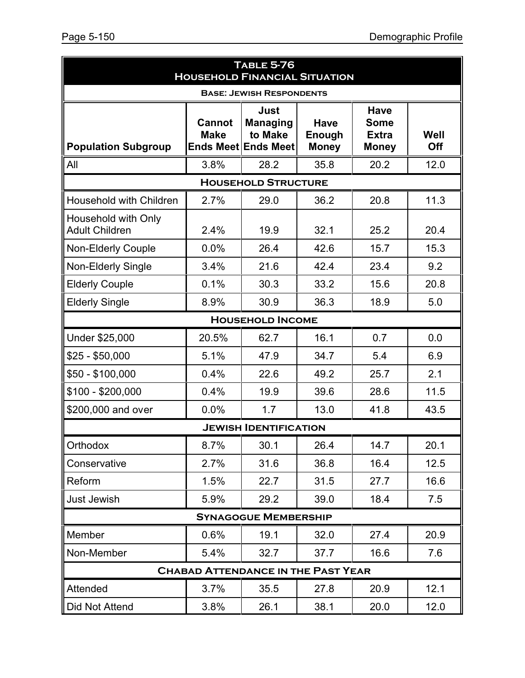| <b>TABLE 5-76</b><br><b>HOUSEHOLD FINANCIAL SITUATION</b> |                                 |                                                           |                                       |                                                            |             |  |  |  |
|-----------------------------------------------------------|---------------------------------|-----------------------------------------------------------|---------------------------------------|------------------------------------------------------------|-------------|--|--|--|
|                                                           | <b>BASE: JEWISH RESPONDENTS</b> |                                                           |                                       |                                                            |             |  |  |  |
| <b>Population Subgroup</b>                                | Cannot<br><b>Make</b>           | Just<br><b>Managing</b><br>to Make<br>Ends Meet Ends Meet | <b>Have</b><br>Enough<br><b>Money</b> | <b>Have</b><br><b>Some</b><br><b>Extra</b><br><b>Money</b> | Well<br>Off |  |  |  |
| All                                                       | 3.8%                            | 28.2                                                      | 35.8                                  | 20.2                                                       | 12.0        |  |  |  |
|                                                           |                                 | <b>HOUSEHOLD STRUCTURE</b>                                |                                       |                                                            |             |  |  |  |
| <b>Household with Children</b>                            | 2.7%                            | 29.0                                                      | 36.2                                  | 20.8                                                       | 11.3        |  |  |  |
| Household with Only<br><b>Adult Children</b>              | 2.4%                            | 19.9                                                      | 32.1                                  | 25.2                                                       | 20.4        |  |  |  |
| <b>Non-Elderly Couple</b>                                 | 0.0%                            | 26.4                                                      | 42.6                                  | 15.7                                                       | 15.3        |  |  |  |
| Non-Elderly Single                                        | 3.4%                            | 21.6                                                      | 42.4                                  | 23.4                                                       | 9.2         |  |  |  |
| <b>Elderly Couple</b>                                     | 0.1%                            | 30.3                                                      | 33.2                                  | 15.6                                                       | 20.8        |  |  |  |
| <b>Elderly Single</b>                                     | 8.9%                            | 30.9                                                      | 36.3                                  | 18.9                                                       | 5.0         |  |  |  |
|                                                           |                                 | <b>HOUSEHOLD INCOME</b>                                   |                                       |                                                            |             |  |  |  |
| Under \$25,000                                            | 20.5%                           | 62.7                                                      | 16.1                                  | 0.7                                                        | 0.0         |  |  |  |
| $$25 - $50,000$                                           | 5.1%                            | 47.9                                                      | 34.7                                  | 5.4                                                        | 6.9         |  |  |  |
| \$50 - \$100,000                                          | 0.4%                            | 22.6                                                      | 49.2                                  | 25.7                                                       | 2.1         |  |  |  |
| \$100 - \$200,000                                         | 0.4%                            | 19.9                                                      | 39.6                                  | 28.6                                                       | 11.5        |  |  |  |
| \$200,000 and over                                        | 0.0%                            | 1.7                                                       | 13.0                                  | 41.8                                                       | 43.5        |  |  |  |
|                                                           |                                 | <b>JEWISH IDENTIFICATION</b>                              |                                       |                                                            |             |  |  |  |
| Orthodox                                                  | 8.7%                            | 30.1                                                      | 26.4                                  | 14.7                                                       | 20.1        |  |  |  |
| Conservative                                              | 2.7%                            | 31.6                                                      | 36.8                                  | 16.4                                                       | 12.5        |  |  |  |
| Reform                                                    | 1.5%                            | 22.7                                                      | 31.5                                  | 27.7                                                       | 16.6        |  |  |  |
| Just Jewish                                               | 5.9%                            | 29.2                                                      | 39.0                                  | 18.4                                                       | 7.5         |  |  |  |
| <b>SYNAGOGUE MEMBERSHIP</b>                               |                                 |                                                           |                                       |                                                            |             |  |  |  |
| Member                                                    | 0.6%                            | 19.1                                                      | 32.0                                  | 27.4                                                       | 20.9        |  |  |  |
| Non-Member                                                | 5.4%                            | 32.7                                                      | 37.7                                  | 16.6                                                       | 7.6         |  |  |  |
|                                                           |                                 | <b>CHABAD ATTENDANCE IN THE PAST YEAR</b>                 |                                       |                                                            |             |  |  |  |
| Attended                                                  | 3.7%                            | 35.5                                                      | 27.8                                  | 20.9                                                       | 12.1        |  |  |  |
| Did Not Attend                                            | 3.8%                            | 26.1                                                      | 38.1                                  | 20.0                                                       | 12.0        |  |  |  |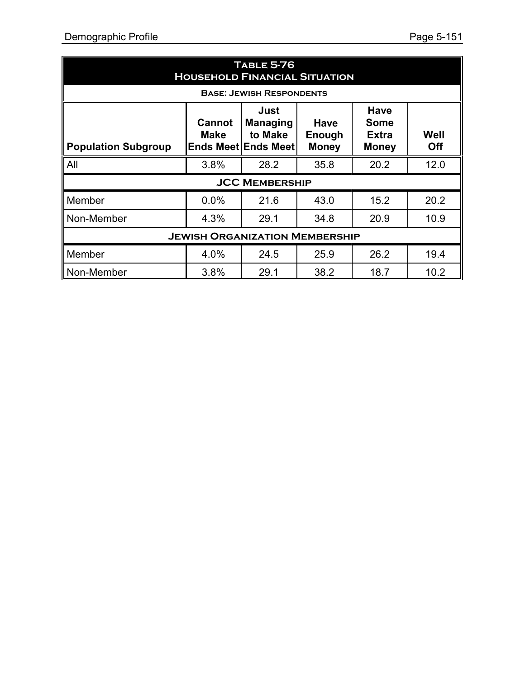| <b>TABLE 5-76</b><br><b>HOUSEHOLD FINANCIAL SITUATION</b>                                                                                                                                                                                                                               |      |                       |      |      |      |  |
|-----------------------------------------------------------------------------------------------------------------------------------------------------------------------------------------------------------------------------------------------------------------------------------------|------|-----------------------|------|------|------|--|
| <b>BASE: JEWISH RESPONDENTS</b><br><b>Have</b><br>Just<br><b>Cannot</b><br><b>Managing</b><br><b>Some</b><br><b>Have</b><br>Well<br>to Make<br><b>Make</b><br><b>Extra</b><br>Enough<br><b>Ends Meet Ends Meet</b><br>Off<br><b>Population Subgroup</b><br><b>Money</b><br><b>Money</b> |      |                       |      |      |      |  |
| <b>All</b>                                                                                                                                                                                                                                                                              | 3.8% | 28.2                  | 35.8 | 20.2 | 12.0 |  |
|                                                                                                                                                                                                                                                                                         |      | <b>JCC MEMBERSHIP</b> |      |      |      |  |
| Member                                                                                                                                                                                                                                                                                  | 0.0% | 21.6                  | 43.0 | 15.2 | 20.2 |  |
| Non-Member                                                                                                                                                                                                                                                                              | 4.3% | 29.1                  | 34.8 | 20.9 | 10.9 |  |
| <b>JEWISH ORGANIZATION MEMBERSHIP</b>                                                                                                                                                                                                                                                   |      |                       |      |      |      |  |
| Member                                                                                                                                                                                                                                                                                  | 4.0% | 24.5                  | 25.9 | 26.2 | 19.4 |  |
| Non-Member                                                                                                                                                                                                                                                                              | 3.8% | 29.1                  | 38.2 | 18.7 | 10.2 |  |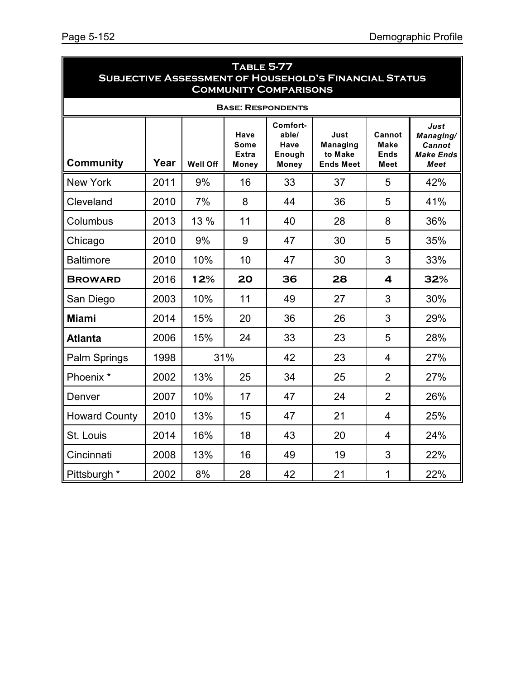| TABLE 5-77<br><b>SUBJECTIVE ASSESSMENT OF HOUSEHOLD'S FINANCIAL STATUS</b> |                              |                 |                                              |                                                     |                                                        |                                              |                                                         |  |
|----------------------------------------------------------------------------|------------------------------|-----------------|----------------------------------------------|-----------------------------------------------------|--------------------------------------------------------|----------------------------------------------|---------------------------------------------------------|--|
|                                                                            | <b>COMMUNITY COMPARISONS</b> |                 |                                              |                                                     |                                                        |                                              |                                                         |  |
|                                                                            |                              |                 |                                              | <b>BASE: RESPONDENTS</b>                            |                                                        |                                              |                                                         |  |
| <b>Community</b>                                                           | Year                         | <b>Well Off</b> | Have<br>Some<br><b>Extra</b><br><b>Money</b> | Comfort-<br>able/<br>Have<br>Enough<br><b>Money</b> | Just<br><b>Managing</b><br>to Make<br><b>Ends Meet</b> | Cannot<br><b>Make</b><br><b>Ends</b><br>Meet | Just<br>Managing/<br>Cannot<br><b>Make Ends</b><br>Meet |  |
| <b>New York</b>                                                            | 2011                         | 9%              | 16                                           | 33                                                  | 37                                                     | 5                                            | 42%                                                     |  |
| Cleveland                                                                  | 2010                         | 7%              | 8                                            | 44                                                  | 36                                                     | 5                                            | 41%                                                     |  |
| Columbus                                                                   | 2013                         | 13 %            | 11                                           | 40                                                  | 28                                                     | 8                                            | 36%                                                     |  |
| Chicago                                                                    | 2010                         | 9%              | 9                                            | 47                                                  | 30                                                     | 5                                            | 35%                                                     |  |
| <b>Baltimore</b>                                                           | 2010                         | 10%             | 10                                           | 47                                                  | 30                                                     | 3                                            | 33%                                                     |  |
| <b>BROWARD</b>                                                             | 2016                         | 12%             | 20                                           | 36                                                  | 28                                                     | 4                                            | 32%                                                     |  |
| San Diego                                                                  | 2003                         | 10%             | 11                                           | 49                                                  | 27                                                     | 3                                            | 30%                                                     |  |
| <b>Miami</b>                                                               | 2014                         | 15%             | 20                                           | 36                                                  | 26                                                     | 3                                            | 29%                                                     |  |
| <b>Atlanta</b>                                                             | 2006                         | 15%             | 24                                           | 33                                                  | 23                                                     | 5                                            | 28%                                                     |  |
| Palm Springs                                                               | 1998                         | 31%             |                                              | 42                                                  | 23                                                     | $\overline{4}$                               | 27%                                                     |  |
| Phoenix *                                                                  | 2002                         | 13%             | 25                                           | 34                                                  | 25                                                     | $\overline{2}$                               | 27%                                                     |  |
| Denver                                                                     | 2007                         | 10%             | 17                                           | 47                                                  | 24                                                     | $\overline{2}$                               | 26%                                                     |  |
| <b>Howard County</b>                                                       | 2010                         | 13%             | 15                                           | 47                                                  | 21                                                     | $\overline{4}$                               | 25%                                                     |  |
| St. Louis                                                                  | 2014                         | 16%             | 18                                           | 43                                                  | 20                                                     | $\overline{4}$                               | 24%                                                     |  |
| Cincinnati                                                                 | 2008                         | 13%             | 16                                           | 49                                                  | 19                                                     | 3                                            | 22%                                                     |  |
| Pittsburgh *                                                               | 2002                         | 8%              | 28                                           | 42                                                  | 21                                                     | 1                                            | 22%                                                     |  |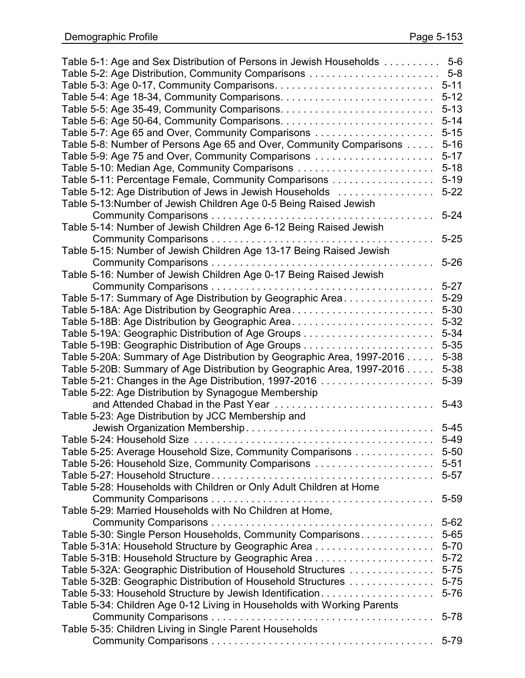| Table 5-1: Age and Sex Distribution of Persons in Jewish Households  5-6 |          |
|--------------------------------------------------------------------------|----------|
|                                                                          |          |
| Table 5-3: Age 0-17, Community Comparisons                               | $5 - 11$ |
| Table 5-4: Age 18-34, Community Comparisons                              | $5 - 12$ |
|                                                                          | $5 - 13$ |
|                                                                          | $5 - 14$ |
| Table 5-7: Age 65 and Over, Community Comparisons                        | $5 - 15$ |
| Table 5-8: Number of Persons Age 65 and Over, Community Comparisons      | $5 - 16$ |
| Table 5-9: Age 75 and Over, Community Comparisons                        | $5 - 17$ |
| Table 5-10: Median Age, Community Comparisons                            | $5 - 18$ |
| Table 5-11: Percentage Female, Community Comparisons                     | $5 - 19$ |
| Table 5-12: Age Distribution of Jews in Jewish Households                | $5 - 22$ |
| Table 5-13: Number of Jewish Children Age 0-5 Being Raised Jewish        |          |
|                                                                          | $5 - 24$ |
| Table 5-14: Number of Jewish Children Age 6-12 Being Raised Jewish       |          |
|                                                                          | $5 - 25$ |
| Table 5-15: Number of Jewish Children Age 13-17 Being Raised Jewish      |          |
|                                                                          | $5 - 26$ |
| Table 5-16: Number of Jewish Children Age 0-17 Being Raised Jewish       |          |
|                                                                          | $5 - 27$ |
| Table 5-17: Summary of Age Distribution by Geographic Area               | $5 - 29$ |
| Table 5-18A: Age Distribution by Geographic Area                         | $5 - 30$ |
| Table 5-18B: Age Distribution by Geographic Area                         | $5 - 32$ |
|                                                                          | $5 - 34$ |
| Table 5-19B: Geographic Distribution of Age Groups                       | $5 - 35$ |
| Table 5-20A: Summary of Age Distribution by Geographic Area, 1997-2016   | $5 - 38$ |
| Table 5-20B: Summary of Age Distribution by Geographic Area, 1997-2016   | $5 - 38$ |
| Table 5-21: Changes in the Age Distribution, 1997-2016                   | $5 - 39$ |
| Table 5-22: Age Distribution by Synagogue Membership                     |          |
| and Attended Chabad in the Past Year                                     | $5 - 43$ |
| Table 5-23: Age Distribution by JCC Membership and                       |          |
|                                                                          | $5 - 45$ |
|                                                                          | $5 - 49$ |
| Table 5-25: Average Household Size, Community Comparisons                | $5 - 50$ |
| Table 5-26: Household Size, Community Comparisons                        | $5 - 51$ |
|                                                                          | $5 - 57$ |
| Table 5-28: Households with Children or Only Adult Children at Home      |          |
|                                                                          | $5 - 59$ |
| Table 5-29: Married Households with No Children at Home,                 |          |
|                                                                          | $5 - 62$ |
| Table 5-30: Single Person Households, Community Comparisons              | $5 - 65$ |
|                                                                          | $5 - 70$ |
| Table 5-31B: Household Structure by Geographic Area                      | $5 - 72$ |
| Table 5-32A: Geographic Distribution of Household Structures             | $5 - 75$ |
| Table 5-32B: Geographic Distribution of Household Structures             | $5 - 75$ |
| Table 5-33: Household Structure by Jewish Identification                 | $5 - 76$ |
| Table 5-34: Children Age 0-12 Living in Households with Working Parents  |          |
|                                                                          | $5 - 78$ |
| Table 5-35: Children Living in Single Parent Households                  |          |
|                                                                          | $5 - 79$ |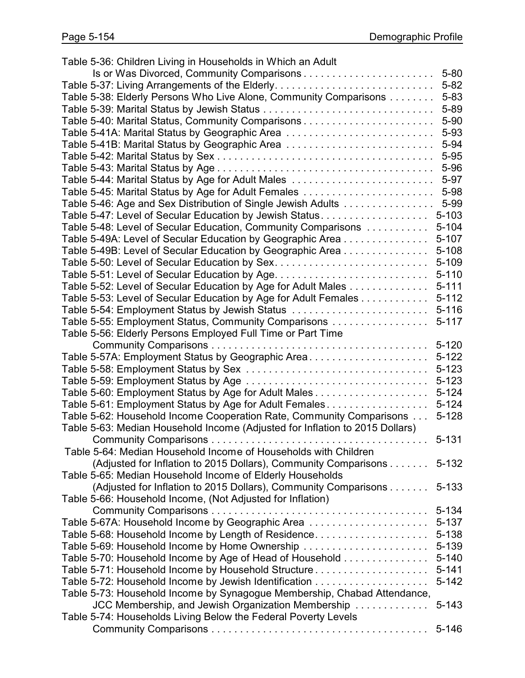| Table 5-36: Children Living in Households in Which an Adult                                                                  |           |
|------------------------------------------------------------------------------------------------------------------------------|-----------|
| Is or Was Divorced, Community Comparisons                                                                                    | $5 - 80$  |
| Table 5-37: Living Arrangements of the Elderly                                                                               | $5 - 82$  |
| Table 5-38: Elderly Persons Who Live Alone, Community Comparisons                                                            | $5 - 83$  |
| Table 5-39: Marital Status by Jewish Status                                                                                  | 5-89      |
|                                                                                                                              | $5 - 90$  |
| Table 5-41A: Marital Status by Geographic Area                                                                               | 5-93      |
| Table 5-41B: Marital Status by Geographic Area                                                                               | $5 - 94$  |
|                                                                                                                              | $5 - 95$  |
|                                                                                                                              | 5-96      |
| Table 5-44: Marital Status by Age for Adult Males                                                                            | 5-97      |
| Table 5-45: Marital Status by Age for Adult Females                                                                          | 5-98      |
| Table 5-46: Age and Sex Distribution of Single Jewish Adults                                                                 | 5-99      |
| Table 5-47: Level of Secular Education by Jewish Status                                                                      | $5 - 103$ |
| Table 5-48: Level of Secular Education, Community Comparisons                                                                | 5-104     |
| Table 5-49A: Level of Secular Education by Geographic Area                                                                   | 5-107     |
| Table 5-49B: Level of Secular Education by Geographic Area                                                                   | $5 - 108$ |
|                                                                                                                              | 5-109     |
| Table 5-51: Level of Secular Education by Age                                                                                | $5 - 110$ |
| Table 5-52: Level of Secular Education by Age for Adult Males                                                                | $5 - 111$ |
| Table 5-53: Level of Secular Education by Age for Adult Females                                                              | $5 - 112$ |
| Table 5-54: Employment Status by Jewish Status                                                                               | $5 - 116$ |
| Table 5-55: Employment Status, Community Comparisons                                                                         | $5 - 117$ |
| Table 5-56: Elderly Persons Employed Full Time or Part Time                                                                  |           |
|                                                                                                                              | $5 - 120$ |
| Table 5-57A: Employment Status by Geographic Area                                                                            | $5 - 122$ |
|                                                                                                                              | $5 - 123$ |
|                                                                                                                              | $5 - 123$ |
| Table 5-60: Employment Status by Age for Adult Males                                                                         | $5 - 124$ |
| Table 5-61: Employment Status by Age for Adult Females                                                                       | $5 - 124$ |
| Table 5-62: Household Income Cooperation Rate, Community Comparisons                                                         | $5 - 128$ |
| Table 5-63: Median Household Income (Adjusted for Inflation to 2015 Dollars)                                                 |           |
|                                                                                                                              | $5 - 131$ |
| Table 5-64: Median Household Income of Households with Children                                                              |           |
|                                                                                                                              |           |
| (Adjusted for Inflation to 2015 Dollars), Community Comparisons<br>Table 5-65: Median Household Income of Elderly Households | $5 - 132$ |
|                                                                                                                              | 5-133     |
| (Adjusted for Inflation to 2015 Dollars), Community Comparisons                                                              |           |
| Table 5-66: Household Income, (Not Adjusted for Inflation)                                                                   |           |
|                                                                                                                              | 5-134     |
| Table 5-67A: Household Income by Geographic Area                                                                             | 5-137     |
| Table 5-68: Household Income by Length of Residence                                                                          | 5-138     |
| Table 5-69: Household Income by Home Ownership                                                                               | 5-139     |
| Table 5-70: Household Income by Age of Head of Household                                                                     | $5 - 140$ |
| Table 5-71: Household Income by Household Structure                                                                          | $5 - 141$ |
|                                                                                                                              | $5 - 142$ |
| Table 5-73: Household Income by Synagogue Membership, Chabad Attendance,                                                     |           |
| JCC Membership, and Jewish Organization Membership                                                                           | $5 - 143$ |
| Table 5-74: Households Living Below the Federal Poverty Levels                                                               |           |
|                                                                                                                              | $5 - 146$ |